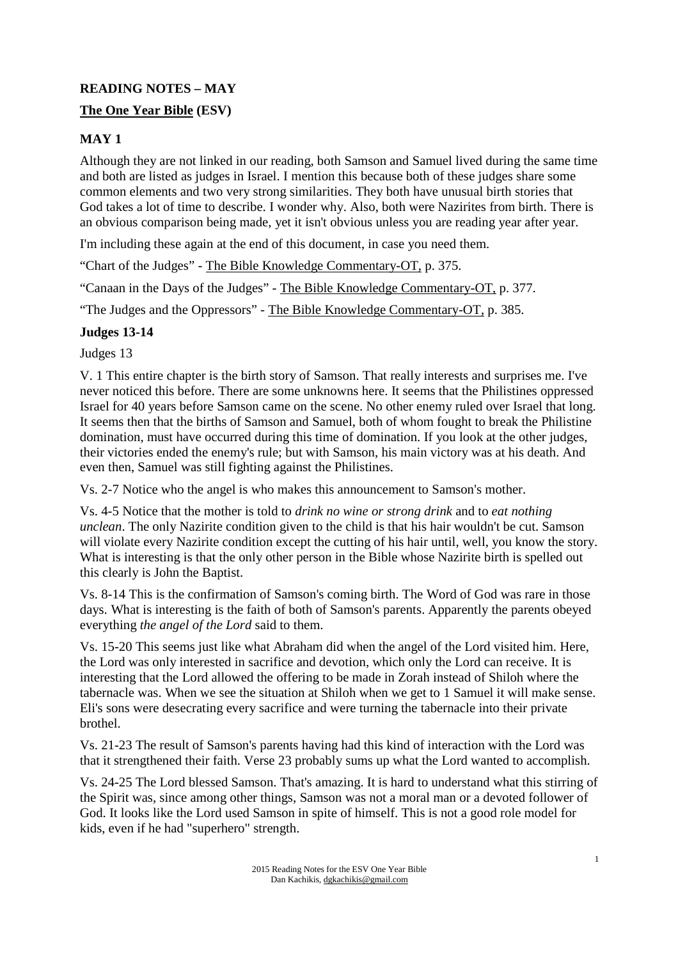# **READING NOTES – MAY The One Year Bible (ESV)**

# **MAY 1**

Although they are not linked in our reading, both Samson and Samuel lived during the same time and both are listed as judges in Israel. I mention this because both of these judges share some common elements and two very strong similarities. They both have unusual birth stories that God takes a lot of time to describe. I wonder why. Also, both were Nazirites from birth. There is an obvious comparison being made, yet it isn't obvious unless you are reading year after year.

I'm including these again at the end of this document, in case you need them.

"Chart of the Judges" - The Bible Knowledge Commentary-OT, p. 375.

"Canaan in the Days of the Judges" - The Bible Knowledge Commentary-OT, p. 377.

"The Judges and the Oppressors" - The Bible Knowledge Commentary-OT, p. 385.

# **Judges 13-14**

Judges 13

V. 1 This entire chapter is the birth story of Samson. That really interests and surprises me. I've never noticed this before. There are some unknowns here. It seems that the Philistines oppressed Israel for 40 years before Samson came on the scene. No other enemy ruled over Israel that long. It seems then that the births of Samson and Samuel, both of whom fought to break the Philistine domination, must have occurred during this time of domination. If you look at the other judges, their victories ended the enemy's rule; but with Samson, his main victory was at his death. And even then, Samuel was still fighting against the Philistines.

Vs. 2-7 Notice who the angel is who makes this announcement to Samson's mother.

Vs. 4-5 Notice that the mother is told to *drink no wine or strong drink* and to *eat nothing unclean*. The only Nazirite condition given to the child is that his hair wouldn't be cut. Samson will violate every Nazirite condition except the cutting of his hair until, well, you know the story. What is interesting is that the only other person in the Bible whose Nazirite birth is spelled out this clearly is John the Baptist.

Vs. 8-14 This is the confirmation of Samson's coming birth. The Word of God was rare in those days. What is interesting is the faith of both of Samson's parents. Apparently the parents obeyed everything *the angel of the Lord* said to them.

Vs. 15-20 This seems just like what Abraham did when the angel of the Lord visited him. Here, the Lord was only interested in sacrifice and devotion, which only the Lord can receive. It is interesting that the Lord allowed the offering to be made in Zorah instead of Shiloh where the tabernacle was. When we see the situation at Shiloh when we get to 1 Samuel it will make sense. Eli's sons were desecrating every sacrifice and were turning the tabernacle into their private brothel.

Vs. 21-23 The result of Samson's parents having had this kind of interaction with the Lord was that it strengthened their faith. Verse 23 probably sums up what the Lord wanted to accomplish.

Vs. 24-25 The Lord blessed Samson. That's amazing. It is hard to understand what this stirring of the Spirit was, since among other things, Samson was not a moral man or a devoted follower of God. It looks like the Lord used Samson in spite of himself. This is not a good role model for kids, even if he had "superhero" strength.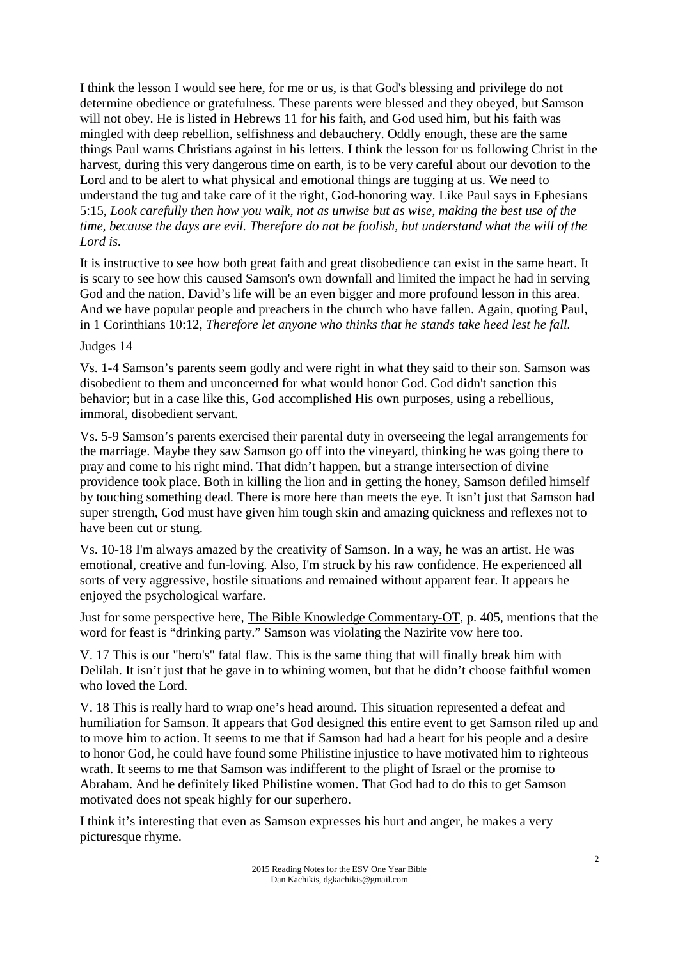I think the lesson I would see here, for me or us, is that God's blessing and privilege do not determine obedience or gratefulness. These parents were blessed and they obeyed, but Samson will not obey. He is listed in Hebrews 11 for his faith, and God used him, but his faith was mingled with deep rebellion, selfishness and debauchery. Oddly enough, these are the same things Paul warns Christians against in his letters. I think the lesson for us following Christ in the harvest, during this very dangerous time on earth, is to be very careful about our devotion to the Lord and to be alert to what physical and emotional things are tugging at us. We need to understand the tug and take care of it the right, God-honoring way. Like Paul says in Ephesians 5:15, *Look carefully then how you walk, not as unwise but as wise, making the best use of the time, because the days are evil. Therefore do not be foolish, but understand what the will of the Lord is.* 

It is instructive to see how both great faith and great disobedience can exist in the same heart. It is scary to see how this caused Samson's own downfall and limited the impact he had in serving God and the nation. David's life will be an even bigger and more profound lesson in this area. And we have popular people and preachers in the church who have fallen. Again, quoting Paul, in 1 Corinthians 10:12, *Therefore let anyone who thinks that he stands take heed lest he fall.*

#### Judges 14

Vs. 1-4 Samson's parents seem godly and were right in what they said to their son. Samson was disobedient to them and unconcerned for what would honor God. God didn't sanction this behavior; but in a case like this, God accomplished His own purposes, using a rebellious, immoral, disobedient servant.

Vs. 5-9 Samson's parents exercised their parental duty in overseeing the legal arrangements for the marriage. Maybe they saw Samson go off into the vineyard, thinking he was going there to pray and come to his right mind. That didn't happen, but a strange intersection of divine providence took place. Both in killing the lion and in getting the honey, Samson defiled himself by touching something dead. There is more here than meets the eye. It isn't just that Samson had super strength, God must have given him tough skin and amazing quickness and reflexes not to have been cut or stung.

Vs. 10-18 I'm always amazed by the creativity of Samson. In a way, he was an artist. He was emotional, creative and fun-loving. Also, I'm struck by his raw confidence. He experienced all sorts of very aggressive, hostile situations and remained without apparent fear. It appears he enjoyed the psychological warfare.

Just for some perspective here, The Bible Knowledge Commentary-OT, p. 405, mentions that the word for feast is "drinking party." Samson was violating the Nazirite vow here too.

V. 17 This is our "hero's" fatal flaw. This is the same thing that will finally break him with Delilah. It isn't just that he gave in to whining women, but that he didn't choose faithful women who loved the Lord.

V. 18 This is really hard to wrap one's head around. This situation represented a defeat and humiliation for Samson. It appears that God designed this entire event to get Samson riled up and to move him to action. It seems to me that if Samson had had a heart for his people and a desire to honor God, he could have found some Philistine injustice to have motivated him to righteous wrath. It seems to me that Samson was indifferent to the plight of Israel or the promise to Abraham. And he definitely liked Philistine women. That God had to do this to get Samson motivated does not speak highly for our superhero.

I think it's interesting that even as Samson expresses his hurt and anger, he makes a very picturesque rhyme.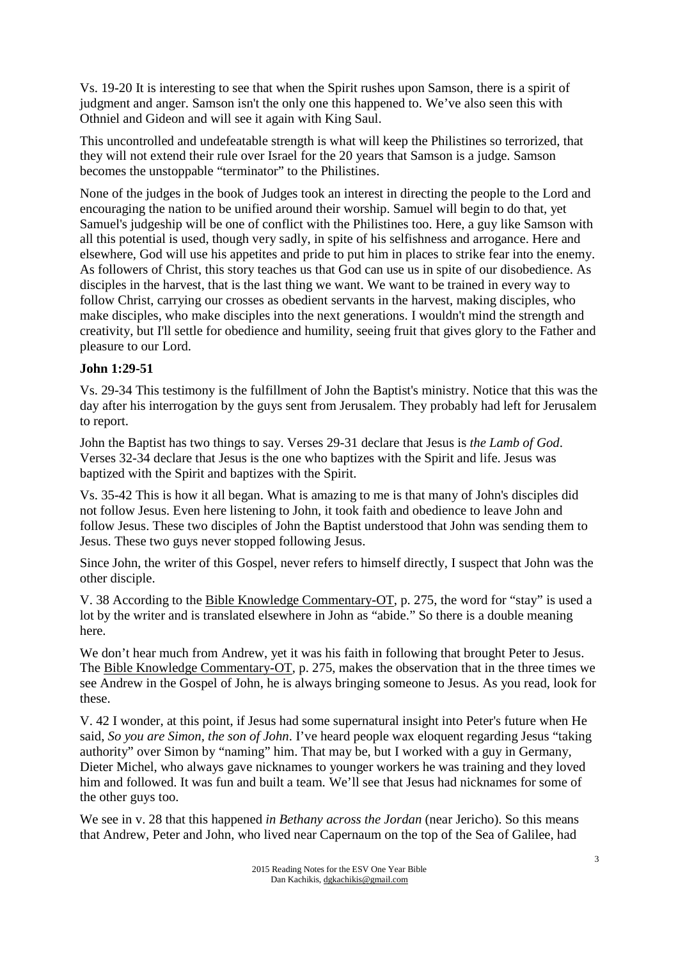Vs. 19-20 It is interesting to see that when the Spirit rushes upon Samson, there is a spirit of judgment and anger. Samson isn't the only one this happened to. We've also seen this with Othniel and Gideon and will see it again with King Saul.

This uncontrolled and undefeatable strength is what will keep the Philistines so terrorized, that they will not extend their rule over Israel for the 20 years that Samson is a judge. Samson becomes the unstoppable "terminator" to the Philistines.

None of the judges in the book of Judges took an interest in directing the people to the Lord and encouraging the nation to be unified around their worship. Samuel will begin to do that, yet Samuel's judgeship will be one of conflict with the Philistines too. Here, a guy like Samson with all this potential is used, though very sadly, in spite of his selfishness and arrogance. Here and elsewhere, God will use his appetites and pride to put him in places to strike fear into the enemy. As followers of Christ, this story teaches us that God can use us in spite of our disobedience. As disciples in the harvest, that is the last thing we want. We want to be trained in every way to follow Christ, carrying our crosses as obedient servants in the harvest, making disciples, who make disciples, who make disciples into the next generations. I wouldn't mind the strength and creativity, but I'll settle for obedience and humility, seeing fruit that gives glory to the Father and pleasure to our Lord.

# **John 1:29-51**

Vs. 29-34 This testimony is the fulfillment of John the Baptist's ministry. Notice that this was the day after his interrogation by the guys sent from Jerusalem. They probably had left for Jerusalem to report.

John the Baptist has two things to say. Verses 29-31 declare that Jesus is *the Lamb of God*. Verses 32-34 declare that Jesus is the one who baptizes with the Spirit and life. Jesus was baptized with the Spirit and baptizes with the Spirit.

Vs. 35-42 This is how it all began. What is amazing to me is that many of John's disciples did not follow Jesus. Even here listening to John, it took faith and obedience to leave John and follow Jesus. These two disciples of John the Baptist understood that John was sending them to Jesus. These two guys never stopped following Jesus.

Since John, the writer of this Gospel, never refers to himself directly, I suspect that John was the other disciple.

V. 38 According to the Bible Knowledge Commentary-OT, p. 275, the word for "stay" is used a lot by the writer and is translated elsewhere in John as "abide." So there is a double meaning here.

We don't hear much from Andrew, yet it was his faith in following that brought Peter to Jesus. The Bible Knowledge Commentary-OT, p. 275, makes the observation that in the three times we see Andrew in the Gospel of John, he is always bringing someone to Jesus. As you read, look for these.

V. 42 I wonder, at this point, if Jesus had some supernatural insight into Peter's future when He said, *So you are Simon, the son of John*. I've heard people wax eloquent regarding Jesus "taking authority" over Simon by "naming" him. That may be, but I worked with a guy in Germany, Dieter Michel, who always gave nicknames to younger workers he was training and they loved him and followed. It was fun and built a team. We'll see that Jesus had nicknames for some of the other guys too.

We see in v. 28 that this happened *in Bethany across the Jordan* (near Jericho). So this means that Andrew, Peter and John, who lived near Capernaum on the top of the Sea of Galilee, had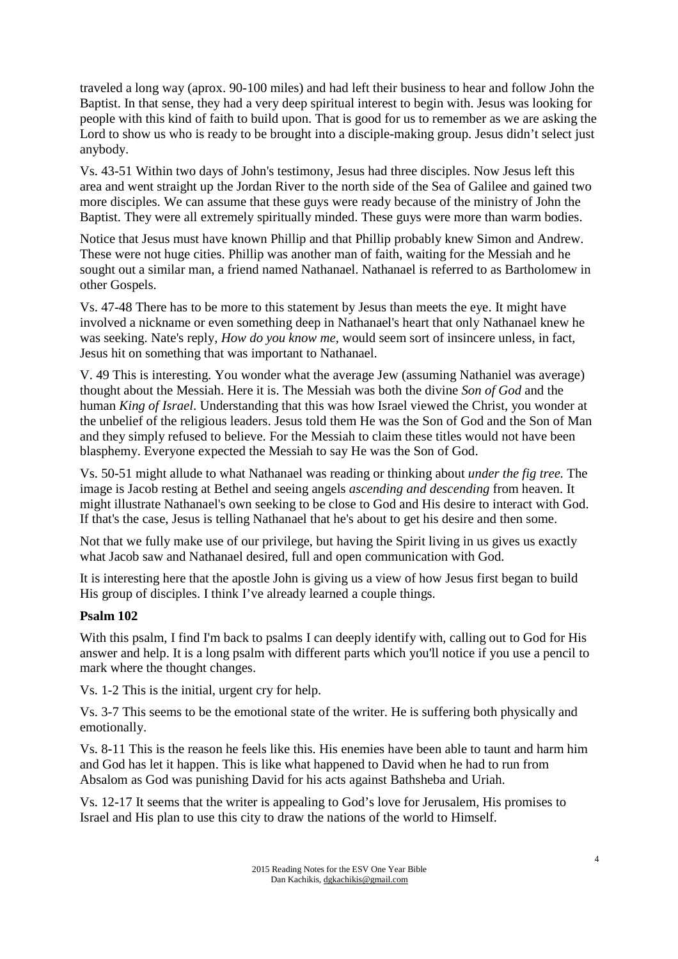traveled a long way (aprox. 90-100 miles) and had left their business to hear and follow John the Baptist. In that sense, they had a very deep spiritual interest to begin with. Jesus was looking for people with this kind of faith to build upon. That is good for us to remember as we are asking the Lord to show us who is ready to be brought into a disciple-making group. Jesus didn't select just anybody.

Vs. 43-51 Within two days of John's testimony, Jesus had three disciples. Now Jesus left this area and went straight up the Jordan River to the north side of the Sea of Galilee and gained two more disciples. We can assume that these guys were ready because of the ministry of John the Baptist. They were all extremely spiritually minded. These guys were more than warm bodies.

Notice that Jesus must have known Phillip and that Phillip probably knew Simon and Andrew. These were not huge cities. Phillip was another man of faith, waiting for the Messiah and he sought out a similar man, a friend named Nathanael. Nathanael is referred to as Bartholomew in other Gospels.

Vs. 47-48 There has to be more to this statement by Jesus than meets the eye. It might have involved a nickname or even something deep in Nathanael's heart that only Nathanael knew he was seeking. Nate's reply, *How do you know me,* would seem sort of insincere unless, in fact, Jesus hit on something that was important to Nathanael.

V. 49 This is interesting. You wonder what the average Jew (assuming Nathaniel was average) thought about the Messiah. Here it is. The Messiah was both the divine *Son of God* and the human *King of Israel*. Understanding that this was how Israel viewed the Christ, you wonder at the unbelief of the religious leaders. Jesus told them He was the Son of God and the Son of Man and they simply refused to believe. For the Messiah to claim these titles would not have been blasphemy. Everyone expected the Messiah to say He was the Son of God.

Vs. 50-51 might allude to what Nathanael was reading or thinking about *under the fig tree.* The image is Jacob resting at Bethel and seeing angels *ascending and descending* from heaven. It might illustrate Nathanael's own seeking to be close to God and His desire to interact with God. If that's the case, Jesus is telling Nathanael that he's about to get his desire and then some.

Not that we fully make use of our privilege, but having the Spirit living in us gives us exactly what Jacob saw and Nathanael desired, full and open communication with God.

It is interesting here that the apostle John is giving us a view of how Jesus first began to build His group of disciples. I think I've already learned a couple things.

# **Psalm 102**

With this psalm, I find I'm back to psalms I can deeply identify with, calling out to God for His answer and help. It is a long psalm with different parts which you'll notice if you use a pencil to mark where the thought changes.

Vs. 1-2 This is the initial, urgent cry for help.

Vs. 3-7 This seems to be the emotional state of the writer. He is suffering both physically and emotionally.

Vs. 8-11 This is the reason he feels like this. His enemies have been able to taunt and harm him and God has let it happen. This is like what happened to David when he had to run from Absalom as God was punishing David for his acts against Bathsheba and Uriah.

Vs. 12-17 It seems that the writer is appealing to God's love for Jerusalem, His promises to Israel and His plan to use this city to draw the nations of the world to Himself.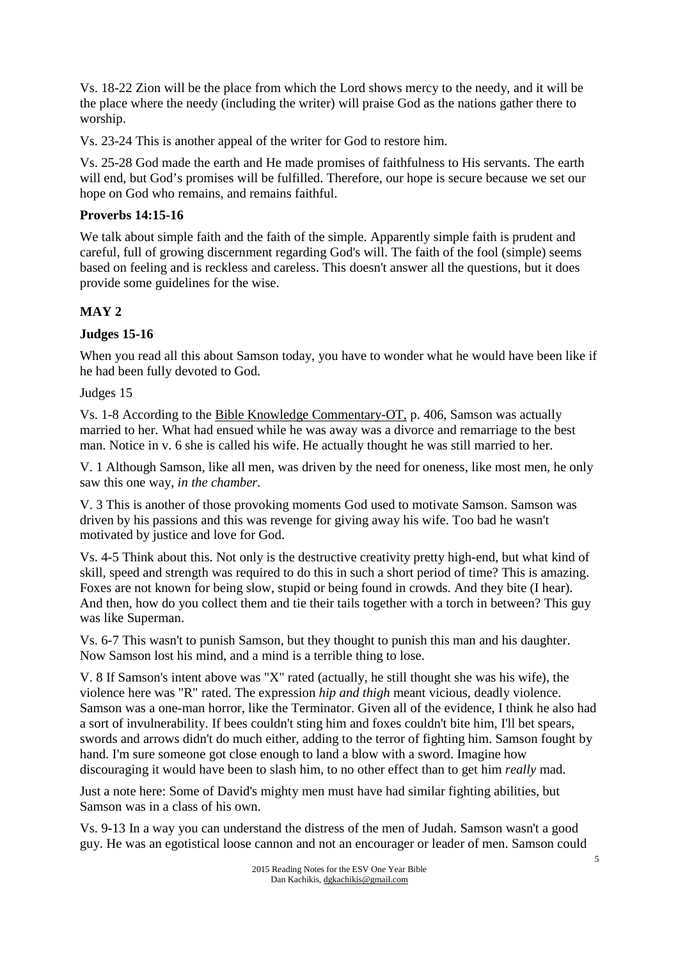Vs. 18-22 Zion will be the place from which the Lord shows mercy to the needy, and it will be the place where the needy (including the writer) will praise God as the nations gather there to worship.

Vs. 23-24 This is another appeal of the writer for God to restore him.

Vs. 25-28 God made the earth and He made promises of faithfulness to His servants. The earth will end, but God's promises will be fulfilled. Therefore, our hope is secure because we set our hope on God who remains, and remains faithful.

### **Proverbs 14:15-16**

We talk about simple faith and the faith of the simple. Apparently simple faith is prudent and careful, full of growing discernment regarding God's will. The faith of the fool (simple) seems based on feeling and is reckless and careless. This doesn't answer all the questions, but it does provide some guidelines for the wise.

# **MAY 2**

# **Judges 15-16**

When you read all this about Samson today, you have to wonder what he would have been like if he had been fully devoted to God.

Judges 15

Vs. 1-8 According to the Bible Knowledge Commentary-OT, p. 406, Samson was actually married to her. What had ensued while he was away was a divorce and remarriage to the best man. Notice in v. 6 she is called his wife. He actually thought he was still married to her.

V. 1 Although Samson, like all men, was driven by the need for oneness, like most men, he only saw this one way, *in the chamber.*

V. 3 This is another of those provoking moments God used to motivate Samson. Samson was driven by his passions and this was revenge for giving away his wife. Too bad he wasn't motivated by justice and love for God.

Vs. 4-5 Think about this. Not only is the destructive creativity pretty high-end, but what kind of skill, speed and strength was required to do this in such a short period of time? This is amazing. Foxes are not known for being slow, stupid or being found in crowds. And they bite (I hear). And then, how do you collect them and tie their tails together with a torch in between? This guy was like Superman.

Vs. 6-7 This wasn't to punish Samson, but they thought to punish this man and his daughter. Now Samson lost his mind, and a mind is a terrible thing to lose.

V. 8 If Samson's intent above was "X" rated (actually, he still thought she was his wife), the violence here was "R" rated. The expression *hip and thigh* meant vicious, deadly violence. Samson was a one-man horror, like the Terminator. Given all of the evidence, I think he also had a sort of invulnerability. If bees couldn't sting him and foxes couldn't bite him, I'll bet spears, swords and arrows didn't do much either, adding to the terror of fighting him. Samson fought by hand. I'm sure someone got close enough to land a blow with a sword. Imagine how discouraging it would have been to slash him, to no other effect than to get him *really* mad.

Just a note here: Some of David's mighty men must have had similar fighting abilities, but Samson was in a class of his own.

Vs. 9-13 In a way you can understand the distress of the men of Judah. Samson wasn't a good guy. He was an egotistical loose cannon and not an encourager or leader of men. Samson could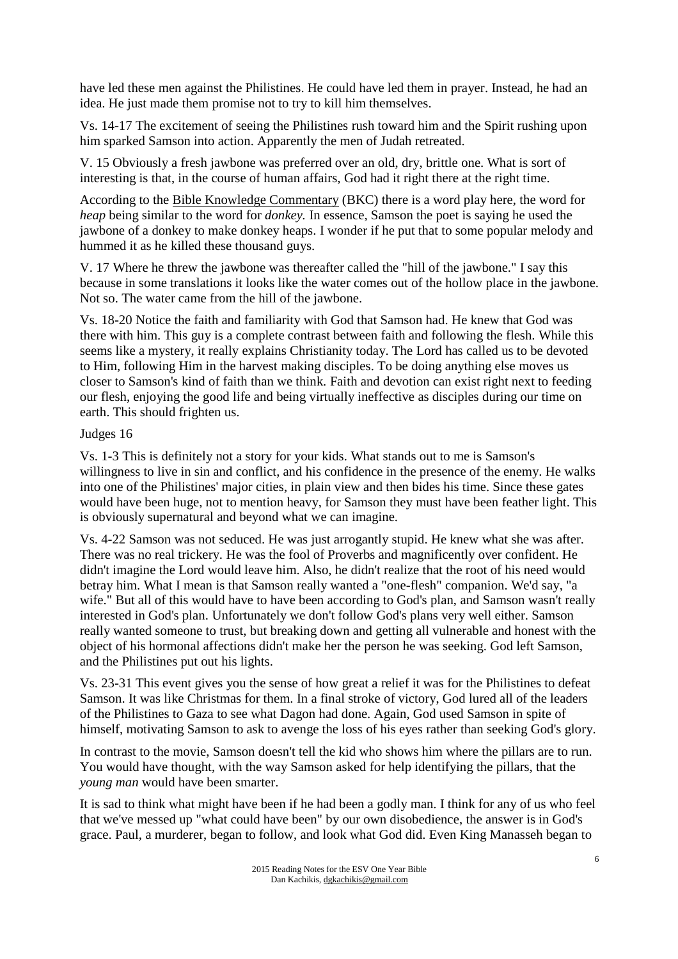have led these men against the Philistines. He could have led them in prayer. Instead, he had an idea. He just made them promise not to try to kill him themselves.

Vs. 14-17 The excitement of seeing the Philistines rush toward him and the Spirit rushing upon him sparked Samson into action. Apparently the men of Judah retreated.

V. 15 Obviously a fresh jawbone was preferred over an old, dry, brittle one. What is sort of interesting is that, in the course of human affairs, God had it right there at the right time.

According to the Bible Knowledge Commentary (BKC) there is a word play here, the word for *heap* being similar to the word for *donkey.* In essence, Samson the poet is saying he used the jawbone of a donkey to make donkey heaps. I wonder if he put that to some popular melody and hummed it as he killed these thousand guys.

V. 17 Where he threw the jawbone was thereafter called the "hill of the jawbone." I say this because in some translations it looks like the water comes out of the hollow place in the jawbone. Not so. The water came from the hill of the jawbone.

Vs. 18-20 Notice the faith and familiarity with God that Samson had. He knew that God was there with him. This guy is a complete contrast between faith and following the flesh. While this seems like a mystery, it really explains Christianity today. The Lord has called us to be devoted to Him, following Him in the harvest making disciples. To be doing anything else moves us closer to Samson's kind of faith than we think. Faith and devotion can exist right next to feeding our flesh, enjoying the good life and being virtually ineffective as disciples during our time on earth. This should frighten us.

#### Judges 16

Vs. 1-3 This is definitely not a story for your kids. What stands out to me is Samson's willingness to live in sin and conflict, and his confidence in the presence of the enemy. He walks into one of the Philistines' major cities, in plain view and then bides his time. Since these gates would have been huge, not to mention heavy, for Samson they must have been feather light. This is obviously supernatural and beyond what we can imagine.

Vs. 4-22 Samson was not seduced. He was just arrogantly stupid. He knew what she was after. There was no real trickery. He was the fool of Proverbs and magnificently over confident. He didn't imagine the Lord would leave him. Also, he didn't realize that the root of his need would betray him. What I mean is that Samson really wanted a "one-flesh" companion. We'd say, "a wife." But all of this would have to have been according to God's plan, and Samson wasn't really interested in God's plan. Unfortunately we don't follow God's plans very well either. Samson really wanted someone to trust, but breaking down and getting all vulnerable and honest with the object of his hormonal affections didn't make her the person he was seeking. God left Samson, and the Philistines put out his lights.

Vs. 23-31 This event gives you the sense of how great a relief it was for the Philistines to defeat Samson. It was like Christmas for them. In a final stroke of victory, God lured all of the leaders of the Philistines to Gaza to see what Dagon had done. Again, God used Samson in spite of himself, motivating Samson to ask to avenge the loss of his eyes rather than seeking God's glory.

In contrast to the movie, Samson doesn't tell the kid who shows him where the pillars are to run. You would have thought, with the way Samson asked for help identifying the pillars, that the *young man* would have been smarter.

It is sad to think what might have been if he had been a godly man. I think for any of us who feel that we've messed up "what could have been" by our own disobedience, the answer is in God's grace. Paul, a murderer, began to follow, and look what God did. Even King Manasseh began to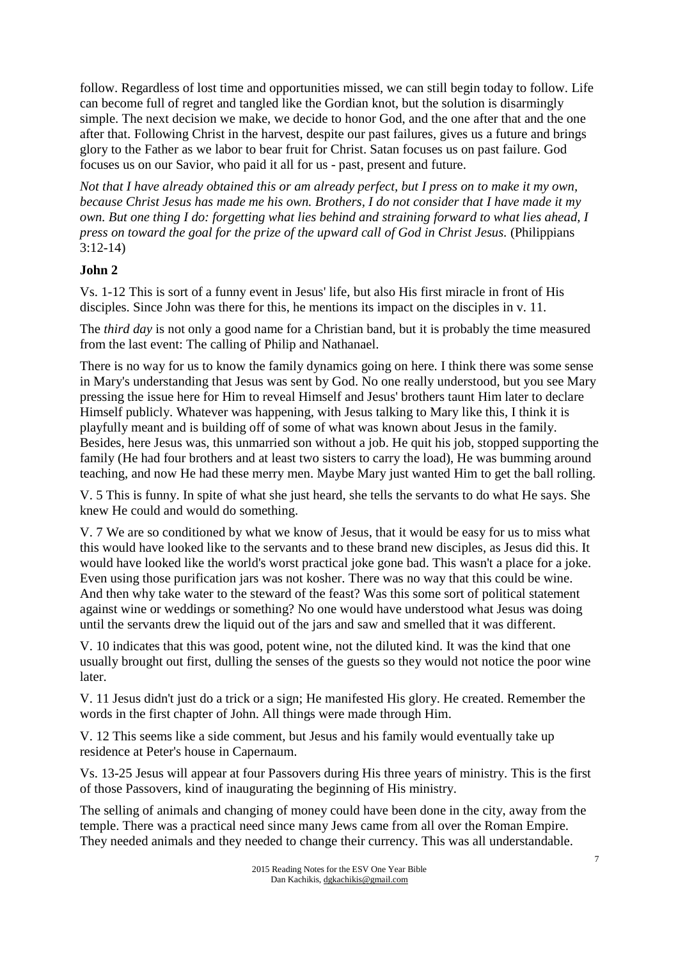follow. Regardless of lost time and opportunities missed, we can still begin today to follow. Life can become full of regret and tangled like the Gordian knot, but the solution is disarmingly simple. The next decision we make, we decide to honor God, and the one after that and the one after that. Following Christ in the harvest, despite our past failures, gives us a future and brings glory to the Father as we labor to bear fruit for Christ. Satan focuses us on past failure. God focuses us on our Savior, who paid it all for us - past, present and future.

*Not that I have already obtained this or am already perfect, but I press on to make it my own, because Christ Jesus has made me his own. Brothers, I do not consider that I have made it my own. But one thing I do: forgetting what lies behind and straining forward to what lies ahead, I press on toward the goal for the prize of the upward call of God in Christ Jesus.* (Philippians 3:12-14)

# **John 2**

Vs. 1-12 This is sort of a funny event in Jesus' life, but also His first miracle in front of His disciples. Since John was there for this, he mentions its impact on the disciples in v. 11.

The *third day* is not only a good name for a Christian band, but it is probably the time measured from the last event: The calling of Philip and Nathanael.

There is no way for us to know the family dynamics going on here. I think there was some sense in Mary's understanding that Jesus was sent by God. No one really understood, but you see Mary pressing the issue here for Him to reveal Himself and Jesus' brothers taunt Him later to declare Himself publicly. Whatever was happening, with Jesus talking to Mary like this, I think it is playfully meant and is building off of some of what was known about Jesus in the family. Besides, here Jesus was, this unmarried son without a job. He quit his job, stopped supporting the family (He had four brothers and at least two sisters to carry the load), He was bumming around teaching, and now He had these merry men. Maybe Mary just wanted Him to get the ball rolling.

V. 5 This is funny. In spite of what she just heard, she tells the servants to do what He says. She knew He could and would do something.

V. 7 We are so conditioned by what we know of Jesus, that it would be easy for us to miss what this would have looked like to the servants and to these brand new disciples, as Jesus did this. It would have looked like the world's worst practical joke gone bad. This wasn't a place for a joke. Even using those purification jars was not kosher. There was no way that this could be wine. And then why take water to the steward of the feast? Was this some sort of political statement against wine or weddings or something? No one would have understood what Jesus was doing until the servants drew the liquid out of the jars and saw and smelled that it was different.

V. 10 indicates that this was good, potent wine, not the diluted kind. It was the kind that one usually brought out first, dulling the senses of the guests so they would not notice the poor wine later.

V. 11 Jesus didn't just do a trick or a sign; He manifested His glory. He created. Remember the words in the first chapter of John. All things were made through Him.

V. 12 This seems like a side comment, but Jesus and his family would eventually take up residence at Peter's house in Capernaum.

Vs. 13-25 Jesus will appear at four Passovers during His three years of ministry. This is the first of those Passovers, kind of inaugurating the beginning of His ministry.

The selling of animals and changing of money could have been done in the city, away from the temple. There was a practical need since many Jews came from all over the Roman Empire. They needed animals and they needed to change their currency. This was all understandable.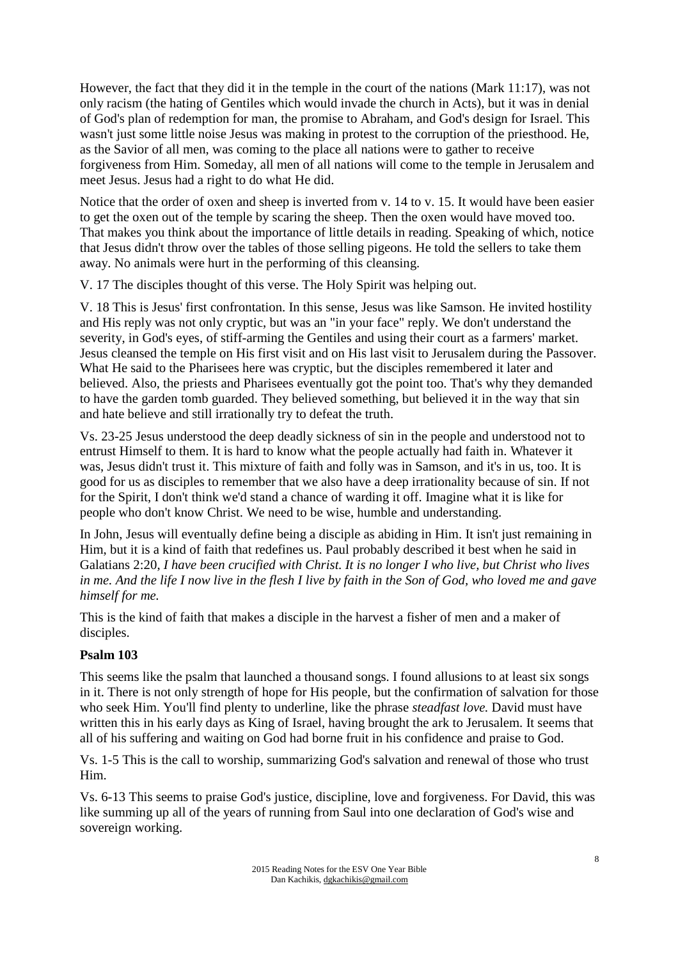However, the fact that they did it in the temple in the court of the nations (Mark 11:17), was not only racism (the hating of Gentiles which would invade the church in Acts), but it was in denial of God's plan of redemption for man, the promise to Abraham, and God's design for Israel. This wasn't just some little noise Jesus was making in protest to the corruption of the priesthood. He, as the Savior of all men, was coming to the place all nations were to gather to receive forgiveness from Him. Someday, all men of all nations will come to the temple in Jerusalem and meet Jesus. Jesus had a right to do what He did.

Notice that the order of oxen and sheep is inverted from v. 14 to v. 15. It would have been easier to get the oxen out of the temple by scaring the sheep. Then the oxen would have moved too. That makes you think about the importance of little details in reading. Speaking of which, notice that Jesus didn't throw over the tables of those selling pigeons. He told the sellers to take them away. No animals were hurt in the performing of this cleansing.

V. 17 The disciples thought of this verse. The Holy Spirit was helping out.

V. 18 This is Jesus' first confrontation. In this sense, Jesus was like Samson. He invited hostility and His reply was not only cryptic, but was an "in your face" reply. We don't understand the severity, in God's eyes, of stiff-arming the Gentiles and using their court as a farmers' market. Jesus cleansed the temple on His first visit and on His last visit to Jerusalem during the Passover. What He said to the Pharisees here was cryptic, but the disciples remembered it later and believed. Also, the priests and Pharisees eventually got the point too. That's why they demanded to have the garden tomb guarded. They believed something, but believed it in the way that sin and hate believe and still irrationally try to defeat the truth.

Vs. 23-25 Jesus understood the deep deadly sickness of sin in the people and understood not to entrust Himself to them. It is hard to know what the people actually had faith in. Whatever it was, Jesus didn't trust it. This mixture of faith and folly was in Samson, and it's in us, too. It is good for us as disciples to remember that we also have a deep irrationality because of sin. If not for the Spirit, I don't think we'd stand a chance of warding it off. Imagine what it is like for people who don't know Christ. We need to be wise, humble and understanding.

In John, Jesus will eventually define being a disciple as abiding in Him. It isn't just remaining in Him, but it is a kind of faith that redefines us. Paul probably described it best when he said in Galatians 2:20, *I have been crucified with Christ. It is no longer I who live, but Christ who lives in me. And the life I now live in the flesh I live by faith in the Son of God, who loved me and gave himself for me.* 

This is the kind of faith that makes a disciple in the harvest a fisher of men and a maker of disciples.

#### **Psalm 103**

This seems like the psalm that launched a thousand songs. I found allusions to at least six songs in it. There is not only strength of hope for His people, but the confirmation of salvation for those who seek Him. You'll find plenty to underline, like the phrase *steadfast love.* David must have written this in his early days as King of Israel, having brought the ark to Jerusalem. It seems that all of his suffering and waiting on God had borne fruit in his confidence and praise to God.

Vs. 1-5 This is the call to worship, summarizing God's salvation and renewal of those who trust Him.

Vs. 6-13 This seems to praise God's justice, discipline, love and forgiveness. For David, this was like summing up all of the years of running from Saul into one declaration of God's wise and sovereign working.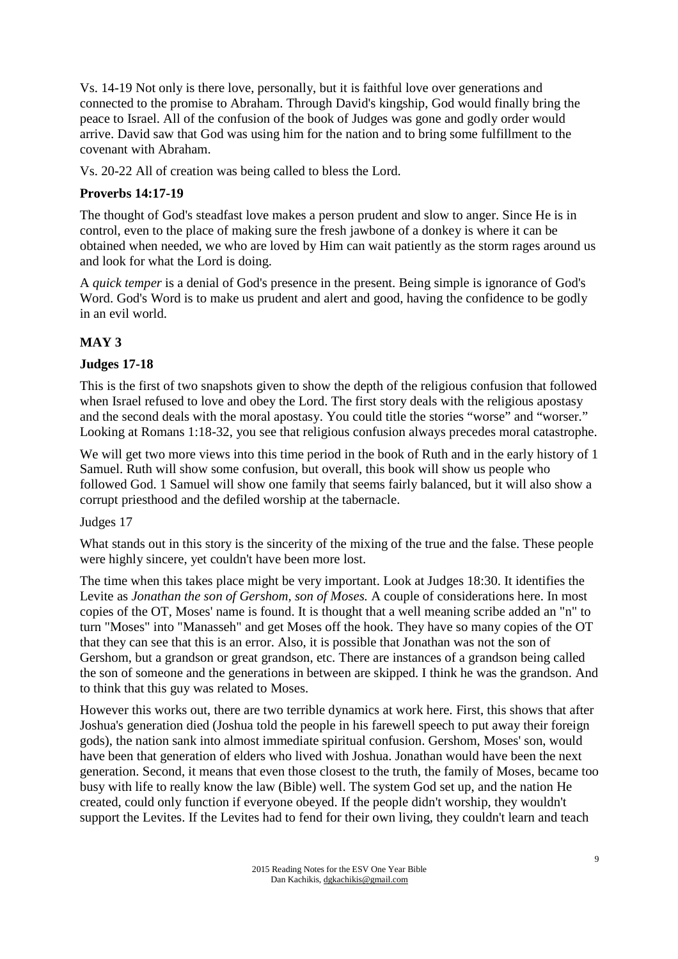Vs. 14-19 Not only is there love, personally, but it is faithful love over generations and connected to the promise to Abraham. Through David's kingship, God would finally bring the peace to Israel. All of the confusion of the book of Judges was gone and godly order would arrive. David saw that God was using him for the nation and to bring some fulfillment to the covenant with Abraham.

Vs. 20-22 All of creation was being called to bless the Lord.

# **Proverbs 14:17-19**

The thought of God's steadfast love makes a person prudent and slow to anger. Since He is in control, even to the place of making sure the fresh jawbone of a donkey is where it can be obtained when needed, we who are loved by Him can wait patiently as the storm rages around us and look for what the Lord is doing.

A *quick temper* is a denial of God's presence in the present. Being simple is ignorance of God's Word. God's Word is to make us prudent and alert and good, having the confidence to be godly in an evil world.

# **MAY 3**

# **Judges 17-18**

This is the first of two snapshots given to show the depth of the religious confusion that followed when Israel refused to love and obey the Lord. The first story deals with the religious apostasy and the second deals with the moral apostasy. You could title the stories "worse" and "worser." Looking at Romans 1:18-32, you see that religious confusion always precedes moral catastrophe.

We will get two more views into this time period in the book of Ruth and in the early history of 1 Samuel. Ruth will show some confusion, but overall, this book will show us people who followed God. 1 Samuel will show one family that seems fairly balanced, but it will also show a corrupt priesthood and the defiled worship at the tabernacle.

#### Judges 17

What stands out in this story is the sincerity of the mixing of the true and the false. These people were highly sincere, yet couldn't have been more lost.

The time when this takes place might be very important. Look at Judges 18:30. It identifies the Levite as *Jonathan the son of Gershom, son of Moses.* A couple of considerations here. In most copies of the OT, Moses' name is found. It is thought that a well meaning scribe added an "n" to turn "Moses" into "Manasseh" and get Moses off the hook. They have so many copies of the OT that they can see that this is an error. Also, it is possible that Jonathan was not the son of Gershom, but a grandson or great grandson, etc. There are instances of a grandson being called the son of someone and the generations in between are skipped. I think he was the grandson. And to think that this guy was related to Moses.

However this works out, there are two terrible dynamics at work here. First, this shows that after Joshua's generation died (Joshua told the people in his farewell speech to put away their foreign gods), the nation sank into almost immediate spiritual confusion. Gershom, Moses' son, would have been that generation of elders who lived with Joshua. Jonathan would have been the next generation. Second, it means that even those closest to the truth, the family of Moses, became too busy with life to really know the law (Bible) well. The system God set up, and the nation He created, could only function if everyone obeyed. If the people didn't worship, they wouldn't support the Levites. If the Levites had to fend for their own living, they couldn't learn and teach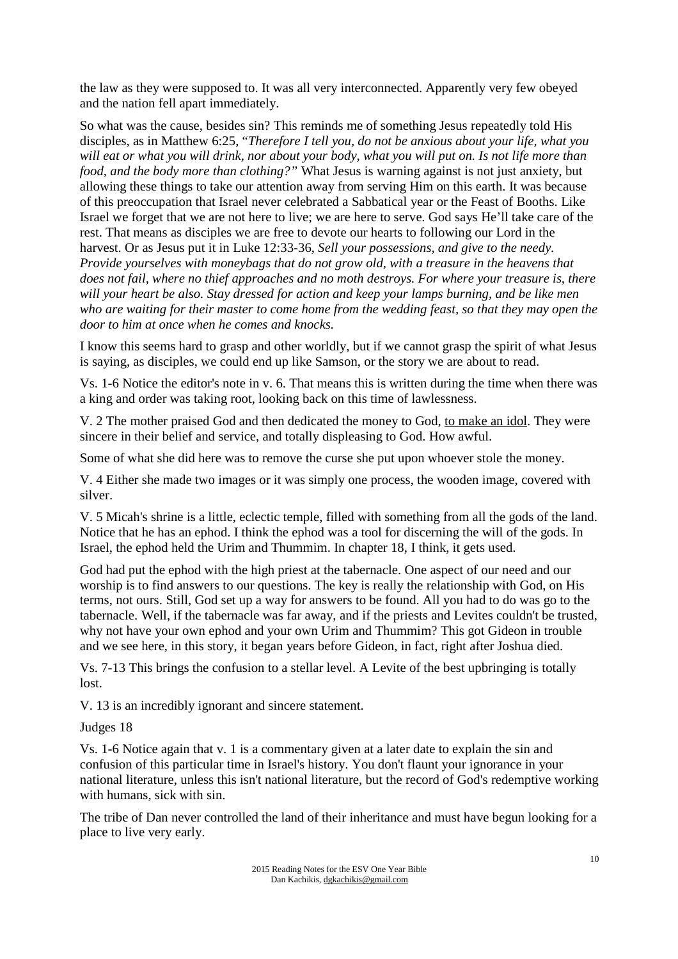the law as they were supposed to. It was all very interconnected. Apparently very few obeyed and the nation fell apart immediately.

So what was the cause, besides sin? This reminds me of something Jesus repeatedly told His disciples, as in Matthew 6:25, "*Therefore I tell you, do not be anxious about your life, what you will eat or what you will drink, nor about your body, what you will put on. Is not life more than food, and the body more than clothing?"* What Jesus is warning against is not just anxiety, but allowing these things to take our attention away from serving Him on this earth. It was because of this preoccupation that Israel never celebrated a Sabbatical year or the Feast of Booths. Like Israel we forget that we are not here to live; we are here to serve. God says He'll take care of the rest. That means as disciples we are free to devote our hearts to following our Lord in the harvest. Or as Jesus put it in Luke 12:33-36, *Sell your possessions, and give to the needy. Provide yourselves with moneybags that do not grow old, with a treasure in the heavens that does not fail, where no thief approaches and no moth destroys. For where your treasure is, there will your heart be also. Stay dressed for action and keep your lamps burning, and be like men who are waiting for their master to come home from the wedding feast, so that they may open the door to him at once when he comes and knocks.* 

I know this seems hard to grasp and other worldly, but if we cannot grasp the spirit of what Jesus is saying, as disciples, we could end up like Samson, or the story we are about to read.

Vs. 1-6 Notice the editor's note in v. 6. That means this is written during the time when there was a king and order was taking root, looking back on this time of lawlessness.

V. 2 The mother praised God and then dedicated the money to God, to make an idol. They were sincere in their belief and service, and totally displeasing to God. How awful.

Some of what she did here was to remove the curse she put upon whoever stole the money.

V. 4 Either she made two images or it was simply one process, the wooden image, covered with silver.

V. 5 Micah's shrine is a little, eclectic temple, filled with something from all the gods of the land. Notice that he has an ephod. I think the ephod was a tool for discerning the will of the gods. In Israel, the ephod held the Urim and Thummim. In chapter 18, I think, it gets used.

God had put the ephod with the high priest at the tabernacle. One aspect of our need and our worship is to find answers to our questions. The key is really the relationship with God, on His terms, not ours. Still, God set up a way for answers to be found. All you had to do was go to the tabernacle. Well, if the tabernacle was far away, and if the priests and Levites couldn't be trusted, why not have your own ephod and your own Urim and Thummim? This got Gideon in trouble and we see here, in this story, it began years before Gideon, in fact, right after Joshua died.

Vs. 7-13 This brings the confusion to a stellar level. A Levite of the best upbringing is totally lost.

V. 13 is an incredibly ignorant and sincere statement.

#### Judges 18

Vs. 1-6 Notice again that v. 1 is a commentary given at a later date to explain the sin and confusion of this particular time in Israel's history. You don't flaunt your ignorance in your national literature, unless this isn't national literature, but the record of God's redemptive working with humans, sick with sin.

The tribe of Dan never controlled the land of their inheritance and must have begun looking for a place to live very early.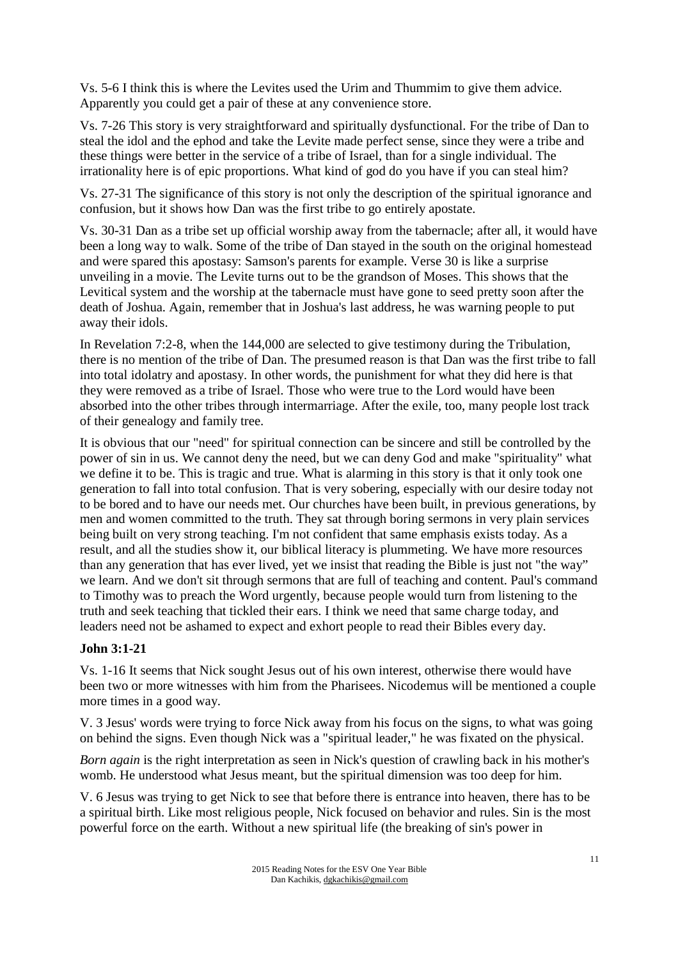Vs. 5-6 I think this is where the Levites used the Urim and Thummim to give them advice. Apparently you could get a pair of these at any convenience store.

Vs. 7-26 This story is very straightforward and spiritually dysfunctional. For the tribe of Dan to steal the idol and the ephod and take the Levite made perfect sense, since they were a tribe and these things were better in the service of a tribe of Israel, than for a single individual. The irrationality here is of epic proportions. What kind of god do you have if you can steal him?

Vs. 27-31 The significance of this story is not only the description of the spiritual ignorance and confusion, but it shows how Dan was the first tribe to go entirely apostate.

Vs. 30-31 Dan as a tribe set up official worship away from the tabernacle; after all, it would have been a long way to walk. Some of the tribe of Dan stayed in the south on the original homestead and were spared this apostasy: Samson's parents for example. Verse 30 is like a surprise unveiling in a movie. The Levite turns out to be the grandson of Moses. This shows that the Levitical system and the worship at the tabernacle must have gone to seed pretty soon after the death of Joshua. Again, remember that in Joshua's last address, he was warning people to put away their idols.

In Revelation 7:2-8, when the 144,000 are selected to give testimony during the Tribulation, there is no mention of the tribe of Dan. The presumed reason is that Dan was the first tribe to fall into total idolatry and apostasy. In other words, the punishment for what they did here is that they were removed as a tribe of Israel. Those who were true to the Lord would have been absorbed into the other tribes through intermarriage. After the exile, too, many people lost track of their genealogy and family tree.

It is obvious that our "need" for spiritual connection can be sincere and still be controlled by the power of sin in us. We cannot deny the need, but we can deny God and make "spirituality" what we define it to be. This is tragic and true. What is alarming in this story is that it only took one generation to fall into total confusion. That is very sobering, especially with our desire today not to be bored and to have our needs met. Our churches have been built, in previous generations, by men and women committed to the truth. They sat through boring sermons in very plain services being built on very strong teaching. I'm not confident that same emphasis exists today. As a result, and all the studies show it, our biblical literacy is plummeting. We have more resources than any generation that has ever lived, yet we insist that reading the Bible is just not "the way" we learn. And we don't sit through sermons that are full of teaching and content. Paul's command to Timothy was to preach the Word urgently, because people would turn from listening to the truth and seek teaching that tickled their ears. I think we need that same charge today, and leaders need not be ashamed to expect and exhort people to read their Bibles every day.

#### **John 3:1-21**

Vs. 1-16 It seems that Nick sought Jesus out of his own interest, otherwise there would have been two or more witnesses with him from the Pharisees. Nicodemus will be mentioned a couple more times in a good way.

V. 3 Jesus' words were trying to force Nick away from his focus on the signs, to what was going on behind the signs. Even though Nick was a "spiritual leader," he was fixated on the physical.

*Born again* is the right interpretation as seen in Nick's question of crawling back in his mother's womb. He understood what Jesus meant, but the spiritual dimension was too deep for him.

V. 6 Jesus was trying to get Nick to see that before there is entrance into heaven, there has to be a spiritual birth. Like most religious people, Nick focused on behavior and rules. Sin is the most powerful force on the earth. Without a new spiritual life (the breaking of sin's power in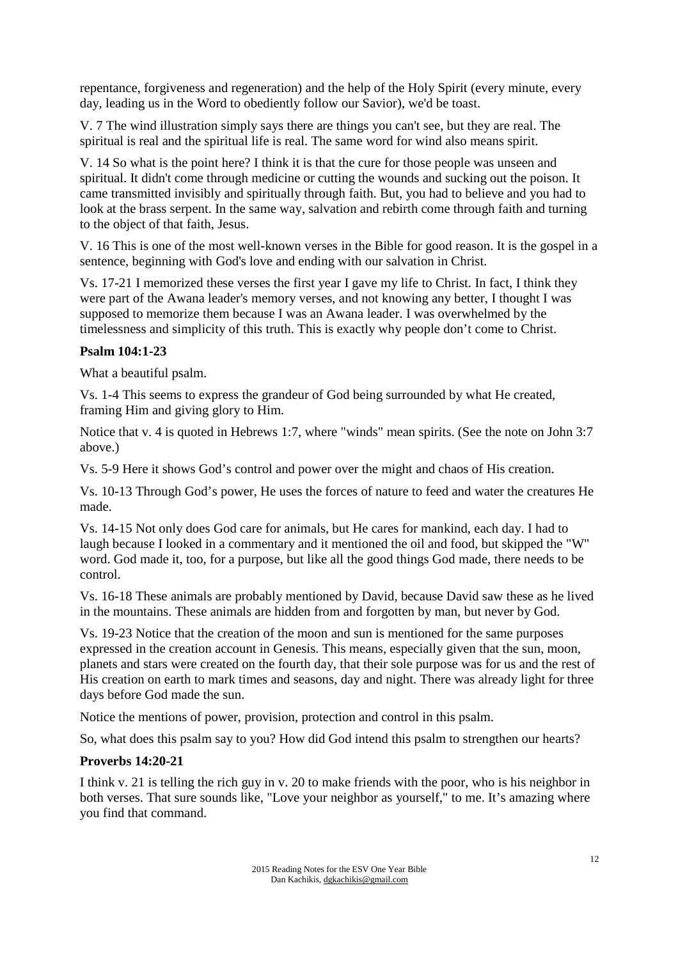repentance, forgiveness and regeneration) and the help of the Holy Spirit (every minute, every day, leading us in the Word to obediently follow our Savior), we'd be toast.

V. 7 The wind illustration simply says there are things you can't see, but they are real. The spiritual is real and the spiritual life is real. The same word for wind also means spirit.

V. 14 So what is the point here? I think it is that the cure for those people was unseen and spiritual. It didn't come through medicine or cutting the wounds and sucking out the poison. It came transmitted invisibly and spiritually through faith. But, you had to believe and you had to look at the brass serpent. In the same way, salvation and rebirth come through faith and turning to the object of that faith, Jesus.

V. 16 This is one of the most well-known verses in the Bible for good reason. It is the gospel in a sentence, beginning with God's love and ending with our salvation in Christ.

Vs. 17-21 I memorized these verses the first year I gave my life to Christ. In fact, I think they were part of the Awana leader's memory verses, and not knowing any better, I thought I was supposed to memorize them because I was an Awana leader. I was overwhelmed by the timelessness and simplicity of this truth. This is exactly why people don't come to Christ.

### **Psalm 104:1-23**

What a beautiful psalm.

Vs. 1-4 This seems to express the grandeur of God being surrounded by what He created, framing Him and giving glory to Him.

Notice that v. 4 is quoted in Hebrews 1:7, where "winds" mean spirits. (See the note on John 3:7 above.)

Vs. 5-9 Here it shows God's control and power over the might and chaos of His creation.

Vs. 10-13 Through God's power, He uses the forces of nature to feed and water the creatures He made.

Vs. 14-15 Not only does God care for animals, but He cares for mankind, each day. I had to laugh because I looked in a commentary and it mentioned the oil and food, but skipped the "W" word. God made it, too, for a purpose, but like all the good things God made, there needs to be control.

Vs. 16-18 These animals are probably mentioned by David, because David saw these as he lived in the mountains. These animals are hidden from and forgotten by man, but never by God.

Vs. 19-23 Notice that the creation of the moon and sun is mentioned for the same purposes expressed in the creation account in Genesis. This means, especially given that the sun, moon, planets and stars were created on the fourth day, that their sole purpose was for us and the rest of His creation on earth to mark times and seasons, day and night. There was already light for three days before God made the sun.

Notice the mentions of power, provision, protection and control in this psalm.

So, what does this psalm say to you? How did God intend this psalm to strengthen our hearts?

#### **Proverbs 14:20-21**

I think v. 21 is telling the rich guy in v. 20 to make friends with the poor, who is his neighbor in both verses. That sure sounds like, "Love your neighbor as yourself," to me. It's amazing where you find that command.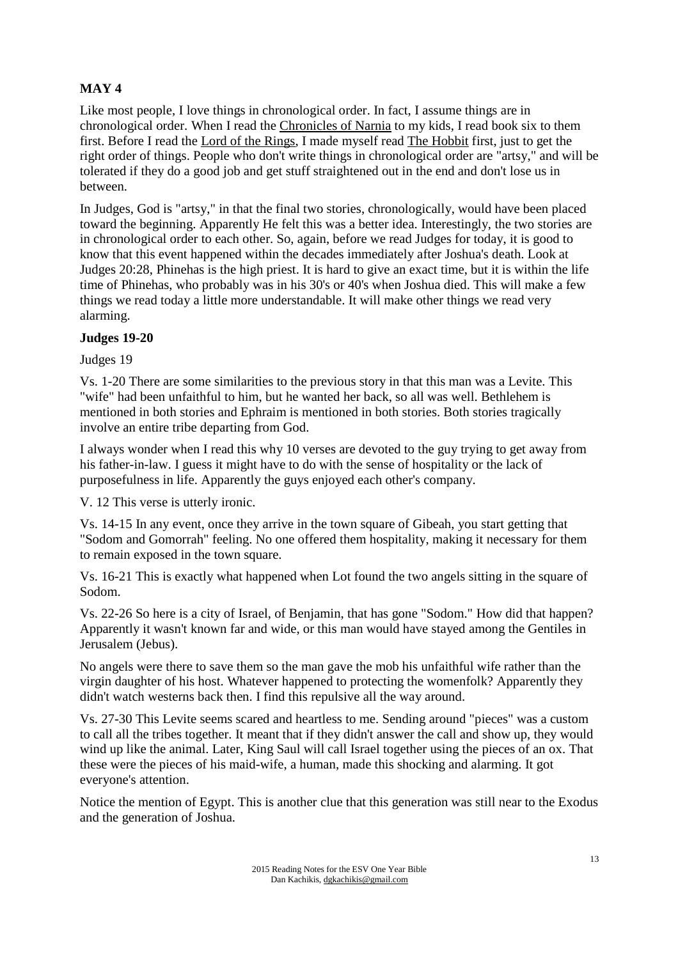# **MAY 4**

Like most people, I love things in chronological order. In fact, I assume things are in chronological order. When I read the Chronicles of Narnia to my kids, I read book six to them first. Before I read the Lord of the Rings, I made myself read The Hobbit first, just to get the right order of things. People who don't write things in chronological order are "artsy," and will be tolerated if they do a good job and get stuff straightened out in the end and don't lose us in between.

In Judges, God is "artsy," in that the final two stories, chronologically, would have been placed toward the beginning. Apparently He felt this was a better idea. Interestingly, the two stories are in chronological order to each other. So, again, before we read Judges for today, it is good to know that this event happened within the decades immediately after Joshua's death. Look at Judges 20:28, Phinehas is the high priest. It is hard to give an exact time, but it is within the life time of Phinehas, who probably was in his 30's or 40's when Joshua died. This will make a few things we read today a little more understandable. It will make other things we read very alarming.

### **Judges 19-20**

### Judges 19

Vs. 1-20 There are some similarities to the previous story in that this man was a Levite. This "wife" had been unfaithful to him, but he wanted her back, so all was well. Bethlehem is mentioned in both stories and Ephraim is mentioned in both stories. Both stories tragically involve an entire tribe departing from God.

I always wonder when I read this why 10 verses are devoted to the guy trying to get away from his father-in-law. I guess it might have to do with the sense of hospitality or the lack of purposefulness in life. Apparently the guys enjoyed each other's company.

V. 12 This verse is utterly ironic.

Vs. 14-15 In any event, once they arrive in the town square of Gibeah, you start getting that "Sodom and Gomorrah" feeling. No one offered them hospitality, making it necessary for them to remain exposed in the town square.

Vs. 16-21 This is exactly what happened when Lot found the two angels sitting in the square of Sodom.

Vs. 22-26 So here is a city of Israel, of Benjamin, that has gone "Sodom." How did that happen? Apparently it wasn't known far and wide, or this man would have stayed among the Gentiles in Jerusalem (Jebus).

No angels were there to save them so the man gave the mob his unfaithful wife rather than the virgin daughter of his host. Whatever happened to protecting the womenfolk? Apparently they didn't watch westerns back then. I find this repulsive all the way around.

Vs. 27-30 This Levite seems scared and heartless to me. Sending around "pieces" was a custom to call all the tribes together. It meant that if they didn't answer the call and show up, they would wind up like the animal. Later, King Saul will call Israel together using the pieces of an ox. That these were the pieces of his maid-wife, a human, made this shocking and alarming. It got everyone's attention.

Notice the mention of Egypt. This is another clue that this generation was still near to the Exodus and the generation of Joshua.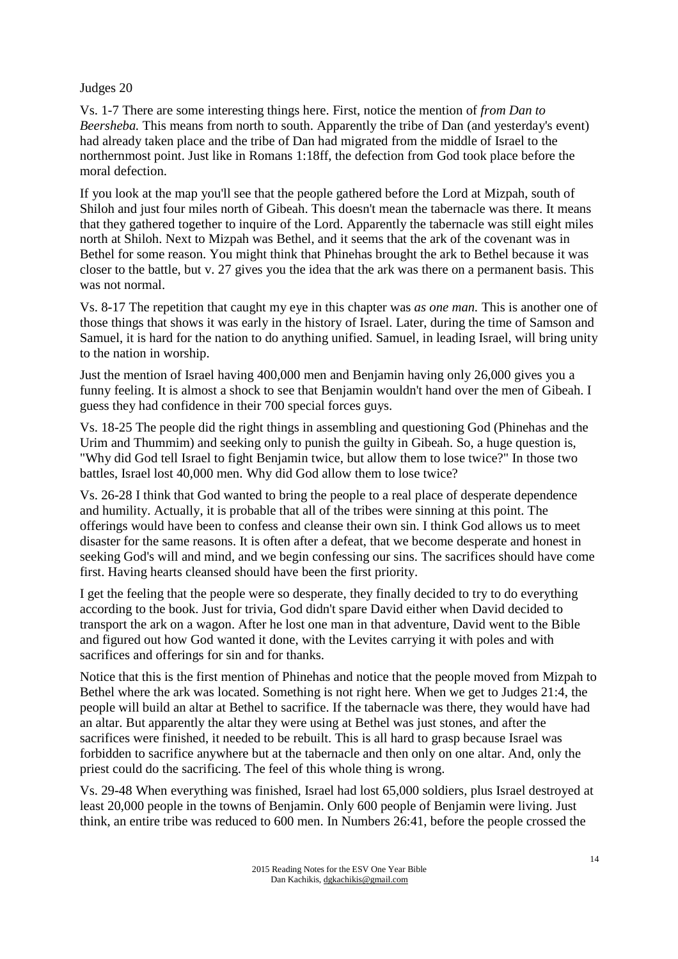#### Judges 20

Vs. 1-7 There are some interesting things here. First, notice the mention of *from Dan to Beersheba.* This means from north to south. Apparently the tribe of Dan (and yesterday's event) had already taken place and the tribe of Dan had migrated from the middle of Israel to the northernmost point. Just like in Romans 1:18ff, the defection from God took place before the moral defection.

If you look at the map you'll see that the people gathered before the Lord at Mizpah, south of Shiloh and just four miles north of Gibeah. This doesn't mean the tabernacle was there. It means that they gathered together to inquire of the Lord. Apparently the tabernacle was still eight miles north at Shiloh. Next to Mizpah was Bethel, and it seems that the ark of the covenant was in Bethel for some reason. You might think that Phinehas brought the ark to Bethel because it was closer to the battle, but v. 27 gives you the idea that the ark was there on a permanent basis. This was not normal.

Vs. 8-17 The repetition that caught my eye in this chapter was *as one man.* This is another one of those things that shows it was early in the history of Israel. Later, during the time of Samson and Samuel, it is hard for the nation to do anything unified. Samuel, in leading Israel, will bring unity to the nation in worship.

Just the mention of Israel having 400,000 men and Benjamin having only 26,000 gives you a funny feeling. It is almost a shock to see that Benjamin wouldn't hand over the men of Gibeah. I guess they had confidence in their 700 special forces guys.

Vs. 18-25 The people did the right things in assembling and questioning God (Phinehas and the Urim and Thummim) and seeking only to punish the guilty in Gibeah. So, a huge question is, "Why did God tell Israel to fight Benjamin twice, but allow them to lose twice?" In those two battles, Israel lost 40,000 men. Why did God allow them to lose twice?

Vs. 26-28 I think that God wanted to bring the people to a real place of desperate dependence and humility. Actually, it is probable that all of the tribes were sinning at this point. The offerings would have been to confess and cleanse their own sin. I think God allows us to meet disaster for the same reasons. It is often after a defeat, that we become desperate and honest in seeking God's will and mind, and we begin confessing our sins. The sacrifices should have come first. Having hearts cleansed should have been the first priority.

I get the feeling that the people were so desperate, they finally decided to try to do everything according to the book. Just for trivia, God didn't spare David either when David decided to transport the ark on a wagon. After he lost one man in that adventure, David went to the Bible and figured out how God wanted it done, with the Levites carrying it with poles and with sacrifices and offerings for sin and for thanks.

Notice that this is the first mention of Phinehas and notice that the people moved from Mizpah to Bethel where the ark was located. Something is not right here. When we get to Judges 21:4, the people will build an altar at Bethel to sacrifice. If the tabernacle was there, they would have had an altar. But apparently the altar they were using at Bethel was just stones, and after the sacrifices were finished, it needed to be rebuilt. This is all hard to grasp because Israel was forbidden to sacrifice anywhere but at the tabernacle and then only on one altar. And, only the priest could do the sacrificing. The feel of this whole thing is wrong.

Vs. 29-48 When everything was finished, Israel had lost 65,000 soldiers, plus Israel destroyed at least 20,000 people in the towns of Benjamin. Only 600 people of Benjamin were living. Just think, an entire tribe was reduced to 600 men. In Numbers 26:41, before the people crossed the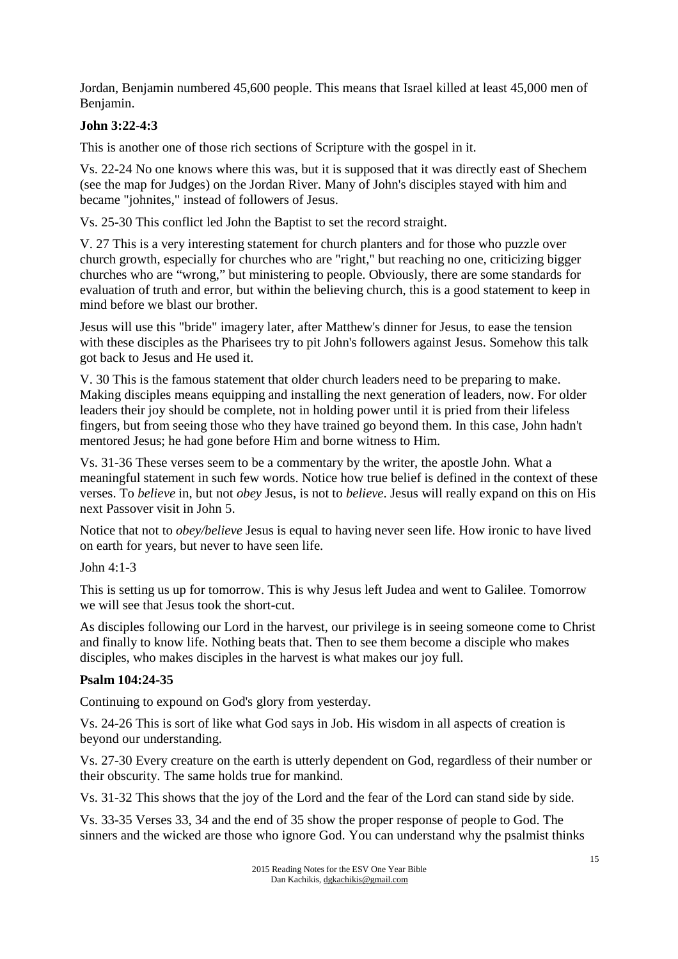Jordan, Benjamin numbered 45,600 people. This means that Israel killed at least 45,000 men of Benjamin.

# **John 3:22-4:3**

This is another one of those rich sections of Scripture with the gospel in it.

Vs. 22-24 No one knows where this was, but it is supposed that it was directly east of Shechem (see the map for Judges) on the Jordan River. Many of John's disciples stayed with him and became "johnites," instead of followers of Jesus.

Vs. 25-30 This conflict led John the Baptist to set the record straight.

V. 27 This is a very interesting statement for church planters and for those who puzzle over church growth, especially for churches who are "right," but reaching no one, criticizing bigger churches who are "wrong," but ministering to people. Obviously, there are some standards for evaluation of truth and error, but within the believing church, this is a good statement to keep in mind before we blast our brother.

Jesus will use this "bride" imagery later, after Matthew's dinner for Jesus, to ease the tension with these disciples as the Pharisees try to pit John's followers against Jesus. Somehow this talk got back to Jesus and He used it.

V. 30 This is the famous statement that older church leaders need to be preparing to make. Making disciples means equipping and installing the next generation of leaders, now. For older leaders their joy should be complete, not in holding power until it is pried from their lifeless fingers, but from seeing those who they have trained go beyond them. In this case, John hadn't mentored Jesus; he had gone before Him and borne witness to Him.

Vs. 31-36 These verses seem to be a commentary by the writer, the apostle John. What a meaningful statement in such few words. Notice how true belief is defined in the context of these verses. To *believe* in, but not *obey* Jesus, is not to *believe*. Jesus will really expand on this on His next Passover visit in John 5.

Notice that not to *obey/believe* Jesus is equal to having never seen life. How ironic to have lived on earth for years, but never to have seen life.

# John 4:1-3

This is setting us up for tomorrow. This is why Jesus left Judea and went to Galilee. Tomorrow we will see that Jesus took the short-cut.

As disciples following our Lord in the harvest, our privilege is in seeing someone come to Christ and finally to know life. Nothing beats that. Then to see them become a disciple who makes disciples, who makes disciples in the harvest is what makes our joy full.

# **Psalm 104:24-35**

Continuing to expound on God's glory from yesterday.

Vs. 24-26 This is sort of like what God says in Job. His wisdom in all aspects of creation is beyond our understanding.

Vs. 27-30 Every creature on the earth is utterly dependent on God, regardless of their number or their obscurity. The same holds true for mankind.

Vs. 31-32 This shows that the joy of the Lord and the fear of the Lord can stand side by side.

Vs. 33-35 Verses 33, 34 and the end of 35 show the proper response of people to God. The sinners and the wicked are those who ignore God. You can understand why the psalmist thinks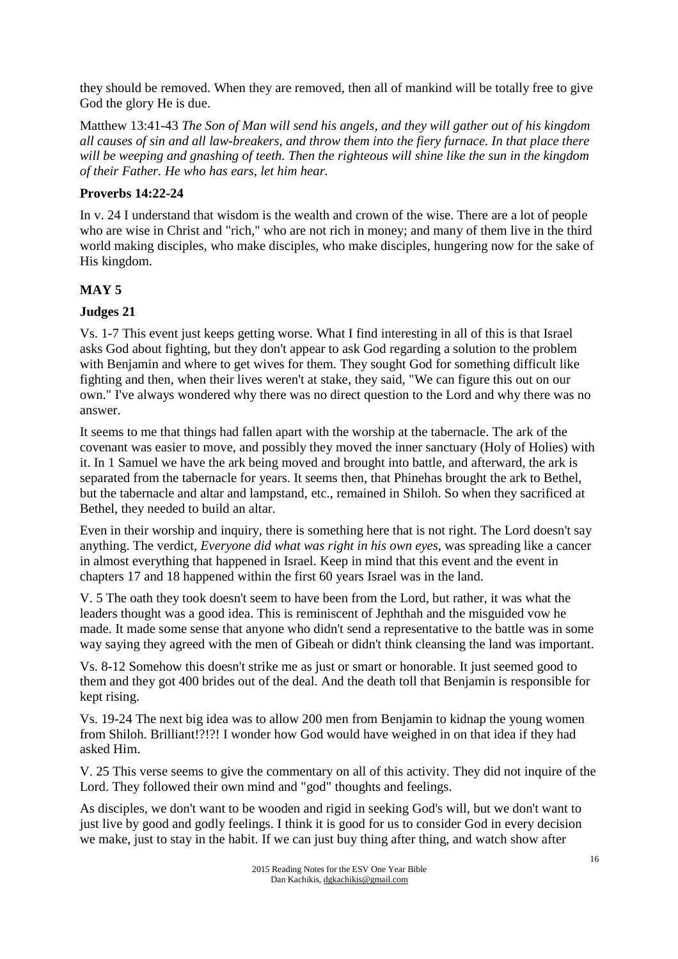they should be removed. When they are removed, then all of mankind will be totally free to give God the glory He is due.

Matthew 13:41-43 *The Son of Man will send his angels, and they will gather out of his kingdom all causes of sin and all law-breakers, and throw them into the fiery furnace. In that place there will be weeping and gnashing of teeth. Then the righteous will shine like the sun in the kingdom of their Father. He who has ears, let him hear.*

# **Proverbs 14:22-24**

In v. 24 I understand that wisdom is the wealth and crown of the wise. There are a lot of people who are wise in Christ and "rich," who are not rich in money; and many of them live in the third world making disciples, who make disciples, who make disciples, hungering now for the sake of His kingdom.

# **MAY 5**

# **Judges 21**

Vs. 1-7 This event just keeps getting worse. What I find interesting in all of this is that Israel asks God about fighting, but they don't appear to ask God regarding a solution to the problem with Benjamin and where to get wives for them. They sought God for something difficult like fighting and then, when their lives weren't at stake, they said, "We can figure this out on our own." I've always wondered why there was no direct question to the Lord and why there was no answer.

It seems to me that things had fallen apart with the worship at the tabernacle. The ark of the covenant was easier to move, and possibly they moved the inner sanctuary (Holy of Holies) with it. In 1 Samuel we have the ark being moved and brought into battle, and afterward, the ark is separated from the tabernacle for years. It seems then, that Phinehas brought the ark to Bethel, but the tabernacle and altar and lampstand, etc., remained in Shiloh. So when they sacrificed at Bethel, they needed to build an altar.

Even in their worship and inquiry, there is something here that is not right. The Lord doesn't say anything. The verdict, *Everyone did what was right in his own eyes*, was spreading like a cancer in almost everything that happened in Israel. Keep in mind that this event and the event in chapters 17 and 18 happened within the first 60 years Israel was in the land.

V. 5 The oath they took doesn't seem to have been from the Lord, but rather, it was what the leaders thought was a good idea. This is reminiscent of Jephthah and the misguided vow he made. It made some sense that anyone who didn't send a representative to the battle was in some way saying they agreed with the men of Gibeah or didn't think cleansing the land was important.

Vs. 8-12 Somehow this doesn't strike me as just or smart or honorable. It just seemed good to them and they got 400 brides out of the deal. And the death toll that Benjamin is responsible for kept rising.

Vs. 19-24 The next big idea was to allow 200 men from Benjamin to kidnap the young women from Shiloh. Brilliant!?!?! I wonder how God would have weighed in on that idea if they had asked Him.

V. 25 This verse seems to give the commentary on all of this activity. They did not inquire of the Lord. They followed their own mind and "god" thoughts and feelings.

As disciples, we don't want to be wooden and rigid in seeking God's will, but we don't want to just live by good and godly feelings. I think it is good for us to consider God in every decision we make, just to stay in the habit. If we can just buy thing after thing, and watch show after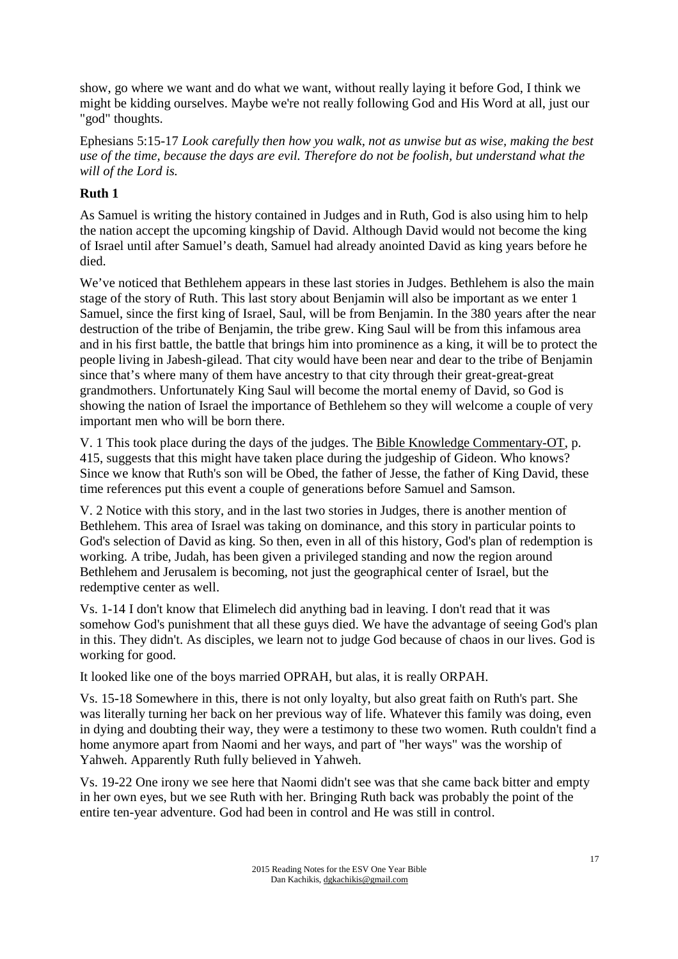show, go where we want and do what we want, without really laying it before God, I think we might be kidding ourselves. Maybe we're not really following God and His Word at all, just our "god" thoughts.

Ephesians 5:15-17 *Look carefully then how you walk, not as unwise but as wise, making the best use of the time, because the days are evil. Therefore do not be foolish, but understand what the will of the Lord is.* 

# **Ruth 1**

As Samuel is writing the history contained in Judges and in Ruth, God is also using him to help the nation accept the upcoming kingship of David. Although David would not become the king of Israel until after Samuel's death, Samuel had already anointed David as king years before he died.

We've noticed that Bethlehem appears in these last stories in Judges. Bethlehem is also the main stage of the story of Ruth. This last story about Benjamin will also be important as we enter 1 Samuel, since the first king of Israel, Saul, will be from Benjamin. In the 380 years after the near destruction of the tribe of Benjamin, the tribe grew. King Saul will be from this infamous area and in his first battle, the battle that brings him into prominence as a king, it will be to protect the people living in Jabesh-gilead. That city would have been near and dear to the tribe of Benjamin since that's where many of them have ancestry to that city through their great-great-great grandmothers. Unfortunately King Saul will become the mortal enemy of David, so God is showing the nation of Israel the importance of Bethlehem so they will welcome a couple of very important men who will be born there.

V. 1 This took place during the days of the judges. The Bible Knowledge Commentary-OT, p. 415, suggests that this might have taken place during the judgeship of Gideon. Who knows? Since we know that Ruth's son will be Obed, the father of Jesse, the father of King David, these time references put this event a couple of generations before Samuel and Samson.

V. 2 Notice with this story, and in the last two stories in Judges, there is another mention of Bethlehem. This area of Israel was taking on dominance, and this story in particular points to God's selection of David as king. So then, even in all of this history, God's plan of redemption is working. A tribe, Judah, has been given a privileged standing and now the region around Bethlehem and Jerusalem is becoming, not just the geographical center of Israel, but the redemptive center as well.

Vs. 1-14 I don't know that Elimelech did anything bad in leaving. I don't read that it was somehow God's punishment that all these guys died. We have the advantage of seeing God's plan in this. They didn't. As disciples, we learn not to judge God because of chaos in our lives. God is working for good.

It looked like one of the boys married OPRAH, but alas, it is really ORPAH.

Vs. 15-18 Somewhere in this, there is not only loyalty, but also great faith on Ruth's part. She was literally turning her back on her previous way of life. Whatever this family was doing, even in dying and doubting their way, they were a testimony to these two women. Ruth couldn't find a home anymore apart from Naomi and her ways, and part of "her ways" was the worship of Yahweh. Apparently Ruth fully believed in Yahweh.

Vs. 19-22 One irony we see here that Naomi didn't see was that she came back bitter and empty in her own eyes, but we see Ruth with her. Bringing Ruth back was probably the point of the entire ten-year adventure. God had been in control and He was still in control.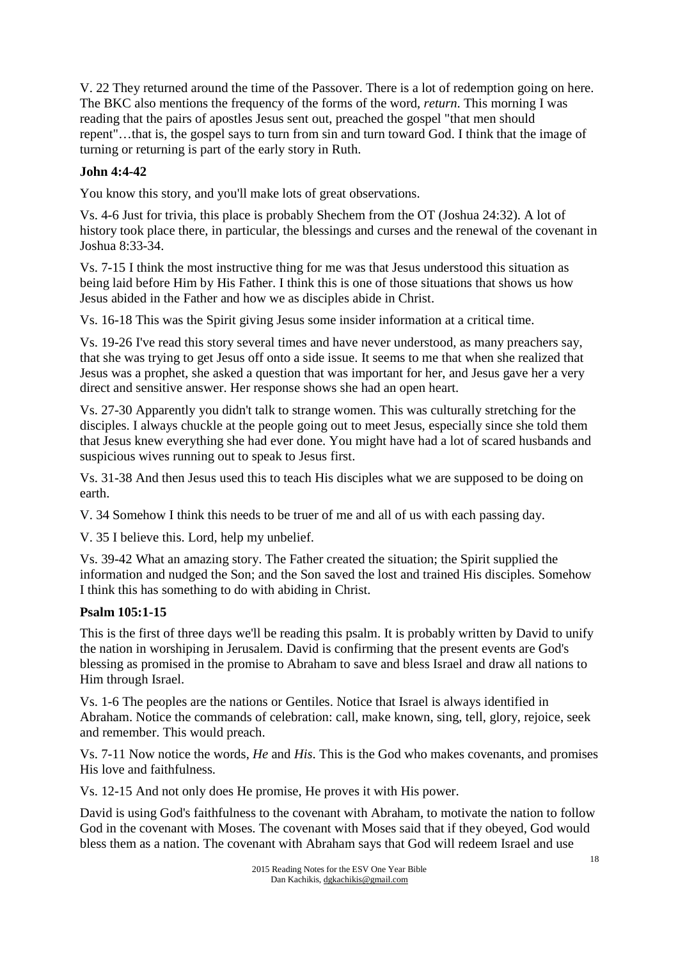V. 22 They returned around the time of the Passover. There is a lot of redemption going on here. The BKC also mentions the frequency of the forms of the word, *return*. This morning I was reading that the pairs of apostles Jesus sent out, preached the gospel "that men should repent"…that is, the gospel says to turn from sin and turn toward God. I think that the image of turning or returning is part of the early story in Ruth.

# **John 4:4-42**

You know this story, and you'll make lots of great observations.

Vs. 4-6 Just for trivia, this place is probably Shechem from the OT (Joshua 24:32). A lot of history took place there, in particular, the blessings and curses and the renewal of the covenant in Joshua 8:33-34.

Vs. 7-15 I think the most instructive thing for me was that Jesus understood this situation as being laid before Him by His Father. I think this is one of those situations that shows us how Jesus abided in the Father and how we as disciples abide in Christ.

Vs. 16-18 This was the Spirit giving Jesus some insider information at a critical time.

Vs. 19-26 I've read this story several times and have never understood, as many preachers say, that she was trying to get Jesus off onto a side issue. It seems to me that when she realized that Jesus was a prophet, she asked a question that was important for her, and Jesus gave her a very direct and sensitive answer. Her response shows she had an open heart.

Vs. 27-30 Apparently you didn't talk to strange women. This was culturally stretching for the disciples. I always chuckle at the people going out to meet Jesus, especially since she told them that Jesus knew everything she had ever done. You might have had a lot of scared husbands and suspicious wives running out to speak to Jesus first.

Vs. 31-38 And then Jesus used this to teach His disciples what we are supposed to be doing on earth.

V. 34 Somehow I think this needs to be truer of me and all of us with each passing day.

V. 35 I believe this. Lord, help my unbelief.

Vs. 39-42 What an amazing story. The Father created the situation; the Spirit supplied the information and nudged the Son; and the Son saved the lost and trained His disciples. Somehow I think this has something to do with abiding in Christ.

# **Psalm 105:1-15**

This is the first of three days we'll be reading this psalm. It is probably written by David to unify the nation in worshiping in Jerusalem. David is confirming that the present events are God's blessing as promised in the promise to Abraham to save and bless Israel and draw all nations to Him through Israel.

Vs. 1-6 The peoples are the nations or Gentiles. Notice that Israel is always identified in Abraham. Notice the commands of celebration: call, make known, sing, tell, glory, rejoice, seek and remember. This would preach.

Vs. 7-11 Now notice the words, *He* and *His*. This is the God who makes covenants, and promises His love and faithfulness.

Vs. 12-15 And not only does He promise, He proves it with His power.

David is using God's faithfulness to the covenant with Abraham, to motivate the nation to follow God in the covenant with Moses. The covenant with Moses said that if they obeyed, God would bless them as a nation. The covenant with Abraham says that God will redeem Israel and use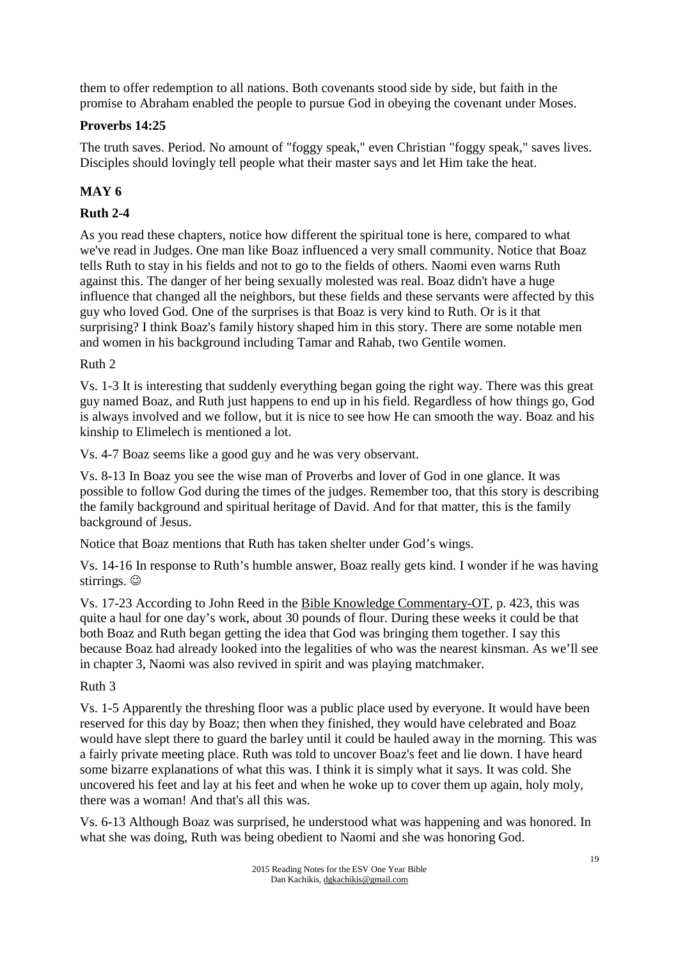them to offer redemption to all nations. Both covenants stood side by side, but faith in the promise to Abraham enabled the people to pursue God in obeying the covenant under Moses.

## **Proverbs 14:25**

The truth saves. Period. No amount of "foggy speak," even Christian "foggy speak," saves lives. Disciples should lovingly tell people what their master says and let Him take the heat.

# **MAY 6**

# **Ruth 2-4**

As you read these chapters, notice how different the spiritual tone is here, compared to what we've read in Judges. One man like Boaz influenced a very small community. Notice that Boaz tells Ruth to stay in his fields and not to go to the fields of others. Naomi even warns Ruth against this. The danger of her being sexually molested was real. Boaz didn't have a huge influence that changed all the neighbors, but these fields and these servants were affected by this guy who loved God. One of the surprises is that Boaz is very kind to Ruth. Or is it that surprising? I think Boaz's family history shaped him in this story. There are some notable men and women in his background including Tamar and Rahab, two Gentile women.

### Ruth 2

Vs. 1-3 It is interesting that suddenly everything began going the right way. There was this great guy named Boaz, and Ruth just happens to end up in his field. Regardless of how things go, God is always involved and we follow, but it is nice to see how He can smooth the way. Boaz and his kinship to Elimelech is mentioned a lot.

Vs. 4-7 Boaz seems like a good guy and he was very observant.

Vs. 8-13 In Boaz you see the wise man of Proverbs and lover of God in one glance. It was possible to follow God during the times of the judges. Remember too, that this story is describing the family background and spiritual heritage of David. And for that matter, this is the family background of Jesus.

Notice that Boaz mentions that Ruth has taken shelter under God's wings.

Vs. 14-16 In response to Ruth's humble answer, Boaz really gets kind. I wonder if he was having stirrings.  $\odot$ 

Vs. 17-23 According to John Reed in the Bible Knowledge Commentary-OT, p. 423, this was quite a haul for one day's work, about 30 pounds of flour. During these weeks it could be that both Boaz and Ruth began getting the idea that God was bringing them together. I say this because Boaz had already looked into the legalities of who was the nearest kinsman. As we'll see in chapter 3, Naomi was also revived in spirit and was playing matchmaker.

#### Ruth 3

Vs. 1-5 Apparently the threshing floor was a public place used by everyone. It would have been reserved for this day by Boaz; then when they finished, they would have celebrated and Boaz would have slept there to guard the barley until it could be hauled away in the morning. This was a fairly private meeting place. Ruth was told to uncover Boaz's feet and lie down. I have heard some bizarre explanations of what this was. I think it is simply what it says. It was cold. She uncovered his feet and lay at his feet and when he woke up to cover them up again, holy moly, there was a woman! And that's all this was.

Vs. 6-13 Although Boaz was surprised, he understood what was happening and was honored. In what she was doing, Ruth was being obedient to Naomi and she was honoring God.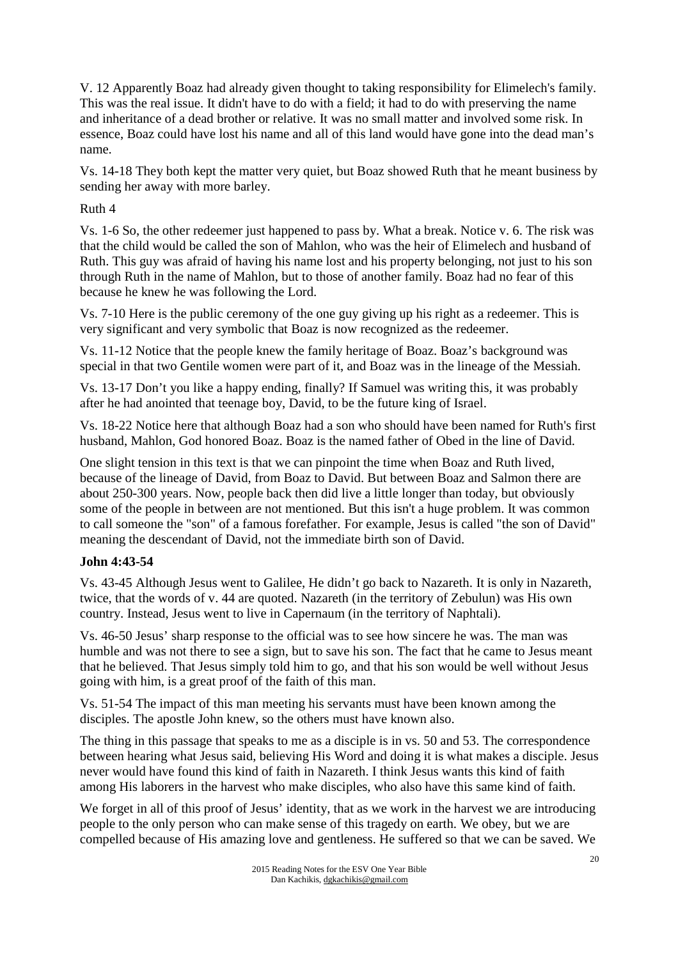V. 12 Apparently Boaz had already given thought to taking responsibility for Elimelech's family. This was the real issue. It didn't have to do with a field; it had to do with preserving the name and inheritance of a dead brother or relative. It was no small matter and involved some risk. In essence, Boaz could have lost his name and all of this land would have gone into the dead man's name.

Vs. 14-18 They both kept the matter very quiet, but Boaz showed Ruth that he meant business by sending her away with more barley.

## Ruth 4

Vs. 1-6 So, the other redeemer just happened to pass by. What a break. Notice v. 6. The risk was that the child would be called the son of Mahlon, who was the heir of Elimelech and husband of Ruth. This guy was afraid of having his name lost and his property belonging, not just to his son through Ruth in the name of Mahlon, but to those of another family. Boaz had no fear of this because he knew he was following the Lord.

Vs. 7-10 Here is the public ceremony of the one guy giving up his right as a redeemer. This is very significant and very symbolic that Boaz is now recognized as the redeemer.

Vs. 11-12 Notice that the people knew the family heritage of Boaz. Boaz's background was special in that two Gentile women were part of it, and Boaz was in the lineage of the Messiah.

Vs. 13-17 Don't you like a happy ending, finally? If Samuel was writing this, it was probably after he had anointed that teenage boy, David, to be the future king of Israel.

Vs. 18-22 Notice here that although Boaz had a son who should have been named for Ruth's first husband, Mahlon, God honored Boaz. Boaz is the named father of Obed in the line of David.

One slight tension in this text is that we can pinpoint the time when Boaz and Ruth lived, because of the lineage of David, from Boaz to David. But between Boaz and Salmon there are about 250-300 years. Now, people back then did live a little longer than today, but obviously some of the people in between are not mentioned. But this isn't a huge problem. It was common to call someone the "son" of a famous forefather. For example, Jesus is called "the son of David" meaning the descendant of David, not the immediate birth son of David.

# **John 4:43-54**

Vs. 43-45 Although Jesus went to Galilee, He didn't go back to Nazareth. It is only in Nazareth, twice, that the words of v. 44 are quoted. Nazareth (in the territory of Zebulun) was His own country. Instead, Jesus went to live in Capernaum (in the territory of Naphtali).

Vs. 46-50 Jesus' sharp response to the official was to see how sincere he was. The man was humble and was not there to see a sign, but to save his son. The fact that he came to Jesus meant that he believed. That Jesus simply told him to go, and that his son would be well without Jesus going with him, is a great proof of the faith of this man.

Vs. 51-54 The impact of this man meeting his servants must have been known among the disciples. The apostle John knew, so the others must have known also.

The thing in this passage that speaks to me as a disciple is in vs. 50 and 53. The correspondence between hearing what Jesus said, believing His Word and doing it is what makes a disciple. Jesus never would have found this kind of faith in Nazareth. I think Jesus wants this kind of faith among His laborers in the harvest who make disciples, who also have this same kind of faith.

We forget in all of this proof of Jesus' identity, that as we work in the harvest we are introducing people to the only person who can make sense of this tragedy on earth. We obey, but we are compelled because of His amazing love and gentleness. He suffered so that we can be saved. We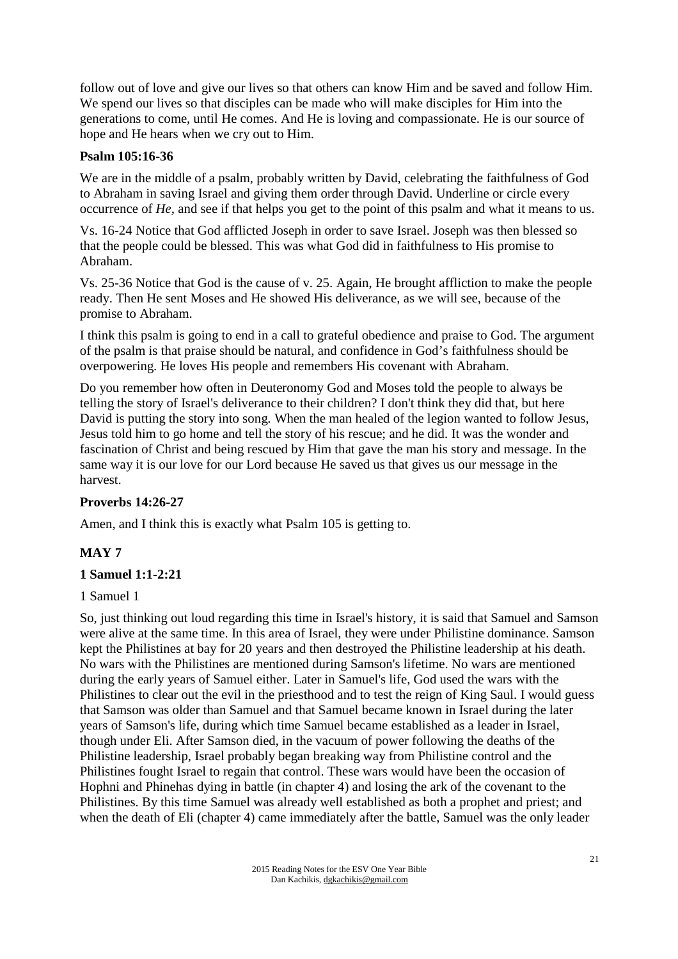follow out of love and give our lives so that others can know Him and be saved and follow Him. We spend our lives so that disciples can be made who will make disciples for Him into the generations to come, until He comes. And He is loving and compassionate. He is our source of hope and He hears when we cry out to Him.

## **Psalm 105:16-36**

We are in the middle of a psalm, probably written by David, celebrating the faithfulness of God to Abraham in saving Israel and giving them order through David. Underline or circle every occurrence of *He,* and see if that helps you get to the point of this psalm and what it means to us.

Vs. 16-24 Notice that God afflicted Joseph in order to save Israel. Joseph was then blessed so that the people could be blessed. This was what God did in faithfulness to His promise to Abraham.

Vs. 25-36 Notice that God is the cause of v. 25. Again, He brought affliction to make the people ready. Then He sent Moses and He showed His deliverance, as we will see, because of the promise to Abraham.

I think this psalm is going to end in a call to grateful obedience and praise to God. The argument of the psalm is that praise should be natural, and confidence in God's faithfulness should be overpowering. He loves His people and remembers His covenant with Abraham.

Do you remember how often in Deuteronomy God and Moses told the people to always be telling the story of Israel's deliverance to their children? I don't think they did that, but here David is putting the story into song. When the man healed of the legion wanted to follow Jesus, Jesus told him to go home and tell the story of his rescue; and he did. It was the wonder and fascination of Christ and being rescued by Him that gave the man his story and message. In the same way it is our love for our Lord because He saved us that gives us our message in the harvest.

# **Proverbs 14:26-27**

Amen, and I think this is exactly what Psalm 105 is getting to.

# **MAY 7**

#### **1 Samuel 1:1-2:21**

#### 1 Samuel 1

So, just thinking out loud regarding this time in Israel's history, it is said that Samuel and Samson were alive at the same time. In this area of Israel, they were under Philistine dominance. Samson kept the Philistines at bay for 20 years and then destroyed the Philistine leadership at his death. No wars with the Philistines are mentioned during Samson's lifetime. No wars are mentioned during the early years of Samuel either. Later in Samuel's life, God used the wars with the Philistines to clear out the evil in the priesthood and to test the reign of King Saul. I would guess that Samson was older than Samuel and that Samuel became known in Israel during the later years of Samson's life, during which time Samuel became established as a leader in Israel, though under Eli. After Samson died, in the vacuum of power following the deaths of the Philistine leadership, Israel probably began breaking way from Philistine control and the Philistines fought Israel to regain that control. These wars would have been the occasion of Hophni and Phinehas dying in battle (in chapter 4) and losing the ark of the covenant to the Philistines. By this time Samuel was already well established as both a prophet and priest; and when the death of Eli (chapter 4) came immediately after the battle, Samuel was the only leader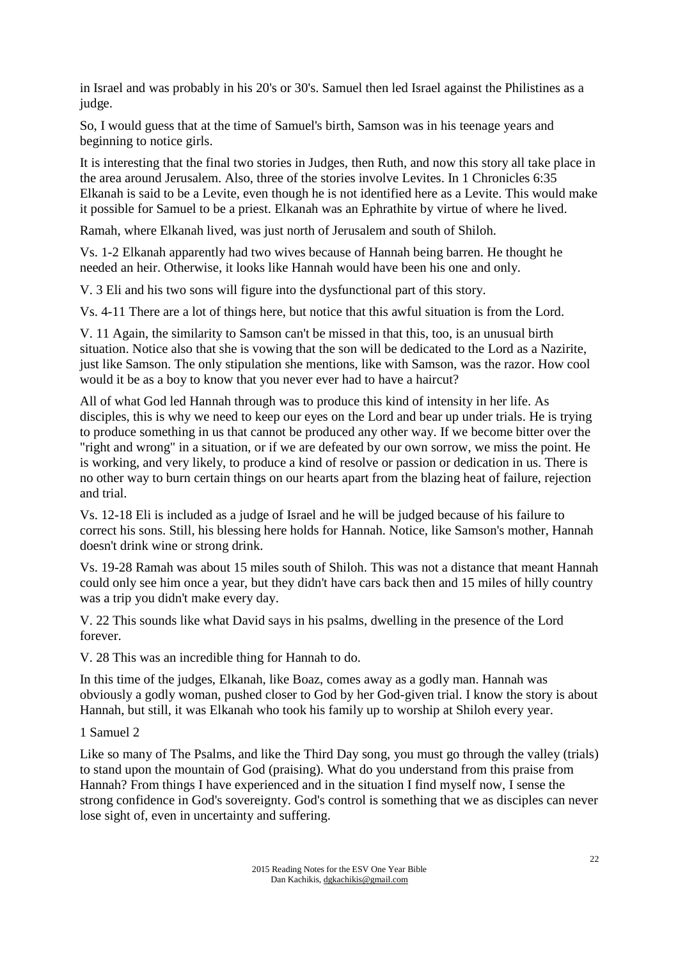in Israel and was probably in his 20's or 30's. Samuel then led Israel against the Philistines as a judge.

So, I would guess that at the time of Samuel's birth, Samson was in his teenage years and beginning to notice girls.

It is interesting that the final two stories in Judges, then Ruth, and now this story all take place in the area around Jerusalem. Also, three of the stories involve Levites. In 1 Chronicles 6:35 Elkanah is said to be a Levite, even though he is not identified here as a Levite. This would make it possible for Samuel to be a priest. Elkanah was an Ephrathite by virtue of where he lived.

Ramah, where Elkanah lived, was just north of Jerusalem and south of Shiloh.

Vs. 1-2 Elkanah apparently had two wives because of Hannah being barren. He thought he needed an heir. Otherwise, it looks like Hannah would have been his one and only.

V. 3 Eli and his two sons will figure into the dysfunctional part of this story.

Vs. 4-11 There are a lot of things here, but notice that this awful situation is from the Lord.

V. 11 Again, the similarity to Samson can't be missed in that this, too, is an unusual birth situation. Notice also that she is vowing that the son will be dedicated to the Lord as a Nazirite, just like Samson. The only stipulation she mentions, like with Samson, was the razor. How cool would it be as a boy to know that you never ever had to have a haircut?

All of what God led Hannah through was to produce this kind of intensity in her life. As disciples, this is why we need to keep our eyes on the Lord and bear up under trials. He is trying to produce something in us that cannot be produced any other way. If we become bitter over the "right and wrong" in a situation, or if we are defeated by our own sorrow, we miss the point. He is working, and very likely, to produce a kind of resolve or passion or dedication in us. There is no other way to burn certain things on our hearts apart from the blazing heat of failure, rejection and trial.

Vs. 12-18 Eli is included as a judge of Israel and he will be judged because of his failure to correct his sons. Still, his blessing here holds for Hannah. Notice, like Samson's mother, Hannah doesn't drink wine or strong drink.

Vs. 19-28 Ramah was about 15 miles south of Shiloh. This was not a distance that meant Hannah could only see him once a year, but they didn't have cars back then and 15 miles of hilly country was a trip you didn't make every day.

V. 22 This sounds like what David says in his psalms, dwelling in the presence of the Lord forever.

V. 28 This was an incredible thing for Hannah to do.

In this time of the judges, Elkanah, like Boaz, comes away as a godly man. Hannah was obviously a godly woman, pushed closer to God by her God-given trial. I know the story is about Hannah, but still, it was Elkanah who took his family up to worship at Shiloh every year.

1 Samuel 2

Like so many of The Psalms, and like the Third Day song, you must go through the valley (trials) to stand upon the mountain of God (praising). What do you understand from this praise from Hannah? From things I have experienced and in the situation I find myself now, I sense the strong confidence in God's sovereignty. God's control is something that we as disciples can never lose sight of, even in uncertainty and suffering.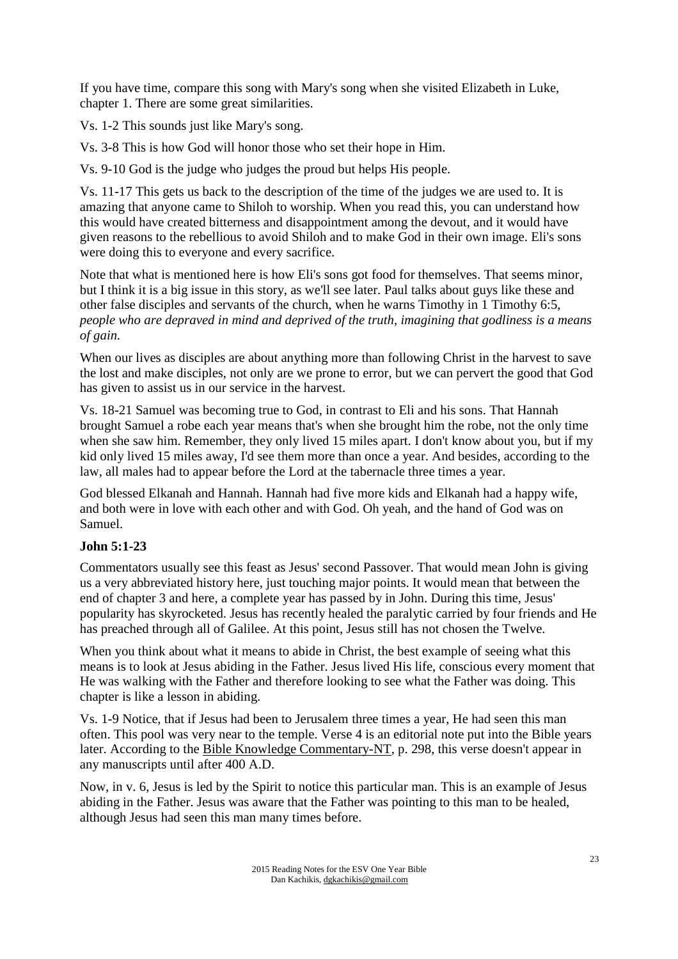If you have time, compare this song with Mary's song when she visited Elizabeth in Luke, chapter 1. There are some great similarities.

Vs. 1-2 This sounds just like Mary's song.

Vs. 3-8 This is how God will honor those who set their hope in Him.

Vs. 9-10 God is the judge who judges the proud but helps His people.

Vs. 11-17 This gets us back to the description of the time of the judges we are used to. It is amazing that anyone came to Shiloh to worship. When you read this, you can understand how this would have created bitterness and disappointment among the devout, and it would have given reasons to the rebellious to avoid Shiloh and to make God in their own image. Eli's sons were doing this to everyone and every sacrifice.

Note that what is mentioned here is how Eli's sons got food for themselves. That seems minor, but I think it is a big issue in this story, as we'll see later. Paul talks about guys like these and other false disciples and servants of the church, when he warns Timothy in 1 Timothy 6:5, *people who are depraved in mind and deprived of the truth, imagining that godliness is a means of gain.* 

When our lives as disciples are about anything more than following Christ in the harvest to save the lost and make disciples, not only are we prone to error, but we can pervert the good that God has given to assist us in our service in the harvest.

Vs. 18-21 Samuel was becoming true to God, in contrast to Eli and his sons. That Hannah brought Samuel a robe each year means that's when she brought him the robe, not the only time when she saw him. Remember, they only lived 15 miles apart. I don't know about you, but if my kid only lived 15 miles away, I'd see them more than once a year. And besides, according to the law, all males had to appear before the Lord at the tabernacle three times a year.

God blessed Elkanah and Hannah. Hannah had five more kids and Elkanah had a happy wife, and both were in love with each other and with God. Oh yeah, and the hand of God was on Samuel.

# **John 5:1-23**

Commentators usually see this feast as Jesus' second Passover. That would mean John is giving us a very abbreviated history here, just touching major points. It would mean that between the end of chapter 3 and here, a complete year has passed by in John. During this time, Jesus' popularity has skyrocketed. Jesus has recently healed the paralytic carried by four friends and He has preached through all of Galilee. At this point, Jesus still has not chosen the Twelve.

When you think about what it means to abide in Christ, the best example of seeing what this means is to look at Jesus abiding in the Father. Jesus lived His life, conscious every moment that He was walking with the Father and therefore looking to see what the Father was doing. This chapter is like a lesson in abiding.

Vs. 1-9 Notice, that if Jesus had been to Jerusalem three times a year, He had seen this man often. This pool was very near to the temple. Verse 4 is an editorial note put into the Bible years later. According to the Bible Knowledge Commentary-NT, p. 298, this verse doesn't appear in any manuscripts until after 400 A.D.

Now, in v. 6, Jesus is led by the Spirit to notice this particular man. This is an example of Jesus abiding in the Father. Jesus was aware that the Father was pointing to this man to be healed, although Jesus had seen this man many times before.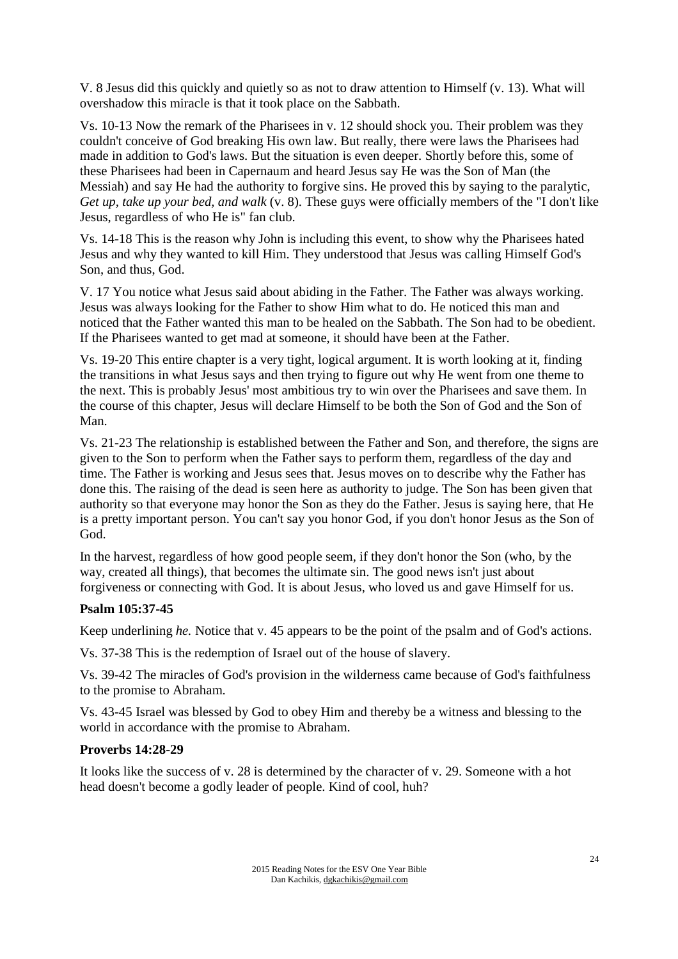V. 8 Jesus did this quickly and quietly so as not to draw attention to Himself (v. 13). What will overshadow this miracle is that it took place on the Sabbath.

Vs. 10-13 Now the remark of the Pharisees in v. 12 should shock you. Their problem was they couldn't conceive of God breaking His own law. But really, there were laws the Pharisees had made in addition to God's laws. But the situation is even deeper. Shortly before this, some of these Pharisees had been in Capernaum and heard Jesus say He was the Son of Man (the Messiah) and say He had the authority to forgive sins. He proved this by saying to the paralytic, *Get up, take up your bed, and walk* (v. 8). These guys were officially members of the "I don't like Jesus, regardless of who He is" fan club.

Vs. 14-18 This is the reason why John is including this event, to show why the Pharisees hated Jesus and why they wanted to kill Him. They understood that Jesus was calling Himself God's Son, and thus, God.

V. 17 You notice what Jesus said about abiding in the Father. The Father was always working. Jesus was always looking for the Father to show Him what to do. He noticed this man and noticed that the Father wanted this man to be healed on the Sabbath. The Son had to be obedient. If the Pharisees wanted to get mad at someone, it should have been at the Father.

Vs. 19-20 This entire chapter is a very tight, logical argument. It is worth looking at it, finding the transitions in what Jesus says and then trying to figure out why He went from one theme to the next. This is probably Jesus' most ambitious try to win over the Pharisees and save them. In the course of this chapter, Jesus will declare Himself to be both the Son of God and the Son of Man.

Vs. 21-23 The relationship is established between the Father and Son, and therefore, the signs are given to the Son to perform when the Father says to perform them, regardless of the day and time. The Father is working and Jesus sees that. Jesus moves on to describe why the Father has done this. The raising of the dead is seen here as authority to judge. The Son has been given that authority so that everyone may honor the Son as they do the Father. Jesus is saying here, that He is a pretty important person. You can't say you honor God, if you don't honor Jesus as the Son of God.

In the harvest, regardless of how good people seem, if they don't honor the Son (who, by the way, created all things), that becomes the ultimate sin. The good news isn't just about forgiveness or connecting with God. It is about Jesus, who loved us and gave Himself for us.

# **Psalm 105:37-45**

Keep underlining *he.* Notice that v. 45 appears to be the point of the psalm and of God's actions.

Vs. 37-38 This is the redemption of Israel out of the house of slavery.

Vs. 39-42 The miracles of God's provision in the wilderness came because of God's faithfulness to the promise to Abraham.

Vs. 43-45 Israel was blessed by God to obey Him and thereby be a witness and blessing to the world in accordance with the promise to Abraham.

#### **Proverbs 14:28-29**

It looks like the success of v. 28 is determined by the character of v. 29. Someone with a hot head doesn't become a godly leader of people. Kind of cool, huh?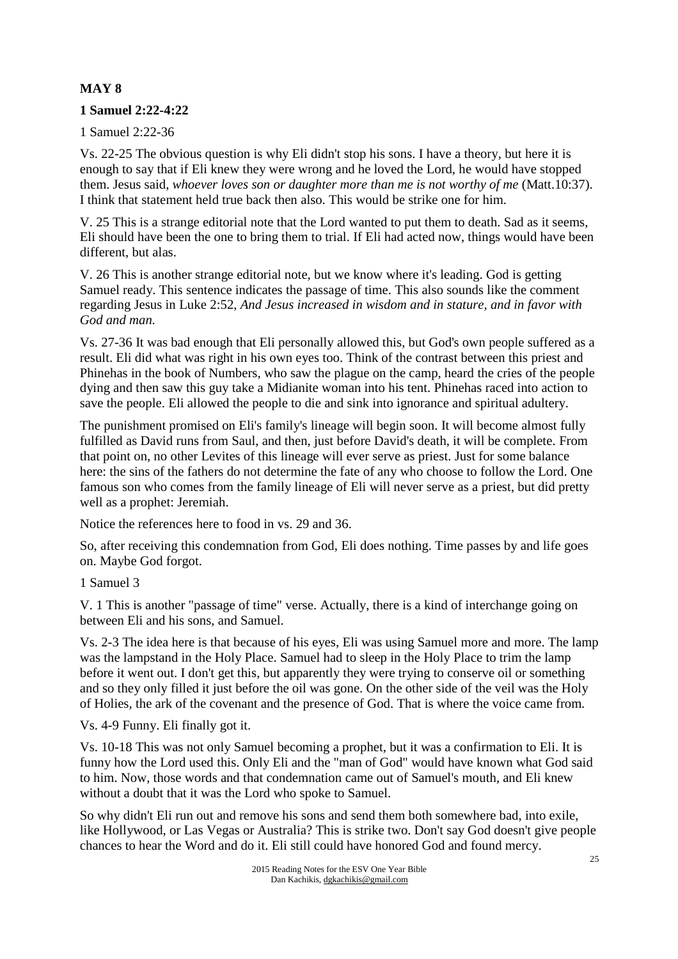# **MAY 8**

# **1 Samuel 2:22-4:22**

1 Samuel 2:22-36

Vs. 22-25 The obvious question is why Eli didn't stop his sons. I have a theory, but here it is enough to say that if Eli knew they were wrong and he loved the Lord, he would have stopped them. Jesus said, *whoever loves son or daughter more than me is not worthy of me* (Matt.10:37). I think that statement held true back then also. This would be strike one for him.

V. 25 This is a strange editorial note that the Lord wanted to put them to death. Sad as it seems, Eli should have been the one to bring them to trial. If Eli had acted now, things would have been different, but alas.

V. 26 This is another strange editorial note, but we know where it's leading. God is getting Samuel ready. This sentence indicates the passage of time. This also sounds like the comment regarding Jesus in Luke 2:52, *And Jesus increased in wisdom and in stature, and in favor with God and man.* 

Vs. 27-36 It was bad enough that Eli personally allowed this, but God's own people suffered as a result. Eli did what was right in his own eyes too. Think of the contrast between this priest and Phinehas in the book of Numbers, who saw the plague on the camp, heard the cries of the people dying and then saw this guy take a Midianite woman into his tent. Phinehas raced into action to save the people. Eli allowed the people to die and sink into ignorance and spiritual adultery.

The punishment promised on Eli's family's lineage will begin soon. It will become almost fully fulfilled as David runs from Saul, and then, just before David's death, it will be complete. From that point on, no other Levites of this lineage will ever serve as priest. Just for some balance here: the sins of the fathers do not determine the fate of any who choose to follow the Lord. One famous son who comes from the family lineage of Eli will never serve as a priest, but did pretty well as a prophet: Jeremiah.

Notice the references here to food in vs. 29 and 36.

So, after receiving this condemnation from God, Eli does nothing. Time passes by and life goes on. Maybe God forgot.

1 Samuel 3

V. 1 This is another "passage of time" verse. Actually, there is a kind of interchange going on between Eli and his sons, and Samuel.

Vs. 2-3 The idea here is that because of his eyes, Eli was using Samuel more and more. The lamp was the lampstand in the Holy Place. Samuel had to sleep in the Holy Place to trim the lamp before it went out. I don't get this, but apparently they were trying to conserve oil or something and so they only filled it just before the oil was gone. On the other side of the veil was the Holy of Holies, the ark of the covenant and the presence of God. That is where the voice came from.

Vs. 4-9 Funny. Eli finally got it.

Vs. 10-18 This was not only Samuel becoming a prophet, but it was a confirmation to Eli. It is funny how the Lord used this. Only Eli and the "man of God" would have known what God said to him. Now, those words and that condemnation came out of Samuel's mouth, and Eli knew without a doubt that it was the Lord who spoke to Samuel.

So why didn't Eli run out and remove his sons and send them both somewhere bad, into exile, like Hollywood, or Las Vegas or Australia? This is strike two. Don't say God doesn't give people chances to hear the Word and do it. Eli still could have honored God and found mercy.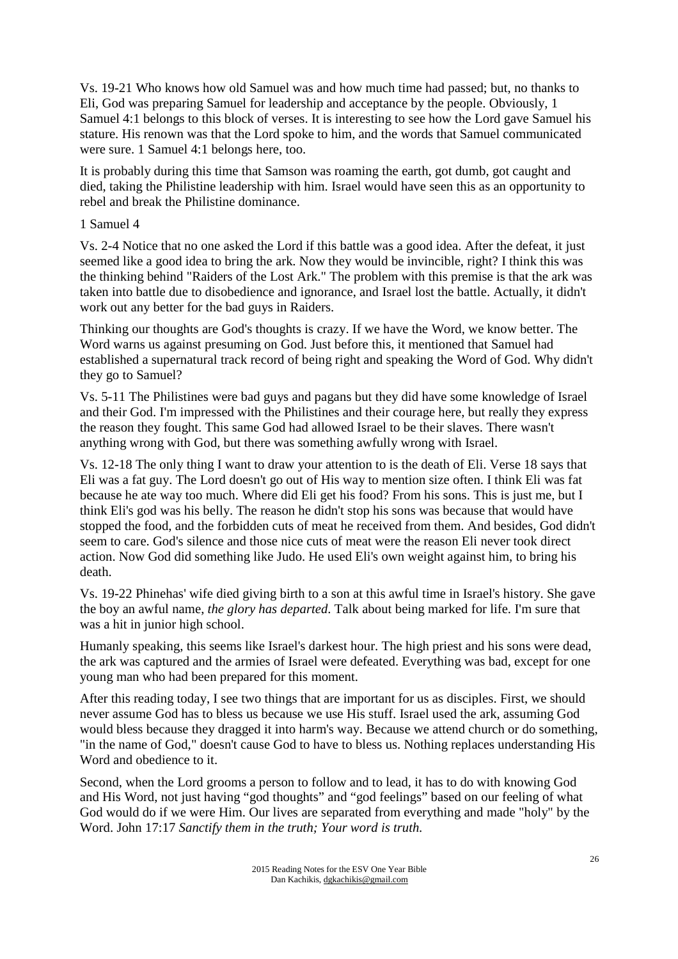Vs. 19-21 Who knows how old Samuel was and how much time had passed; but, no thanks to Eli, God was preparing Samuel for leadership and acceptance by the people. Obviously, 1 Samuel 4:1 belongs to this block of verses. It is interesting to see how the Lord gave Samuel his stature. His renown was that the Lord spoke to him, and the words that Samuel communicated were sure. 1 Samuel 4:1 belongs here, too.

It is probably during this time that Samson was roaming the earth, got dumb, got caught and died, taking the Philistine leadership with him. Israel would have seen this as an opportunity to rebel and break the Philistine dominance.

### 1 Samuel 4

Vs. 2-4 Notice that no one asked the Lord if this battle was a good idea. After the defeat, it just seemed like a good idea to bring the ark. Now they would be invincible, right? I think this was the thinking behind "Raiders of the Lost Ark." The problem with this premise is that the ark was taken into battle due to disobedience and ignorance, and Israel lost the battle. Actually, it didn't work out any better for the bad guys in Raiders.

Thinking our thoughts are God's thoughts is crazy. If we have the Word, we know better. The Word warns us against presuming on God. Just before this, it mentioned that Samuel had established a supernatural track record of being right and speaking the Word of God. Why didn't they go to Samuel?

Vs. 5-11 The Philistines were bad guys and pagans but they did have some knowledge of Israel and their God. I'm impressed with the Philistines and their courage here, but really they express the reason they fought. This same God had allowed Israel to be their slaves. There wasn't anything wrong with God, but there was something awfully wrong with Israel.

Vs. 12-18 The only thing I want to draw your attention to is the death of Eli. Verse 18 says that Eli was a fat guy. The Lord doesn't go out of His way to mention size often. I think Eli was fat because he ate way too much. Where did Eli get his food? From his sons. This is just me, but I think Eli's god was his belly. The reason he didn't stop his sons was because that would have stopped the food, and the forbidden cuts of meat he received from them. And besides, God didn't seem to care. God's silence and those nice cuts of meat were the reason Eli never took direct action. Now God did something like Judo. He used Eli's own weight against him, to bring his death.

Vs. 19-22 Phinehas' wife died giving birth to a son at this awful time in Israel's history. She gave the boy an awful name, *the glory has departed*. Talk about being marked for life. I'm sure that was a hit in junior high school.

Humanly speaking, this seems like Israel's darkest hour. The high priest and his sons were dead, the ark was captured and the armies of Israel were defeated. Everything was bad, except for one young man who had been prepared for this moment.

After this reading today, I see two things that are important for us as disciples. First, we should never assume God has to bless us because we use His stuff. Israel used the ark, assuming God would bless because they dragged it into harm's way. Because we attend church or do something, "in the name of God," doesn't cause God to have to bless us. Nothing replaces understanding His Word and obedience to it.

Second, when the Lord grooms a person to follow and to lead, it has to do with knowing God and His Word, not just having "god thoughts" and "god feelings" based on our feeling of what God would do if we were Him. Our lives are separated from everything and made "holy" by the Word. John 17:17 *Sanctify them in the truth; Your word is truth.*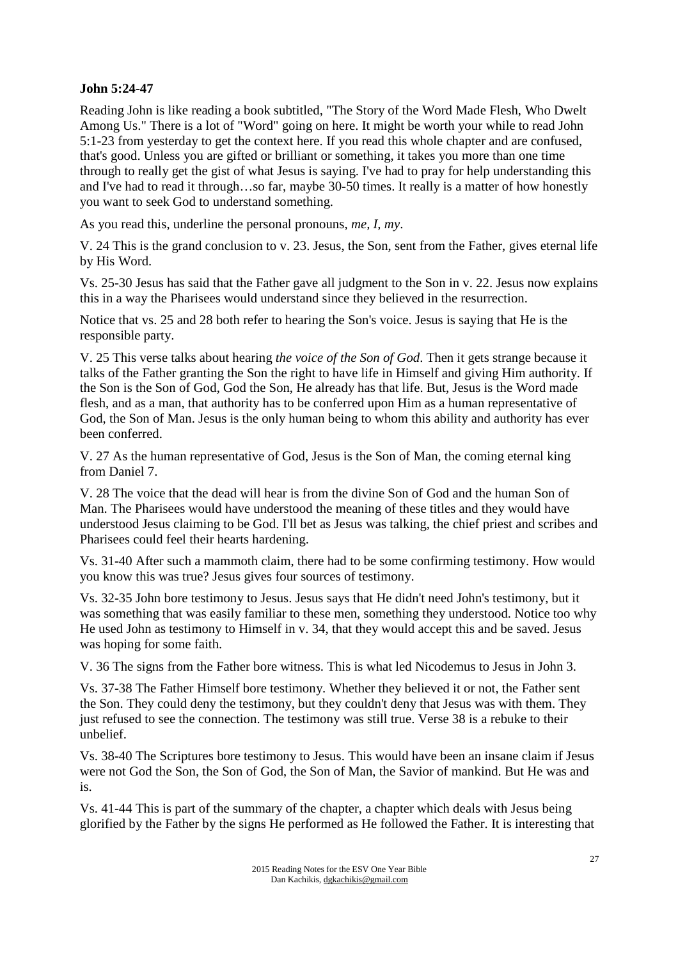## **John 5:24-47**

Reading John is like reading a book subtitled, "The Story of the Word Made Flesh, Who Dwelt Among Us." There is a lot of "Word" going on here. It might be worth your while to read John 5:1-23 from yesterday to get the context here. If you read this whole chapter and are confused, that's good. Unless you are gifted or brilliant or something, it takes you more than one time through to really get the gist of what Jesus is saying. I've had to pray for help understanding this and I've had to read it through…so far, maybe 30-50 times. It really is a matter of how honestly you want to seek God to understand something.

As you read this, underline the personal pronouns, *me, I, my*.

V. 24 This is the grand conclusion to v. 23. Jesus, the Son, sent from the Father, gives eternal life by His Word.

Vs. 25-30 Jesus has said that the Father gave all judgment to the Son in v. 22. Jesus now explains this in a way the Pharisees would understand since they believed in the resurrection.

Notice that vs. 25 and 28 both refer to hearing the Son's voice. Jesus is saying that He is the responsible party.

V. 25 This verse talks about hearing *the voice of the Son of God*. Then it gets strange because it talks of the Father granting the Son the right to have life in Himself and giving Him authority. If the Son is the Son of God, God the Son, He already has that life. But, Jesus is the Word made flesh, and as a man, that authority has to be conferred upon Him as a human representative of God, the Son of Man. Jesus is the only human being to whom this ability and authority has ever been conferred.

V. 27 As the human representative of God, Jesus is the Son of Man, the coming eternal king from Daniel 7.

V. 28 The voice that the dead will hear is from the divine Son of God and the human Son of Man. The Pharisees would have understood the meaning of these titles and they would have understood Jesus claiming to be God. I'll bet as Jesus was talking, the chief priest and scribes and Pharisees could feel their hearts hardening.

Vs. 31-40 After such a mammoth claim, there had to be some confirming testimony. How would you know this was true? Jesus gives four sources of testimony.

Vs. 32-35 John bore testimony to Jesus. Jesus says that He didn't need John's testimony, but it was something that was easily familiar to these men, something they understood. Notice too why He used John as testimony to Himself in v. 34, that they would accept this and be saved. Jesus was hoping for some faith.

V. 36 The signs from the Father bore witness. This is what led Nicodemus to Jesus in John 3.

Vs. 37-38 The Father Himself bore testimony. Whether they believed it or not, the Father sent the Son. They could deny the testimony, but they couldn't deny that Jesus was with them. They just refused to see the connection. The testimony was still true. Verse 38 is a rebuke to their unbelief.

Vs. 38-40 The Scriptures bore testimony to Jesus. This would have been an insane claim if Jesus were not God the Son, the Son of God, the Son of Man, the Savior of mankind. But He was and is.

Vs. 41-44 This is part of the summary of the chapter, a chapter which deals with Jesus being glorified by the Father by the signs He performed as He followed the Father. It is interesting that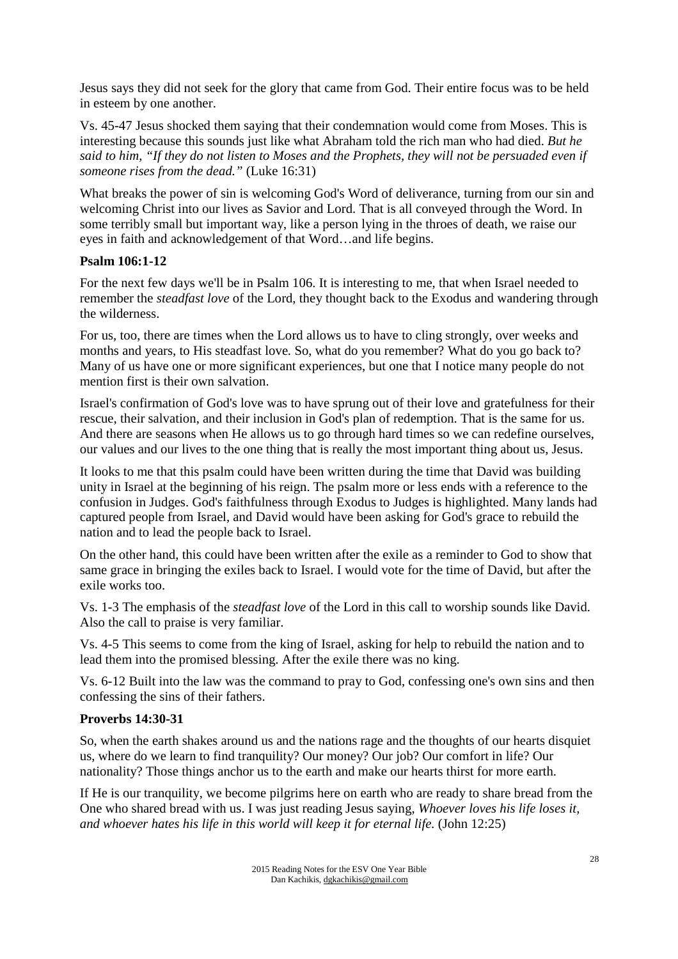Jesus says they did not seek for the glory that came from God. Their entire focus was to be held in esteem by one another.

Vs. 45-47 Jesus shocked them saying that their condemnation would come from Moses. This is interesting because this sounds just like what Abraham told the rich man who had died. *But he said to him, "If they do not listen to Moses and the Prophets, they will not be persuaded even if someone rises from the dead."* (Luke 16:31)

What breaks the power of sin is welcoming God's Word of deliverance, turning from our sin and welcoming Christ into our lives as Savior and Lord. That is all conveyed through the Word. In some terribly small but important way, like a person lying in the throes of death, we raise our eyes in faith and acknowledgement of that Word…and life begins.

### **Psalm 106:1-12**

For the next few days we'll be in Psalm 106. It is interesting to me, that when Israel needed to remember the *steadfast love* of the Lord, they thought back to the Exodus and wandering through the wilderness.

For us, too, there are times when the Lord allows us to have to cling strongly, over weeks and months and years, to His steadfast love. So, what do you remember? What do you go back to? Many of us have one or more significant experiences, but one that I notice many people do not mention first is their own salvation.

Israel's confirmation of God's love was to have sprung out of their love and gratefulness for their rescue, their salvation, and their inclusion in God's plan of redemption. That is the same for us. And there are seasons when He allows us to go through hard times so we can redefine ourselves, our values and our lives to the one thing that is really the most important thing about us, Jesus.

It looks to me that this psalm could have been written during the time that David was building unity in Israel at the beginning of his reign. The psalm more or less ends with a reference to the confusion in Judges. God's faithfulness through Exodus to Judges is highlighted. Many lands had captured people from Israel, and David would have been asking for God's grace to rebuild the nation and to lead the people back to Israel.

On the other hand, this could have been written after the exile as a reminder to God to show that same grace in bringing the exiles back to Israel. I would vote for the time of David, but after the exile works too.

Vs. 1-3 The emphasis of the *steadfast love* of the Lord in this call to worship sounds like David. Also the call to praise is very familiar.

Vs. 4-5 This seems to come from the king of Israel, asking for help to rebuild the nation and to lead them into the promised blessing. After the exile there was no king.

Vs. 6-12 Built into the law was the command to pray to God, confessing one's own sins and then confessing the sins of their fathers.

#### **Proverbs 14:30-31**

So, when the earth shakes around us and the nations rage and the thoughts of our hearts disquiet us, where do we learn to find tranquility? Our money? Our job? Our comfort in life? Our nationality? Those things anchor us to the earth and make our hearts thirst for more earth.

If He is our tranquility, we become pilgrims here on earth who are ready to share bread from the One who shared bread with us. I was just reading Jesus saying, *Whoever loves his life loses it, and whoever hates his life in this world will keep it for eternal life.* (John 12:25)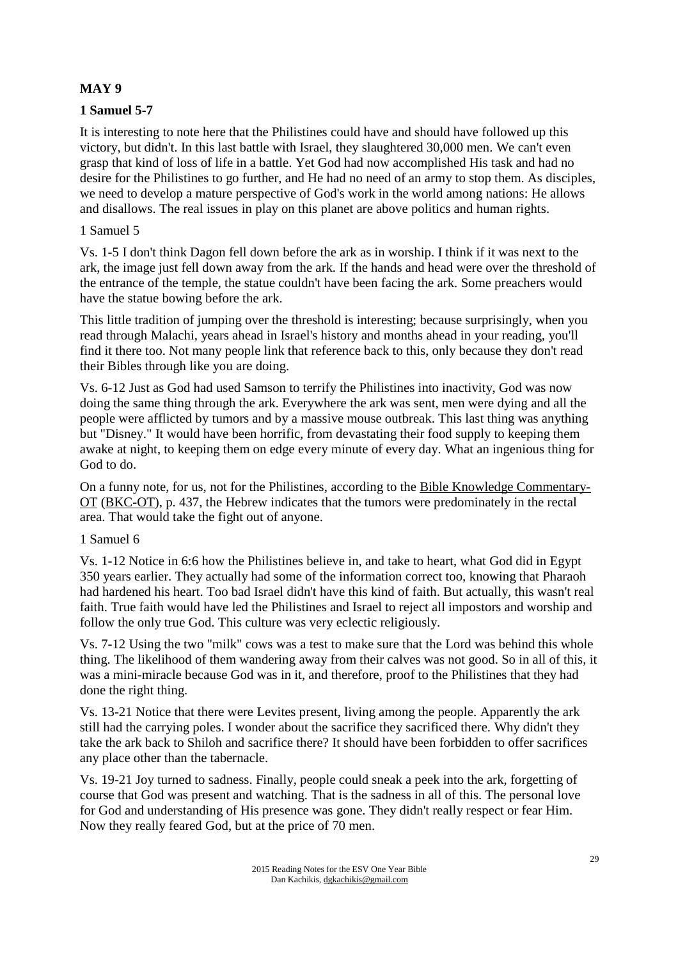# **MAY 9**

# **1 Samuel 5-7**

It is interesting to note here that the Philistines could have and should have followed up this victory, but didn't. In this last battle with Israel, they slaughtered 30,000 men. We can't even grasp that kind of loss of life in a battle. Yet God had now accomplished His task and had no desire for the Philistines to go further, and He had no need of an army to stop them. As disciples, we need to develop a mature perspective of God's work in the world among nations: He allows and disallows. The real issues in play on this planet are above politics and human rights.

# 1 Samuel 5

Vs. 1-5 I don't think Dagon fell down before the ark as in worship. I think if it was next to the ark, the image just fell down away from the ark. If the hands and head were over the threshold of the entrance of the temple, the statue couldn't have been facing the ark. Some preachers would have the statue bowing before the ark.

This little tradition of jumping over the threshold is interesting; because surprisingly, when you read through Malachi, years ahead in Israel's history and months ahead in your reading, you'll find it there too. Not many people link that reference back to this, only because they don't read their Bibles through like you are doing.

Vs. 6-12 Just as God had used Samson to terrify the Philistines into inactivity, God was now doing the same thing through the ark. Everywhere the ark was sent, men were dying and all the people were afflicted by tumors and by a massive mouse outbreak. This last thing was anything but "Disney." It would have been horrific, from devastating their food supply to keeping them awake at night, to keeping them on edge every minute of every day. What an ingenious thing for God to do.

On a funny note, for us, not for the Philistines, according to the Bible Knowledge Commentary-OT (BKC-OT), p. 437, the Hebrew indicates that the tumors were predominately in the rectal area. That would take the fight out of anyone.

# 1 Samuel 6

Vs. 1-12 Notice in 6:6 how the Philistines believe in, and take to heart, what God did in Egypt 350 years earlier. They actually had some of the information correct too, knowing that Pharaoh had hardened his heart. Too bad Israel didn't have this kind of faith. But actually, this wasn't real faith. True faith would have led the Philistines and Israel to reject all impostors and worship and follow the only true God. This culture was very eclectic religiously.

Vs. 7-12 Using the two "milk" cows was a test to make sure that the Lord was behind this whole thing. The likelihood of them wandering away from their calves was not good. So in all of this, it was a mini-miracle because God was in it, and therefore, proof to the Philistines that they had done the right thing.

Vs. 13-21 Notice that there were Levites present, living among the people. Apparently the ark still had the carrying poles. I wonder about the sacrifice they sacrificed there. Why didn't they take the ark back to Shiloh and sacrifice there? It should have been forbidden to offer sacrifices any place other than the tabernacle.

Vs. 19-21 Joy turned to sadness. Finally, people could sneak a peek into the ark, forgetting of course that God was present and watching. That is the sadness in all of this. The personal love for God and understanding of His presence was gone. They didn't really respect or fear Him. Now they really feared God, but at the price of 70 men.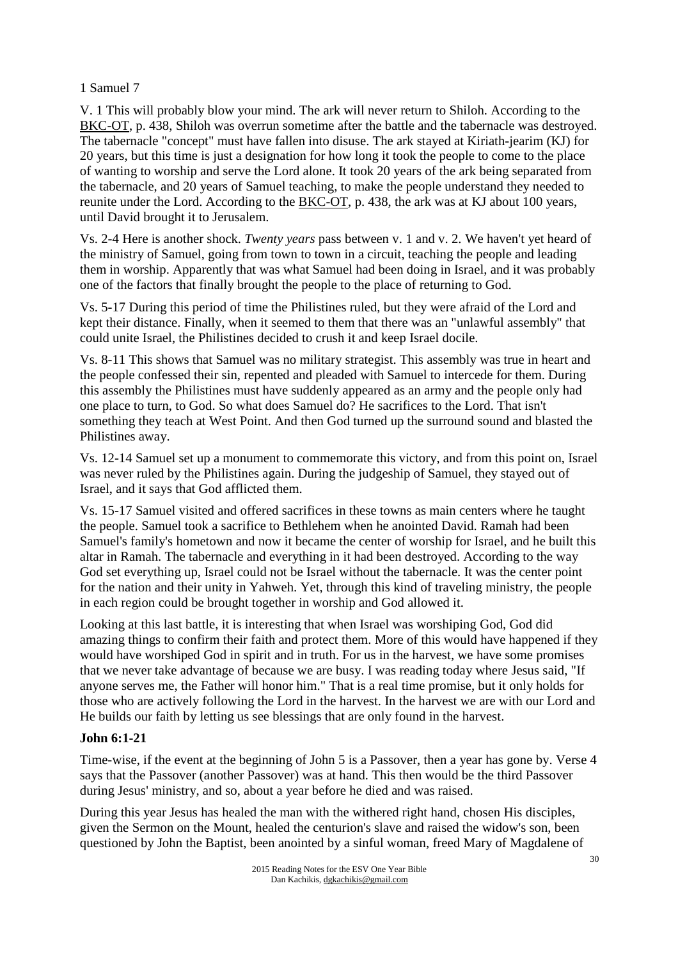# 1 Samuel 7

V. 1 This will probably blow your mind. The ark will never return to Shiloh. According to the BKC-OT, p. 438, Shiloh was overrun sometime after the battle and the tabernacle was destroyed. The tabernacle "concept" must have fallen into disuse. The ark stayed at Kiriath-jearim (KJ) for 20 years, but this time is just a designation for how long it took the people to come to the place of wanting to worship and serve the Lord alone. It took 20 years of the ark being separated from the tabernacle, and 20 years of Samuel teaching, to make the people understand they needed to reunite under the Lord. According to the **BKC-OT**, p. 438, the ark was at KJ about 100 years, until David brought it to Jerusalem.

Vs. 2-4 Here is another shock. *Twenty years* pass between v. 1 and v. 2. We haven't yet heard of the ministry of Samuel, going from town to town in a circuit, teaching the people and leading them in worship. Apparently that was what Samuel had been doing in Israel, and it was probably one of the factors that finally brought the people to the place of returning to God.

Vs. 5-17 During this period of time the Philistines ruled, but they were afraid of the Lord and kept their distance. Finally, when it seemed to them that there was an "unlawful assembly" that could unite Israel, the Philistines decided to crush it and keep Israel docile.

Vs. 8-11 This shows that Samuel was no military strategist. This assembly was true in heart and the people confessed their sin, repented and pleaded with Samuel to intercede for them. During this assembly the Philistines must have suddenly appeared as an army and the people only had one place to turn, to God. So what does Samuel do? He sacrifices to the Lord. That isn't something they teach at West Point. And then God turned up the surround sound and blasted the Philistines away.

Vs. 12-14 Samuel set up a monument to commemorate this victory, and from this point on, Israel was never ruled by the Philistines again. During the judgeship of Samuel, they stayed out of Israel, and it says that God afflicted them.

Vs. 15-17 Samuel visited and offered sacrifices in these towns as main centers where he taught the people. Samuel took a sacrifice to Bethlehem when he anointed David. Ramah had been Samuel's family's hometown and now it became the center of worship for Israel, and he built this altar in Ramah. The tabernacle and everything in it had been destroyed. According to the way God set everything up, Israel could not be Israel without the tabernacle. It was the center point for the nation and their unity in Yahweh. Yet, through this kind of traveling ministry, the people in each region could be brought together in worship and God allowed it.

Looking at this last battle, it is interesting that when Israel was worshiping God, God did amazing things to confirm their faith and protect them. More of this would have happened if they would have worshiped God in spirit and in truth. For us in the harvest, we have some promises that we never take advantage of because we are busy. I was reading today where Jesus said, "If anyone serves me, the Father will honor him." That is a real time promise, but it only holds for those who are actively following the Lord in the harvest. In the harvest we are with our Lord and He builds our faith by letting us see blessings that are only found in the harvest.

# **John 6:1-21**

Time-wise, if the event at the beginning of John 5 is a Passover, then a year has gone by. Verse 4 says that the Passover (another Passover) was at hand. This then would be the third Passover during Jesus' ministry, and so, about a year before he died and was raised.

During this year Jesus has healed the man with the withered right hand, chosen His disciples, given the Sermon on the Mount, healed the centurion's slave and raised the widow's son, been questioned by John the Baptist, been anointed by a sinful woman, freed Mary of Magdalene of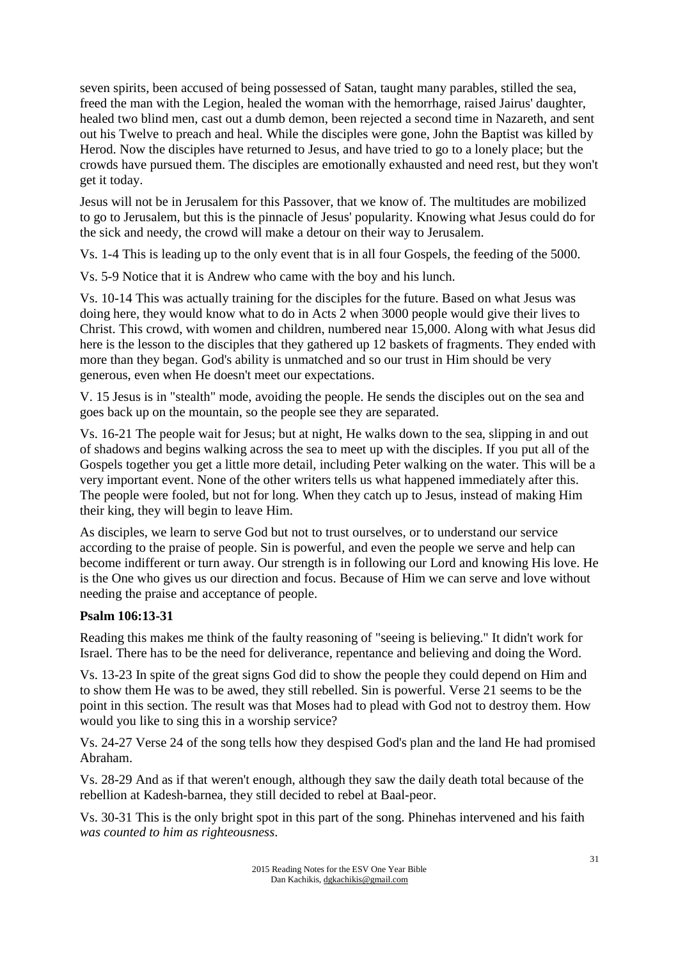seven spirits, been accused of being possessed of Satan, taught many parables, stilled the sea, freed the man with the Legion, healed the woman with the hemorrhage, raised Jairus' daughter, healed two blind men, cast out a dumb demon, been rejected a second time in Nazareth, and sent out his Twelve to preach and heal. While the disciples were gone, John the Baptist was killed by Herod. Now the disciples have returned to Jesus, and have tried to go to a lonely place; but the crowds have pursued them. The disciples are emotionally exhausted and need rest, but they won't get it today.

Jesus will not be in Jerusalem for this Passover, that we know of. The multitudes are mobilized to go to Jerusalem, but this is the pinnacle of Jesus' popularity. Knowing what Jesus could do for the sick and needy, the crowd will make a detour on their way to Jerusalem.

Vs. 1-4 This is leading up to the only event that is in all four Gospels, the feeding of the 5000.

Vs. 5-9 Notice that it is Andrew who came with the boy and his lunch.

Vs. 10-14 This was actually training for the disciples for the future. Based on what Jesus was doing here, they would know what to do in Acts 2 when 3000 people would give their lives to Christ. This crowd, with women and children, numbered near 15,000. Along with what Jesus did here is the lesson to the disciples that they gathered up 12 baskets of fragments. They ended with more than they began. God's ability is unmatched and so our trust in Him should be very generous, even when He doesn't meet our expectations.

V. 15 Jesus is in "stealth" mode, avoiding the people. He sends the disciples out on the sea and goes back up on the mountain, so the people see they are separated.

Vs. 16-21 The people wait for Jesus; but at night, He walks down to the sea, slipping in and out of shadows and begins walking across the sea to meet up with the disciples. If you put all of the Gospels together you get a little more detail, including Peter walking on the water. This will be a very important event. None of the other writers tells us what happened immediately after this. The people were fooled, but not for long. When they catch up to Jesus, instead of making Him their king, they will begin to leave Him.

As disciples, we learn to serve God but not to trust ourselves, or to understand our service according to the praise of people. Sin is powerful, and even the people we serve and help can become indifferent or turn away. Our strength is in following our Lord and knowing His love. He is the One who gives us our direction and focus. Because of Him we can serve and love without needing the praise and acceptance of people.

# **Psalm 106:13-31**

Reading this makes me think of the faulty reasoning of "seeing is believing." It didn't work for Israel. There has to be the need for deliverance, repentance and believing and doing the Word.

Vs. 13-23 In spite of the great signs God did to show the people they could depend on Him and to show them He was to be awed, they still rebelled. Sin is powerful. Verse 21 seems to be the point in this section. The result was that Moses had to plead with God not to destroy them. How would you like to sing this in a worship service?

Vs. 24-27 Verse 24 of the song tells how they despised God's plan and the land He had promised Abraham.

Vs. 28-29 And as if that weren't enough, although they saw the daily death total because of the rebellion at Kadesh-barnea, they still decided to rebel at Baal-peor.

Vs. 30-31 This is the only bright spot in this part of the song. Phinehas intervened and his faith *was counted to him as righteousness*.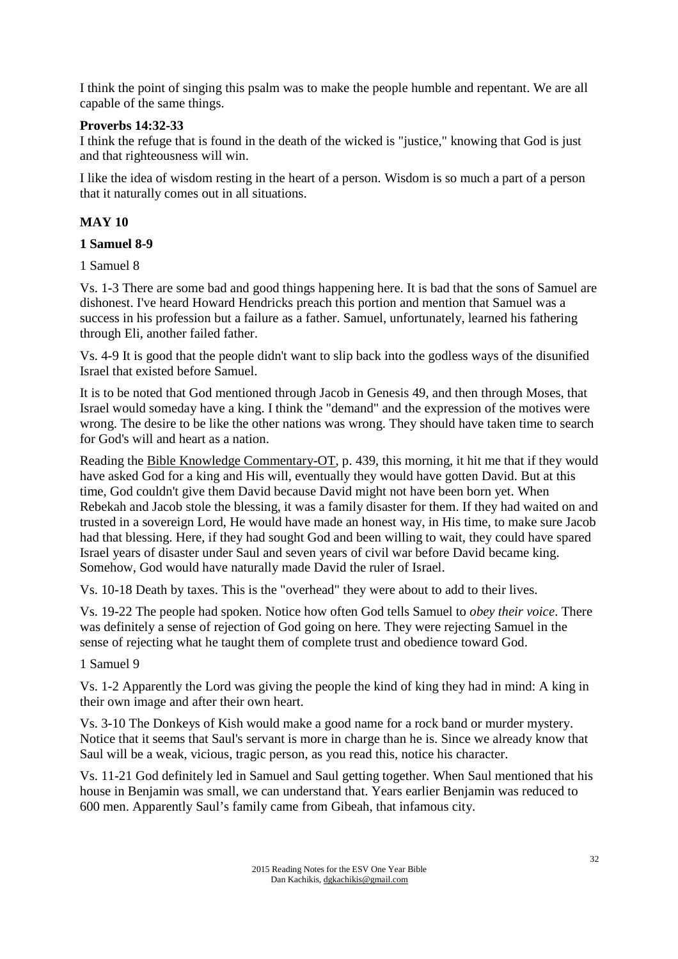I think the point of singing this psalm was to make the people humble and repentant. We are all capable of the same things.

## **Proverbs 14:32-33**

I think the refuge that is found in the death of the wicked is "justice," knowing that God is just and that righteousness will win.

I like the idea of wisdom resting in the heart of a person. Wisdom is so much a part of a person that it naturally comes out in all situations.

## **MAY 10**

### **1 Samuel 8-9**

1 Samuel 8

Vs. 1-3 There are some bad and good things happening here. It is bad that the sons of Samuel are dishonest. I've heard Howard Hendricks preach this portion and mention that Samuel was a success in his profession but a failure as a father. Samuel, unfortunately, learned his fathering through Eli, another failed father.

Vs. 4-9 It is good that the people didn't want to slip back into the godless ways of the disunified Israel that existed before Samuel.

It is to be noted that God mentioned through Jacob in Genesis 49, and then through Moses, that Israel would someday have a king. I think the "demand" and the expression of the motives were wrong. The desire to be like the other nations was wrong. They should have taken time to search for God's will and heart as a nation.

Reading the Bible Knowledge Commentary-OT, p. 439, this morning, it hit me that if they would have asked God for a king and His will, eventually they would have gotten David. But at this time, God couldn't give them David because David might not have been born yet. When Rebekah and Jacob stole the blessing, it was a family disaster for them. If they had waited on and trusted in a sovereign Lord, He would have made an honest way, in His time, to make sure Jacob had that blessing. Here, if they had sought God and been willing to wait, they could have spared Israel years of disaster under Saul and seven years of civil war before David became king. Somehow, God would have naturally made David the ruler of Israel.

Vs. 10-18 Death by taxes. This is the "overhead" they were about to add to their lives.

Vs. 19-22 The people had spoken. Notice how often God tells Samuel to *obey their voice*. There was definitely a sense of rejection of God going on here. They were rejecting Samuel in the sense of rejecting what he taught them of complete trust and obedience toward God.

1 Samuel 9

Vs. 1-2 Apparently the Lord was giving the people the kind of king they had in mind: A king in their own image and after their own heart.

Vs. 3-10 The Donkeys of Kish would make a good name for a rock band or murder mystery. Notice that it seems that Saul's servant is more in charge than he is. Since we already know that Saul will be a weak, vicious, tragic person, as you read this, notice his character.

Vs. 11-21 God definitely led in Samuel and Saul getting together. When Saul mentioned that his house in Benjamin was small, we can understand that. Years earlier Benjamin was reduced to 600 men. Apparently Saul's family came from Gibeah, that infamous city.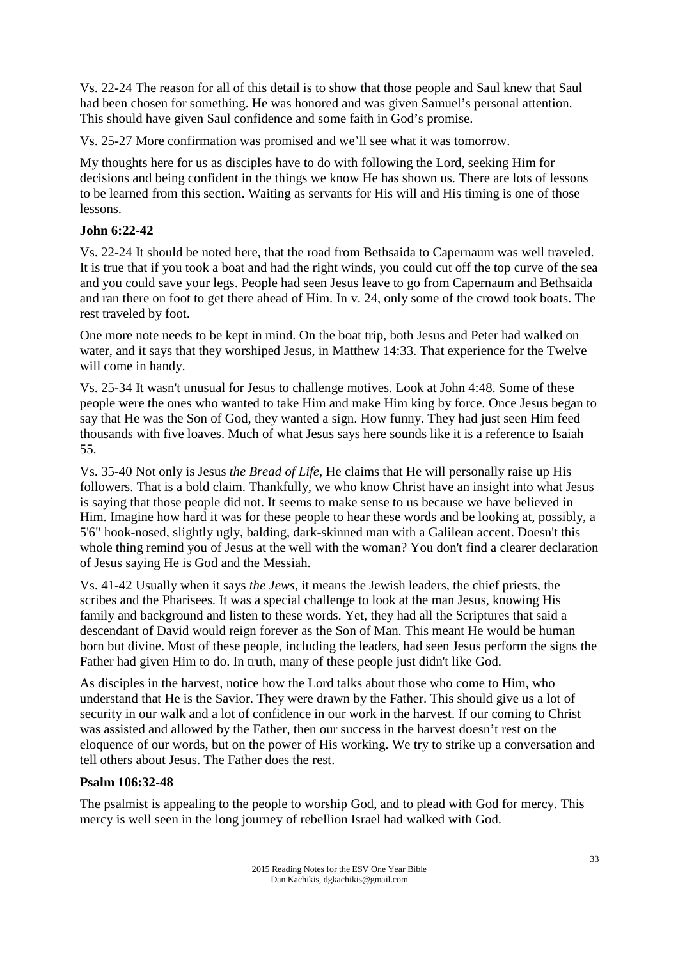Vs. 22-24 The reason for all of this detail is to show that those people and Saul knew that Saul had been chosen for something. He was honored and was given Samuel's personal attention. This should have given Saul confidence and some faith in God's promise.

Vs. 25-27 More confirmation was promised and we'll see what it was tomorrow.

My thoughts here for us as disciples have to do with following the Lord, seeking Him for decisions and being confident in the things we know He has shown us. There are lots of lessons to be learned from this section. Waiting as servants for His will and His timing is one of those lessons.

# **John 6:22-42**

Vs. 22-24 It should be noted here, that the road from Bethsaida to Capernaum was well traveled. It is true that if you took a boat and had the right winds, you could cut off the top curve of the sea and you could save your legs. People had seen Jesus leave to go from Capernaum and Bethsaida and ran there on foot to get there ahead of Him. In v. 24, only some of the crowd took boats. The rest traveled by foot.

One more note needs to be kept in mind. On the boat trip, both Jesus and Peter had walked on water, and it says that they worshiped Jesus, in Matthew 14:33. That experience for the Twelve will come in handy.

Vs. 25-34 It wasn't unusual for Jesus to challenge motives. Look at John 4:48. Some of these people were the ones who wanted to take Him and make Him king by force. Once Jesus began to say that He was the Son of God, they wanted a sign. How funny. They had just seen Him feed thousands with five loaves. Much of what Jesus says here sounds like it is a reference to Isaiah 55.

Vs. 35-40 Not only is Jesus *the Bread of Life*, He claims that He will personally raise up His followers. That is a bold claim. Thankfully, we who know Christ have an insight into what Jesus is saying that those people did not. It seems to make sense to us because we have believed in Him. Imagine how hard it was for these people to hear these words and be looking at, possibly, a 5'6" hook-nosed, slightly ugly, balding, dark-skinned man with a Galilean accent. Doesn't this whole thing remind you of Jesus at the well with the woman? You don't find a clearer declaration of Jesus saying He is God and the Messiah.

Vs. 41-42 Usually when it says *the Jews,* it means the Jewish leaders, the chief priests, the scribes and the Pharisees. It was a special challenge to look at the man Jesus, knowing His family and background and listen to these words. Yet, they had all the Scriptures that said a descendant of David would reign forever as the Son of Man. This meant He would be human born but divine. Most of these people, including the leaders, had seen Jesus perform the signs the Father had given Him to do. In truth, many of these people just didn't like God.

As disciples in the harvest, notice how the Lord talks about those who come to Him, who understand that He is the Savior. They were drawn by the Father. This should give us a lot of security in our walk and a lot of confidence in our work in the harvest. If our coming to Christ was assisted and allowed by the Father, then our success in the harvest doesn't rest on the eloquence of our words, but on the power of His working. We try to strike up a conversation and tell others about Jesus. The Father does the rest.

#### **Psalm 106:32-48**

The psalmist is appealing to the people to worship God, and to plead with God for mercy. This mercy is well seen in the long journey of rebellion Israel had walked with God.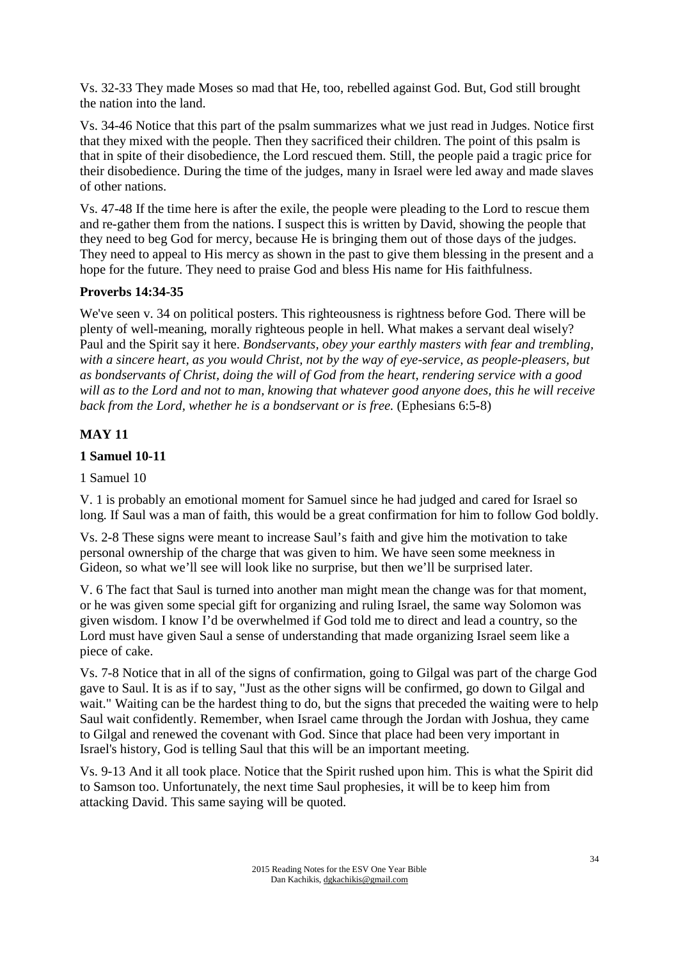Vs. 32-33 They made Moses so mad that He, too, rebelled against God. But, God still brought the nation into the land.

Vs. 34-46 Notice that this part of the psalm summarizes what we just read in Judges. Notice first that they mixed with the people. Then they sacrificed their children. The point of this psalm is that in spite of their disobedience, the Lord rescued them. Still, the people paid a tragic price for their disobedience. During the time of the judges, many in Israel were led away and made slaves of other nations.

Vs. 47-48 If the time here is after the exile, the people were pleading to the Lord to rescue them and re-gather them from the nations. I suspect this is written by David, showing the people that they need to beg God for mercy, because He is bringing them out of those days of the judges. They need to appeal to His mercy as shown in the past to give them blessing in the present and a hope for the future. They need to praise God and bless His name for His faithfulness.

### **Proverbs 14:34-35**

We've seen v. 34 on political posters. This righteousness is rightness before God. There will be plenty of well-meaning, morally righteous people in hell. What makes a servant deal wisely? Paul and the Spirit say it here. *Bondservants, obey your earthly masters with fear and trembling, with a sincere heart, as you would Christ, not by the way of eye-service, as people-pleasers, but as bondservants of Christ, doing the will of God from the heart, rendering service with a good will as to the Lord and not to man, knowing that whatever good anyone does, this he will receive back from the Lord, whether he is a bondservant or is free.* (Ephesians 6:5-8)

# **MAY 11**

### **1 Samuel 10-11**

1 Samuel 10

V. 1 is probably an emotional moment for Samuel since he had judged and cared for Israel so long. If Saul was a man of faith, this would be a great confirmation for him to follow God boldly.

Vs. 2-8 These signs were meant to increase Saul's faith and give him the motivation to take personal ownership of the charge that was given to him. We have seen some meekness in Gideon, so what we'll see will look like no surprise, but then we'll be surprised later.

V. 6 The fact that Saul is turned into another man might mean the change was for that moment, or he was given some special gift for organizing and ruling Israel, the same way Solomon was given wisdom. I know I'd be overwhelmed if God told me to direct and lead a country, so the Lord must have given Saul a sense of understanding that made organizing Israel seem like a piece of cake.

Vs. 7-8 Notice that in all of the signs of confirmation, going to Gilgal was part of the charge God gave to Saul. It is as if to say, "Just as the other signs will be confirmed, go down to Gilgal and wait." Waiting can be the hardest thing to do, but the signs that preceded the waiting were to help Saul wait confidently. Remember, when Israel came through the Jordan with Joshua, they came to Gilgal and renewed the covenant with God. Since that place had been very important in Israel's history, God is telling Saul that this will be an important meeting.

Vs. 9-13 And it all took place. Notice that the Spirit rushed upon him. This is what the Spirit did to Samson too. Unfortunately, the next time Saul prophesies, it will be to keep him from attacking David. This same saying will be quoted.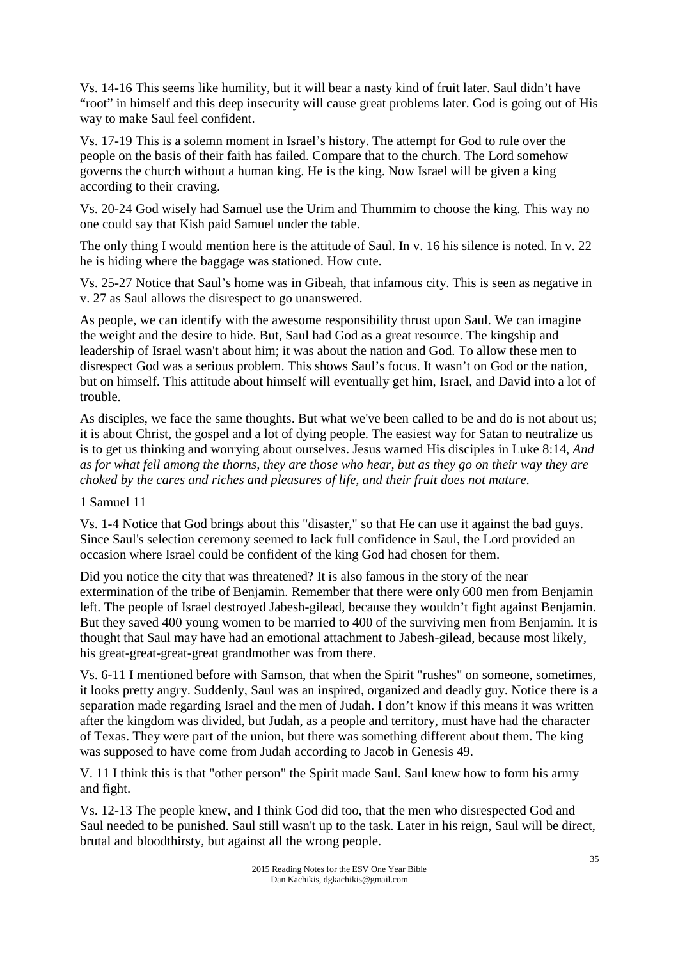Vs. 14-16 This seems like humility, but it will bear a nasty kind of fruit later. Saul didn't have "root" in himself and this deep insecurity will cause great problems later. God is going out of His way to make Saul feel confident.

Vs. 17-19 This is a solemn moment in Israel's history. The attempt for God to rule over the people on the basis of their faith has failed. Compare that to the church. The Lord somehow governs the church without a human king. He is the king. Now Israel will be given a king according to their craving.

Vs. 20-24 God wisely had Samuel use the Urim and Thummim to choose the king. This way no one could say that Kish paid Samuel under the table.

The only thing I would mention here is the attitude of Saul. In v. 16 his silence is noted. In v. 22 he is hiding where the baggage was stationed. How cute.

Vs. 25-27 Notice that Saul's home was in Gibeah, that infamous city. This is seen as negative in v. 27 as Saul allows the disrespect to go unanswered.

As people, we can identify with the awesome responsibility thrust upon Saul. We can imagine the weight and the desire to hide. But, Saul had God as a great resource. The kingship and leadership of Israel wasn't about him; it was about the nation and God. To allow these men to disrespect God was a serious problem. This shows Saul's focus. It wasn't on God or the nation, but on himself. This attitude about himself will eventually get him, Israel, and David into a lot of trouble.

As disciples, we face the same thoughts. But what we've been called to be and do is not about us; it is about Christ, the gospel and a lot of dying people. The easiest way for Satan to neutralize us is to get us thinking and worrying about ourselves. Jesus warned His disciples in Luke 8:14, *And as for what fell among the thorns, they are those who hear, but as they go on their way they are choked by the cares and riches and pleasures of life, and their fruit does not mature.* 

1 Samuel 11

Vs. 1-4 Notice that God brings about this "disaster," so that He can use it against the bad guys. Since Saul's selection ceremony seemed to lack full confidence in Saul, the Lord provided an occasion where Israel could be confident of the king God had chosen for them.

Did you notice the city that was threatened? It is also famous in the story of the near extermination of the tribe of Benjamin. Remember that there were only 600 men from Benjamin left. The people of Israel destroyed Jabesh-gilead, because they wouldn't fight against Benjamin. But they saved 400 young women to be married to 400 of the surviving men from Benjamin. It is thought that Saul may have had an emotional attachment to Jabesh-gilead, because most likely, his great-great-great-great grandmother was from there.

Vs. 6-11 I mentioned before with Samson, that when the Spirit "rushes" on someone, sometimes, it looks pretty angry. Suddenly, Saul was an inspired, organized and deadly guy. Notice there is a separation made regarding Israel and the men of Judah. I don't know if this means it was written after the kingdom was divided, but Judah, as a people and territory, must have had the character of Texas. They were part of the union, but there was something different about them. The king was supposed to have come from Judah according to Jacob in Genesis 49.

V. 11 I think this is that "other person" the Spirit made Saul. Saul knew how to form his army and fight.

Vs. 12-13 The people knew, and I think God did too, that the men who disrespected God and Saul needed to be punished. Saul still wasn't up to the task. Later in his reign, Saul will be direct, brutal and bloodthirsty, but against all the wrong people.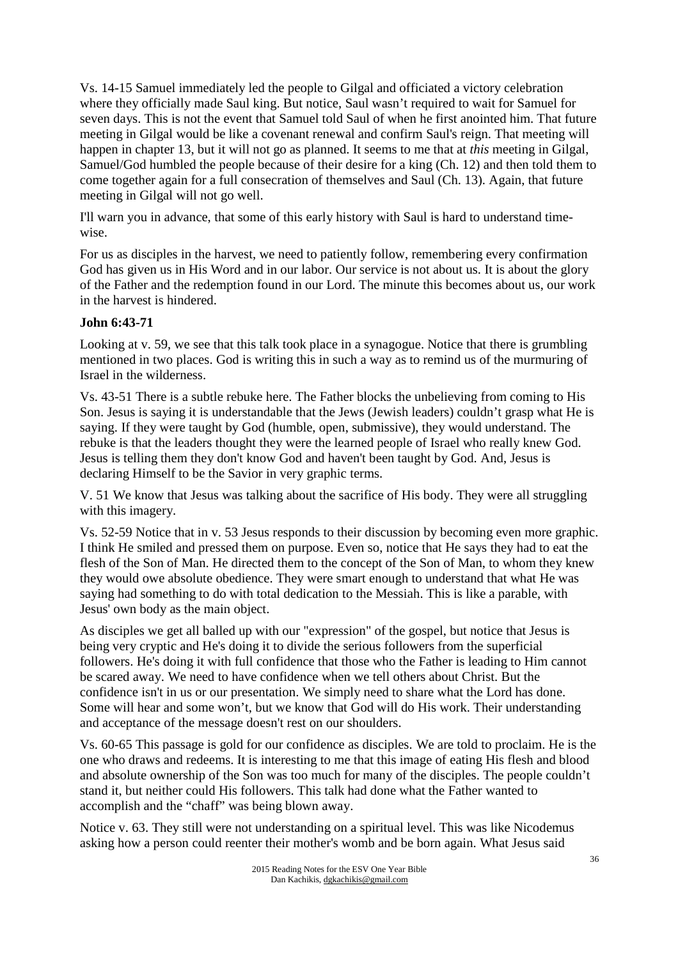Vs. 14-15 Samuel immediately led the people to Gilgal and officiated a victory celebration where they officially made Saul king. But notice, Saul wasn't required to wait for Samuel for seven days. This is not the event that Samuel told Saul of when he first anointed him. That future meeting in Gilgal would be like a covenant renewal and confirm Saul's reign. That meeting will happen in chapter 13, but it will not go as planned. It seems to me that at *this* meeting in Gilgal, Samuel/God humbled the people because of their desire for a king (Ch. 12) and then told them to come together again for a full consecration of themselves and Saul (Ch. 13). Again, that future meeting in Gilgal will not go well.

I'll warn you in advance, that some of this early history with Saul is hard to understand timewise.

For us as disciples in the harvest, we need to patiently follow, remembering every confirmation God has given us in His Word and in our labor. Our service is not about us. It is about the glory of the Father and the redemption found in our Lord. The minute this becomes about us, our work in the harvest is hindered.

# **John 6:43-71**

Looking at v. 59, we see that this talk took place in a synagogue. Notice that there is grumbling mentioned in two places. God is writing this in such a way as to remind us of the murmuring of Israel in the wilderness.

Vs. 43-51 There is a subtle rebuke here. The Father blocks the unbelieving from coming to His Son. Jesus is saying it is understandable that the Jews (Jewish leaders) couldn't grasp what He is saying. If they were taught by God (humble, open, submissive), they would understand. The rebuke is that the leaders thought they were the learned people of Israel who really knew God. Jesus is telling them they don't know God and haven't been taught by God. And, Jesus is declaring Himself to be the Savior in very graphic terms.

V. 51 We know that Jesus was talking about the sacrifice of His body. They were all struggling with this imagery.

Vs. 52-59 Notice that in v. 53 Jesus responds to their discussion by becoming even more graphic. I think He smiled and pressed them on purpose. Even so, notice that He says they had to eat the flesh of the Son of Man. He directed them to the concept of the Son of Man, to whom they knew they would owe absolute obedience. They were smart enough to understand that what He was saying had something to do with total dedication to the Messiah. This is like a parable, with Jesus' own body as the main object.

As disciples we get all balled up with our "expression" of the gospel, but notice that Jesus is being very cryptic and He's doing it to divide the serious followers from the superficial followers. He's doing it with full confidence that those who the Father is leading to Him cannot be scared away. We need to have confidence when we tell others about Christ. But the confidence isn't in us or our presentation. We simply need to share what the Lord has done. Some will hear and some won't, but we know that God will do His work. Their understanding and acceptance of the message doesn't rest on our shoulders.

Vs. 60-65 This passage is gold for our confidence as disciples. We are told to proclaim. He is the one who draws and redeems. It is interesting to me that this image of eating His flesh and blood and absolute ownership of the Son was too much for many of the disciples. The people couldn't stand it, but neither could His followers. This talk had done what the Father wanted to accomplish and the "chaff" was being blown away.

Notice v. 63. They still were not understanding on a spiritual level. This was like Nicodemus asking how a person could reenter their mother's womb and be born again. What Jesus said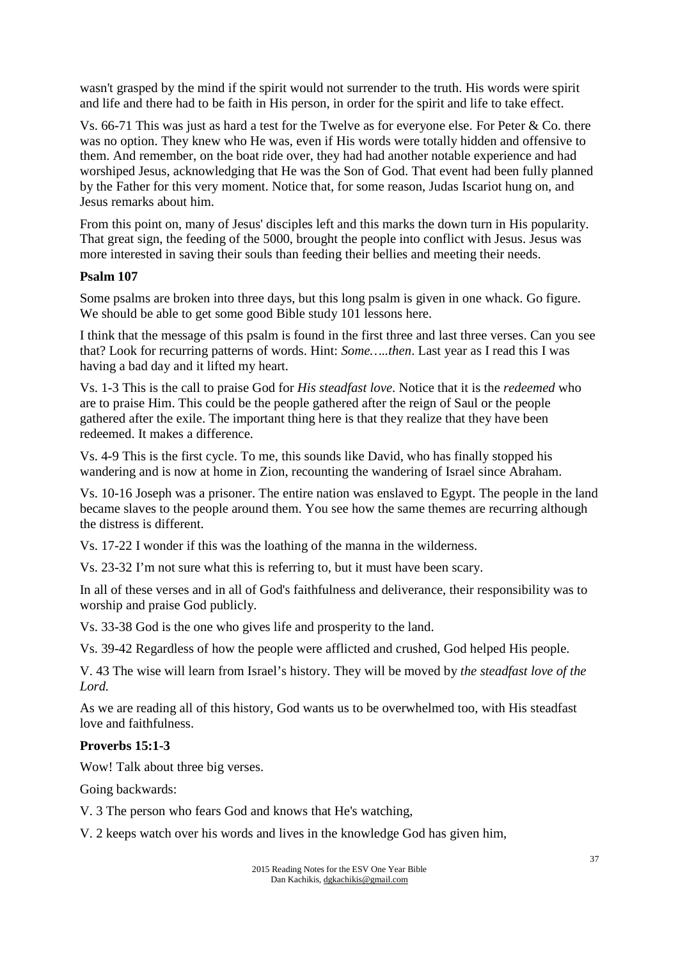wasn't grasped by the mind if the spirit would not surrender to the truth. His words were spirit and life and there had to be faith in His person, in order for the spirit and life to take effect.

Vs. 66-71 This was just as hard a test for the Twelve as for everyone else. For Peter & Co. there was no option. They knew who He was, even if His words were totally hidden and offensive to them. And remember, on the boat ride over, they had had another notable experience and had worshiped Jesus, acknowledging that He was the Son of God. That event had been fully planned by the Father for this very moment. Notice that, for some reason, Judas Iscariot hung on, and Jesus remarks about him.

From this point on, many of Jesus' disciples left and this marks the down turn in His popularity. That great sign, the feeding of the 5000, brought the people into conflict with Jesus. Jesus was more interested in saving their souls than feeding their bellies and meeting their needs.

#### **Psalm 107**

Some psalms are broken into three days, but this long psalm is given in one whack. Go figure. We should be able to get some good Bible study 101 lessons here.

I think that the message of this psalm is found in the first three and last three verses. Can you see that? Look for recurring patterns of words. Hint: *Some…..then*. Last year as I read this I was having a bad day and it lifted my heart.

Vs. 1-3 This is the call to praise God for *His steadfast love*. Notice that it is the *redeemed* who are to praise Him. This could be the people gathered after the reign of Saul or the people gathered after the exile. The important thing here is that they realize that they have been redeemed. It makes a difference.

Vs. 4-9 This is the first cycle. To me, this sounds like David, who has finally stopped his wandering and is now at home in Zion, recounting the wandering of Israel since Abraham.

Vs. 10-16 Joseph was a prisoner. The entire nation was enslaved to Egypt. The people in the land became slaves to the people around them. You see how the same themes are recurring although the distress is different.

Vs. 17-22 I wonder if this was the loathing of the manna in the wilderness.

Vs. 23-32 I'm not sure what this is referring to, but it must have been scary.

In all of these verses and in all of God's faithfulness and deliverance, their responsibility was to worship and praise God publicly.

Vs. 33-38 God is the one who gives life and prosperity to the land.

Vs. 39-42 Regardless of how the people were afflicted and crushed, God helped His people.

V. 43 The wise will learn from Israel's history. They will be moved by *the steadfast love of the Lord.*

As we are reading all of this history, God wants us to be overwhelmed too, with His steadfast love and faithfulness.

#### **Proverbs 15:1-3**

Wow! Talk about three big verses.

Going backwards:

V. 3 The person who fears God and knows that He's watching,

V. 2 keeps watch over his words and lives in the knowledge God has given him,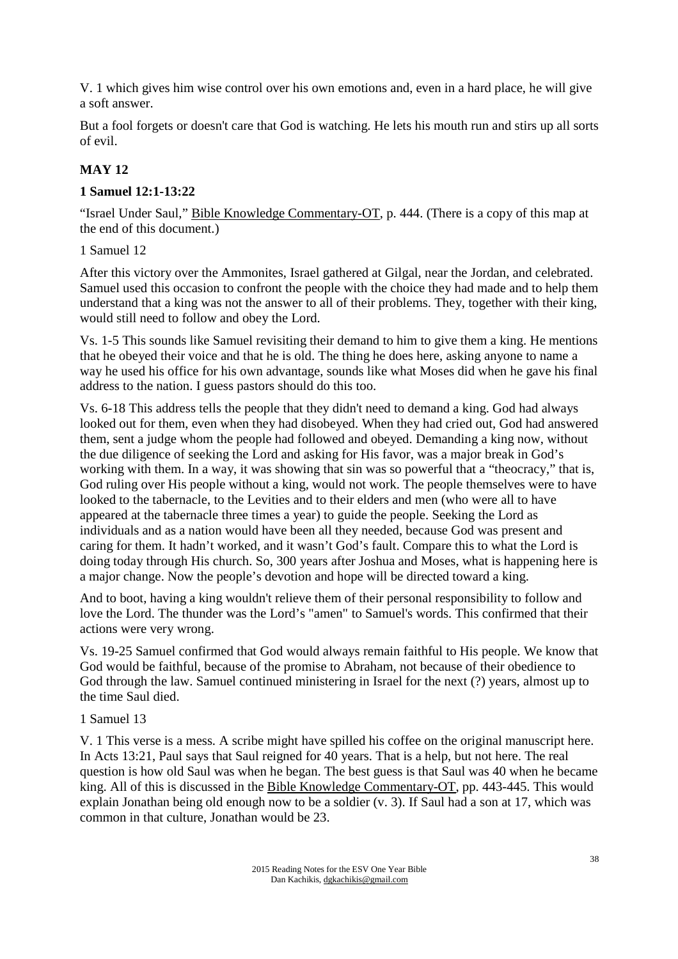V. 1 which gives him wise control over his own emotions and, even in a hard place, he will give a soft answer.

But a fool forgets or doesn't care that God is watching. He lets his mouth run and stirs up all sorts of evil.

# **MAY 12**

## **1 Samuel 12:1-13:22**

"Israel Under Saul," Bible Knowledge Commentary-OT, p. 444. (There is a copy of this map at the end of this document.)

### 1 Samuel 12

After this victory over the Ammonites, Israel gathered at Gilgal, near the Jordan, and celebrated. Samuel used this occasion to confront the people with the choice they had made and to help them understand that a king was not the answer to all of their problems. They, together with their king, would still need to follow and obey the Lord.

Vs. 1-5 This sounds like Samuel revisiting their demand to him to give them a king. He mentions that he obeyed their voice and that he is old. The thing he does here, asking anyone to name a way he used his office for his own advantage, sounds like what Moses did when he gave his final address to the nation. I guess pastors should do this too.

Vs. 6-18 This address tells the people that they didn't need to demand a king. God had always looked out for them, even when they had disobeyed. When they had cried out, God had answered them, sent a judge whom the people had followed and obeyed. Demanding a king now, without the due diligence of seeking the Lord and asking for His favor, was a major break in God's working with them. In a way, it was showing that sin was so powerful that a "theocracy," that is, God ruling over His people without a king, would not work. The people themselves were to have looked to the tabernacle, to the Levities and to their elders and men (who were all to have appeared at the tabernacle three times a year) to guide the people. Seeking the Lord as individuals and as a nation would have been all they needed, because God was present and caring for them. It hadn't worked, and it wasn't God's fault. Compare this to what the Lord is doing today through His church. So, 300 years after Joshua and Moses, what is happening here is a major change. Now the people's devotion and hope will be directed toward a king.

And to boot, having a king wouldn't relieve them of their personal responsibility to follow and love the Lord. The thunder was the Lord's "amen" to Samuel's words. This confirmed that their actions were very wrong.

Vs. 19-25 Samuel confirmed that God would always remain faithful to His people. We know that God would be faithful, because of the promise to Abraham, not because of their obedience to God through the law. Samuel continued ministering in Israel for the next (?) years, almost up to the time Saul died.

#### 1 Samuel 13

V. 1 This verse is a mess. A scribe might have spilled his coffee on the original manuscript here. In Acts 13:21, Paul says that Saul reigned for 40 years. That is a help, but not here. The real question is how old Saul was when he began. The best guess is that Saul was 40 when he became king. All of this is discussed in the Bible Knowledge Commentary-OT, pp. 443-445. This would explain Jonathan being old enough now to be a soldier (v. 3). If Saul had a son at 17, which was common in that culture, Jonathan would be 23.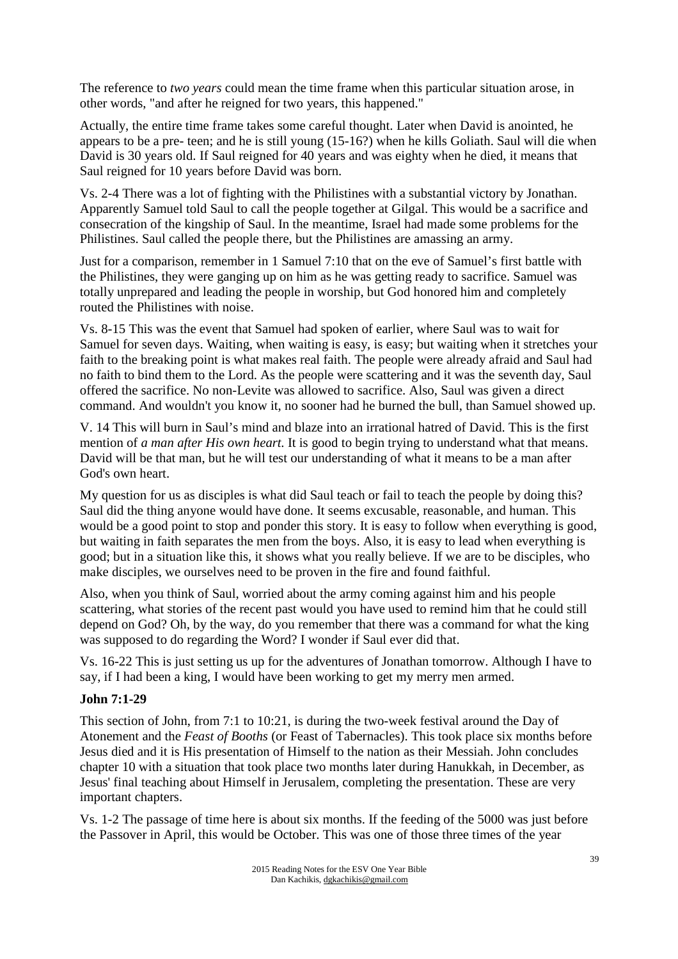The reference to *two years* could mean the time frame when this particular situation arose, in other words, "and after he reigned for two years, this happened."

Actually, the entire time frame takes some careful thought. Later when David is anointed, he appears to be a pre- teen; and he is still young (15-16?) when he kills Goliath. Saul will die when David is 30 years old. If Saul reigned for 40 years and was eighty when he died, it means that Saul reigned for 10 years before David was born.

Vs. 2-4 There was a lot of fighting with the Philistines with a substantial victory by Jonathan. Apparently Samuel told Saul to call the people together at Gilgal. This would be a sacrifice and consecration of the kingship of Saul. In the meantime, Israel had made some problems for the Philistines. Saul called the people there, but the Philistines are amassing an army.

Just for a comparison, remember in 1 Samuel 7:10 that on the eve of Samuel's first battle with the Philistines, they were ganging up on him as he was getting ready to sacrifice. Samuel was totally unprepared and leading the people in worship, but God honored him and completely routed the Philistines with noise.

Vs. 8-15 This was the event that Samuel had spoken of earlier, where Saul was to wait for Samuel for seven days. Waiting, when waiting is easy, is easy; but waiting when it stretches your faith to the breaking point is what makes real faith. The people were already afraid and Saul had no faith to bind them to the Lord. As the people were scattering and it was the seventh day, Saul offered the sacrifice. No non-Levite was allowed to sacrifice. Also, Saul was given a direct command. And wouldn't you know it, no sooner had he burned the bull, than Samuel showed up.

V. 14 This will burn in Saul's mind and blaze into an irrational hatred of David. This is the first mention of *a man after His own heart.* It is good to begin trying to understand what that means. David will be that man, but he will test our understanding of what it means to be a man after God's own heart.

My question for us as disciples is what did Saul teach or fail to teach the people by doing this? Saul did the thing anyone would have done. It seems excusable, reasonable, and human. This would be a good point to stop and ponder this story. It is easy to follow when everything is good, but waiting in faith separates the men from the boys. Also, it is easy to lead when everything is good; but in a situation like this, it shows what you really believe. If we are to be disciples, who make disciples, we ourselves need to be proven in the fire and found faithful.

Also, when you think of Saul, worried about the army coming against him and his people scattering, what stories of the recent past would you have used to remind him that he could still depend on God? Oh, by the way, do you remember that there was a command for what the king was supposed to do regarding the Word? I wonder if Saul ever did that.

Vs. 16-22 This is just setting us up for the adventures of Jonathan tomorrow. Although I have to say, if I had been a king, I would have been working to get my merry men armed.

## **John 7:1-29**

This section of John, from 7:1 to 10:21, is during the two-week festival around the Day of Atonement and the *Feast of Booths* (or Feast of Tabernacles). This took place six months before Jesus died and it is His presentation of Himself to the nation as their Messiah. John concludes chapter 10 with a situation that took place two months later during Hanukkah, in December, as Jesus' final teaching about Himself in Jerusalem, completing the presentation. These are very important chapters.

Vs. 1-2 The passage of time here is about six months. If the feeding of the 5000 was just before the Passover in April, this would be October. This was one of those three times of the year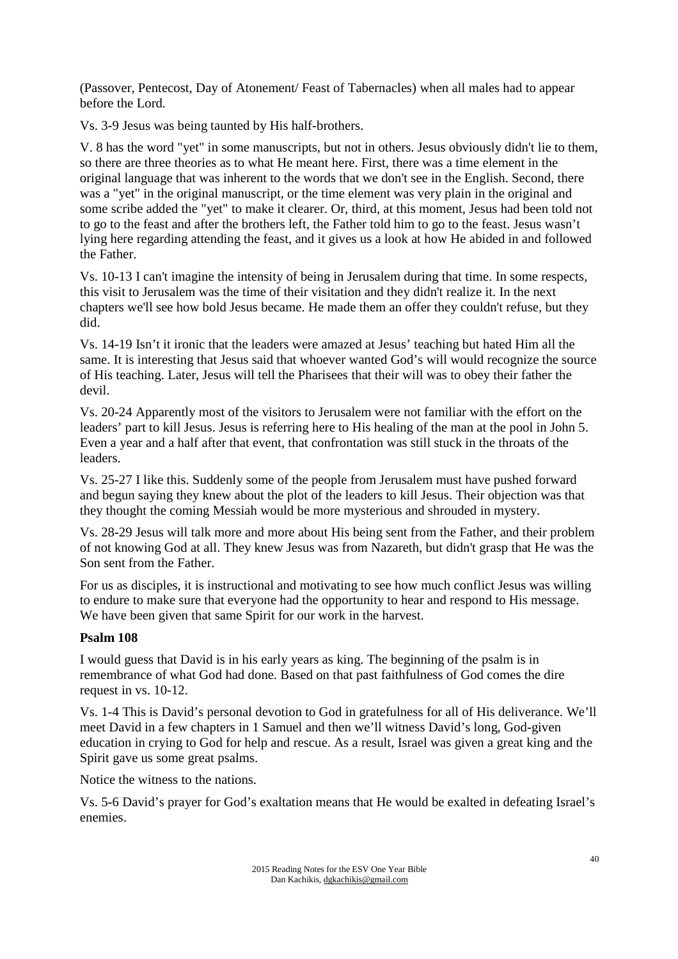(Passover, Pentecost, Day of Atonement/ Feast of Tabernacles) when all males had to appear before the Lord.

Vs. 3-9 Jesus was being taunted by His half-brothers.

V. 8 has the word "yet" in some manuscripts, but not in others. Jesus obviously didn't lie to them, so there are three theories as to what He meant here. First, there was a time element in the original language that was inherent to the words that we don't see in the English. Second, there was a "yet" in the original manuscript, or the time element was very plain in the original and some scribe added the "yet" to make it clearer. Or, third, at this moment, Jesus had been told not to go to the feast and after the brothers left, the Father told him to go to the feast. Jesus wasn't lying here regarding attending the feast, and it gives us a look at how He abided in and followed the Father.

Vs. 10-13 I can't imagine the intensity of being in Jerusalem during that time. In some respects, this visit to Jerusalem was the time of their visitation and they didn't realize it. In the next chapters we'll see how bold Jesus became. He made them an offer they couldn't refuse, but they did.

Vs. 14-19 Isn't it ironic that the leaders were amazed at Jesus' teaching but hated Him all the same. It is interesting that Jesus said that whoever wanted God's will would recognize the source of His teaching. Later, Jesus will tell the Pharisees that their will was to obey their father the devil.

Vs. 20-24 Apparently most of the visitors to Jerusalem were not familiar with the effort on the leaders' part to kill Jesus. Jesus is referring here to His healing of the man at the pool in John 5. Even a year and a half after that event, that confrontation was still stuck in the throats of the leaders.

Vs. 25-27 I like this. Suddenly some of the people from Jerusalem must have pushed forward and begun saying they knew about the plot of the leaders to kill Jesus. Their objection was that they thought the coming Messiah would be more mysterious and shrouded in mystery.

Vs. 28-29 Jesus will talk more and more about His being sent from the Father, and their problem of not knowing God at all. They knew Jesus was from Nazareth, but didn't grasp that He was the Son sent from the Father.

For us as disciples, it is instructional and motivating to see how much conflict Jesus was willing to endure to make sure that everyone had the opportunity to hear and respond to His message. We have been given that same Spirit for our work in the harvest.

## **Psalm 108**

I would guess that David is in his early years as king. The beginning of the psalm is in remembrance of what God had done. Based on that past faithfulness of God comes the dire request in vs. 10-12.

Vs. 1-4 This is David's personal devotion to God in gratefulness for all of His deliverance. We'll meet David in a few chapters in 1 Samuel and then we'll witness David's long, God-given education in crying to God for help and rescue. As a result, Israel was given a great king and the Spirit gave us some great psalms.

Notice the witness to the nations.

Vs. 5-6 David's prayer for God's exaltation means that He would be exalted in defeating Israel's enemies.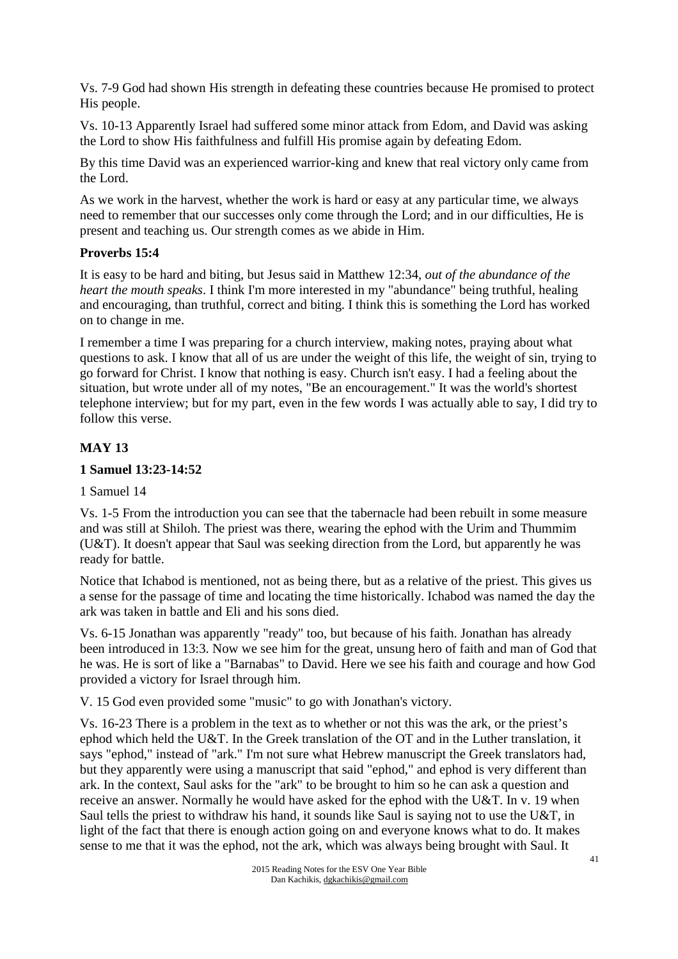Vs. 7-9 God had shown His strength in defeating these countries because He promised to protect His people.

Vs. 10-13 Apparently Israel had suffered some minor attack from Edom, and David was asking the Lord to show His faithfulness and fulfill His promise again by defeating Edom.

By this time David was an experienced warrior-king and knew that real victory only came from the Lord.

As we work in the harvest, whether the work is hard or easy at any particular time, we always need to remember that our successes only come through the Lord; and in our difficulties, He is present and teaching us. Our strength comes as we abide in Him.

# **Proverbs 15:4**

It is easy to be hard and biting, but Jesus said in Matthew 12:34, *out of the abundance of the heart the mouth speaks*. I think I'm more interested in my "abundance" being truthful, healing and encouraging, than truthful, correct and biting. I think this is something the Lord has worked on to change in me.

I remember a time I was preparing for a church interview, making notes, praying about what questions to ask. I know that all of us are under the weight of this life, the weight of sin, trying to go forward for Christ. I know that nothing is easy. Church isn't easy. I had a feeling about the situation, but wrote under all of my notes, "Be an encouragement." It was the world's shortest telephone interview; but for my part, even in the few words I was actually able to say, I did try to follow this verse.

# **MAY 13**

# **1 Samuel 13:23-14:52**

1 Samuel 14

Vs. 1-5 From the introduction you can see that the tabernacle had been rebuilt in some measure and was still at Shiloh. The priest was there, wearing the ephod with the Urim and Thummim (U&T). It doesn't appear that Saul was seeking direction from the Lord, but apparently he was ready for battle.

Notice that Ichabod is mentioned, not as being there, but as a relative of the priest. This gives us a sense for the passage of time and locating the time historically. Ichabod was named the day the ark was taken in battle and Eli and his sons died.

Vs. 6-15 Jonathan was apparently "ready" too, but because of his faith. Jonathan has already been introduced in 13:3. Now we see him for the great, unsung hero of faith and man of God that he was. He is sort of like a "Barnabas" to David. Here we see his faith and courage and how God provided a victory for Israel through him.

V. 15 God even provided some "music" to go with Jonathan's victory.

Vs. 16-23 There is a problem in the text as to whether or not this was the ark, or the priest's ephod which held the U&T. In the Greek translation of the OT and in the Luther translation, it says "ephod," instead of "ark." I'm not sure what Hebrew manuscript the Greek translators had, but they apparently were using a manuscript that said "ephod," and ephod is very different than ark. In the context, Saul asks for the "ark" to be brought to him so he can ask a question and receive an answer. Normally he would have asked for the ephod with the U&T. In v. 19 when Saul tells the priest to withdraw his hand, it sounds like Saul is saying not to use the U&T, in light of the fact that there is enough action going on and everyone knows what to do. It makes sense to me that it was the ephod, not the ark, which was always being brought with Saul. It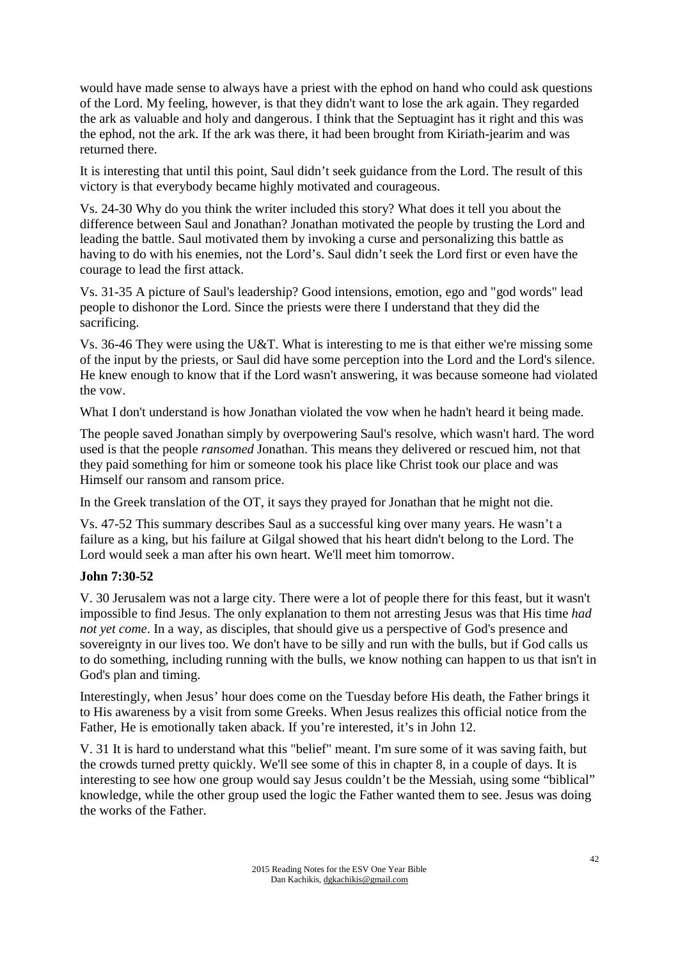would have made sense to always have a priest with the ephod on hand who could ask questions of the Lord. My feeling, however, is that they didn't want to lose the ark again. They regarded the ark as valuable and holy and dangerous. I think that the Septuagint has it right and this was the ephod, not the ark. If the ark was there, it had been brought from Kiriath-jearim and was returned there.

It is interesting that until this point, Saul didn't seek guidance from the Lord. The result of this victory is that everybody became highly motivated and courageous.

Vs. 24-30 Why do you think the writer included this story? What does it tell you about the difference between Saul and Jonathan? Jonathan motivated the people by trusting the Lord and leading the battle. Saul motivated them by invoking a curse and personalizing this battle as having to do with his enemies, not the Lord's. Saul didn't seek the Lord first or even have the courage to lead the first attack.

Vs. 31-35 A picture of Saul's leadership? Good intensions, emotion, ego and "god words" lead people to dishonor the Lord. Since the priests were there I understand that they did the sacrificing.

Vs. 36-46 They were using the U&T. What is interesting to me is that either we're missing some of the input by the priests, or Saul did have some perception into the Lord and the Lord's silence. He knew enough to know that if the Lord wasn't answering, it was because someone had violated the vow.

What I don't understand is how Jonathan violated the vow when he hadn't heard it being made.

The people saved Jonathan simply by overpowering Saul's resolve, which wasn't hard. The word used is that the people *ransomed* Jonathan. This means they delivered or rescued him, not that they paid something for him or someone took his place like Christ took our place and was Himself our ransom and ransom price.

In the Greek translation of the OT, it says they prayed for Jonathan that he might not die.

Vs. 47-52 This summary describes Saul as a successful king over many years. He wasn't a failure as a king, but his failure at Gilgal showed that his heart didn't belong to the Lord. The Lord would seek a man after his own heart. We'll meet him tomorrow.

## **John 7:30-52**

V. 30 Jerusalem was not a large city. There were a lot of people there for this feast, but it wasn't impossible to find Jesus. The only explanation to them not arresting Jesus was that His time *had not yet come*. In a way, as disciples, that should give us a perspective of God's presence and sovereignty in our lives too. We don't have to be silly and run with the bulls, but if God calls us to do something, including running with the bulls, we know nothing can happen to us that isn't in God's plan and timing.

Interestingly, when Jesus' hour does come on the Tuesday before His death, the Father brings it to His awareness by a visit from some Greeks. When Jesus realizes this official notice from the Father, He is emotionally taken aback. If you're interested, it's in John 12.

V. 31 It is hard to understand what this "belief" meant. I'm sure some of it was saving faith, but the crowds turned pretty quickly. We'll see some of this in chapter 8, in a couple of days. It is interesting to see how one group would say Jesus couldn't be the Messiah, using some "biblical" knowledge, while the other group used the logic the Father wanted them to see. Jesus was doing the works of the Father.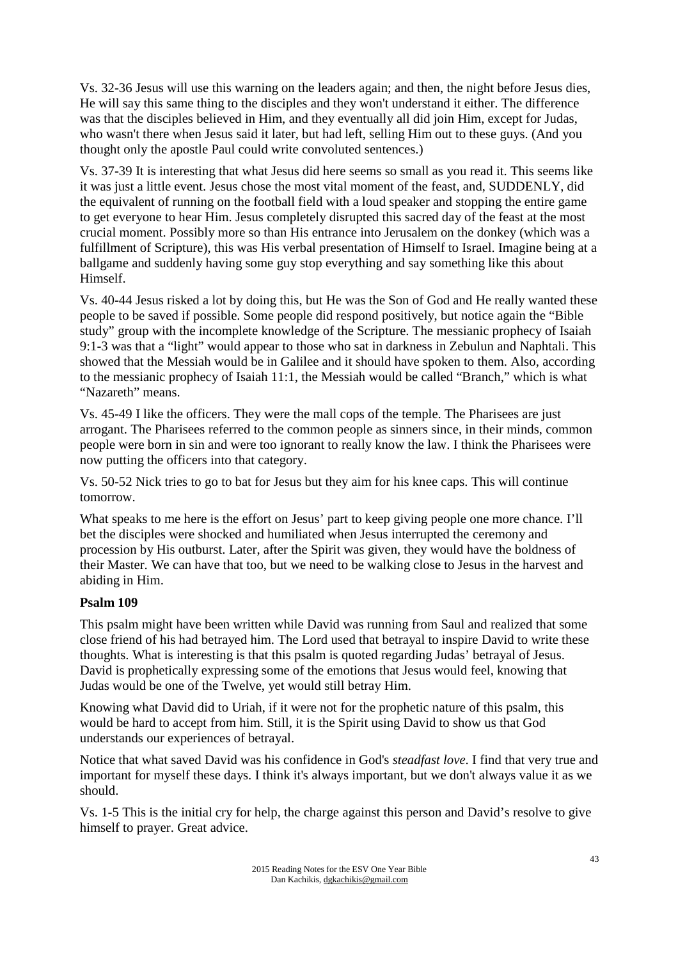Vs. 32-36 Jesus will use this warning on the leaders again; and then, the night before Jesus dies, He will say this same thing to the disciples and they won't understand it either. The difference was that the disciples believed in Him, and they eventually all did join Him, except for Judas, who wasn't there when Jesus said it later, but had left, selling Him out to these guys. (And you thought only the apostle Paul could write convoluted sentences.)

Vs. 37-39 It is interesting that what Jesus did here seems so small as you read it. This seems like it was just a little event. Jesus chose the most vital moment of the feast, and, SUDDENLY, did the equivalent of running on the football field with a loud speaker and stopping the entire game to get everyone to hear Him. Jesus completely disrupted this sacred day of the feast at the most crucial moment. Possibly more so than His entrance into Jerusalem on the donkey (which was a fulfillment of Scripture), this was His verbal presentation of Himself to Israel. Imagine being at a ballgame and suddenly having some guy stop everything and say something like this about Himself.

Vs. 40-44 Jesus risked a lot by doing this, but He was the Son of God and He really wanted these people to be saved if possible. Some people did respond positively, but notice again the "Bible study" group with the incomplete knowledge of the Scripture. The messianic prophecy of Isaiah 9:1-3 was that a "light" would appear to those who sat in darkness in Zebulun and Naphtali. This showed that the Messiah would be in Galilee and it should have spoken to them. Also, according to the messianic prophecy of Isaiah 11:1, the Messiah would be called "Branch," which is what "Nazareth" means.

Vs. 45-49 I like the officers. They were the mall cops of the temple. The Pharisees are just arrogant. The Pharisees referred to the common people as sinners since, in their minds, common people were born in sin and were too ignorant to really know the law. I think the Pharisees were now putting the officers into that category.

Vs. 50-52 Nick tries to go to bat for Jesus but they aim for his knee caps. This will continue tomorrow.

What speaks to me here is the effort on Jesus' part to keep giving people one more chance. I'll bet the disciples were shocked and humiliated when Jesus interrupted the ceremony and procession by His outburst. Later, after the Spirit was given, they would have the boldness of their Master. We can have that too, but we need to be walking close to Jesus in the harvest and abiding in Him.

#### **Psalm 109**

This psalm might have been written while David was running from Saul and realized that some close friend of his had betrayed him. The Lord used that betrayal to inspire David to write these thoughts. What is interesting is that this psalm is quoted regarding Judas' betrayal of Jesus. David is prophetically expressing some of the emotions that Jesus would feel, knowing that Judas would be one of the Twelve, yet would still betray Him.

Knowing what David did to Uriah, if it were not for the prophetic nature of this psalm, this would be hard to accept from him. Still, it is the Spirit using David to show us that God understands our experiences of betrayal.

Notice that what saved David was his confidence in God's *steadfast love*. I find that very true and important for myself these days. I think it's always important, but we don't always value it as we should.

Vs. 1-5 This is the initial cry for help, the charge against this person and David's resolve to give himself to prayer. Great advice.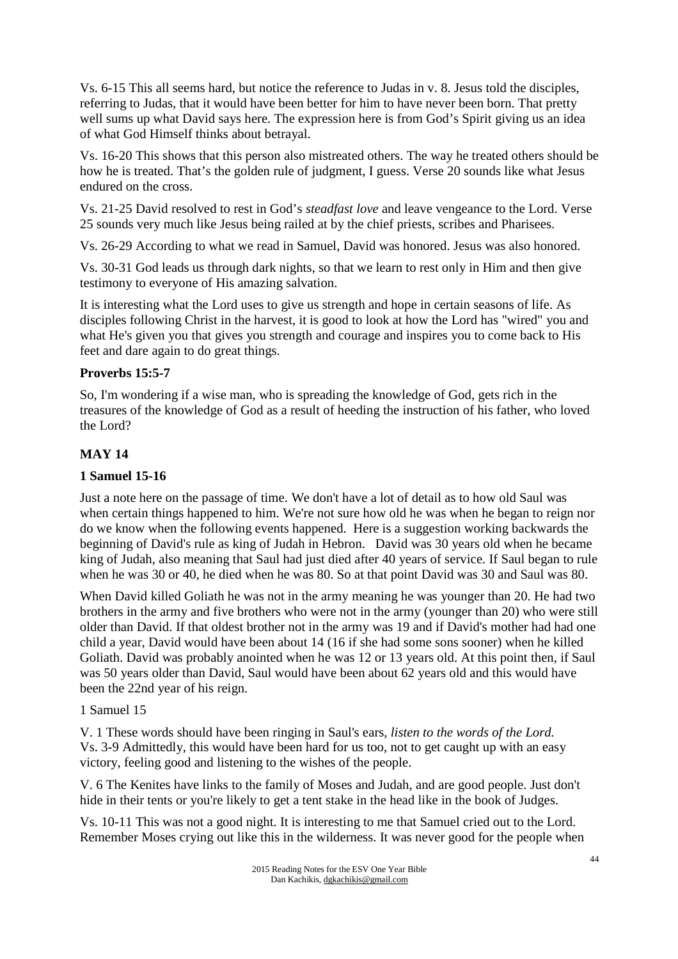Vs. 6-15 This all seems hard, but notice the reference to Judas in v. 8. Jesus told the disciples, referring to Judas, that it would have been better for him to have never been born. That pretty well sums up what David says here. The expression here is from God's Spirit giving us an idea of what God Himself thinks about betrayal.

Vs. 16-20 This shows that this person also mistreated others. The way he treated others should be how he is treated. That's the golden rule of judgment, I guess. Verse 20 sounds like what Jesus endured on the cross.

Vs. 21-25 David resolved to rest in God's *steadfast love* and leave vengeance to the Lord. Verse 25 sounds very much like Jesus being railed at by the chief priests, scribes and Pharisees.

Vs. 26-29 According to what we read in Samuel, David was honored. Jesus was also honored.

Vs. 30-31 God leads us through dark nights, so that we learn to rest only in Him and then give testimony to everyone of His amazing salvation.

It is interesting what the Lord uses to give us strength and hope in certain seasons of life. As disciples following Christ in the harvest, it is good to look at how the Lord has "wired" you and what He's given you that gives you strength and courage and inspires you to come back to His feet and dare again to do great things.

## **Proverbs 15:5-7**

So, I'm wondering if a wise man, who is spreading the knowledge of God, gets rich in the treasures of the knowledge of God as a result of heeding the instruction of his father, who loved the Lord?

### **MAY 14**

### **1 Samuel 15-16**

Just a note here on the passage of time. We don't have a lot of detail as to how old Saul was when certain things happened to him. We're not sure how old he was when he began to reign nor do we know when the following events happened. Here is a suggestion working backwards the beginning of David's rule as king of Judah in Hebron. David was 30 years old when he became king of Judah, also meaning that Saul had just died after 40 years of service. If Saul began to rule when he was 30 or 40, he died when he was 80. So at that point David was 30 and Saul was 80.

When David killed Goliath he was not in the army meaning he was younger than 20. He had two brothers in the army and five brothers who were not in the army (younger than 20) who were still older than David. If that oldest brother not in the army was 19 and if David's mother had had one child a year, David would have been about 14 (16 if she had some sons sooner) when he killed Goliath. David was probably anointed when he was 12 or 13 years old. At this point then, if Saul was 50 years older than David, Saul would have been about 62 years old and this would have been the 22nd year of his reign.

#### 1 Samuel 15

V. 1 These words should have been ringing in Saul's ears, *listen to the words of the Lord.* Vs. 3-9 Admittedly, this would have been hard for us too, not to get caught up with an easy victory, feeling good and listening to the wishes of the people.

V. 6 The Kenites have links to the family of Moses and Judah, and are good people. Just don't hide in their tents or you're likely to get a tent stake in the head like in the book of Judges.

Vs. 10-11 This was not a good night. It is interesting to me that Samuel cried out to the Lord. Remember Moses crying out like this in the wilderness. It was never good for the people when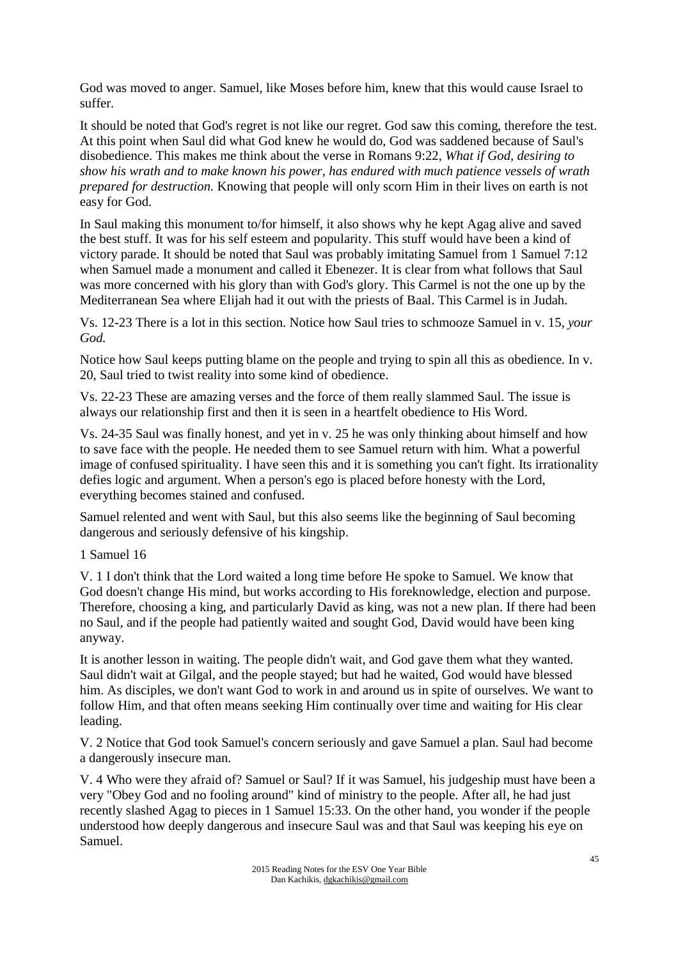God was moved to anger. Samuel, like Moses before him, knew that this would cause Israel to suffer.

It should be noted that God's regret is not like our regret. God saw this coming, therefore the test. At this point when Saul did what God knew he would do, God was saddened because of Saul's disobedience. This makes me think about the verse in Romans 9:22, *What if God, desiring to show his wrath and to make known his power, has endured with much patience vessels of wrath prepared for destruction.* Knowing that people will only scorn Him in their lives on earth is not easy for God.

In Saul making this monument to/for himself, it also shows why he kept Agag alive and saved the best stuff. It was for his self esteem and popularity. This stuff would have been a kind of victory parade. It should be noted that Saul was probably imitating Samuel from 1 Samuel 7:12 when Samuel made a monument and called it Ebenezer. It is clear from what follows that Saul was more concerned with his glory than with God's glory. This Carmel is not the one up by the Mediterranean Sea where Elijah had it out with the priests of Baal. This Carmel is in Judah.

Vs. 12-23 There is a lot in this section. Notice how Saul tries to schmooze Samuel in v. 15, *your God.*

Notice how Saul keeps putting blame on the people and trying to spin all this as obedience. In v. 20, Saul tried to twist reality into some kind of obedience.

Vs. 22-23 These are amazing verses and the force of them really slammed Saul. The issue is always our relationship first and then it is seen in a heartfelt obedience to His Word.

Vs. 24-35 Saul was finally honest, and yet in v. 25 he was only thinking about himself and how to save face with the people. He needed them to see Samuel return with him. What a powerful image of confused spirituality. I have seen this and it is something you can't fight. Its irrationality defies logic and argument. When a person's ego is placed before honesty with the Lord, everything becomes stained and confused.

Samuel relented and went with Saul, but this also seems like the beginning of Saul becoming dangerous and seriously defensive of his kingship.

1 Samuel 16

V. 1 I don't think that the Lord waited a long time before He spoke to Samuel. We know that God doesn't change His mind, but works according to His foreknowledge, election and purpose. Therefore, choosing a king, and particularly David as king, was not a new plan. If there had been no Saul, and if the people had patiently waited and sought God, David would have been king anyway.

It is another lesson in waiting. The people didn't wait, and God gave them what they wanted. Saul didn't wait at Gilgal, and the people stayed; but had he waited, God would have blessed him. As disciples, we don't want God to work in and around us in spite of ourselves. We want to follow Him, and that often means seeking Him continually over time and waiting for His clear leading.

V. 2 Notice that God took Samuel's concern seriously and gave Samuel a plan. Saul had become a dangerously insecure man.

V. 4 Who were they afraid of? Samuel or Saul? If it was Samuel, his judgeship must have been a very "Obey God and no fooling around" kind of ministry to the people. After all, he had just recently slashed Agag to pieces in 1 Samuel 15:33. On the other hand, you wonder if the people understood how deeply dangerous and insecure Saul was and that Saul was keeping his eye on Samuel.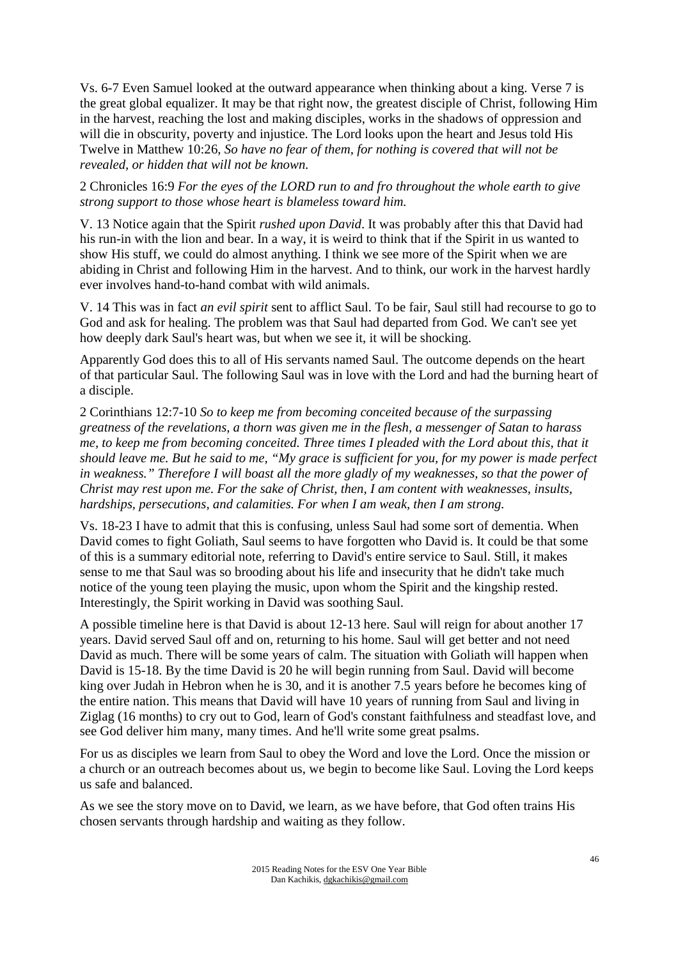Vs. 6-7 Even Samuel looked at the outward appearance when thinking about a king. Verse 7 is the great global equalizer. It may be that right now, the greatest disciple of Christ, following Him in the harvest, reaching the lost and making disciples, works in the shadows of oppression and will die in obscurity, poverty and injustice. The Lord looks upon the heart and Jesus told His Twelve in Matthew 10:26, *So have no fear of them, for nothing is covered that will not be revealed, or hidden that will not be known.* 

2 Chronicles 16:9 *For the eyes of the LORD run to and fro throughout the whole earth to give strong support to those whose heart is blameless toward him.*

V. 13 Notice again that the Spirit *rushed upon David*. It was probably after this that David had his run-in with the lion and bear. In a way, it is weird to think that if the Spirit in us wanted to show His stuff, we could do almost anything. I think we see more of the Spirit when we are abiding in Christ and following Him in the harvest. And to think, our work in the harvest hardly ever involves hand-to-hand combat with wild animals.

V. 14 This was in fact *an evil spirit* sent to afflict Saul. To be fair, Saul still had recourse to go to God and ask for healing. The problem was that Saul had departed from God. We can't see yet how deeply dark Saul's heart was, but when we see it, it will be shocking.

Apparently God does this to all of His servants named Saul. The outcome depends on the heart of that particular Saul. The following Saul was in love with the Lord and had the burning heart of a disciple.

2 Corinthians 12:7-10 *So to keep me from becoming conceited because of the surpassing greatness of the revelations, a thorn was given me in the flesh, a messenger of Satan to harass me, to keep me from becoming conceited. Three times I pleaded with the Lord about this, that it should leave me. But he said to me, "My grace is sufficient for you, for my power is made perfect in weakness." Therefore I will boast all the more gladly of my weaknesses, so that the power of Christ may rest upon me. For the sake of Christ, then, I am content with weaknesses, insults, hardships, persecutions, and calamities. For when I am weak, then I am strong.*

Vs. 18-23 I have to admit that this is confusing, unless Saul had some sort of dementia. When David comes to fight Goliath, Saul seems to have forgotten who David is. It could be that some of this is a summary editorial note, referring to David's entire service to Saul. Still, it makes sense to me that Saul was so brooding about his life and insecurity that he didn't take much notice of the young teen playing the music, upon whom the Spirit and the kingship rested. Interestingly, the Spirit working in David was soothing Saul.

A possible timeline here is that David is about 12-13 here. Saul will reign for about another 17 years. David served Saul off and on, returning to his home. Saul will get better and not need David as much. There will be some years of calm. The situation with Goliath will happen when David is 15-18. By the time David is 20 he will begin running from Saul. David will become king over Judah in Hebron when he is 30, and it is another 7.5 years before he becomes king of the entire nation. This means that David will have 10 years of running from Saul and living in Ziglag (16 months) to cry out to God, learn of God's constant faithfulness and steadfast love, and see God deliver him many, many times. And he'll write some great psalms.

For us as disciples we learn from Saul to obey the Word and love the Lord. Once the mission or a church or an outreach becomes about us, we begin to become like Saul. Loving the Lord keeps us safe and balanced.

As we see the story move on to David, we learn, as we have before, that God often trains His chosen servants through hardship and waiting as they follow.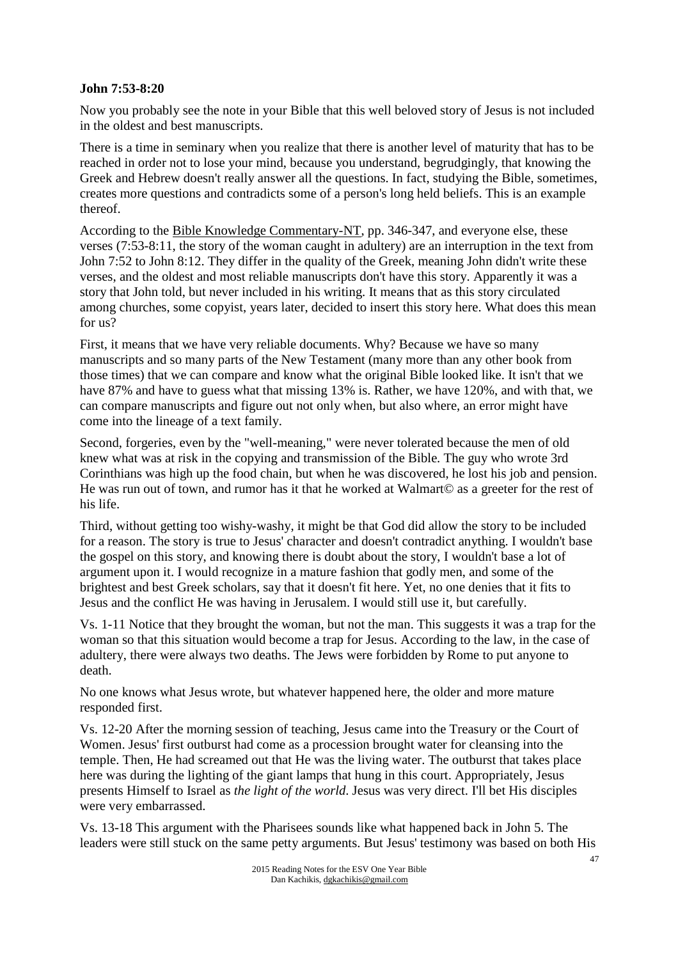### **John 7:53-8:20**

Now you probably see the note in your Bible that this well beloved story of Jesus is not included in the oldest and best manuscripts.

There is a time in seminary when you realize that there is another level of maturity that has to be reached in order not to lose your mind, because you understand, begrudgingly, that knowing the Greek and Hebrew doesn't really answer all the questions. In fact, studying the Bible, sometimes, creates more questions and contradicts some of a person's long held beliefs. This is an example thereof.

According to the Bible Knowledge Commentary-NT, pp. 346-347, and everyone else, these verses (7:53-8:11, the story of the woman caught in adultery) are an interruption in the text from John 7:52 to John 8:12. They differ in the quality of the Greek, meaning John didn't write these verses, and the oldest and most reliable manuscripts don't have this story. Apparently it was a story that John told, but never included in his writing. It means that as this story circulated among churches, some copyist, years later, decided to insert this story here. What does this mean for us?

First, it means that we have very reliable documents. Why? Because we have so many manuscripts and so many parts of the New Testament (many more than any other book from those times) that we can compare and know what the original Bible looked like. It isn't that we have 87% and have to guess what that missing 13% is. Rather, we have 120%, and with that, we can compare manuscripts and figure out not only when, but also where, an error might have come into the lineage of a text family.

Second, forgeries, even by the "well-meaning," were never tolerated because the men of old knew what was at risk in the copying and transmission of the Bible. The guy who wrote 3rd Corinthians was high up the food chain, but when he was discovered, he lost his job and pension. He was run out of town, and rumor has it that he worked at Walmart© as a greeter for the rest of his life.

Third, without getting too wishy-washy, it might be that God did allow the story to be included for a reason. The story is true to Jesus' character and doesn't contradict anything. I wouldn't base the gospel on this story, and knowing there is doubt about the story, I wouldn't base a lot of argument upon it. I would recognize in a mature fashion that godly men, and some of the brightest and best Greek scholars, say that it doesn't fit here. Yet, no one denies that it fits to Jesus and the conflict He was having in Jerusalem. I would still use it, but carefully.

Vs. 1-11 Notice that they brought the woman, but not the man. This suggests it was a trap for the woman so that this situation would become a trap for Jesus. According to the law, in the case of adultery, there were always two deaths. The Jews were forbidden by Rome to put anyone to death.

No one knows what Jesus wrote, but whatever happened here, the older and more mature responded first.

Vs. 12-20 After the morning session of teaching, Jesus came into the Treasury or the Court of Women. Jesus' first outburst had come as a procession brought water for cleansing into the temple. Then, He had screamed out that He was the living water. The outburst that takes place here was during the lighting of the giant lamps that hung in this court. Appropriately, Jesus presents Himself to Israel as *the light of the world*. Jesus was very direct. I'll bet His disciples were very embarrassed.

Vs. 13-18 This argument with the Pharisees sounds like what happened back in John 5. The leaders were still stuck on the same petty arguments. But Jesus' testimony was based on both His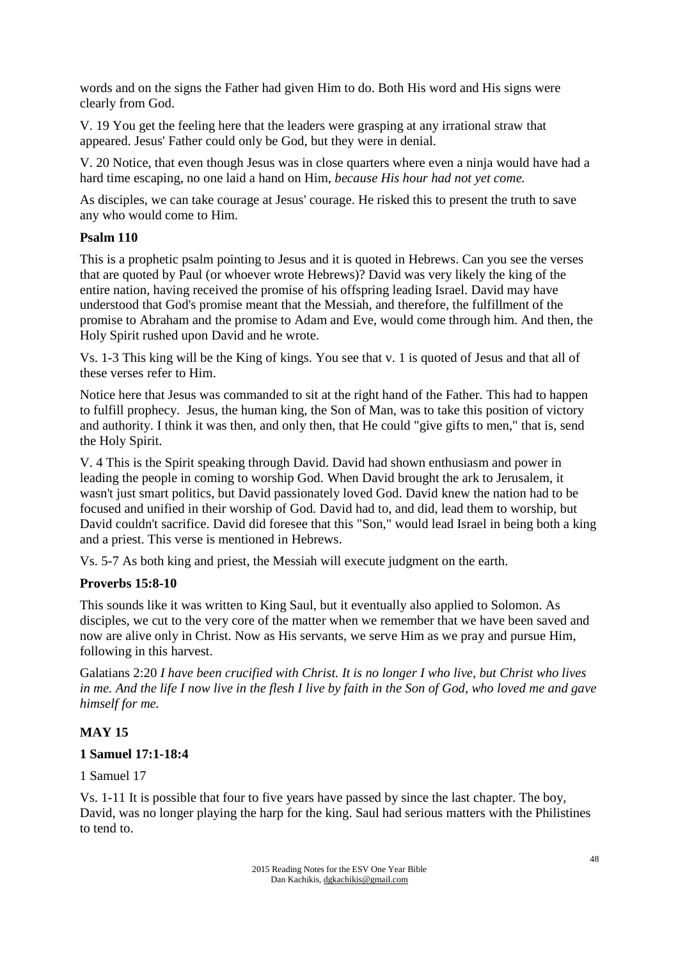words and on the signs the Father had given Him to do. Both His word and His signs were clearly from God.

V. 19 You get the feeling here that the leaders were grasping at any irrational straw that appeared. Jesus' Father could only be God, but they were in denial.

V. 20 Notice, that even though Jesus was in close quarters where even a ninja would have had a hard time escaping, no one laid a hand on Him, *because His hour had not yet come.*

As disciples, we can take courage at Jesus' courage. He risked this to present the truth to save any who would come to Him.

### **Psalm 110**

This is a prophetic psalm pointing to Jesus and it is quoted in Hebrews. Can you see the verses that are quoted by Paul (or whoever wrote Hebrews)? David was very likely the king of the entire nation, having received the promise of his offspring leading Israel. David may have understood that God's promise meant that the Messiah, and therefore, the fulfillment of the promise to Abraham and the promise to Adam and Eve, would come through him. And then, the Holy Spirit rushed upon David and he wrote.

Vs. 1-3 This king will be the King of kings. You see that v. 1 is quoted of Jesus and that all of these verses refer to Him.

Notice here that Jesus was commanded to sit at the right hand of the Father. This had to happen to fulfill prophecy. Jesus, the human king, the Son of Man, was to take this position of victory and authority. I think it was then, and only then, that He could "give gifts to men," that is, send the Holy Spirit.

V. 4 This is the Spirit speaking through David. David had shown enthusiasm and power in leading the people in coming to worship God. When David brought the ark to Jerusalem, it wasn't just smart politics, but David passionately loved God. David knew the nation had to be focused and unified in their worship of God. David had to, and did, lead them to worship, but David couldn't sacrifice. David did foresee that this "Son," would lead Israel in being both a king and a priest. This verse is mentioned in Hebrews.

Vs. 5-7 As both king and priest, the Messiah will execute judgment on the earth.

#### **Proverbs 15:8-10**

This sounds like it was written to King Saul, but it eventually also applied to Solomon. As disciples, we cut to the very core of the matter when we remember that we have been saved and now are alive only in Christ. Now as His servants, we serve Him as we pray and pursue Him, following in this harvest.

Galatians 2:20 *I have been crucified with Christ. It is no longer I who live, but Christ who lives in me. And the life I now live in the flesh I live by faith in the Son of God, who loved me and gave himself for me.* 

#### **MAY 15**

#### **1 Samuel 17:1-18:4**

1 Samuel 17

Vs. 1-11 It is possible that four to five years have passed by since the last chapter. The boy, David, was no longer playing the harp for the king. Saul had serious matters with the Philistines to tend to.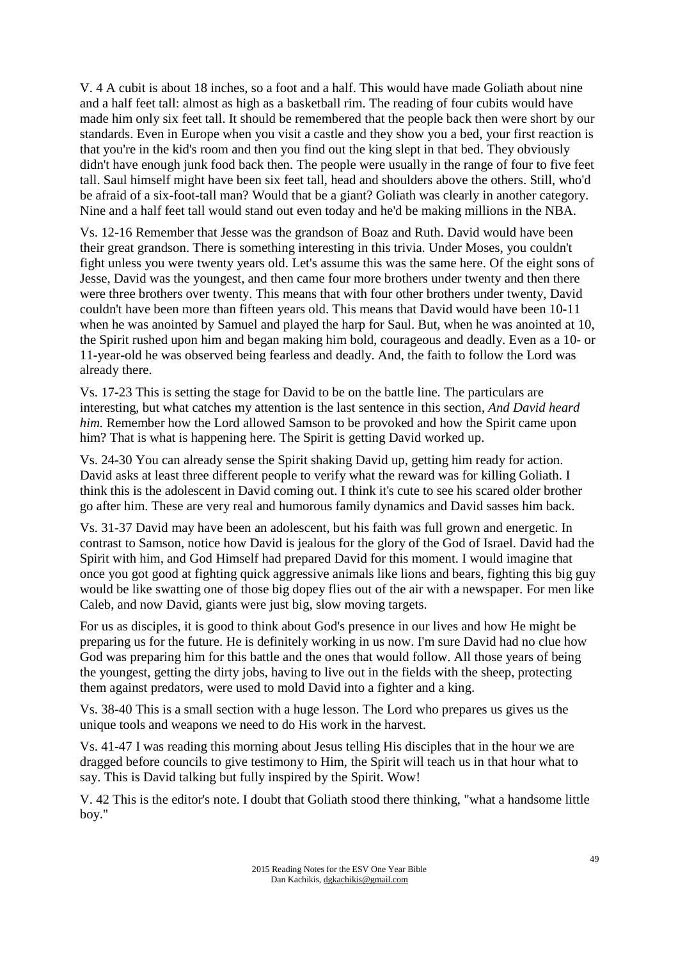V. 4 A cubit is about 18 inches, so a foot and a half. This would have made Goliath about nine and a half feet tall: almost as high as a basketball rim. The reading of four cubits would have made him only six feet tall. It should be remembered that the people back then were short by our standards. Even in Europe when you visit a castle and they show you a bed, your first reaction is that you're in the kid's room and then you find out the king slept in that bed. They obviously didn't have enough junk food back then. The people were usually in the range of four to five feet tall. Saul himself might have been six feet tall, head and shoulders above the others. Still, who'd be afraid of a six-foot-tall man? Would that be a giant? Goliath was clearly in another category. Nine and a half feet tall would stand out even today and he'd be making millions in the NBA.

Vs. 12-16 Remember that Jesse was the grandson of Boaz and Ruth. David would have been their great grandson. There is something interesting in this trivia. Under Moses, you couldn't fight unless you were twenty years old. Let's assume this was the same here. Of the eight sons of Jesse, David was the youngest, and then came four more brothers under twenty and then there were three brothers over twenty. This means that with four other brothers under twenty, David couldn't have been more than fifteen years old. This means that David would have been 10-11 when he was anointed by Samuel and played the harp for Saul. But, when he was anointed at 10, the Spirit rushed upon him and began making him bold, courageous and deadly. Even as a 10- or 11-year-old he was observed being fearless and deadly. And, the faith to follow the Lord was already there.

Vs. 17-23 This is setting the stage for David to be on the battle line. The particulars are interesting, but what catches my attention is the last sentence in this section, *And David heard him.* Remember how the Lord allowed Samson to be provoked and how the Spirit came upon him? That is what is happening here. The Spirit is getting David worked up.

Vs. 24-30 You can already sense the Spirit shaking David up, getting him ready for action. David asks at least three different people to verify what the reward was for killing Goliath. I think this is the adolescent in David coming out. I think it's cute to see his scared older brother go after him. These are very real and humorous family dynamics and David sasses him back.

Vs. 31-37 David may have been an adolescent, but his faith was full grown and energetic. In contrast to Samson, notice how David is jealous for the glory of the God of Israel. David had the Spirit with him, and God Himself had prepared David for this moment. I would imagine that once you got good at fighting quick aggressive animals like lions and bears, fighting this big guy would be like swatting one of those big dopey flies out of the air with a newspaper. For men like Caleb, and now David, giants were just big, slow moving targets.

For us as disciples, it is good to think about God's presence in our lives and how He might be preparing us for the future. He is definitely working in us now. I'm sure David had no clue how God was preparing him for this battle and the ones that would follow. All those years of being the youngest, getting the dirty jobs, having to live out in the fields with the sheep, protecting them against predators, were used to mold David into a fighter and a king.

Vs. 38-40 This is a small section with a huge lesson. The Lord who prepares us gives us the unique tools and weapons we need to do His work in the harvest.

Vs. 41-47 I was reading this morning about Jesus telling His disciples that in the hour we are dragged before councils to give testimony to Him, the Spirit will teach us in that hour what to say. This is David talking but fully inspired by the Spirit. Wow!

V. 42 This is the editor's note. I doubt that Goliath stood there thinking, "what a handsome little boy."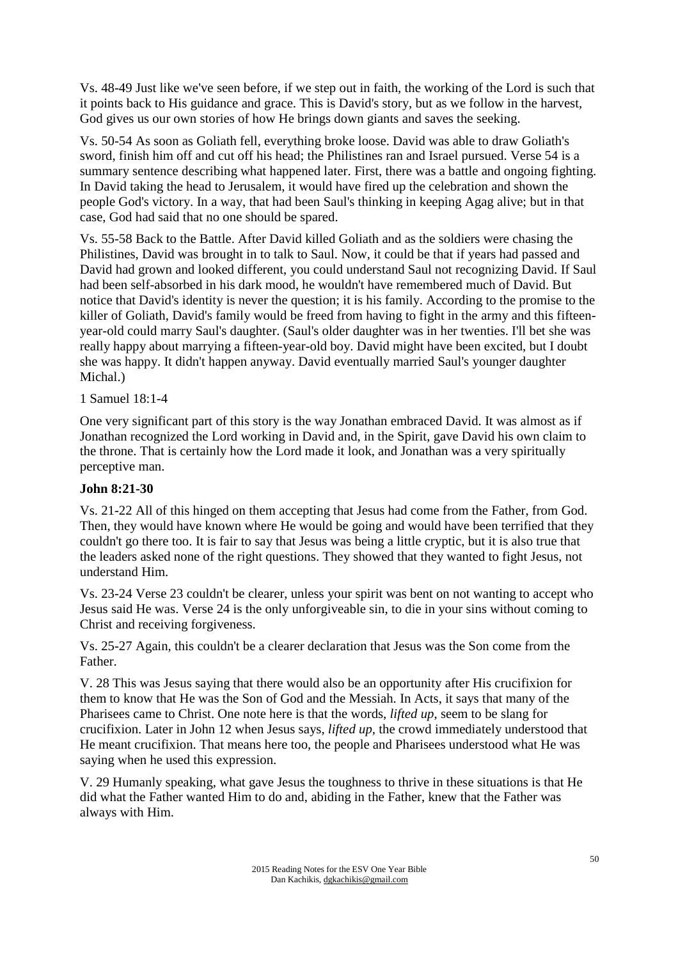Vs. 48-49 Just like we've seen before, if we step out in faith, the working of the Lord is such that it points back to His guidance and grace. This is David's story, but as we follow in the harvest, God gives us our own stories of how He brings down giants and saves the seeking.

Vs. 50-54 As soon as Goliath fell, everything broke loose. David was able to draw Goliath's sword, finish him off and cut off his head; the Philistines ran and Israel pursued. Verse 54 is a summary sentence describing what happened later. First, there was a battle and ongoing fighting. In David taking the head to Jerusalem, it would have fired up the celebration and shown the people God's victory. In a way, that had been Saul's thinking in keeping Agag alive; but in that case, God had said that no one should be spared.

Vs. 55-58 Back to the Battle. After David killed Goliath and as the soldiers were chasing the Philistines, David was brought in to talk to Saul. Now, it could be that if years had passed and David had grown and looked different, you could understand Saul not recognizing David. If Saul had been self-absorbed in his dark mood, he wouldn't have remembered much of David. But notice that David's identity is never the question; it is his family. According to the promise to the killer of Goliath, David's family would be freed from having to fight in the army and this fifteenyear-old could marry Saul's daughter. (Saul's older daughter was in her twenties. I'll bet she was really happy about marrying a fifteen-year-old boy. David might have been excited, but I doubt she was happy. It didn't happen anyway. David eventually married Saul's younger daughter Michal.)

### 1 Samuel 18:1-4

One very significant part of this story is the way Jonathan embraced David. It was almost as if Jonathan recognized the Lord working in David and, in the Spirit, gave David his own claim to the throne. That is certainly how the Lord made it look, and Jonathan was a very spiritually perceptive man.

#### **John 8:21-30**

Vs. 21-22 All of this hinged on them accepting that Jesus had come from the Father, from God. Then, they would have known where He would be going and would have been terrified that they couldn't go there too. It is fair to say that Jesus was being a little cryptic, but it is also true that the leaders asked none of the right questions. They showed that they wanted to fight Jesus, not understand Him.

Vs. 23-24 Verse 23 couldn't be clearer, unless your spirit was bent on not wanting to accept who Jesus said He was. Verse 24 is the only unforgiveable sin, to die in your sins without coming to Christ and receiving forgiveness.

Vs. 25-27 Again, this couldn't be a clearer declaration that Jesus was the Son come from the Father.

V. 28 This was Jesus saying that there would also be an opportunity after His crucifixion for them to know that He was the Son of God and the Messiah. In Acts, it says that many of the Pharisees came to Christ. One note here is that the words, *lifted up*, seem to be slang for crucifixion. Later in John 12 when Jesus says, *lifted up,* the crowd immediately understood that He meant crucifixion. That means here too, the people and Pharisees understood what He was saying when he used this expression.

V. 29 Humanly speaking, what gave Jesus the toughness to thrive in these situations is that He did what the Father wanted Him to do and, abiding in the Father, knew that the Father was always with Him.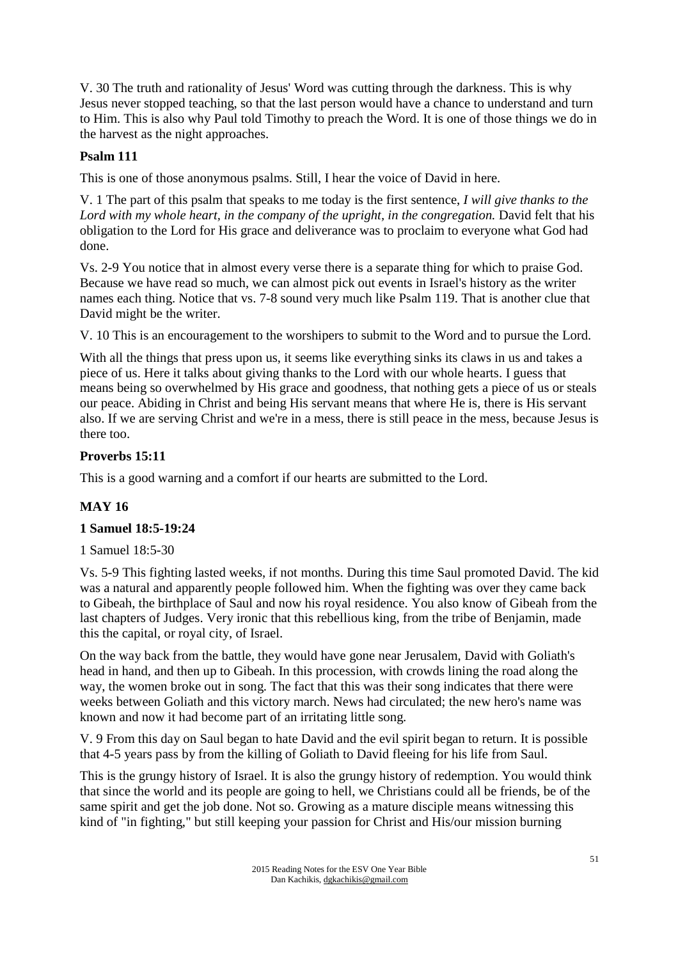V. 30 The truth and rationality of Jesus' Word was cutting through the darkness. This is why Jesus never stopped teaching, so that the last person would have a chance to understand and turn to Him. This is also why Paul told Timothy to preach the Word. It is one of those things we do in the harvest as the night approaches.

## **Psalm 111**

This is one of those anonymous psalms. Still, I hear the voice of David in here.

V. 1 The part of this psalm that speaks to me today is the first sentence, *I will give thanks to the Lord with my whole heart, in the company of the upright, in the congregation.* David felt that his obligation to the Lord for His grace and deliverance was to proclaim to everyone what God had done.

Vs. 2-9 You notice that in almost every verse there is a separate thing for which to praise God. Because we have read so much, we can almost pick out events in Israel's history as the writer names each thing. Notice that vs. 7-8 sound very much like Psalm 119. That is another clue that David might be the writer.

V. 10 This is an encouragement to the worshipers to submit to the Word and to pursue the Lord.

With all the things that press upon us, it seems like everything sinks its claws in us and takes a piece of us. Here it talks about giving thanks to the Lord with our whole hearts. I guess that means being so overwhelmed by His grace and goodness, that nothing gets a piece of us or steals our peace. Abiding in Christ and being His servant means that where He is, there is His servant also. If we are serving Christ and we're in a mess, there is still peace in the mess, because Jesus is there too.

## **Proverbs 15:11**

This is a good warning and a comfort if our hearts are submitted to the Lord.

# **MAY 16**

## **1 Samuel 18:5-19:24**

1 Samuel 18:5-30

Vs. 5-9 This fighting lasted weeks, if not months. During this time Saul promoted David. The kid was a natural and apparently people followed him. When the fighting was over they came back to Gibeah, the birthplace of Saul and now his royal residence. You also know of Gibeah from the last chapters of Judges. Very ironic that this rebellious king, from the tribe of Benjamin, made this the capital, or royal city, of Israel.

On the way back from the battle, they would have gone near Jerusalem, David with Goliath's head in hand, and then up to Gibeah. In this procession, with crowds lining the road along the way, the women broke out in song. The fact that this was their song indicates that there were weeks between Goliath and this victory march. News had circulated; the new hero's name was known and now it had become part of an irritating little song.

V. 9 From this day on Saul began to hate David and the evil spirit began to return. It is possible that 4-5 years pass by from the killing of Goliath to David fleeing for his life from Saul.

This is the grungy history of Israel. It is also the grungy history of redemption. You would think that since the world and its people are going to hell, we Christians could all be friends, be of the same spirit and get the job done. Not so. Growing as a mature disciple means witnessing this kind of "in fighting," but still keeping your passion for Christ and His/our mission burning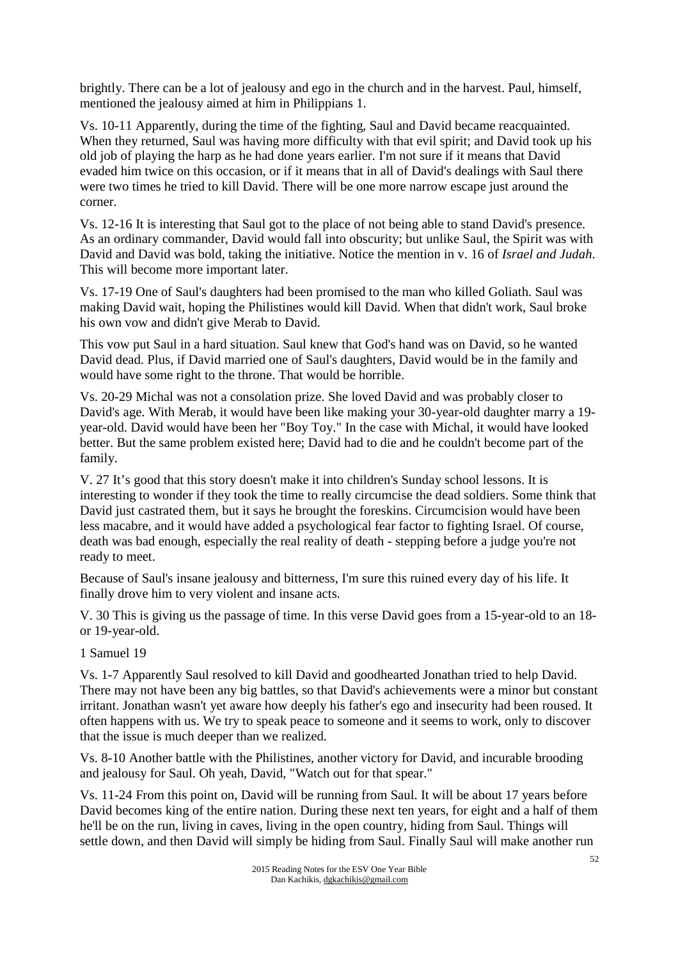brightly. There can be a lot of jealousy and ego in the church and in the harvest. Paul, himself, mentioned the jealousy aimed at him in Philippians 1.

Vs. 10-11 Apparently, during the time of the fighting, Saul and David became reacquainted. When they returned, Saul was having more difficulty with that evil spirit; and David took up his old job of playing the harp as he had done years earlier. I'm not sure if it means that David evaded him twice on this occasion, or if it means that in all of David's dealings with Saul there were two times he tried to kill David. There will be one more narrow escape just around the corner.

Vs. 12-16 It is interesting that Saul got to the place of not being able to stand David's presence. As an ordinary commander, David would fall into obscurity; but unlike Saul, the Spirit was with David and David was bold, taking the initiative. Notice the mention in v. 16 of *Israel and Judah*. This will become more important later.

Vs. 17-19 One of Saul's daughters had been promised to the man who killed Goliath. Saul was making David wait, hoping the Philistines would kill David. When that didn't work, Saul broke his own vow and didn't give Merab to David.

This vow put Saul in a hard situation. Saul knew that God's hand was on David, so he wanted David dead. Plus, if David married one of Saul's daughters, David would be in the family and would have some right to the throne. That would be horrible.

Vs. 20-29 Michal was not a consolation prize. She loved David and was probably closer to David's age. With Merab, it would have been like making your 30-year-old daughter marry a 19 year-old. David would have been her "Boy Toy." In the case with Michal, it would have looked better. But the same problem existed here; David had to die and he couldn't become part of the family.

V. 27 It's good that this story doesn't make it into children's Sunday school lessons. It is interesting to wonder if they took the time to really circumcise the dead soldiers. Some think that David just castrated them, but it says he brought the foreskins. Circumcision would have been less macabre, and it would have added a psychological fear factor to fighting Israel. Of course, death was bad enough, especially the real reality of death - stepping before a judge you're not ready to meet.

Because of Saul's insane jealousy and bitterness, I'm sure this ruined every day of his life. It finally drove him to very violent and insane acts.

V. 30 This is giving us the passage of time. In this verse David goes from a 15-year-old to an 18 or 19-year-old.

## 1 Samuel 19

Vs. 1-7 Apparently Saul resolved to kill David and goodhearted Jonathan tried to help David. There may not have been any big battles, so that David's achievements were a minor but constant irritant. Jonathan wasn't yet aware how deeply his father's ego and insecurity had been roused. It often happens with us. We try to speak peace to someone and it seems to work, only to discover that the issue is much deeper than we realized.

Vs. 8-10 Another battle with the Philistines, another victory for David, and incurable brooding and jealousy for Saul. Oh yeah, David, "Watch out for that spear."

Vs. 11-24 From this point on, David will be running from Saul. It will be about 17 years before David becomes king of the entire nation. During these next ten years, for eight and a half of them he'll be on the run, living in caves, living in the open country, hiding from Saul. Things will settle down, and then David will simply be hiding from Saul. Finally Saul will make another run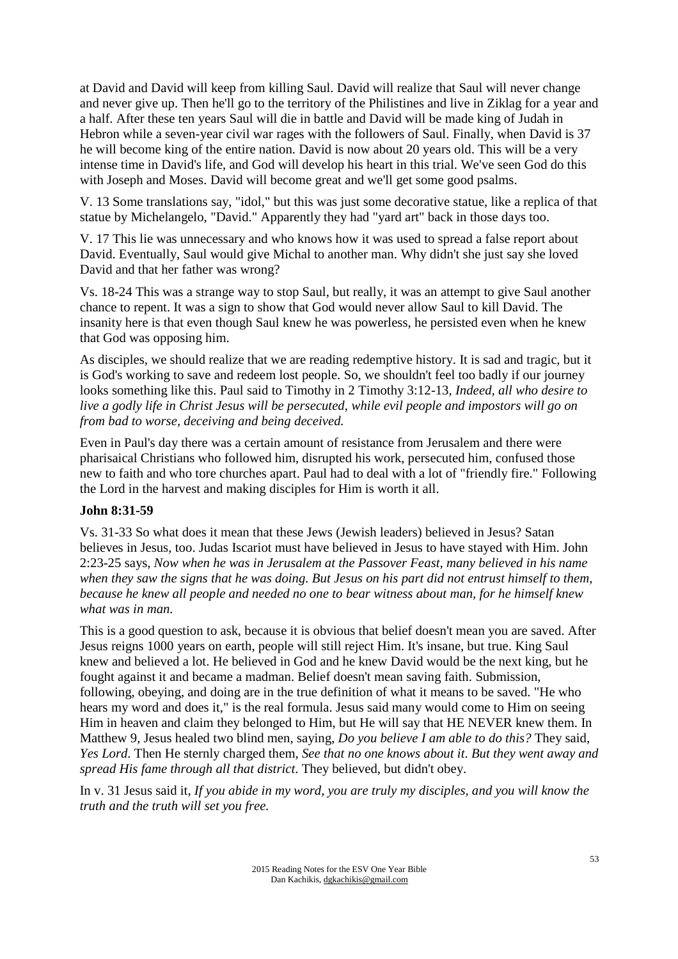at David and David will keep from killing Saul. David will realize that Saul will never change and never give up. Then he'll go to the territory of the Philistines and live in Ziklag for a year and a half. After these ten years Saul will die in battle and David will be made king of Judah in Hebron while a seven-year civil war rages with the followers of Saul. Finally, when David is 37 he will become king of the entire nation. David is now about 20 years old. This will be a very intense time in David's life, and God will develop his heart in this trial. We've seen God do this with Joseph and Moses. David will become great and we'll get some good psalms.

V. 13 Some translations say, "idol," but this was just some decorative statue, like a replica of that statue by Michelangelo, "David." Apparently they had "yard art" back in those days too.

V. 17 This lie was unnecessary and who knows how it was used to spread a false report about David. Eventually, Saul would give Michal to another man. Why didn't she just say she loved David and that her father was wrong?

Vs. 18-24 This was a strange way to stop Saul, but really, it was an attempt to give Saul another chance to repent. It was a sign to show that God would never allow Saul to kill David. The insanity here is that even though Saul knew he was powerless, he persisted even when he knew that God was opposing him.

As disciples, we should realize that we are reading redemptive history. It is sad and tragic, but it is God's working to save and redeem lost people. So, we shouldn't feel too badly if our journey looks something like this. Paul said to Timothy in 2 Timothy 3:12-13*, Indeed, all who desire to live a godly life in Christ Jesus will be persecuted, while evil people and impostors will go on from bad to worse, deceiving and being deceived.* 

Even in Paul's day there was a certain amount of resistance from Jerusalem and there were pharisaical Christians who followed him, disrupted his work, persecuted him, confused those new to faith and who tore churches apart. Paul had to deal with a lot of "friendly fire." Following the Lord in the harvest and making disciples for Him is worth it all.

## **John 8:31-59**

Vs. 31-33 So what does it mean that these Jews (Jewish leaders) believed in Jesus? Satan believes in Jesus, too. Judas Iscariot must have believed in Jesus to have stayed with Him. John 2:23-25 says, *Now when he was in Jerusalem at the Passover Feast, many believed in his name when they saw the signs that he was doing. But Jesus on his part did not entrust himself to them, because he knew all people and needed no one to bear witness about man, for he himself knew what was in man.* 

This is a good question to ask, because it is obvious that belief doesn't mean you are saved. After Jesus reigns 1000 years on earth, people will still reject Him. It's insane, but true. King Saul knew and believed a lot. He believed in God and he knew David would be the next king, but he fought against it and became a madman. Belief doesn't mean saving faith. Submission, following, obeying, and doing are in the true definition of what it means to be saved. "He who hears my word and does it," is the real formula. Jesus said many would come to Him on seeing Him in heaven and claim they belonged to Him, but He will say that HE NEVER knew them. In Matthew 9, Jesus healed two blind men, saying, *Do you believe I am able to do this?* They said, *Yes Lord*. Then He sternly charged them, *See that no one knows about it*. *But they went away and spread His fame through all that district*. They believed, but didn't obey.

In v. 31 Jesus said it, *If you abide in my word, you are truly my disciples, and you will know the truth and the truth will set you free.*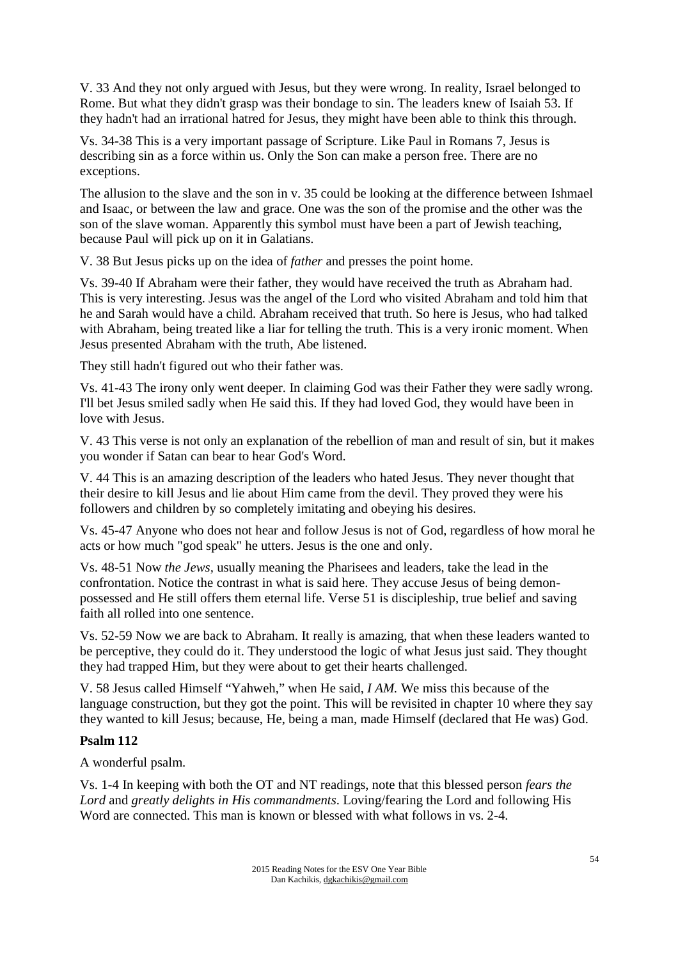V. 33 And they not only argued with Jesus, but they were wrong. In reality, Israel belonged to Rome. But what they didn't grasp was their bondage to sin. The leaders knew of Isaiah 53. If they hadn't had an irrational hatred for Jesus, they might have been able to think this through.

Vs. 34-38 This is a very important passage of Scripture. Like Paul in Romans 7, Jesus is describing sin as a force within us. Only the Son can make a person free. There are no exceptions.

The allusion to the slave and the son in v. 35 could be looking at the difference between Ishmael and Isaac, or between the law and grace. One was the son of the promise and the other was the son of the slave woman. Apparently this symbol must have been a part of Jewish teaching, because Paul will pick up on it in Galatians.

V. 38 But Jesus picks up on the idea of *father* and presses the point home.

Vs. 39-40 If Abraham were their father, they would have received the truth as Abraham had. This is very interesting. Jesus was the angel of the Lord who visited Abraham and told him that he and Sarah would have a child. Abraham received that truth. So here is Jesus, who had talked with Abraham, being treated like a liar for telling the truth. This is a very ironic moment. When Jesus presented Abraham with the truth, Abe listened.

They still hadn't figured out who their father was.

Vs. 41-43 The irony only went deeper. In claiming God was their Father they were sadly wrong. I'll bet Jesus smiled sadly when He said this. If they had loved God, they would have been in love with Jesus.

V. 43 This verse is not only an explanation of the rebellion of man and result of sin, but it makes you wonder if Satan can bear to hear God's Word.

V. 44 This is an amazing description of the leaders who hated Jesus. They never thought that their desire to kill Jesus and lie about Him came from the devil. They proved they were his followers and children by so completely imitating and obeying his desires.

Vs. 45-47 Anyone who does not hear and follow Jesus is not of God, regardless of how moral he acts or how much "god speak" he utters. Jesus is the one and only.

Vs. 48-51 Now *the Jews,* usually meaning the Pharisees and leaders, take the lead in the confrontation. Notice the contrast in what is said here. They accuse Jesus of being demonpossessed and He still offers them eternal life. Verse 51 is discipleship, true belief and saving faith all rolled into one sentence.

Vs. 52-59 Now we are back to Abraham. It really is amazing, that when these leaders wanted to be perceptive, they could do it. They understood the logic of what Jesus just said. They thought they had trapped Him, but they were about to get their hearts challenged.

V. 58 Jesus called Himself "Yahweh," when He said, *I AM.* We miss this because of the language construction, but they got the point. This will be revisited in chapter 10 where they say they wanted to kill Jesus; because, He, being a man, made Himself (declared that He was) God.

## **Psalm 112**

A wonderful psalm.

Vs. 1-4 In keeping with both the OT and NT readings, note that this blessed person *fears the Lord* and *greatly delights in His commandments*. Loving/fearing the Lord and following His Word are connected. This man is known or blessed with what follows in vs. 2-4.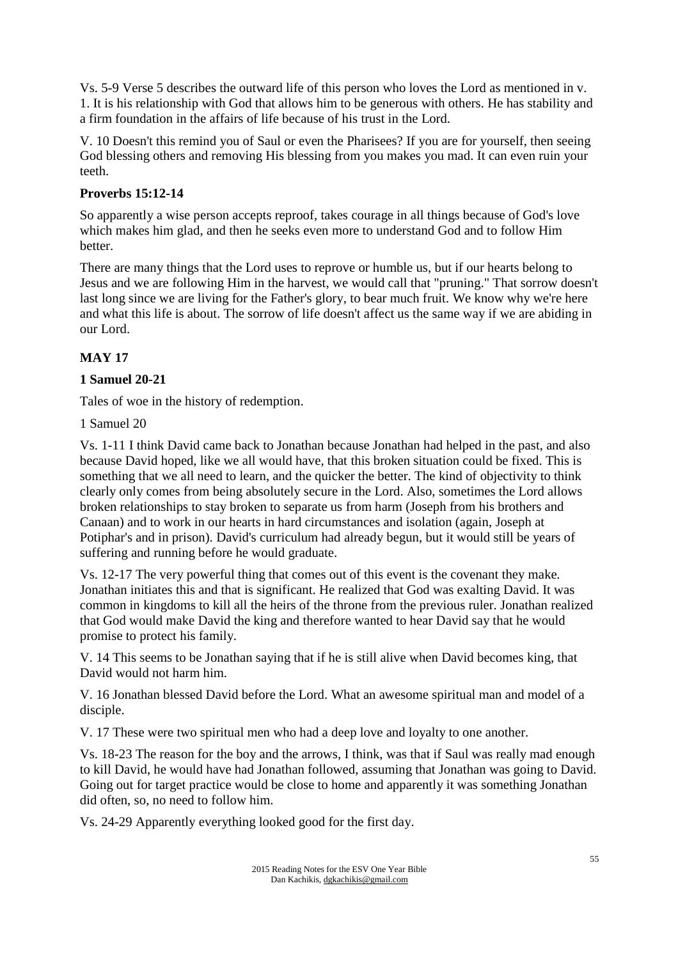Vs. 5-9 Verse 5 describes the outward life of this person who loves the Lord as mentioned in v. 1. It is his relationship with God that allows him to be generous with others. He has stability and a firm foundation in the affairs of life because of his trust in the Lord.

V. 10 Doesn't this remind you of Saul or even the Pharisees? If you are for yourself, then seeing God blessing others and removing His blessing from you makes you mad. It can even ruin your teeth.

# **Proverbs 15:12-14**

So apparently a wise person accepts reproof, takes courage in all things because of God's love which makes him glad, and then he seeks even more to understand God and to follow Him better.

There are many things that the Lord uses to reprove or humble us, but if our hearts belong to Jesus and we are following Him in the harvest, we would call that "pruning." That sorrow doesn't last long since we are living for the Father's glory, to bear much fruit. We know why we're here and what this life is about. The sorrow of life doesn't affect us the same way if we are abiding in our Lord.

# **MAY 17**

# **1 Samuel 20-21**

Tales of woe in the history of redemption.

1 Samuel 20

Vs. 1-11 I think David came back to Jonathan because Jonathan had helped in the past, and also because David hoped, like we all would have, that this broken situation could be fixed. This is something that we all need to learn, and the quicker the better. The kind of objectivity to think clearly only comes from being absolutely secure in the Lord. Also, sometimes the Lord allows broken relationships to stay broken to separate us from harm (Joseph from his brothers and Canaan) and to work in our hearts in hard circumstances and isolation (again, Joseph at Potiphar's and in prison). David's curriculum had already begun, but it would still be years of suffering and running before he would graduate.

Vs. 12-17 The very powerful thing that comes out of this event is the covenant they make. Jonathan initiates this and that is significant. He realized that God was exalting David. It was common in kingdoms to kill all the heirs of the throne from the previous ruler. Jonathan realized that God would make David the king and therefore wanted to hear David say that he would promise to protect his family.

V. 14 This seems to be Jonathan saying that if he is still alive when David becomes king, that David would not harm him.

V. 16 Jonathan blessed David before the Lord. What an awesome spiritual man and model of a disciple.

V. 17 These were two spiritual men who had a deep love and loyalty to one another.

Vs. 18-23 The reason for the boy and the arrows, I think, was that if Saul was really mad enough to kill David, he would have had Jonathan followed, assuming that Jonathan was going to David. Going out for target practice would be close to home and apparently it was something Jonathan did often, so, no need to follow him.

Vs. 24-29 Apparently everything looked good for the first day.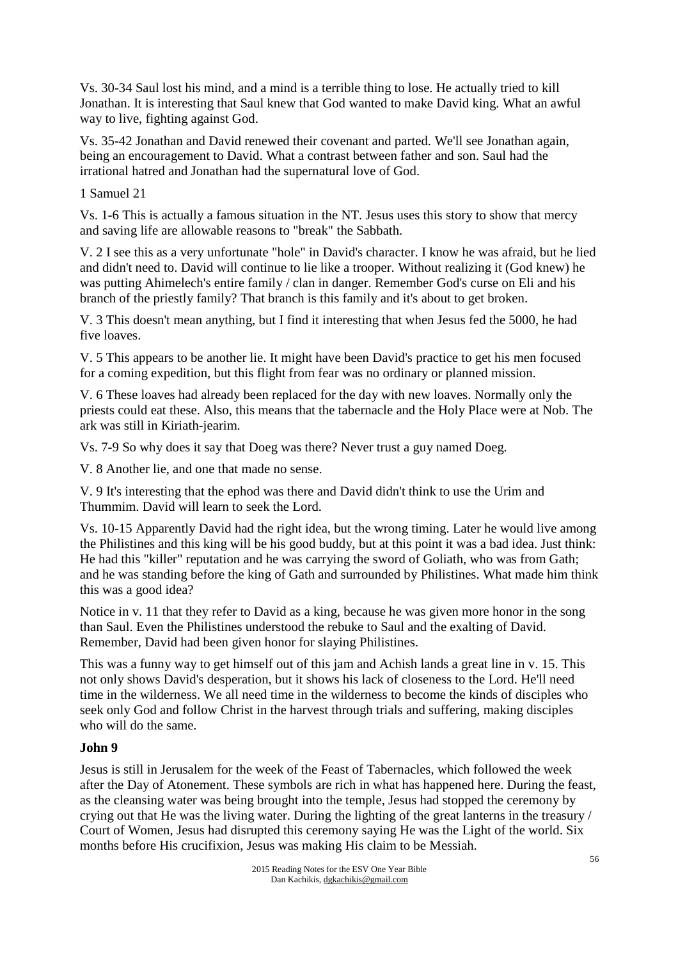Vs. 30-34 Saul lost his mind, and a mind is a terrible thing to lose. He actually tried to kill Jonathan. It is interesting that Saul knew that God wanted to make David king. What an awful way to live, fighting against God.

Vs. 35-42 Jonathan and David renewed their covenant and parted. We'll see Jonathan again, being an encouragement to David. What a contrast between father and son. Saul had the irrational hatred and Jonathan had the supernatural love of God.

1 Samuel 21

Vs. 1-6 This is actually a famous situation in the NT. Jesus uses this story to show that mercy and saving life are allowable reasons to "break" the Sabbath.

V. 2 I see this as a very unfortunate "hole" in David's character. I know he was afraid, but he lied and didn't need to. David will continue to lie like a trooper. Without realizing it (God knew) he was putting Ahimelech's entire family / clan in danger. Remember God's curse on Eli and his branch of the priestly family? That branch is this family and it's about to get broken.

V. 3 This doesn't mean anything, but I find it interesting that when Jesus fed the 5000, he had five loaves.

V. 5 This appears to be another lie. It might have been David's practice to get his men focused for a coming expedition, but this flight from fear was no ordinary or planned mission.

V. 6 These loaves had already been replaced for the day with new loaves. Normally only the priests could eat these. Also, this means that the tabernacle and the Holy Place were at Nob. The ark was still in Kiriath-jearim.

Vs. 7-9 So why does it say that Doeg was there? Never trust a guy named Doeg.

V. 8 Another lie, and one that made no sense.

V. 9 It's interesting that the ephod was there and David didn't think to use the Urim and Thummim. David will learn to seek the Lord.

Vs. 10-15 Apparently David had the right idea, but the wrong timing. Later he would live among the Philistines and this king will be his good buddy, but at this point it was a bad idea. Just think: He had this "killer" reputation and he was carrying the sword of Goliath, who was from Gath; and he was standing before the king of Gath and surrounded by Philistines. What made him think this was a good idea?

Notice in v. 11 that they refer to David as a king, because he was given more honor in the song than Saul. Even the Philistines understood the rebuke to Saul and the exalting of David. Remember, David had been given honor for slaying Philistines.

This was a funny way to get himself out of this jam and Achish lands a great line in v. 15. This not only shows David's desperation, but it shows his lack of closeness to the Lord. He'll need time in the wilderness. We all need time in the wilderness to become the kinds of disciples who seek only God and follow Christ in the harvest through trials and suffering, making disciples who will do the same.

#### **John 9**

Jesus is still in Jerusalem for the week of the Feast of Tabernacles, which followed the week after the Day of Atonement. These symbols are rich in what has happened here. During the feast, as the cleansing water was being brought into the temple, Jesus had stopped the ceremony by crying out that He was the living water. During the lighting of the great lanterns in the treasury / Court of Women, Jesus had disrupted this ceremony saying He was the Light of the world. Six months before His crucifixion, Jesus was making His claim to be Messiah.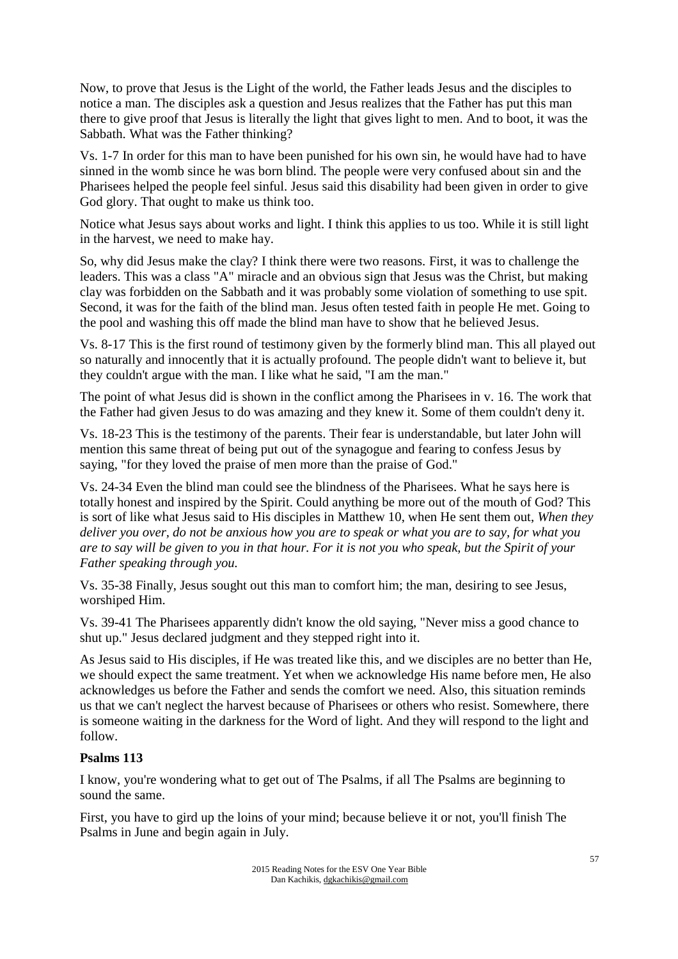Now, to prove that Jesus is the Light of the world, the Father leads Jesus and the disciples to notice a man. The disciples ask a question and Jesus realizes that the Father has put this man there to give proof that Jesus is literally the light that gives light to men. And to boot, it was the Sabbath. What was the Father thinking?

Vs. 1-7 In order for this man to have been punished for his own sin, he would have had to have sinned in the womb since he was born blind. The people were very confused about sin and the Pharisees helped the people feel sinful. Jesus said this disability had been given in order to give God glory. That ought to make us think too.

Notice what Jesus says about works and light. I think this applies to us too. While it is still light in the harvest, we need to make hay.

So, why did Jesus make the clay? I think there were two reasons. First, it was to challenge the leaders. This was a class "A" miracle and an obvious sign that Jesus was the Christ, but making clay was forbidden on the Sabbath and it was probably some violation of something to use spit. Second, it was for the faith of the blind man. Jesus often tested faith in people He met. Going to the pool and washing this off made the blind man have to show that he believed Jesus.

Vs. 8-17 This is the first round of testimony given by the formerly blind man. This all played out so naturally and innocently that it is actually profound. The people didn't want to believe it, but they couldn't argue with the man. I like what he said, "I am the man."

The point of what Jesus did is shown in the conflict among the Pharisees in v. 16. The work that the Father had given Jesus to do was amazing and they knew it. Some of them couldn't deny it.

Vs. 18-23 This is the testimony of the parents. Their fear is understandable, but later John will mention this same threat of being put out of the synagogue and fearing to confess Jesus by saying, "for they loved the praise of men more than the praise of God."

Vs. 24-34 Even the blind man could see the blindness of the Pharisees. What he says here is totally honest and inspired by the Spirit. Could anything be more out of the mouth of God? This is sort of like what Jesus said to His disciples in Matthew 10, when He sent them out, *When they deliver you over, do not be anxious how you are to speak or what you are to say, for what you are to say will be given to you in that hour. For it is not you who speak, but the Spirit of your Father speaking through you.*

Vs. 35-38 Finally, Jesus sought out this man to comfort him; the man, desiring to see Jesus, worshiped Him.

Vs. 39-41 The Pharisees apparently didn't know the old saying, "Never miss a good chance to shut up." Jesus declared judgment and they stepped right into it.

As Jesus said to His disciples, if He was treated like this, and we disciples are no better than He, we should expect the same treatment. Yet when we acknowledge His name before men, He also acknowledges us before the Father and sends the comfort we need. Also, this situation reminds us that we can't neglect the harvest because of Pharisees or others who resist. Somewhere, there is someone waiting in the darkness for the Word of light. And they will respond to the light and follow.

#### **Psalms 113**

I know, you're wondering what to get out of The Psalms, if all The Psalms are beginning to sound the same.

First, you have to gird up the loins of your mind; because believe it or not, you'll finish The Psalms in June and begin again in July.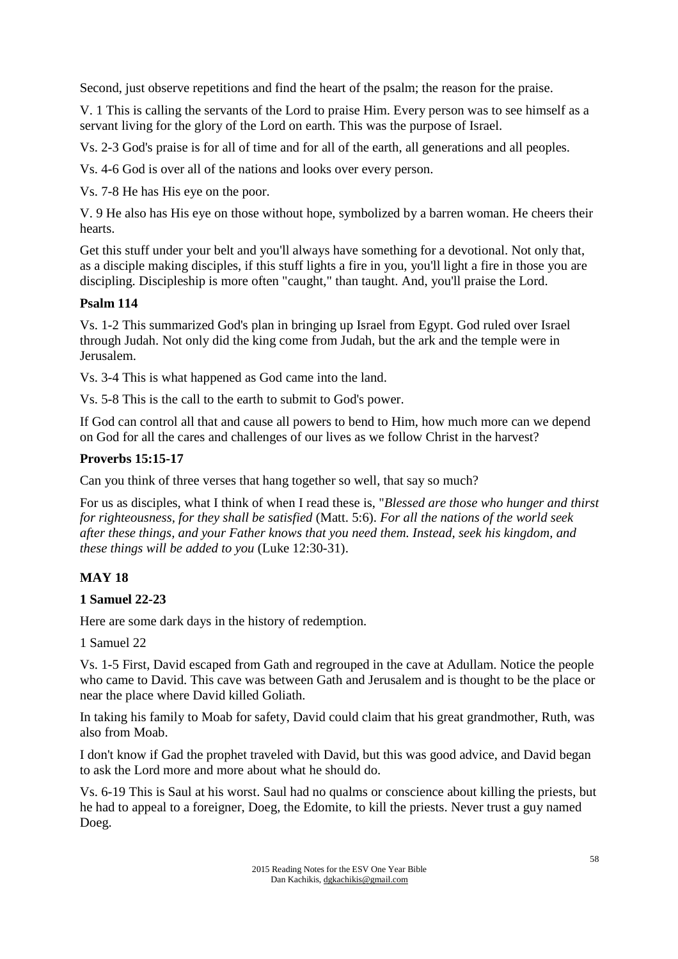Second, just observe repetitions and find the heart of the psalm; the reason for the praise.

V. 1 This is calling the servants of the Lord to praise Him. Every person was to see himself as a servant living for the glory of the Lord on earth. This was the purpose of Israel.

Vs. 2-3 God's praise is for all of time and for all of the earth, all generations and all peoples.

Vs. 4-6 God is over all of the nations and looks over every person.

Vs. 7-8 He has His eye on the poor.

V. 9 He also has His eye on those without hope, symbolized by a barren woman. He cheers their hearts.

Get this stuff under your belt and you'll always have something for a devotional. Not only that, as a disciple making disciples, if this stuff lights a fire in you, you'll light a fire in those you are discipling. Discipleship is more often "caught," than taught. And, you'll praise the Lord.

#### **Psalm 114**

Vs. 1-2 This summarized God's plan in bringing up Israel from Egypt. God ruled over Israel through Judah. Not only did the king come from Judah, but the ark and the temple were in Jerusalem.

Vs. 3-4 This is what happened as God came into the land.

Vs. 5-8 This is the call to the earth to submit to God's power.

If God can control all that and cause all powers to bend to Him, how much more can we depend on God for all the cares and challenges of our lives as we follow Christ in the harvest?

### **Proverbs 15:15-17**

Can you think of three verses that hang together so well, that say so much?

For us as disciples, what I think of when I read these is, "*Blessed are those who hunger and thirst for righteousness, for they shall be satisfied* (Matt. 5:6). *For all the nations of the world seek after these things, and your Father knows that you need them. Instead, seek his kingdom, and these things will be added to you* (Luke 12:30-31).

## **MAY 18**

#### **1 Samuel 22-23**

Here are some dark days in the history of redemption.

1 Samuel 22

Vs. 1-5 First, David escaped from Gath and regrouped in the cave at Adullam. Notice the people who came to David. This cave was between Gath and Jerusalem and is thought to be the place or near the place where David killed Goliath.

In taking his family to Moab for safety, David could claim that his great grandmother, Ruth, was also from Moab.

I don't know if Gad the prophet traveled with David, but this was good advice, and David began to ask the Lord more and more about what he should do.

Vs. 6-19 This is Saul at his worst. Saul had no qualms or conscience about killing the priests, but he had to appeal to a foreigner, Doeg, the Edomite, to kill the priests. Never trust a guy named Doeg.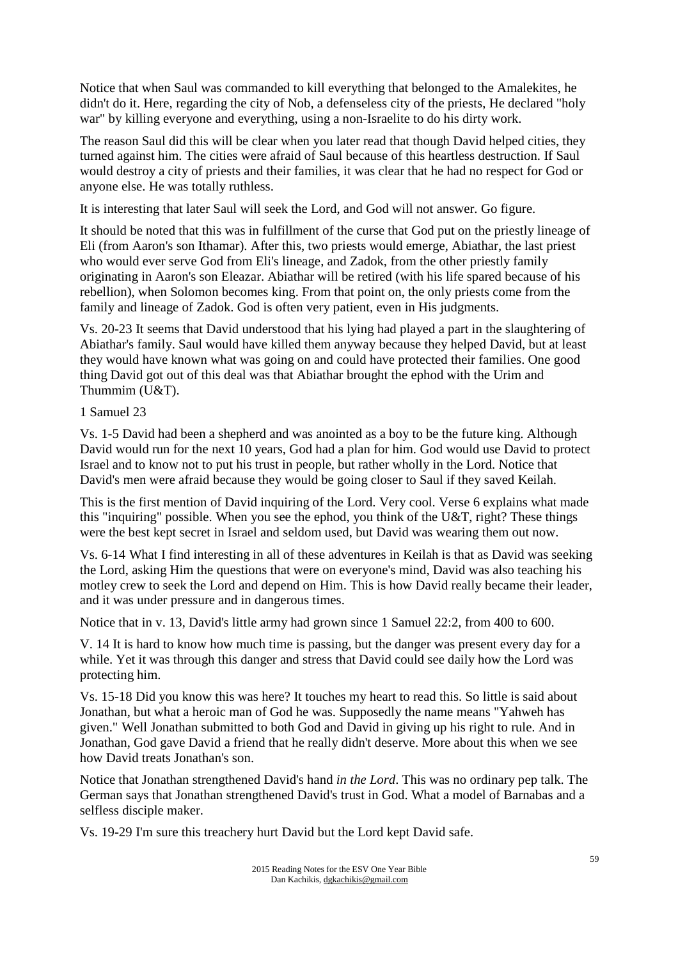Notice that when Saul was commanded to kill everything that belonged to the Amalekites, he didn't do it. Here, regarding the city of Nob, a defenseless city of the priests, He declared "holy war" by killing everyone and everything, using a non-Israelite to do his dirty work.

The reason Saul did this will be clear when you later read that though David helped cities, they turned against him. The cities were afraid of Saul because of this heartless destruction. If Saul would destroy a city of priests and their families, it was clear that he had no respect for God or anyone else. He was totally ruthless.

It is interesting that later Saul will seek the Lord, and God will not answer. Go figure.

It should be noted that this was in fulfillment of the curse that God put on the priestly lineage of Eli (from Aaron's son Ithamar). After this, two priests would emerge, Abiathar, the last priest who would ever serve God from Eli's lineage, and Zadok, from the other priestly family originating in Aaron's son Eleazar. Abiathar will be retired (with his life spared because of his rebellion), when Solomon becomes king. From that point on, the only priests come from the family and lineage of Zadok. God is often very patient, even in His judgments.

Vs. 20-23 It seems that David understood that his lying had played a part in the slaughtering of Abiathar's family. Saul would have killed them anyway because they helped David, but at least they would have known what was going on and could have protected their families. One good thing David got out of this deal was that Abiathar brought the ephod with the Urim and Thummim (U&T).

1 Samuel 23

Vs. 1-5 David had been a shepherd and was anointed as a boy to be the future king. Although David would run for the next 10 years, God had a plan for him. God would use David to protect Israel and to know not to put his trust in people, but rather wholly in the Lord. Notice that David's men were afraid because they would be going closer to Saul if they saved Keilah.

This is the first mention of David inquiring of the Lord. Very cool. Verse 6 explains what made this "inquiring" possible. When you see the ephod, you think of the U&T, right? These things were the best kept secret in Israel and seldom used, but David was wearing them out now.

Vs. 6-14 What I find interesting in all of these adventures in Keilah is that as David was seeking the Lord, asking Him the questions that were on everyone's mind, David was also teaching his motley crew to seek the Lord and depend on Him. This is how David really became their leader, and it was under pressure and in dangerous times.

Notice that in v. 13, David's little army had grown since 1 Samuel 22:2, from 400 to 600.

V. 14 It is hard to know how much time is passing, but the danger was present every day for a while. Yet it was through this danger and stress that David could see daily how the Lord was protecting him.

Vs. 15-18 Did you know this was here? It touches my heart to read this. So little is said about Jonathan, but what a heroic man of God he was. Supposedly the name means "Yahweh has given." Well Jonathan submitted to both God and David in giving up his right to rule. And in Jonathan, God gave David a friend that he really didn't deserve. More about this when we see how David treats Jonathan's son.

Notice that Jonathan strengthened David's hand *in the Lord*. This was no ordinary pep talk. The German says that Jonathan strengthened David's trust in God. What a model of Barnabas and a selfless disciple maker.

Vs. 19-29 I'm sure this treachery hurt David but the Lord kept David safe.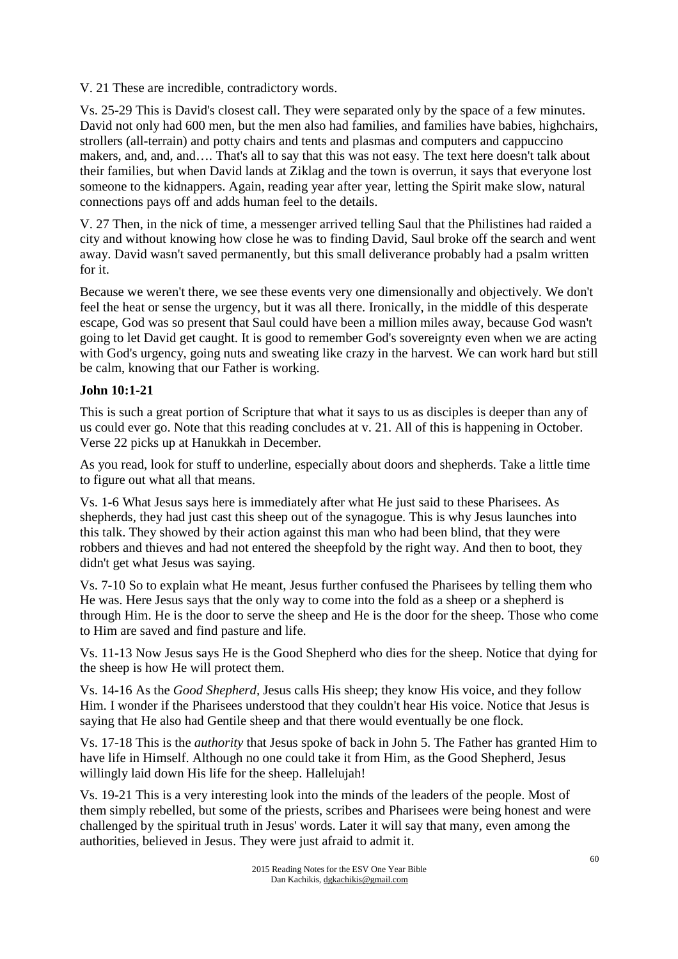V. 21 These are incredible, contradictory words.

Vs. 25-29 This is David's closest call. They were separated only by the space of a few minutes. David not only had 600 men, but the men also had families, and families have babies, highchairs, strollers (all-terrain) and potty chairs and tents and plasmas and computers and cappuccino makers, and, and, and…. That's all to say that this was not easy. The text here doesn't talk about their families, but when David lands at Ziklag and the town is overrun, it says that everyone lost someone to the kidnappers. Again, reading year after year, letting the Spirit make slow, natural connections pays off and adds human feel to the details.

V. 27 Then, in the nick of time, a messenger arrived telling Saul that the Philistines had raided a city and without knowing how close he was to finding David, Saul broke off the search and went away. David wasn't saved permanently, but this small deliverance probably had a psalm written for it.

Because we weren't there, we see these events very one dimensionally and objectively. We don't feel the heat or sense the urgency, but it was all there. Ironically, in the middle of this desperate escape, God was so present that Saul could have been a million miles away, because God wasn't going to let David get caught. It is good to remember God's sovereignty even when we are acting with God's urgency, going nuts and sweating like crazy in the harvest. We can work hard but still be calm, knowing that our Father is working.

# **John 10:1-21**

This is such a great portion of Scripture that what it says to us as disciples is deeper than any of us could ever go. Note that this reading concludes at v. 21. All of this is happening in October. Verse 22 picks up at Hanukkah in December.

As you read, look for stuff to underline, especially about doors and shepherds. Take a little time to figure out what all that means.

Vs. 1-6 What Jesus says here is immediately after what He just said to these Pharisees. As shepherds, they had just cast this sheep out of the synagogue. This is why Jesus launches into this talk. They showed by their action against this man who had been blind, that they were robbers and thieves and had not entered the sheepfold by the right way. And then to boot, they didn't get what Jesus was saying.

Vs. 7-10 So to explain what He meant, Jesus further confused the Pharisees by telling them who He was. Here Jesus says that the only way to come into the fold as a sheep or a shepherd is through Him. He is the door to serve the sheep and He is the door for the sheep. Those who come to Him are saved and find pasture and life.

Vs. 11-13 Now Jesus says He is the Good Shepherd who dies for the sheep. Notice that dying for the sheep is how He will protect them.

Vs. 14-16 As the *Good Shepherd,* Jesus calls His sheep; they know His voice, and they follow Him. I wonder if the Pharisees understood that they couldn't hear His voice. Notice that Jesus is saying that He also had Gentile sheep and that there would eventually be one flock.

Vs. 17-18 This is the *authority* that Jesus spoke of back in John 5. The Father has granted Him to have life in Himself. Although no one could take it from Him, as the Good Shepherd, Jesus willingly laid down His life for the sheep. Hallelujah!

Vs. 19-21 This is a very interesting look into the minds of the leaders of the people. Most of them simply rebelled, but some of the priests, scribes and Pharisees were being honest and were challenged by the spiritual truth in Jesus' words. Later it will say that many, even among the authorities, believed in Jesus. They were just afraid to admit it.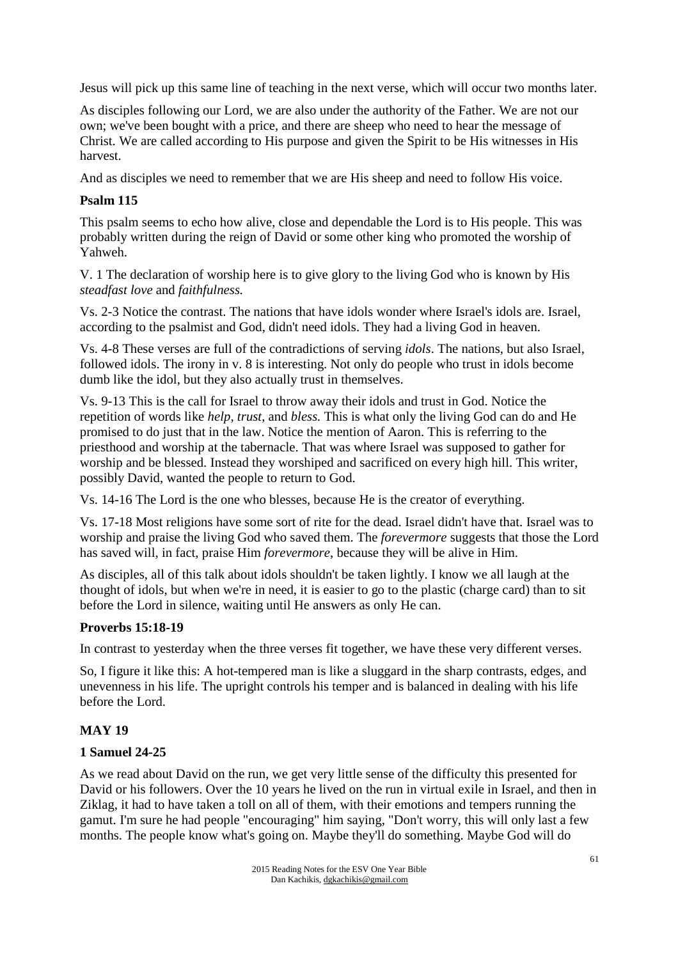Jesus will pick up this same line of teaching in the next verse, which will occur two months later.

As disciples following our Lord, we are also under the authority of the Father. We are not our own; we've been bought with a price, and there are sheep who need to hear the message of Christ. We are called according to His purpose and given the Spirit to be His witnesses in His harvest.

And as disciples we need to remember that we are His sheep and need to follow His voice.

## **Psalm 115**

This psalm seems to echo how alive, close and dependable the Lord is to His people. This was probably written during the reign of David or some other king who promoted the worship of Yahweh.

V. 1 The declaration of worship here is to give glory to the living God who is known by His *steadfast love* and *faithfulness.*

Vs. 2-3 Notice the contrast. The nations that have idols wonder where Israel's idols are. Israel, according to the psalmist and God, didn't need idols. They had a living God in heaven.

Vs. 4-8 These verses are full of the contradictions of serving *idols*. The nations, but also Israel, followed idols. The irony in v. 8 is interesting. Not only do people who trust in idols become dumb like the idol, but they also actually trust in themselves.

Vs. 9-13 This is the call for Israel to throw away their idols and trust in God. Notice the repetition of words like *help, trust,* and *bless.* This is what only the living God can do and He promised to do just that in the law. Notice the mention of Aaron. This is referring to the priesthood and worship at the tabernacle. That was where Israel was supposed to gather for worship and be blessed. Instead they worshiped and sacrificed on every high hill. This writer, possibly David, wanted the people to return to God.

Vs. 14-16 The Lord is the one who blesses, because He is the creator of everything.

Vs. 17-18 Most religions have some sort of rite for the dead. Israel didn't have that. Israel was to worship and praise the living God who saved them. The *forevermore* suggests that those the Lord has saved will, in fact, praise Him *forevermore*, because they will be alive in Him.

As disciples, all of this talk about idols shouldn't be taken lightly. I know we all laugh at the thought of idols, but when we're in need, it is easier to go to the plastic (charge card) than to sit before the Lord in silence, waiting until He answers as only He can.

## **Proverbs 15:18-19**

In contrast to yesterday when the three verses fit together, we have these very different verses.

So, I figure it like this: A hot-tempered man is like a sluggard in the sharp contrasts, edges, and unevenness in his life. The upright controls his temper and is balanced in dealing with his life before the Lord.

## **MAY 19**

## **1 Samuel 24-25**

As we read about David on the run, we get very little sense of the difficulty this presented for David or his followers. Over the 10 years he lived on the run in virtual exile in Israel, and then in Ziklag, it had to have taken a toll on all of them, with their emotions and tempers running the gamut. I'm sure he had people "encouraging" him saying, "Don't worry, this will only last a few months. The people know what's going on. Maybe they'll do something. Maybe God will do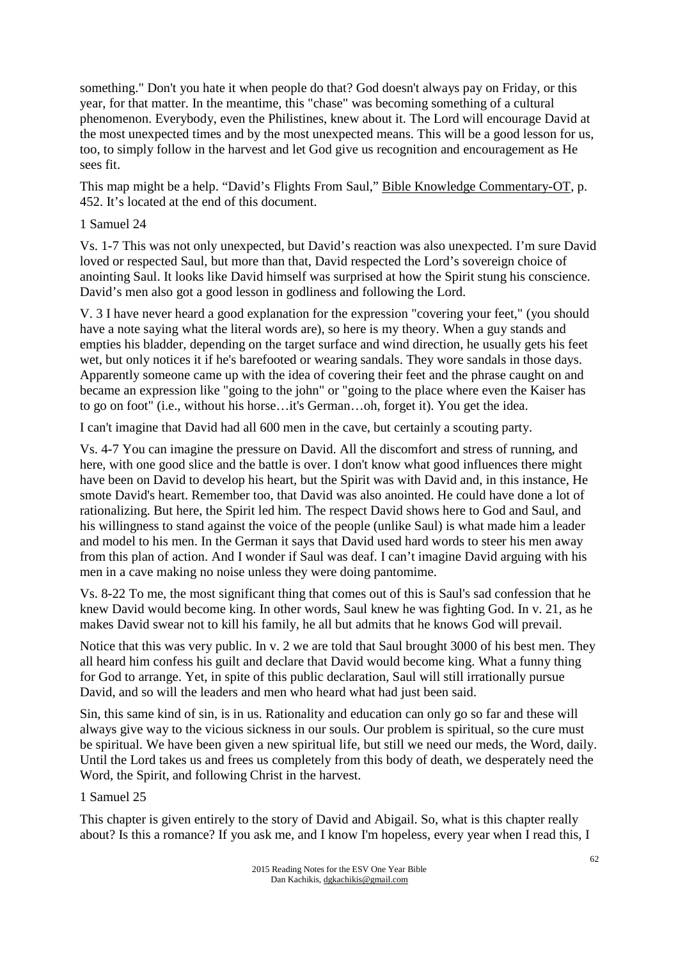something." Don't you hate it when people do that? God doesn't always pay on Friday, or this year, for that matter. In the meantime, this "chase" was becoming something of a cultural phenomenon. Everybody, even the Philistines, knew about it. The Lord will encourage David at the most unexpected times and by the most unexpected means. This will be a good lesson for us, too, to simply follow in the harvest and let God give us recognition and encouragement as He sees fit.

This map might be a help. "David's Flights From Saul," Bible Knowledge Commentary-OT, p. 452. It's located at the end of this document.

### 1 Samuel 24

Vs. 1-7 This was not only unexpected, but David's reaction was also unexpected. I'm sure David loved or respected Saul, but more than that, David respected the Lord's sovereign choice of anointing Saul. It looks like David himself was surprised at how the Spirit stung his conscience. David's men also got a good lesson in godliness and following the Lord.

V. 3 I have never heard a good explanation for the expression "covering your feet," (you should have a note saying what the literal words are), so here is my theory. When a guy stands and empties his bladder, depending on the target surface and wind direction, he usually gets his feet wet, but only notices it if he's barefooted or wearing sandals. They wore sandals in those days. Apparently someone came up with the idea of covering their feet and the phrase caught on and became an expression like "going to the john" or "going to the place where even the Kaiser has to go on foot" (i.e., without his horse…it's German…oh, forget it). You get the idea.

I can't imagine that David had all 600 men in the cave, but certainly a scouting party.

Vs. 4-7 You can imagine the pressure on David. All the discomfort and stress of running, and here, with one good slice and the battle is over. I don't know what good influences there might have been on David to develop his heart, but the Spirit was with David and, in this instance, He smote David's heart. Remember too, that David was also anointed. He could have done a lot of rationalizing. But here, the Spirit led him. The respect David shows here to God and Saul, and his willingness to stand against the voice of the people (unlike Saul) is what made him a leader and model to his men. In the German it says that David used hard words to steer his men away from this plan of action. And I wonder if Saul was deaf. I can't imagine David arguing with his men in a cave making no noise unless they were doing pantomime.

Vs. 8-22 To me, the most significant thing that comes out of this is Saul's sad confession that he knew David would become king. In other words, Saul knew he was fighting God. In v. 21, as he makes David swear not to kill his family, he all but admits that he knows God will prevail.

Notice that this was very public. In v. 2 we are told that Saul brought 3000 of his best men. They all heard him confess his guilt and declare that David would become king. What a funny thing for God to arrange. Yet, in spite of this public declaration, Saul will still irrationally pursue David, and so will the leaders and men who heard what had just been said.

Sin, this same kind of sin, is in us. Rationality and education can only go so far and these will always give way to the vicious sickness in our souls. Our problem is spiritual, so the cure must be spiritual. We have been given a new spiritual life, but still we need our meds, the Word, daily. Until the Lord takes us and frees us completely from this body of death, we desperately need the Word, the Spirit, and following Christ in the harvest.

#### 1 Samuel 25

This chapter is given entirely to the story of David and Abigail. So, what is this chapter really about? Is this a romance? If you ask me, and I know I'm hopeless, every year when I read this, I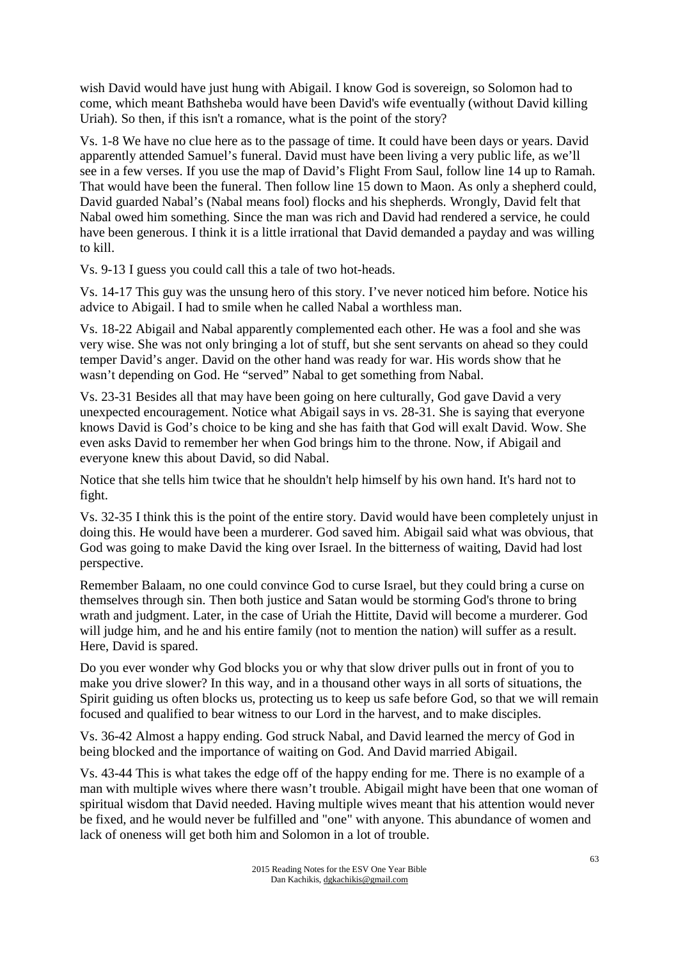wish David would have just hung with Abigail. I know God is sovereign, so Solomon had to come, which meant Bathsheba would have been David's wife eventually (without David killing Uriah). So then, if this isn't a romance, what is the point of the story?

Vs. 1-8 We have no clue here as to the passage of time. It could have been days or years. David apparently attended Samuel's funeral. David must have been living a very public life, as we'll see in a few verses. If you use the map of David's Flight From Saul, follow line 14 up to Ramah. That would have been the funeral. Then follow line 15 down to Maon. As only a shepherd could, David guarded Nabal's (Nabal means fool) flocks and his shepherds. Wrongly, David felt that Nabal owed him something. Since the man was rich and David had rendered a service, he could have been generous. I think it is a little irrational that David demanded a payday and was willing to kill.

Vs. 9-13 I guess you could call this a tale of two hot-heads.

Vs. 14-17 This guy was the unsung hero of this story. I've never noticed him before. Notice his advice to Abigail. I had to smile when he called Nabal a worthless man.

Vs. 18-22 Abigail and Nabal apparently complemented each other. He was a fool and she was very wise. She was not only bringing a lot of stuff, but she sent servants on ahead so they could temper David's anger. David on the other hand was ready for war. His words show that he wasn't depending on God. He "served" Nabal to get something from Nabal.

Vs. 23-31 Besides all that may have been going on here culturally, God gave David a very unexpected encouragement. Notice what Abigail says in vs. 28-31. She is saying that everyone knows David is God's choice to be king and she has faith that God will exalt David. Wow. She even asks David to remember her when God brings him to the throne. Now, if Abigail and everyone knew this about David, so did Nabal.

Notice that she tells him twice that he shouldn't help himself by his own hand. It's hard not to fight.

Vs. 32-35 I think this is the point of the entire story. David would have been completely unjust in doing this. He would have been a murderer. God saved him. Abigail said what was obvious, that God was going to make David the king over Israel. In the bitterness of waiting, David had lost perspective.

Remember Balaam, no one could convince God to curse Israel, but they could bring a curse on themselves through sin. Then both justice and Satan would be storming God's throne to bring wrath and judgment. Later, in the case of Uriah the Hittite, David will become a murderer. God will judge him, and he and his entire family (not to mention the nation) will suffer as a result. Here, David is spared.

Do you ever wonder why God blocks you or why that slow driver pulls out in front of you to make you drive slower? In this way, and in a thousand other ways in all sorts of situations, the Spirit guiding us often blocks us, protecting us to keep us safe before God, so that we will remain focused and qualified to bear witness to our Lord in the harvest, and to make disciples.

Vs. 36-42 Almost a happy ending. God struck Nabal, and David learned the mercy of God in being blocked and the importance of waiting on God. And David married Abigail.

Vs. 43-44 This is what takes the edge off of the happy ending for me. There is no example of a man with multiple wives where there wasn't trouble. Abigail might have been that one woman of spiritual wisdom that David needed. Having multiple wives meant that his attention would never be fixed, and he would never be fulfilled and "one" with anyone. This abundance of women and lack of oneness will get both him and Solomon in a lot of trouble.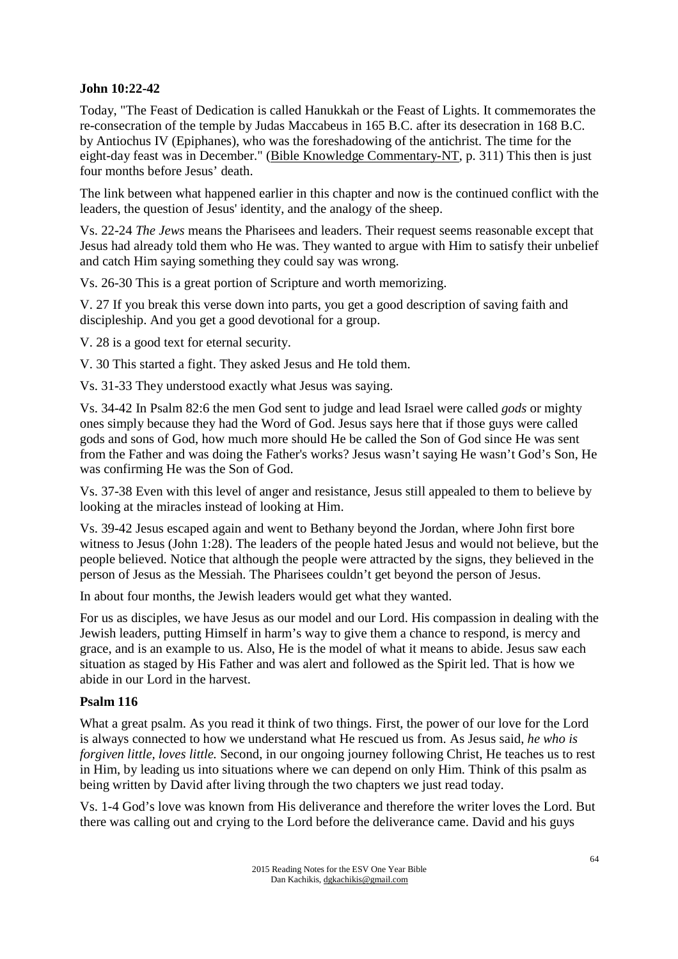## **John 10:22-42**

Today, "The Feast of Dedication is called Hanukkah or the Feast of Lights. It commemorates the re-consecration of the temple by Judas Maccabeus in 165 B.C. after its desecration in 168 B.C. by Antiochus IV (Epiphanes), who was the foreshadowing of the antichrist. The time for the eight-day feast was in December." (Bible Knowledge Commentary-NT, p. 311) This then is just four months before Jesus' death.

The link between what happened earlier in this chapter and now is the continued conflict with the leaders, the question of Jesus' identity, and the analogy of the sheep.

Vs. 22-24 *The Jews* means the Pharisees and leaders. Their request seems reasonable except that Jesus had already told them who He was. They wanted to argue with Him to satisfy their unbelief and catch Him saying something they could say was wrong.

Vs. 26-30 This is a great portion of Scripture and worth memorizing.

V. 27 If you break this verse down into parts, you get a good description of saving faith and discipleship. And you get a good devotional for a group.

V. 28 is a good text for eternal security.

V. 30 This started a fight. They asked Jesus and He told them.

Vs. 31-33 They understood exactly what Jesus was saying.

Vs. 34-42 In Psalm 82:6 the men God sent to judge and lead Israel were called *gods* or mighty ones simply because they had the Word of God. Jesus says here that if those guys were called gods and sons of God, how much more should He be called the Son of God since He was sent from the Father and was doing the Father's works? Jesus wasn't saying He wasn't God's Son, He was confirming He was the Son of God.

Vs. 37-38 Even with this level of anger and resistance, Jesus still appealed to them to believe by looking at the miracles instead of looking at Him.

Vs. 39-42 Jesus escaped again and went to Bethany beyond the Jordan, where John first bore witness to Jesus (John 1:28). The leaders of the people hated Jesus and would not believe, but the people believed. Notice that although the people were attracted by the signs, they believed in the person of Jesus as the Messiah. The Pharisees couldn't get beyond the person of Jesus.

In about four months, the Jewish leaders would get what they wanted.

For us as disciples, we have Jesus as our model and our Lord. His compassion in dealing with the Jewish leaders, putting Himself in harm's way to give them a chance to respond, is mercy and grace, and is an example to us. Also, He is the model of what it means to abide. Jesus saw each situation as staged by His Father and was alert and followed as the Spirit led. That is how we abide in our Lord in the harvest.

#### **Psalm 116**

What a great psalm. As you read it think of two things. First, the power of our love for the Lord is always connected to how we understand what He rescued us from. As Jesus said, *he who is forgiven little, loves little.* Second, in our ongoing journey following Christ, He teaches us to rest in Him, by leading us into situations where we can depend on only Him. Think of this psalm as being written by David after living through the two chapters we just read today.

Vs. 1-4 God's love was known from His deliverance and therefore the writer loves the Lord. But there was calling out and crying to the Lord before the deliverance came. David and his guys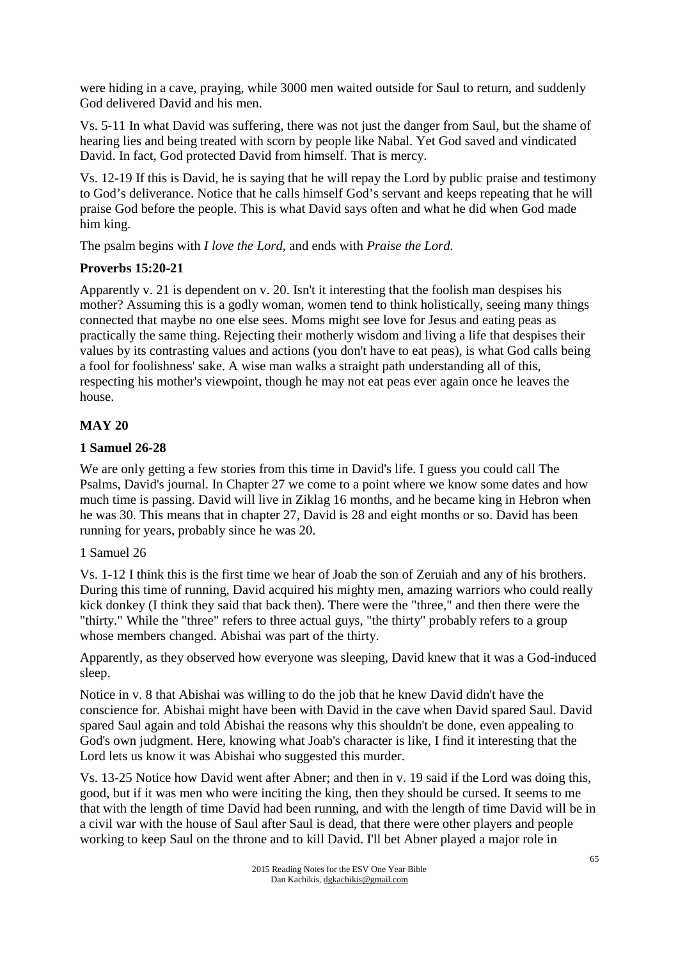were hiding in a cave, praying, while 3000 men waited outside for Saul to return, and suddenly God delivered David and his men.

Vs. 5-11 In what David was suffering, there was not just the danger from Saul, but the shame of hearing lies and being treated with scorn by people like Nabal. Yet God saved and vindicated David. In fact, God protected David from himself. That is mercy.

Vs. 12-19 If this is David, he is saying that he will repay the Lord by public praise and testimony to God's deliverance. Notice that he calls himself God's servant and keeps repeating that he will praise God before the people. This is what David says often and what he did when God made him king.

The psalm begins with *I love the Lord,* and ends with *Praise the Lord.*

### **Proverbs 15:20-21**

Apparently v. 21 is dependent on v. 20. Isn't it interesting that the foolish man despises his mother? Assuming this is a godly woman, women tend to think holistically, seeing many things connected that maybe no one else sees. Moms might see love for Jesus and eating peas as practically the same thing. Rejecting their motherly wisdom and living a life that despises their values by its contrasting values and actions (you don't have to eat peas), is what God calls being a fool for foolishness' sake. A wise man walks a straight path understanding all of this, respecting his mother's viewpoint, though he may not eat peas ever again once he leaves the house.

### **MAY 20**

### **1 Samuel 26-28**

We are only getting a few stories from this time in David's life. I guess you could call The Psalms, David's journal. In Chapter 27 we come to a point where we know some dates and how much time is passing. David will live in Ziklag 16 months, and he became king in Hebron when he was 30. This means that in chapter 27, David is 28 and eight months or so. David has been running for years, probably since he was 20.

#### 1 Samuel 26

Vs. 1-12 I think this is the first time we hear of Joab the son of Zeruiah and any of his brothers. During this time of running, David acquired his mighty men, amazing warriors who could really kick donkey (I think they said that back then). There were the "three," and then there were the "thirty." While the "three" refers to three actual guys, "the thirty" probably refers to a group whose members changed. Abishai was part of the thirty.

Apparently, as they observed how everyone was sleeping, David knew that it was a God-induced sleep.

Notice in v. 8 that Abishai was willing to do the job that he knew David didn't have the conscience for. Abishai might have been with David in the cave when David spared Saul. David spared Saul again and told Abishai the reasons why this shouldn't be done, even appealing to God's own judgment. Here, knowing what Joab's character is like, I find it interesting that the Lord lets us know it was Abishai who suggested this murder.

Vs. 13-25 Notice how David went after Abner; and then in v. 19 said if the Lord was doing this, good, but if it was men who were inciting the king, then they should be cursed. It seems to me that with the length of time David had been running, and with the length of time David will be in a civil war with the house of Saul after Saul is dead, that there were other players and people working to keep Saul on the throne and to kill David. I'll bet Abner played a major role in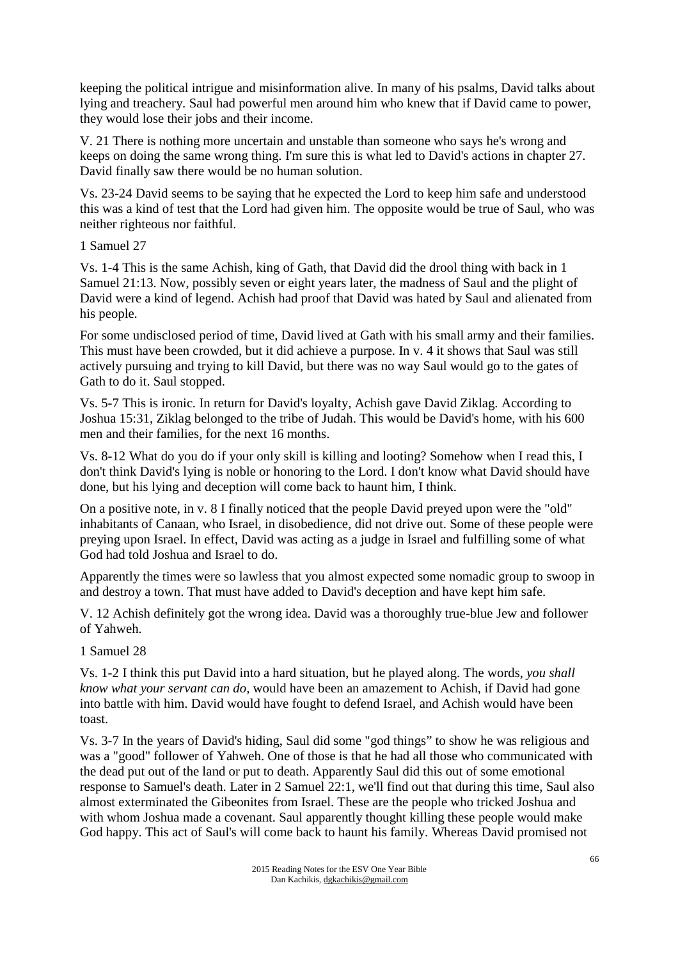keeping the political intrigue and misinformation alive. In many of his psalms, David talks about lying and treachery. Saul had powerful men around him who knew that if David came to power, they would lose their jobs and their income.

V. 21 There is nothing more uncertain and unstable than someone who says he's wrong and keeps on doing the same wrong thing. I'm sure this is what led to David's actions in chapter 27. David finally saw there would be no human solution.

Vs. 23-24 David seems to be saying that he expected the Lord to keep him safe and understood this was a kind of test that the Lord had given him. The opposite would be true of Saul, who was neither righteous nor faithful.

1 Samuel 27

Vs. 1-4 This is the same Achish, king of Gath, that David did the drool thing with back in 1 Samuel 21:13. Now, possibly seven or eight years later, the madness of Saul and the plight of David were a kind of legend. Achish had proof that David was hated by Saul and alienated from his people.

For some undisclosed period of time, David lived at Gath with his small army and their families. This must have been crowded, but it did achieve a purpose. In v. 4 it shows that Saul was still actively pursuing and trying to kill David, but there was no way Saul would go to the gates of Gath to do it. Saul stopped.

Vs. 5-7 This is ironic. In return for David's loyalty, Achish gave David Ziklag. According to Joshua 15:31, Ziklag belonged to the tribe of Judah. This would be David's home, with his 600 men and their families, for the next 16 months.

Vs. 8-12 What do you do if your only skill is killing and looting? Somehow when I read this, I don't think David's lying is noble or honoring to the Lord. I don't know what David should have done, but his lying and deception will come back to haunt him, I think.

On a positive note, in v. 8 I finally noticed that the people David preyed upon were the "old" inhabitants of Canaan, who Israel, in disobedience, did not drive out. Some of these people were preying upon Israel. In effect, David was acting as a judge in Israel and fulfilling some of what God had told Joshua and Israel to do.

Apparently the times were so lawless that you almost expected some nomadic group to swoop in and destroy a town. That must have added to David's deception and have kept him safe.

V. 12 Achish definitely got the wrong idea. David was a thoroughly true-blue Jew and follower of Yahweh.

1 Samuel 28

Vs. 1-2 I think this put David into a hard situation, but he played along. The words, *you shall know what your servant can do,* would have been an amazement to Achish, if David had gone into battle with him. David would have fought to defend Israel, and Achish would have been toast.

Vs. 3-7 In the years of David's hiding, Saul did some "god things" to show he was religious and was a "good" follower of Yahweh. One of those is that he had all those who communicated with the dead put out of the land or put to death. Apparently Saul did this out of some emotional response to Samuel's death. Later in 2 Samuel 22:1, we'll find out that during this time, Saul also almost exterminated the Gibeonites from Israel. These are the people who tricked Joshua and with whom Joshua made a covenant. Saul apparently thought killing these people would make God happy. This act of Saul's will come back to haunt his family. Whereas David promised not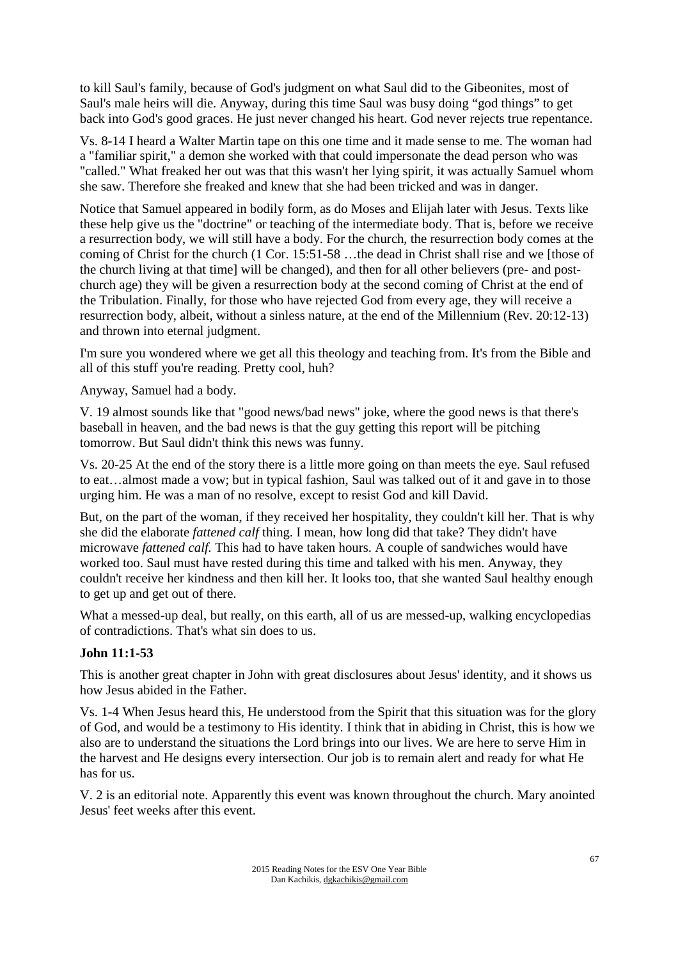to kill Saul's family, because of God's judgment on what Saul did to the Gibeonites, most of Saul's male heirs will die. Anyway, during this time Saul was busy doing "god things" to get back into God's good graces. He just never changed his heart. God never rejects true repentance.

Vs. 8-14 I heard a Walter Martin tape on this one time and it made sense to me. The woman had a "familiar spirit," a demon she worked with that could impersonate the dead person who was "called." What freaked her out was that this wasn't her lying spirit, it was actually Samuel whom she saw. Therefore she freaked and knew that she had been tricked and was in danger.

Notice that Samuel appeared in bodily form, as do Moses and Elijah later with Jesus. Texts like these help give us the "doctrine" or teaching of the intermediate body. That is, before we receive a resurrection body, we will still have a body. For the church, the resurrection body comes at the coming of Christ for the church (1 Cor. 15:51-58 …the dead in Christ shall rise and we [those of the church living at that time] will be changed), and then for all other believers (pre- and postchurch age) they will be given a resurrection body at the second coming of Christ at the end of the Tribulation. Finally, for those who have rejected God from every age, they will receive a resurrection body, albeit, without a sinless nature, at the end of the Millennium (Rev. 20:12-13) and thrown into eternal judgment.

I'm sure you wondered where we get all this theology and teaching from. It's from the Bible and all of this stuff you're reading. Pretty cool, huh?

Anyway, Samuel had a body.

V. 19 almost sounds like that "good news/bad news" joke, where the good news is that there's baseball in heaven, and the bad news is that the guy getting this report will be pitching tomorrow. But Saul didn't think this news was funny.

Vs. 20-25 At the end of the story there is a little more going on than meets the eye. Saul refused to eat…almost made a vow; but in typical fashion, Saul was talked out of it and gave in to those urging him. He was a man of no resolve, except to resist God and kill David.

But, on the part of the woman, if they received her hospitality, they couldn't kill her. That is why she did the elaborate *fattened calf* thing. I mean, how long did that take? They didn't have microwave *fattened calf.* This had to have taken hours. A couple of sandwiches would have worked too. Saul must have rested during this time and talked with his men. Anyway, they couldn't receive her kindness and then kill her. It looks too, that she wanted Saul healthy enough to get up and get out of there.

What a messed-up deal, but really, on this earth, all of us are messed-up, walking encyclopedias of contradictions. That's what sin does to us.

#### **John 11:1-53**

This is another great chapter in John with great disclosures about Jesus' identity, and it shows us how Jesus abided in the Father.

Vs. 1-4 When Jesus heard this, He understood from the Spirit that this situation was for the glory of God, and would be a testimony to His identity. I think that in abiding in Christ, this is how we also are to understand the situations the Lord brings into our lives. We are here to serve Him in the harvest and He designs every intersection. Our job is to remain alert and ready for what He has for us.

V. 2 is an editorial note. Apparently this event was known throughout the church. Mary anointed Jesus' feet weeks after this event.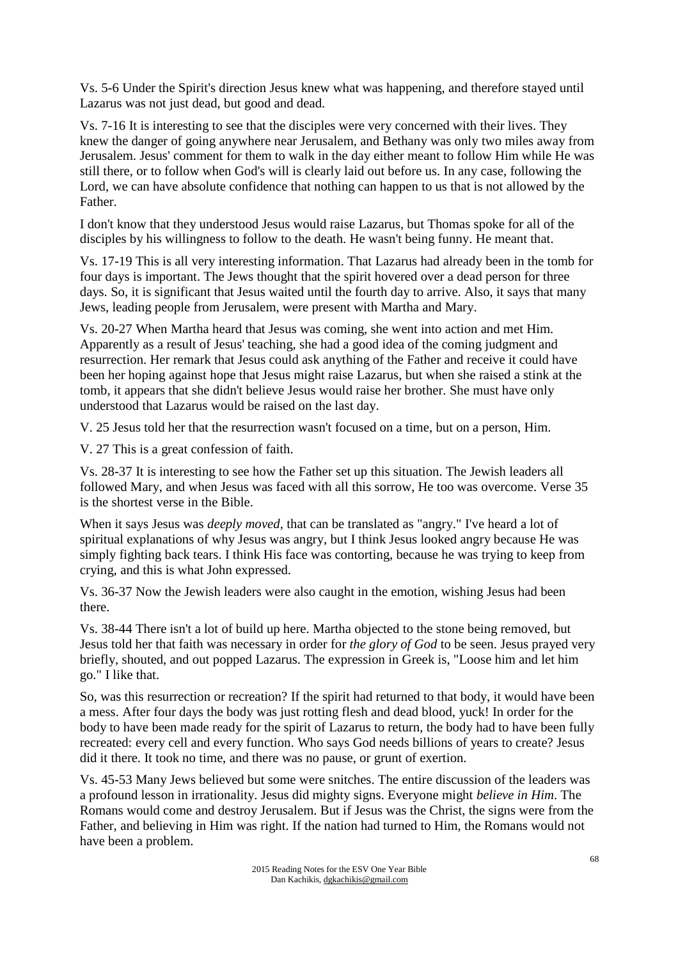Vs. 5-6 Under the Spirit's direction Jesus knew what was happening, and therefore stayed until Lazarus was not just dead, but good and dead.

Vs. 7-16 It is interesting to see that the disciples were very concerned with their lives. They knew the danger of going anywhere near Jerusalem, and Bethany was only two miles away from Jerusalem. Jesus' comment for them to walk in the day either meant to follow Him while He was still there, or to follow when God's will is clearly laid out before us. In any case, following the Lord, we can have absolute confidence that nothing can happen to us that is not allowed by the Father.

I don't know that they understood Jesus would raise Lazarus, but Thomas spoke for all of the disciples by his willingness to follow to the death. He wasn't being funny. He meant that.

Vs. 17-19 This is all very interesting information. That Lazarus had already been in the tomb for four days is important. The Jews thought that the spirit hovered over a dead person for three days. So, it is significant that Jesus waited until the fourth day to arrive. Also, it says that many Jews, leading people from Jerusalem, were present with Martha and Mary.

Vs. 20-27 When Martha heard that Jesus was coming, she went into action and met Him. Apparently as a result of Jesus' teaching, she had a good idea of the coming judgment and resurrection. Her remark that Jesus could ask anything of the Father and receive it could have been her hoping against hope that Jesus might raise Lazarus, but when she raised a stink at the tomb, it appears that she didn't believe Jesus would raise her brother. She must have only understood that Lazarus would be raised on the last day.

V. 25 Jesus told her that the resurrection wasn't focused on a time, but on a person, Him.

V. 27 This is a great confession of faith.

Vs. 28-37 It is interesting to see how the Father set up this situation. The Jewish leaders all followed Mary, and when Jesus was faced with all this sorrow, He too was overcome. Verse 35 is the shortest verse in the Bible.

When it says Jesus was *deeply moved,* that can be translated as "angry." I've heard a lot of spiritual explanations of why Jesus was angry, but I think Jesus looked angry because He was simply fighting back tears. I think His face was contorting, because he was trying to keep from crying, and this is what John expressed.

Vs. 36-37 Now the Jewish leaders were also caught in the emotion, wishing Jesus had been there.

Vs. 38-44 There isn't a lot of build up here. Martha objected to the stone being removed, but Jesus told her that faith was necessary in order for *the glory of God* to be seen. Jesus prayed very briefly, shouted, and out popped Lazarus. The expression in Greek is, "Loose him and let him go." I like that.

So, was this resurrection or recreation? If the spirit had returned to that body, it would have been a mess. After four days the body was just rotting flesh and dead blood, yuck! In order for the body to have been made ready for the spirit of Lazarus to return, the body had to have been fully recreated: every cell and every function. Who says God needs billions of years to create? Jesus did it there. It took no time, and there was no pause, or grunt of exertion.

Vs. 45-53 Many Jews believed but some were snitches. The entire discussion of the leaders was a profound lesson in irrationality. Jesus did mighty signs. Everyone might *believe in Him*. The Romans would come and destroy Jerusalem. But if Jesus was the Christ, the signs were from the Father, and believing in Him was right. If the nation had turned to Him, the Romans would not have been a problem.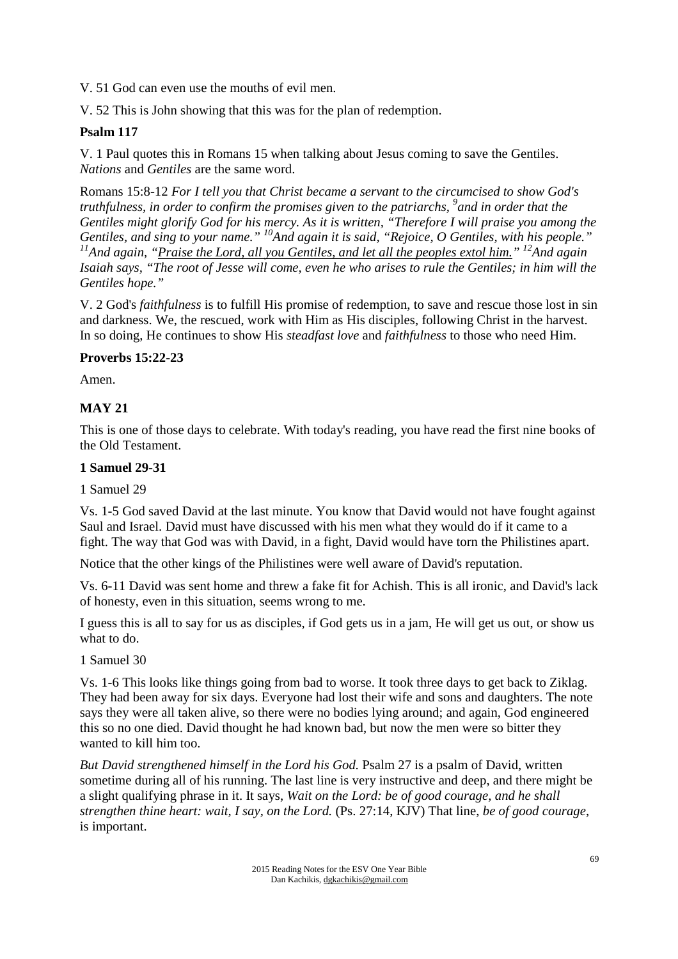V. 51 God can even use the mouths of evil men.

V. 52 This is John showing that this was for the plan of redemption.

## **Psalm 117**

V. 1 Paul quotes this in Romans 15 when talking about Jesus coming to save the Gentiles. *Nations* and *Gentiles* are the same word.

Romans 15:8-12 *For I tell you that Christ became a servant to the circumcised to show God's truthfulness, in order to confirm the promises given to the patriarchs, <sup>9</sup> and in order that the Gentiles might glorify God for his mercy. As it is written, "Therefore I will praise you among the Gentiles, and sing to your name." <sup>10</sup>And again it is said, "Rejoice, O Gentiles, with his people." <sup>11</sup>And again, "Praise the Lord, all you Gentiles, and let all the peoples extol him." <sup>12</sup>And again Isaiah says, "The root of Jesse will come, even he who arises to rule the Gentiles; in him will the Gentiles hope."* 

V. 2 God's *faithfulness* is to fulfill His promise of redemption, to save and rescue those lost in sin and darkness. We, the rescued, work with Him as His disciples, following Christ in the harvest. In so doing, He continues to show His *steadfast love* and *faithfulness* to those who need Him.

#### **Proverbs 15:22-23**

Amen.

### **MAY 21**

This is one of those days to celebrate. With today's reading, you have read the first nine books of the Old Testament.

#### **1 Samuel 29-31**

1 Samuel 29

Vs. 1-5 God saved David at the last minute. You know that David would not have fought against Saul and Israel. David must have discussed with his men what they would do if it came to a fight. The way that God was with David, in a fight, David would have torn the Philistines apart.

Notice that the other kings of the Philistines were well aware of David's reputation.

Vs. 6-11 David was sent home and threw a fake fit for Achish. This is all ironic, and David's lack of honesty, even in this situation, seems wrong to me.

I guess this is all to say for us as disciples, if God gets us in a jam, He will get us out, or show us what to do.

1 Samuel 30

Vs. 1-6 This looks like things going from bad to worse. It took three days to get back to Ziklag. They had been away for six days. Everyone had lost their wife and sons and daughters. The note says they were all taken alive, so there were no bodies lying around; and again, God engineered this so no one died. David thought he had known bad, but now the men were so bitter they wanted to kill him too.

*But David strengthened himself in the Lord his God.* Psalm 27 is a psalm of David, written sometime during all of his running. The last line is very instructive and deep, and there might be a slight qualifying phrase in it. It says, *Wait on the Lord: be of good courage, and he shall strengthen thine heart: wait, I say, on the Lord.* (Ps. 27:14, KJV) That line, *be of good courage*, is important.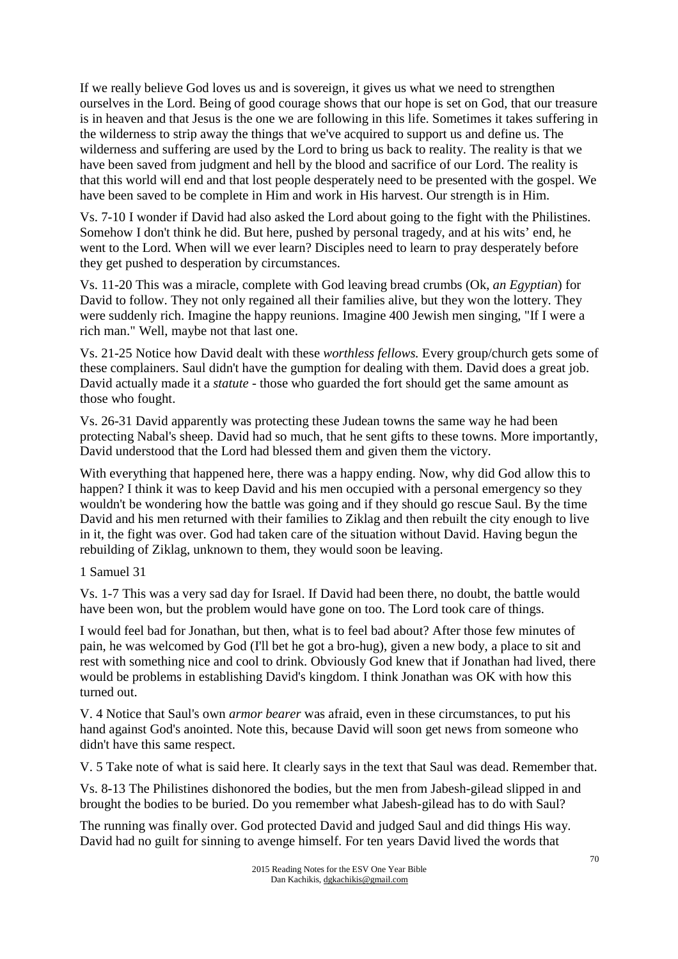If we really believe God loves us and is sovereign, it gives us what we need to strengthen ourselves in the Lord. Being of good courage shows that our hope is set on God, that our treasure is in heaven and that Jesus is the one we are following in this life. Sometimes it takes suffering in the wilderness to strip away the things that we've acquired to support us and define us. The wilderness and suffering are used by the Lord to bring us back to reality. The reality is that we have been saved from judgment and hell by the blood and sacrifice of our Lord. The reality is that this world will end and that lost people desperately need to be presented with the gospel. We have been saved to be complete in Him and work in His harvest. Our strength is in Him.

Vs. 7-10 I wonder if David had also asked the Lord about going to the fight with the Philistines. Somehow I don't think he did. But here, pushed by personal tragedy, and at his wits' end, he went to the Lord. When will we ever learn? Disciples need to learn to pray desperately before they get pushed to desperation by circumstances.

Vs. 11-20 This was a miracle, complete with God leaving bread crumbs (Ok, *an Egyptian*) for David to follow. They not only regained all their families alive, but they won the lottery. They were suddenly rich. Imagine the happy reunions. Imagine 400 Jewish men singing, "If I were a rich man." Well, maybe not that last one.

Vs. 21-25 Notice how David dealt with these *worthless fellows.* Every group/church gets some of these complainers. Saul didn't have the gumption for dealing with them. David does a great job. David actually made it a *statute* - those who guarded the fort should get the same amount as those who fought.

Vs. 26-31 David apparently was protecting these Judean towns the same way he had been protecting Nabal's sheep. David had so much, that he sent gifts to these towns. More importantly, David understood that the Lord had blessed them and given them the victory.

With everything that happened here, there was a happy ending. Now, why did God allow this to happen? I think it was to keep David and his men occupied with a personal emergency so they wouldn't be wondering how the battle was going and if they should go rescue Saul. By the time David and his men returned with their families to Ziklag and then rebuilt the city enough to live in it, the fight was over. God had taken care of the situation without David. Having begun the rebuilding of Ziklag, unknown to them, they would soon be leaving.

## 1 Samuel 31

Vs. 1-7 This was a very sad day for Israel. If David had been there, no doubt, the battle would have been won, but the problem would have gone on too. The Lord took care of things.

I would feel bad for Jonathan, but then, what is to feel bad about? After those few minutes of pain, he was welcomed by God (I'll bet he got a bro-hug), given a new body, a place to sit and rest with something nice and cool to drink. Obviously God knew that if Jonathan had lived, there would be problems in establishing David's kingdom. I think Jonathan was OK with how this turned out.

V. 4 Notice that Saul's own *armor bearer* was afraid, even in these circumstances, to put his hand against God's anointed. Note this, because David will soon get news from someone who didn't have this same respect.

V. 5 Take note of what is said here. It clearly says in the text that Saul was dead. Remember that.

Vs. 8-13 The Philistines dishonored the bodies, but the men from Jabesh-gilead slipped in and brought the bodies to be buried. Do you remember what Jabesh-gilead has to do with Saul?

The running was finally over. God protected David and judged Saul and did things His way. David had no guilt for sinning to avenge himself. For ten years David lived the words that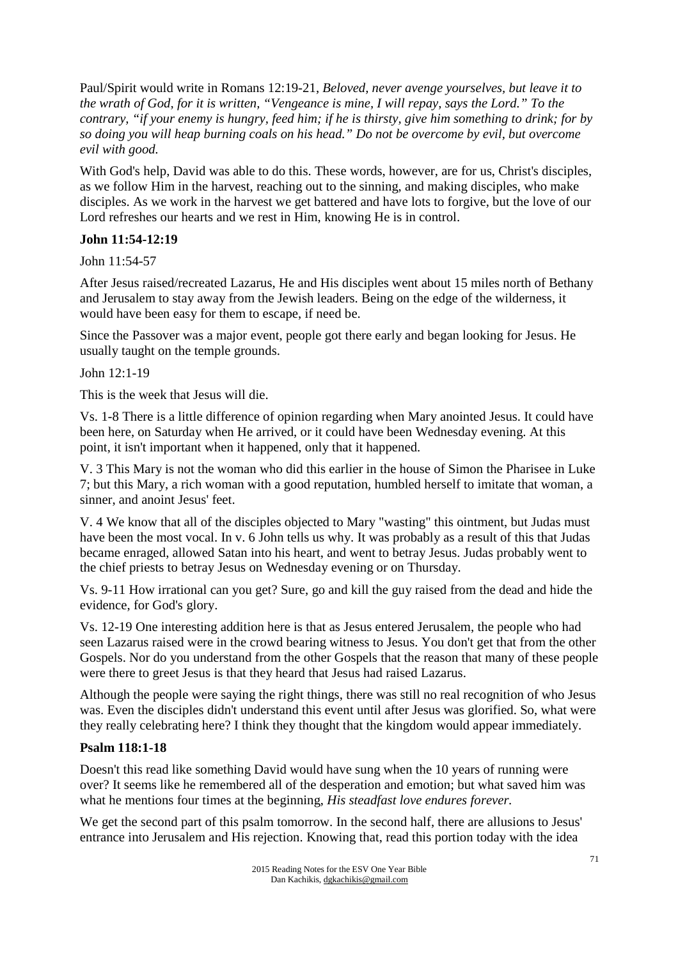Paul/Spirit would write in Romans 12:19-21, *Beloved, never avenge yourselves, but leave it to the wrath of God, for it is written, "Vengeance is mine, I will repay, says the Lord." To the contrary, "if your enemy is hungry, feed him; if he is thirsty, give him something to drink; for by so doing you will heap burning coals on his head." Do not be overcome by evil, but overcome evil with good.* 

With God's help, David was able to do this. These words, however, are for us, Christ's disciples, as we follow Him in the harvest, reaching out to the sinning, and making disciples, who make disciples. As we work in the harvest we get battered and have lots to forgive, but the love of our Lord refreshes our hearts and we rest in Him, knowing He is in control.

# **John 11:54-12:19**

John 11:54-57

After Jesus raised/recreated Lazarus, He and His disciples went about 15 miles north of Bethany and Jerusalem to stay away from the Jewish leaders. Being on the edge of the wilderness, it would have been easy for them to escape, if need be.

Since the Passover was a major event, people got there early and began looking for Jesus. He usually taught on the temple grounds.

John 12:1-19

This is the week that Jesus will die.

Vs. 1-8 There is a little difference of opinion regarding when Mary anointed Jesus. It could have been here, on Saturday when He arrived, or it could have been Wednesday evening. At this point, it isn't important when it happened, only that it happened.

V. 3 This Mary is not the woman who did this earlier in the house of Simon the Pharisee in Luke 7; but this Mary, a rich woman with a good reputation, humbled herself to imitate that woman, a sinner, and anoint Jesus' feet.

V. 4 We know that all of the disciples objected to Mary "wasting" this ointment, but Judas must have been the most vocal. In v. 6 John tells us why. It was probably as a result of this that Judas became enraged, allowed Satan into his heart, and went to betray Jesus. Judas probably went to the chief priests to betray Jesus on Wednesday evening or on Thursday.

Vs. 9-11 How irrational can you get? Sure, go and kill the guy raised from the dead and hide the evidence, for God's glory.

Vs. 12-19 One interesting addition here is that as Jesus entered Jerusalem, the people who had seen Lazarus raised were in the crowd bearing witness to Jesus. You don't get that from the other Gospels. Nor do you understand from the other Gospels that the reason that many of these people were there to greet Jesus is that they heard that Jesus had raised Lazarus.

Although the people were saying the right things, there was still no real recognition of who Jesus was. Even the disciples didn't understand this event until after Jesus was glorified. So, what were they really celebrating here? I think they thought that the kingdom would appear immediately.

## **Psalm 118:1-18**

Doesn't this read like something David would have sung when the 10 years of running were over? It seems like he remembered all of the desperation and emotion; but what saved him was what he mentions four times at the beginning, *His steadfast love endures forever.*

We get the second part of this psalm tomorrow. In the second half, there are allusions to Jesus' entrance into Jerusalem and His rejection. Knowing that, read this portion today with the idea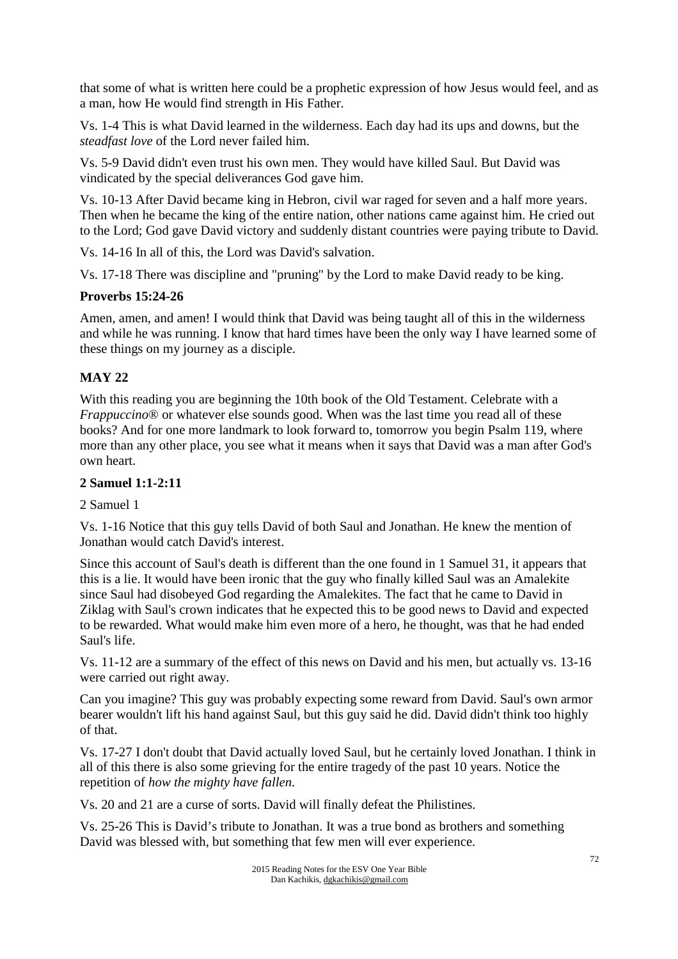that some of what is written here could be a prophetic expression of how Jesus would feel, and as a man, how He would find strength in His Father.

Vs. 1-4 This is what David learned in the wilderness. Each day had its ups and downs, but the *steadfast love* of the Lord never failed him.

Vs. 5-9 David didn't even trust his own men. They would have killed Saul. But David was vindicated by the special deliverances God gave him.

Vs. 10-13 After David became king in Hebron, civil war raged for seven and a half more years. Then when he became the king of the entire nation, other nations came against him. He cried out to the Lord; God gave David victory and suddenly distant countries were paying tribute to David.

Vs. 14-16 In all of this, the Lord was David's salvation.

Vs. 17-18 There was discipline and "pruning" by the Lord to make David ready to be king.

### **Proverbs 15:24-26**

Amen, amen, and amen! I would think that David was being taught all of this in the wilderness and while he was running. I know that hard times have been the only way I have learned some of these things on my journey as a disciple.

# **MAY 22**

With this reading you are beginning the 10th book of the Old Testament. Celebrate with a *Frappuccino*<sup>®</sup> or whatever else sounds good. When was the last time you read all of these books? And for one more landmark to look forward to, tomorrow you begin Psalm 119, where more than any other place, you see what it means when it says that David was a man after God's own heart.

## **2 Samuel 1:1-2:11**

## 2 Samuel 1

Vs. 1-16 Notice that this guy tells David of both Saul and Jonathan. He knew the mention of Jonathan would catch David's interest.

Since this account of Saul's death is different than the one found in 1 Samuel 31, it appears that this is a lie. It would have been ironic that the guy who finally killed Saul was an Amalekite since Saul had disobeyed God regarding the Amalekites. The fact that he came to David in Ziklag with Saul's crown indicates that he expected this to be good news to David and expected to be rewarded. What would make him even more of a hero, he thought, was that he had ended Saul's life.

Vs. 11-12 are a summary of the effect of this news on David and his men, but actually vs. 13-16 were carried out right away.

Can you imagine? This guy was probably expecting some reward from David. Saul's own armor bearer wouldn't lift his hand against Saul, but this guy said he did. David didn't think too highly of that.

Vs. 17-27 I don't doubt that David actually loved Saul, but he certainly loved Jonathan. I think in all of this there is also some grieving for the entire tragedy of the past 10 years. Notice the repetition of *how the mighty have fallen.*

Vs. 20 and 21 are a curse of sorts. David will finally defeat the Philistines.

Vs. 25-26 This is David's tribute to Jonathan. It was a true bond as brothers and something David was blessed with, but something that few men will ever experience.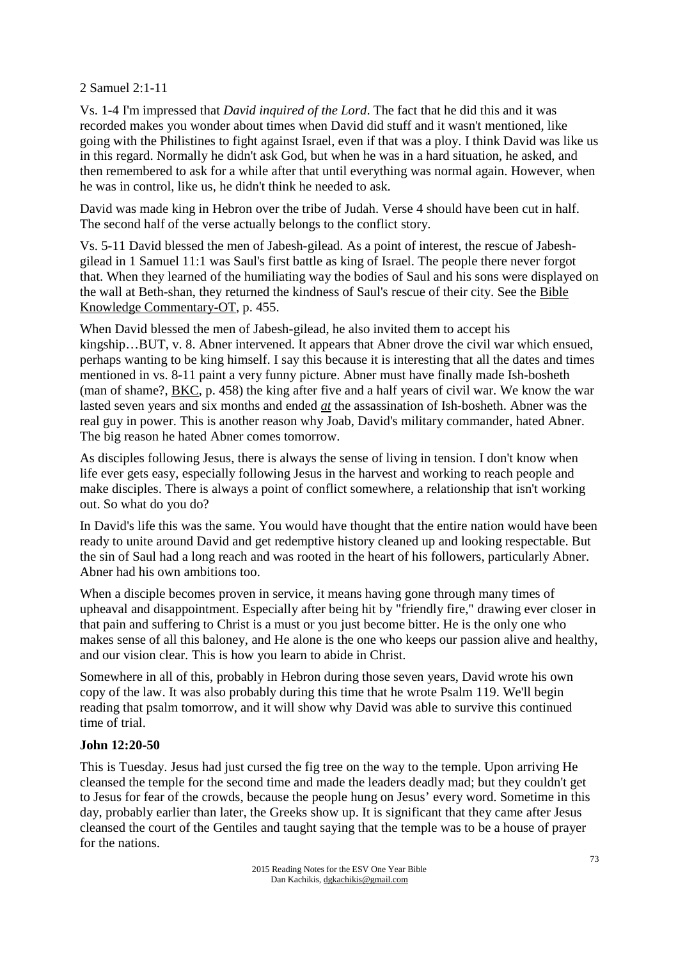2 Samuel 2:1-11

Vs. 1-4 I'm impressed that *David inquired of the Lord*. The fact that he did this and it was recorded makes you wonder about times when David did stuff and it wasn't mentioned, like going with the Philistines to fight against Israel, even if that was a ploy. I think David was like us in this regard. Normally he didn't ask God, but when he was in a hard situation, he asked, and then remembered to ask for a while after that until everything was normal again. However, when he was in control, like us, he didn't think he needed to ask.

David was made king in Hebron over the tribe of Judah. Verse 4 should have been cut in half. The second half of the verse actually belongs to the conflict story.

Vs. 5-11 David blessed the men of Jabesh-gilead. As a point of interest, the rescue of Jabeshgilead in 1 Samuel 11:1 was Saul's first battle as king of Israel. The people there never forgot that. When they learned of the humiliating way the bodies of Saul and his sons were displayed on the wall at Beth-shan, they returned the kindness of Saul's rescue of their city. See the Bible Knowledge Commentary-OT, p. 455.

When David blessed the men of Jabesh-gilead, he also invited them to accept his kingship…BUT, v. 8. Abner intervened. It appears that Abner drove the civil war which ensued, perhaps wanting to be king himself. I say this because it is interesting that all the dates and times mentioned in vs. 8-11 paint a very funny picture. Abner must have finally made Ish-bosheth (man of shame?, BKC, p. 458) the king after five and a half years of civil war. We know the war lasted seven years and six months and ended *at* the assassination of Ish-bosheth. Abner was the real guy in power. This is another reason why Joab, David's military commander, hated Abner. The big reason he hated Abner comes tomorrow.

As disciples following Jesus, there is always the sense of living in tension. I don't know when life ever gets easy, especially following Jesus in the harvest and working to reach people and make disciples. There is always a point of conflict somewhere, a relationship that isn't working out. So what do you do?

In David's life this was the same. You would have thought that the entire nation would have been ready to unite around David and get redemptive history cleaned up and looking respectable. But the sin of Saul had a long reach and was rooted in the heart of his followers, particularly Abner. Abner had his own ambitions too.

When a disciple becomes proven in service, it means having gone through many times of upheaval and disappointment. Especially after being hit by "friendly fire," drawing ever closer in that pain and suffering to Christ is a must or you just become bitter. He is the only one who makes sense of all this baloney, and He alone is the one who keeps our passion alive and healthy, and our vision clear. This is how you learn to abide in Christ.

Somewhere in all of this, probably in Hebron during those seven years, David wrote his own copy of the law. It was also probably during this time that he wrote Psalm 119. We'll begin reading that psalm tomorrow, and it will show why David was able to survive this continued time of trial.

# **John 12:20-50**

This is Tuesday. Jesus had just cursed the fig tree on the way to the temple. Upon arriving He cleansed the temple for the second time and made the leaders deadly mad; but they couldn't get to Jesus for fear of the crowds, because the people hung on Jesus' every word. Sometime in this day, probably earlier than later, the Greeks show up. It is significant that they came after Jesus cleansed the court of the Gentiles and taught saying that the temple was to be a house of prayer for the nations.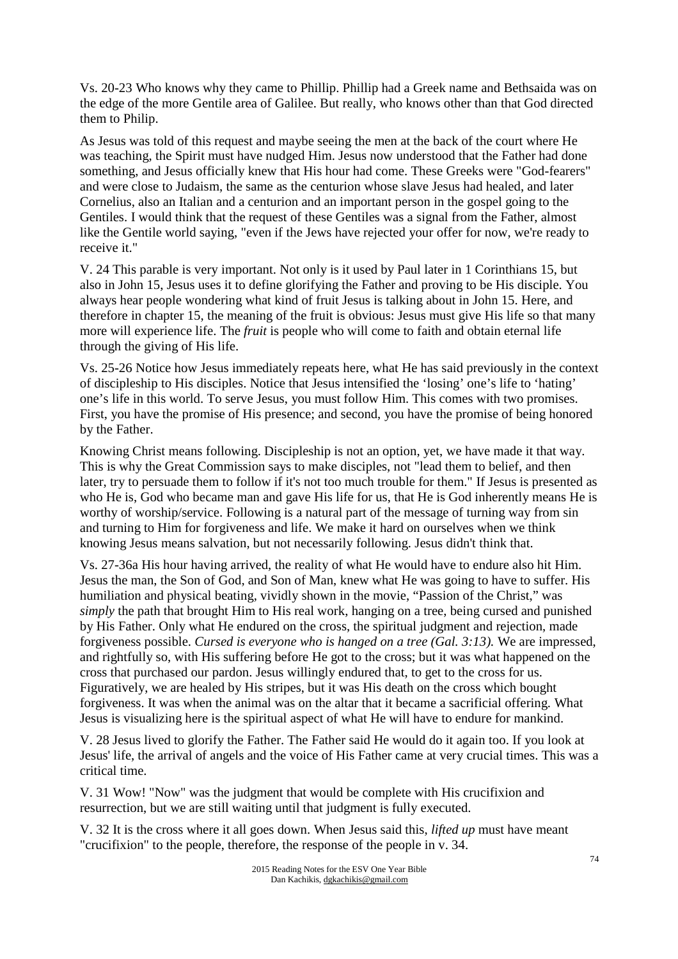Vs. 20-23 Who knows why they came to Phillip. Phillip had a Greek name and Bethsaida was on the edge of the more Gentile area of Galilee. But really, who knows other than that God directed them to Philip.

As Jesus was told of this request and maybe seeing the men at the back of the court where He was teaching, the Spirit must have nudged Him. Jesus now understood that the Father had done something, and Jesus officially knew that His hour had come. These Greeks were "God-fearers" and were close to Judaism, the same as the centurion whose slave Jesus had healed, and later Cornelius, also an Italian and a centurion and an important person in the gospel going to the Gentiles. I would think that the request of these Gentiles was a signal from the Father, almost like the Gentile world saying, "even if the Jews have rejected your offer for now, we're ready to receive it."

V. 24 This parable is very important. Not only is it used by Paul later in 1 Corinthians 15, but also in John 15, Jesus uses it to define glorifying the Father and proving to be His disciple. You always hear people wondering what kind of fruit Jesus is talking about in John 15. Here, and therefore in chapter 15, the meaning of the fruit is obvious: Jesus must give His life so that many more will experience life. The *fruit* is people who will come to faith and obtain eternal life through the giving of His life.

Vs. 25-26 Notice how Jesus immediately repeats here, what He has said previously in the context of discipleship to His disciples. Notice that Jesus intensified the 'losing' one's life to 'hating' one's life in this world. To serve Jesus, you must follow Him. This comes with two promises. First, you have the promise of His presence; and second, you have the promise of being honored by the Father.

Knowing Christ means following. Discipleship is not an option, yet, we have made it that way. This is why the Great Commission says to make disciples, not "lead them to belief, and then later, try to persuade them to follow if it's not too much trouble for them." If Jesus is presented as who He is, God who became man and gave His life for us, that He is God inherently means He is worthy of worship/service. Following is a natural part of the message of turning way from sin and turning to Him for forgiveness and life. We make it hard on ourselves when we think knowing Jesus means salvation, but not necessarily following. Jesus didn't think that.

Vs. 27-36a His hour having arrived, the reality of what He would have to endure also hit Him. Jesus the man, the Son of God, and Son of Man, knew what He was going to have to suffer. His humiliation and physical beating, vividly shown in the movie, "Passion of the Christ," was *simply* the path that brought Him to His real work, hanging on a tree, being cursed and punished by His Father. Only what He endured on the cross, the spiritual judgment and rejection, made forgiveness possible. *Cursed is everyone who is hanged on a tree (Gal. 3:13).* We are impressed, and rightfully so, with His suffering before He got to the cross; but it was what happened on the cross that purchased our pardon. Jesus willingly endured that, to get to the cross for us. Figuratively, we are healed by His stripes, but it was His death on the cross which bought forgiveness. It was when the animal was on the altar that it became a sacrificial offering. What Jesus is visualizing here is the spiritual aspect of what He will have to endure for mankind.

V. 28 Jesus lived to glorify the Father. The Father said He would do it again too. If you look at Jesus' life, the arrival of angels and the voice of His Father came at very crucial times. This was a critical time.

V. 31 Wow! "Now" was the judgment that would be complete with His crucifixion and resurrection, but we are still waiting until that judgment is fully executed.

V. 32 It is the cross where it all goes down. When Jesus said this, *lifted up* must have meant "crucifixion" to the people, therefore, the response of the people in v. 34.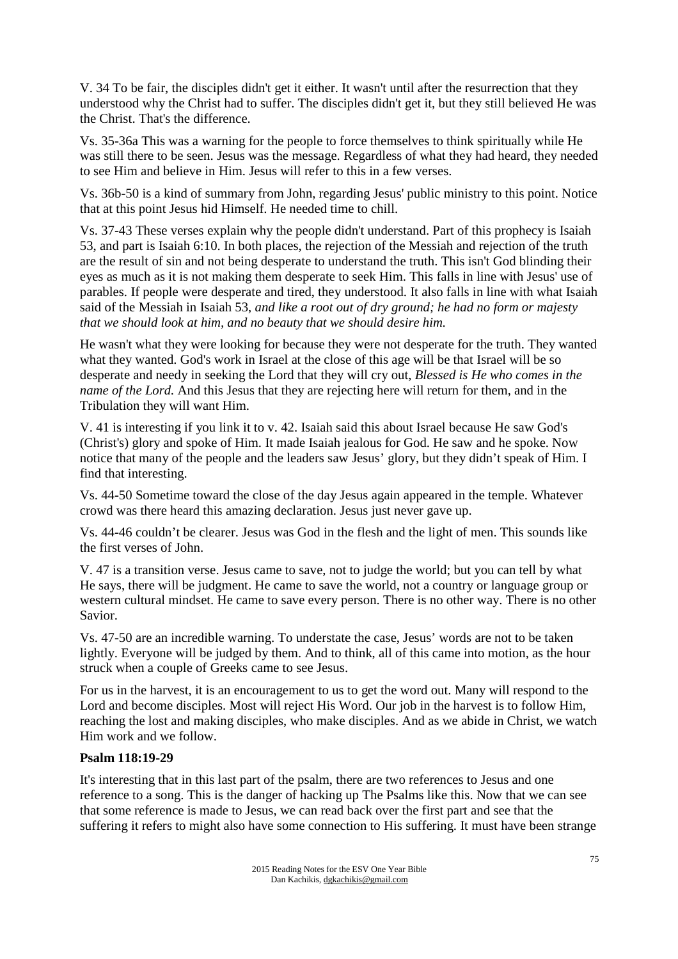V. 34 To be fair, the disciples didn't get it either. It wasn't until after the resurrection that they understood why the Christ had to suffer. The disciples didn't get it, but they still believed He was the Christ. That's the difference.

Vs. 35-36a This was a warning for the people to force themselves to think spiritually while He was still there to be seen. Jesus was the message. Regardless of what they had heard, they needed to see Him and believe in Him. Jesus will refer to this in a few verses.

Vs. 36b-50 is a kind of summary from John, regarding Jesus' public ministry to this point. Notice that at this point Jesus hid Himself. He needed time to chill.

Vs. 37-43 These verses explain why the people didn't understand. Part of this prophecy is Isaiah 53, and part is Isaiah 6:10. In both places, the rejection of the Messiah and rejection of the truth are the result of sin and not being desperate to understand the truth. This isn't God blinding their eyes as much as it is not making them desperate to seek Him. This falls in line with Jesus' use of parables. If people were desperate and tired, they understood. It also falls in line with what Isaiah said of the Messiah in Isaiah 53, *and like a root out of dry ground; he had no form or majesty that we should look at him, and no beauty that we should desire him.*

He wasn't what they were looking for because they were not desperate for the truth. They wanted what they wanted. God's work in Israel at the close of this age will be that Israel will be so desperate and needy in seeking the Lord that they will cry out, *Blessed is He who comes in the name of the Lord.* And this Jesus that they are rejecting here will return for them, and in the Tribulation they will want Him.

V. 41 is interesting if you link it to v. 42. Isaiah said this about Israel because He saw God's (Christ's) glory and spoke of Him. It made Isaiah jealous for God. He saw and he spoke. Now notice that many of the people and the leaders saw Jesus' glory, but they didn't speak of Him. I find that interesting.

Vs. 44-50 Sometime toward the close of the day Jesus again appeared in the temple. Whatever crowd was there heard this amazing declaration. Jesus just never gave up.

Vs. 44-46 couldn't be clearer. Jesus was God in the flesh and the light of men. This sounds like the first verses of John.

V. 47 is a transition verse. Jesus came to save, not to judge the world; but you can tell by what He says, there will be judgment. He came to save the world, not a country or language group or western cultural mindset. He came to save every person. There is no other way. There is no other Savior.

Vs. 47-50 are an incredible warning. To understate the case, Jesus' words are not to be taken lightly. Everyone will be judged by them. And to think, all of this came into motion, as the hour struck when a couple of Greeks came to see Jesus.

For us in the harvest, it is an encouragement to us to get the word out. Many will respond to the Lord and become disciples. Most will reject His Word. Our job in the harvest is to follow Him, reaching the lost and making disciples, who make disciples. And as we abide in Christ, we watch Him work and we follow.

# **Psalm 118:19-29**

It's interesting that in this last part of the psalm, there are two references to Jesus and one reference to a song. This is the danger of hacking up The Psalms like this. Now that we can see that some reference is made to Jesus, we can read back over the first part and see that the suffering it refers to might also have some connection to His suffering. It must have been strange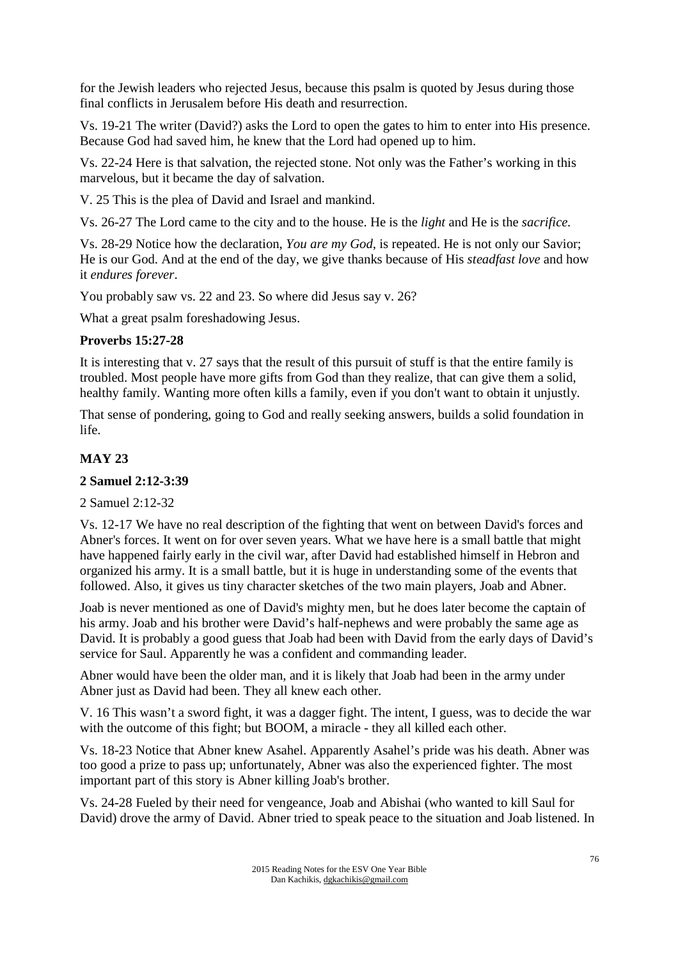for the Jewish leaders who rejected Jesus, because this psalm is quoted by Jesus during those final conflicts in Jerusalem before His death and resurrection.

Vs. 19-21 The writer (David?) asks the Lord to open the gates to him to enter into His presence. Because God had saved him, he knew that the Lord had opened up to him.

Vs. 22-24 Here is that salvation, the rejected stone. Not only was the Father's working in this marvelous, but it became the day of salvation.

V. 25 This is the plea of David and Israel and mankind.

Vs. 26-27 The Lord came to the city and to the house. He is the *light* and He is the *sacrifice.*

Vs. 28-29 Notice how the declaration, *You are my God,* is repeated. He is not only our Savior; He is our God. And at the end of the day, we give thanks because of His *steadfast love* and how it *endures forever*.

You probably saw vs. 22 and 23. So where did Jesus say v. 26?

What a great psalm foreshadowing Jesus.

#### **Proverbs 15:27-28**

It is interesting that v. 27 says that the result of this pursuit of stuff is that the entire family is troubled. Most people have more gifts from God than they realize, that can give them a solid, healthy family. Wanting more often kills a family, even if you don't want to obtain it unjustly.

That sense of pondering, going to God and really seeking answers, builds a solid foundation in life.

# **MAY 23**

#### **2 Samuel 2:12-3:39**

2 Samuel 2:12-32

Vs. 12-17 We have no real description of the fighting that went on between David's forces and Abner's forces. It went on for over seven years. What we have here is a small battle that might have happened fairly early in the civil war, after David had established himself in Hebron and organized his army. It is a small battle, but it is huge in understanding some of the events that followed. Also, it gives us tiny character sketches of the two main players, Joab and Abner.

Joab is never mentioned as one of David's mighty men, but he does later become the captain of his army. Joab and his brother were David's half-nephews and were probably the same age as David. It is probably a good guess that Joab had been with David from the early days of David's service for Saul. Apparently he was a confident and commanding leader.

Abner would have been the older man, and it is likely that Joab had been in the army under Abner just as David had been. They all knew each other.

V. 16 This wasn't a sword fight, it was a dagger fight. The intent, I guess, was to decide the war with the outcome of this fight; but BOOM, a miracle - they all killed each other.

Vs. 18-23 Notice that Abner knew Asahel. Apparently Asahel's pride was his death. Abner was too good a prize to pass up; unfortunately, Abner was also the experienced fighter. The most important part of this story is Abner killing Joab's brother.

Vs. 24-28 Fueled by their need for vengeance, Joab and Abishai (who wanted to kill Saul for David) drove the army of David. Abner tried to speak peace to the situation and Joab listened. In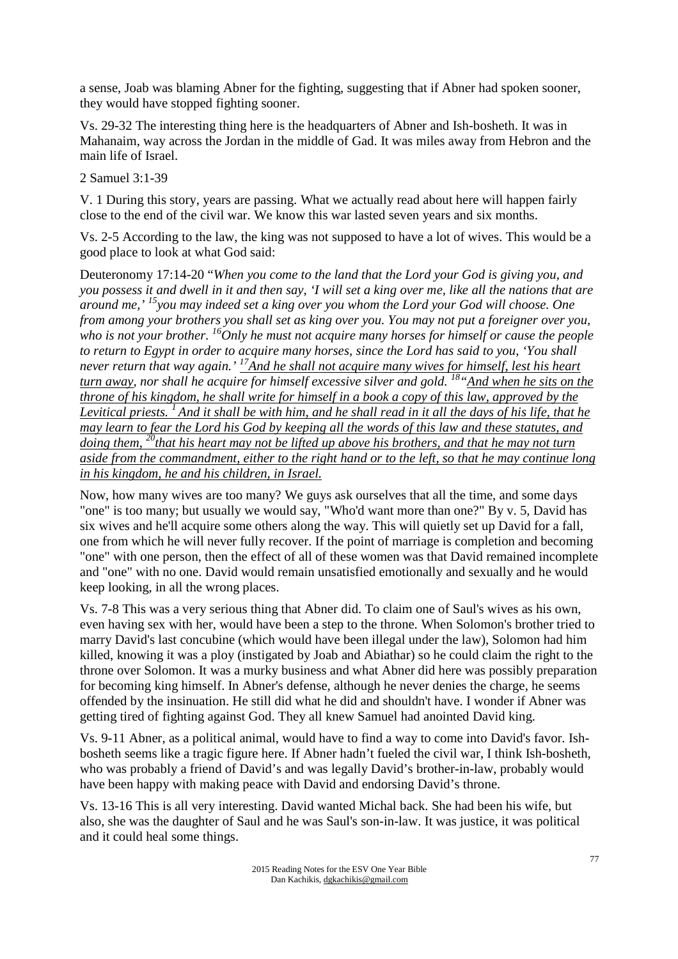a sense, Joab was blaming Abner for the fighting, suggesting that if Abner had spoken sooner, they would have stopped fighting sooner.

Vs. 29-32 The interesting thing here is the headquarters of Abner and Ish-bosheth. It was in Mahanaim, way across the Jordan in the middle of Gad. It was miles away from Hebron and the main life of Israel.

2 Samuel 3:1-39

V. 1 During this story, years are passing. What we actually read about here will happen fairly close to the end of the civil war. We know this war lasted seven years and six months.

Vs. 2-5 According to the law, the king was not supposed to have a lot of wives. This would be a good place to look at what God said:

Deuteronomy 17:14-20 "*When you come to the land that the Lord your God is giving you, and you possess it and dwell in it and then say, 'I will set a king over me, like all the nations that are around me,' <sup>15</sup>you may indeed set a king over you whom the Lord your God will choose. One from among your brothers you shall set as king over you. You may not put a foreigner over you, who is not your brother. <sup>16</sup>Only he must not acquire many horses for himself or cause the people to return to Egypt in order to acquire many horses, since the Lord has said to you, 'You shall never return that way again.' <sup>17</sup>And he shall not acquire many wives for himself, lest his heart turn away, nor shall he acquire for himself excessive silver and gold. <sup>18</sup>"And when he sits on the throne of his kingdom, he shall write for himself in a book a copy of this law, approved by the Levitical priests. <sup>1</sup>And it shall be with him, and he shall read in it all the days of his life, that he may learn to fear the Lord his God by keeping all the words of this law and these statutes, and doing them, <sup>20</sup>that his heart may not be lifted up above his brothers, and that he may not turn aside from the commandment, either to the right hand or to the left, so that he may continue long in his kingdom, he and his children, in Israel.*

Now, how many wives are too many? We guys ask ourselves that all the time, and some days "one" is too many; but usually we would say, "Who'd want more than one?" By v. 5, David has six wives and he'll acquire some others along the way. This will quietly set up David for a fall, one from which he will never fully recover. If the point of marriage is completion and becoming "one" with one person, then the effect of all of these women was that David remained incomplete and "one" with no one. David would remain unsatisfied emotionally and sexually and he would keep looking, in all the wrong places.

Vs. 7-8 This was a very serious thing that Abner did. To claim one of Saul's wives as his own, even having sex with her, would have been a step to the throne. When Solomon's brother tried to marry David's last concubine (which would have been illegal under the law), Solomon had him killed, knowing it was a ploy (instigated by Joab and Abiathar) so he could claim the right to the throne over Solomon. It was a murky business and what Abner did here was possibly preparation for becoming king himself. In Abner's defense, although he never denies the charge, he seems offended by the insinuation. He still did what he did and shouldn't have. I wonder if Abner was getting tired of fighting against God. They all knew Samuel had anointed David king.

Vs. 9-11 Abner, as a political animal, would have to find a way to come into David's favor. Ishbosheth seems like a tragic figure here. If Abner hadn't fueled the civil war, I think Ish-bosheth, who was probably a friend of David's and was legally David's brother-in-law, probably would have been happy with making peace with David and endorsing David's throne.

Vs. 13-16 This is all very interesting. David wanted Michal back. She had been his wife, but also, she was the daughter of Saul and he was Saul's son-in-law. It was justice, it was political and it could heal some things.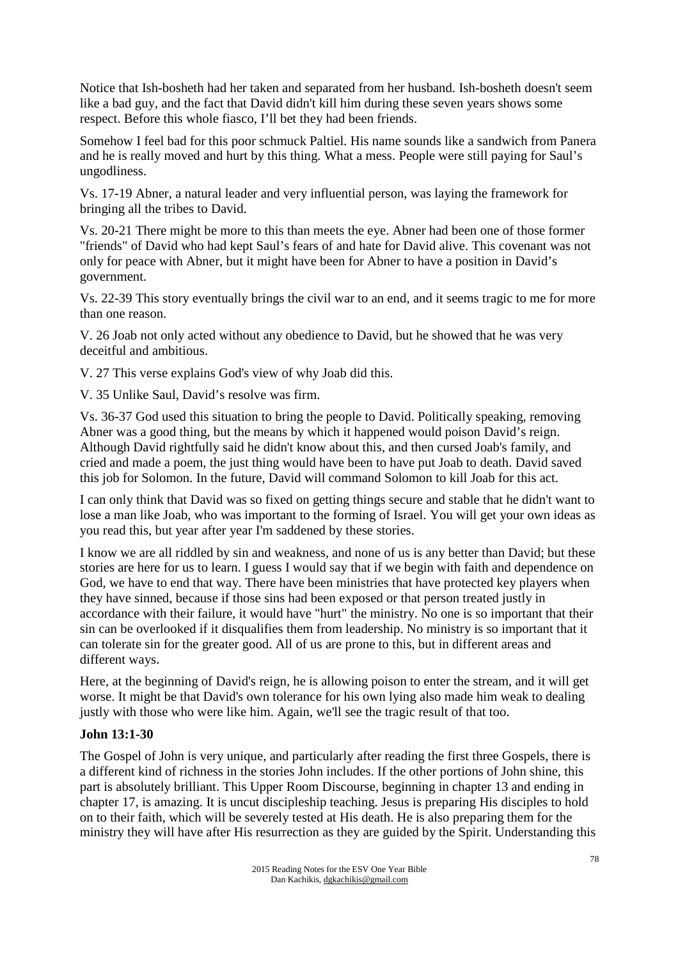Notice that Ish-bosheth had her taken and separated from her husband. Ish-bosheth doesn't seem like a bad guy, and the fact that David didn't kill him during these seven years shows some respect. Before this whole fiasco, I'll bet they had been friends.

Somehow I feel bad for this poor schmuck Paltiel. His name sounds like a sandwich from Panera and he is really moved and hurt by this thing. What a mess. People were still paying for Saul's ungodliness.

Vs. 17-19 Abner, a natural leader and very influential person, was laying the framework for bringing all the tribes to David.

Vs. 20-21 There might be more to this than meets the eye. Abner had been one of those former "friends" of David who had kept Saul's fears of and hate for David alive. This covenant was not only for peace with Abner, but it might have been for Abner to have a position in David's government.

Vs. 22-39 This story eventually brings the civil war to an end, and it seems tragic to me for more than one reason.

V. 26 Joab not only acted without any obedience to David, but he showed that he was very deceitful and ambitious.

V. 27 This verse explains God's view of why Joab did this.

V. 35 Unlike Saul, David's resolve was firm.

Vs. 36-37 God used this situation to bring the people to David. Politically speaking, removing Abner was a good thing, but the means by which it happened would poison David's reign. Although David rightfully said he didn't know about this, and then cursed Joab's family, and cried and made a poem, the just thing would have been to have put Joab to death. David saved this job for Solomon. In the future, David will command Solomon to kill Joab for this act.

I can only think that David was so fixed on getting things secure and stable that he didn't want to lose a man like Joab, who was important to the forming of Israel. You will get your own ideas as you read this, but year after year I'm saddened by these stories.

I know we are all riddled by sin and weakness, and none of us is any better than David; but these stories are here for us to learn. I guess I would say that if we begin with faith and dependence on God, we have to end that way. There have been ministries that have protected key players when they have sinned, because if those sins had been exposed or that person treated justly in accordance with their failure, it would have "hurt" the ministry. No one is so important that their sin can be overlooked if it disqualifies them from leadership. No ministry is so important that it can tolerate sin for the greater good. All of us are prone to this, but in different areas and different ways.

Here, at the beginning of David's reign, he is allowing poison to enter the stream, and it will get worse. It might be that David's own tolerance for his own lying also made him weak to dealing justly with those who were like him. Again, we'll see the tragic result of that too.

#### **John 13:1-30**

The Gospel of John is very unique, and particularly after reading the first three Gospels, there is a different kind of richness in the stories John includes. If the other portions of John shine, this part is absolutely brilliant. This Upper Room Discourse, beginning in chapter 13 and ending in chapter 17, is amazing. It is uncut discipleship teaching. Jesus is preparing His disciples to hold on to their faith, which will be severely tested at His death. He is also preparing them for the ministry they will have after His resurrection as they are guided by the Spirit. Understanding this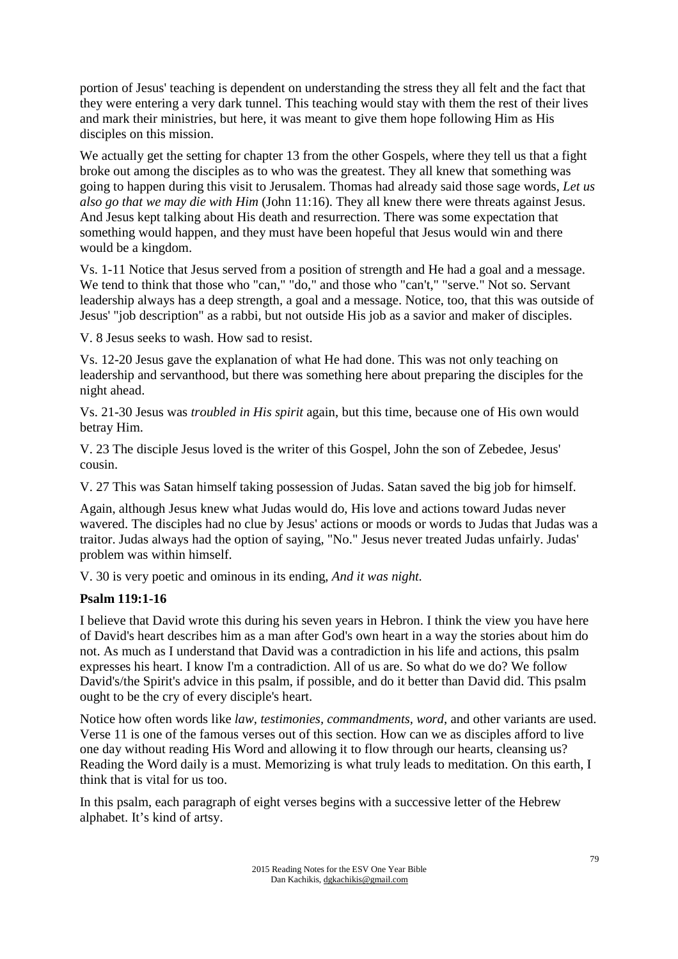portion of Jesus' teaching is dependent on understanding the stress they all felt and the fact that they were entering a very dark tunnel. This teaching would stay with them the rest of their lives and mark their ministries, but here, it was meant to give them hope following Him as His disciples on this mission.

We actually get the setting for chapter 13 from the other Gospels, where they tell us that a fight broke out among the disciples as to who was the greatest. They all knew that something was going to happen during this visit to Jerusalem. Thomas had already said those sage words, *Let us also go that we may die with Him* (John 11:16). They all knew there were threats against Jesus. And Jesus kept talking about His death and resurrection. There was some expectation that something would happen, and they must have been hopeful that Jesus would win and there would be a kingdom.

Vs. 1-11 Notice that Jesus served from a position of strength and He had a goal and a message. We tend to think that those who "can," "do," and those who "can't," "serve." Not so. Servant leadership always has a deep strength, a goal and a message. Notice, too, that this was outside of Jesus' "job description" as a rabbi, but not outside His job as a savior and maker of disciples.

V. 8 Jesus seeks to wash. How sad to resist.

Vs. 12-20 Jesus gave the explanation of what He had done. This was not only teaching on leadership and servanthood, but there was something here about preparing the disciples for the night ahead.

Vs. 21-30 Jesus was *troubled in His spirit* again, but this time, because one of His own would betray Him.

V. 23 The disciple Jesus loved is the writer of this Gospel, John the son of Zebedee, Jesus' cousin.

V. 27 This was Satan himself taking possession of Judas. Satan saved the big job for himself.

Again, although Jesus knew what Judas would do, His love and actions toward Judas never wavered. The disciples had no clue by Jesus' actions or moods or words to Judas that Judas was a traitor. Judas always had the option of saying, "No." Jesus never treated Judas unfairly. Judas' problem was within himself.

V. 30 is very poetic and ominous in its ending, *And it was night.*

#### **Psalm 119:1-16**

I believe that David wrote this during his seven years in Hebron. I think the view you have here of David's heart describes him as a man after God's own heart in a way the stories about him do not. As much as I understand that David was a contradiction in his life and actions, this psalm expresses his heart. I know I'm a contradiction. All of us are. So what do we do? We follow David's/the Spirit's advice in this psalm, if possible, and do it better than David did. This psalm ought to be the cry of every disciple's heart.

Notice how often words like *law, testimonies, commandments, word*, and other variants are used. Verse 11 is one of the famous verses out of this section. How can we as disciples afford to live one day without reading His Word and allowing it to flow through our hearts, cleansing us? Reading the Word daily is a must. Memorizing is what truly leads to meditation. On this earth, I think that is vital for us too.

In this psalm, each paragraph of eight verses begins with a successive letter of the Hebrew alphabet. It's kind of artsy.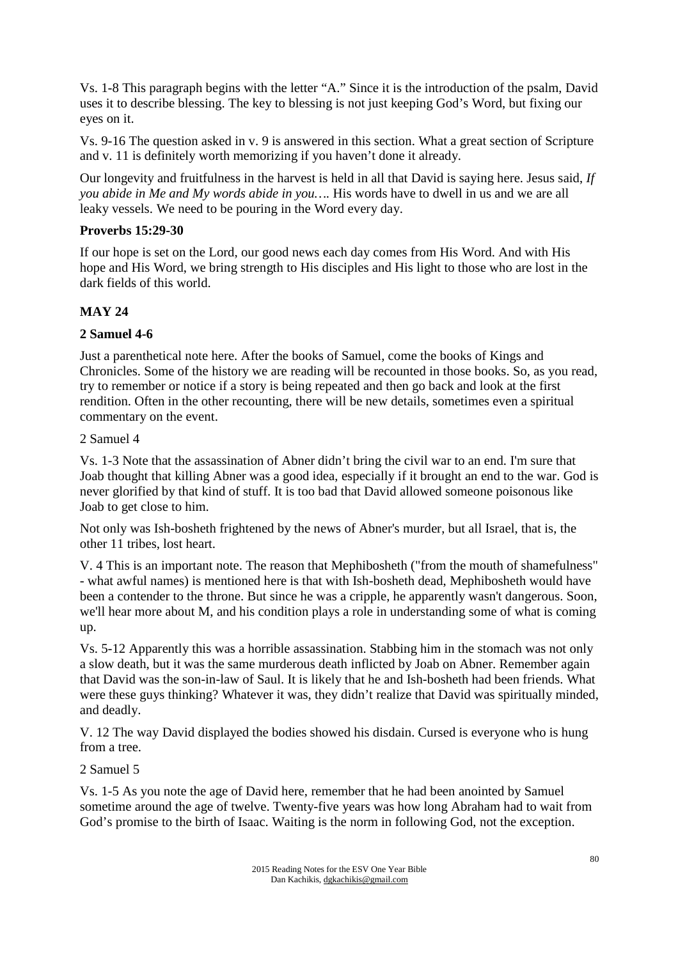Vs. 1-8 This paragraph begins with the letter "A." Since it is the introduction of the psalm, David uses it to describe blessing. The key to blessing is not just keeping God's Word, but fixing our eyes on it.

Vs. 9-16 The question asked in v. 9 is answered in this section. What a great section of Scripture and v. 11 is definitely worth memorizing if you haven't done it already.

Our longevity and fruitfulness in the harvest is held in all that David is saying here. Jesus said, *If you abide in Me and My words abide in you….* His words have to dwell in us and we are all leaky vessels. We need to be pouring in the Word every day.

# **Proverbs 15:29-30**

If our hope is set on the Lord, our good news each day comes from His Word. And with His hope and His Word, we bring strength to His disciples and His light to those who are lost in the dark fields of this world.

# **MAY 24**

# **2 Samuel 4-6**

Just a parenthetical note here. After the books of Samuel, come the books of Kings and Chronicles. Some of the history we are reading will be recounted in those books. So, as you read, try to remember or notice if a story is being repeated and then go back and look at the first rendition. Often in the other recounting, there will be new details, sometimes even a spiritual commentary on the event.

#### 2 Samuel 4

Vs. 1-3 Note that the assassination of Abner didn't bring the civil war to an end. I'm sure that Joab thought that killing Abner was a good idea, especially if it brought an end to the war. God is never glorified by that kind of stuff. It is too bad that David allowed someone poisonous like Joab to get close to him.

Not only was Ish-bosheth frightened by the news of Abner's murder, but all Israel, that is, the other 11 tribes, lost heart.

V. 4 This is an important note. The reason that Mephibosheth ("from the mouth of shamefulness" - what awful names) is mentioned here is that with Ish-bosheth dead, Mephibosheth would have been a contender to the throne. But since he was a cripple, he apparently wasn't dangerous. Soon, we'll hear more about M, and his condition plays a role in understanding some of what is coming up.

Vs. 5-12 Apparently this was a horrible assassination. Stabbing him in the stomach was not only a slow death, but it was the same murderous death inflicted by Joab on Abner. Remember again that David was the son-in-law of Saul. It is likely that he and Ish-bosheth had been friends. What were these guys thinking? Whatever it was, they didn't realize that David was spiritually minded, and deadly.

V. 12 The way David displayed the bodies showed his disdain. Cursed is everyone who is hung from a tree.

#### 2 Samuel 5

Vs. 1-5 As you note the age of David here, remember that he had been anointed by Samuel sometime around the age of twelve. Twenty-five years was how long Abraham had to wait from God's promise to the birth of Isaac. Waiting is the norm in following God, not the exception.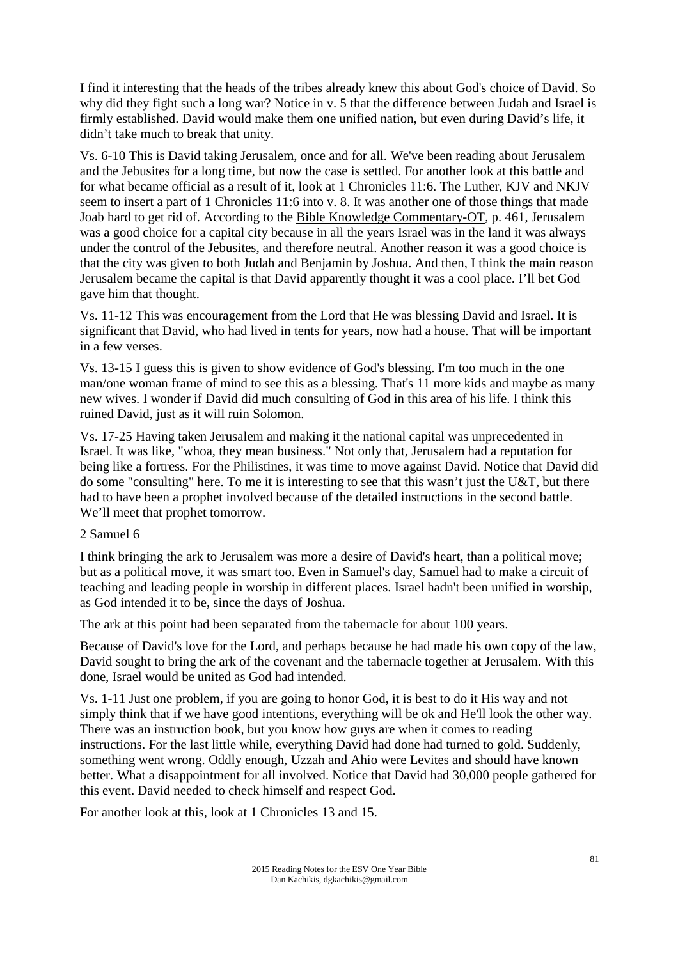I find it interesting that the heads of the tribes already knew this about God's choice of David. So why did they fight such a long war? Notice in v. 5 that the difference between Judah and Israel is firmly established. David would make them one unified nation, but even during David's life, it didn't take much to break that unity.

Vs. 6-10 This is David taking Jerusalem, once and for all. We've been reading about Jerusalem and the Jebusites for a long time, but now the case is settled. For another look at this battle and for what became official as a result of it, look at 1 Chronicles 11:6. The Luther, KJV and NKJV seem to insert a part of 1 Chronicles 11:6 into v. 8. It was another one of those things that made Joab hard to get rid of. According to the Bible Knowledge Commentary-OT, p. 461, Jerusalem was a good choice for a capital city because in all the years Israel was in the land it was always under the control of the Jebusites, and therefore neutral. Another reason it was a good choice is that the city was given to both Judah and Benjamin by Joshua. And then, I think the main reason Jerusalem became the capital is that David apparently thought it was a cool place. I'll bet God gave him that thought.

Vs. 11-12 This was encouragement from the Lord that He was blessing David and Israel. It is significant that David, who had lived in tents for years, now had a house. That will be important in a few verses.

Vs. 13-15 I guess this is given to show evidence of God's blessing. I'm too much in the one man/one woman frame of mind to see this as a blessing. That's 11 more kids and maybe as many new wives. I wonder if David did much consulting of God in this area of his life. I think this ruined David, just as it will ruin Solomon.

Vs. 17-25 Having taken Jerusalem and making it the national capital was unprecedented in Israel. It was like, "whoa, they mean business." Not only that, Jerusalem had a reputation for being like a fortress. For the Philistines, it was time to move against David. Notice that David did do some "consulting" here. To me it is interesting to see that this wasn't just the U&T, but there had to have been a prophet involved because of the detailed instructions in the second battle. We'll meet that prophet tomorrow.

#### 2 Samuel 6

I think bringing the ark to Jerusalem was more a desire of David's heart, than a political move; but as a political move, it was smart too. Even in Samuel's day, Samuel had to make a circuit of teaching and leading people in worship in different places. Israel hadn't been unified in worship, as God intended it to be, since the days of Joshua.

The ark at this point had been separated from the tabernacle for about 100 years.

Because of David's love for the Lord, and perhaps because he had made his own copy of the law, David sought to bring the ark of the covenant and the tabernacle together at Jerusalem. With this done, Israel would be united as God had intended.

Vs. 1-11 Just one problem, if you are going to honor God, it is best to do it His way and not simply think that if we have good intentions, everything will be ok and He'll look the other way. There was an instruction book, but you know how guys are when it comes to reading instructions. For the last little while, everything David had done had turned to gold. Suddenly, something went wrong. Oddly enough, Uzzah and Ahio were Levites and should have known better. What a disappointment for all involved. Notice that David had 30,000 people gathered for this event. David needed to check himself and respect God.

For another look at this, look at 1 Chronicles 13 and 15.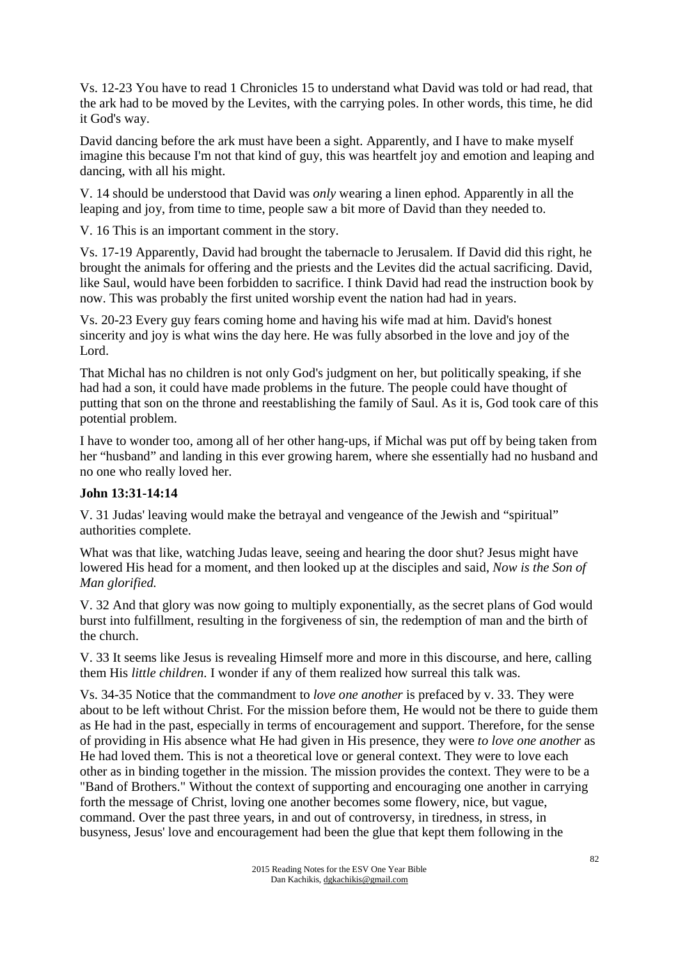Vs. 12-23 You have to read 1 Chronicles 15 to understand what David was told or had read, that the ark had to be moved by the Levites, with the carrying poles. In other words, this time, he did it God's way.

David dancing before the ark must have been a sight. Apparently, and I have to make myself imagine this because I'm not that kind of guy, this was heartfelt joy and emotion and leaping and dancing, with all his might.

V. 14 should be understood that David was *only* wearing a linen ephod. Apparently in all the leaping and joy, from time to time, people saw a bit more of David than they needed to.

V. 16 This is an important comment in the story.

Vs. 17-19 Apparently, David had brought the tabernacle to Jerusalem. If David did this right, he brought the animals for offering and the priests and the Levites did the actual sacrificing. David, like Saul, would have been forbidden to sacrifice. I think David had read the instruction book by now. This was probably the first united worship event the nation had had in years.

Vs. 20-23 Every guy fears coming home and having his wife mad at him. David's honest sincerity and joy is what wins the day here. He was fully absorbed in the love and joy of the Lord.

That Michal has no children is not only God's judgment on her, but politically speaking, if she had had a son, it could have made problems in the future. The people could have thought of putting that son on the throne and reestablishing the family of Saul. As it is, God took care of this potential problem.

I have to wonder too, among all of her other hang-ups, if Michal was put off by being taken from her "husband" and landing in this ever growing harem, where she essentially had no husband and no one who really loved her.

#### **John 13:31-14:14**

V. 31 Judas' leaving would make the betrayal and vengeance of the Jewish and "spiritual" authorities complete.

What was that like, watching Judas leave, seeing and hearing the door shut? Jesus might have lowered His head for a moment, and then looked up at the disciples and said, *Now is the Son of Man glorified.*

V. 32 And that glory was now going to multiply exponentially, as the secret plans of God would burst into fulfillment, resulting in the forgiveness of sin, the redemption of man and the birth of the church.

V. 33 It seems like Jesus is revealing Himself more and more in this discourse, and here, calling them His *little children*. I wonder if any of them realized how surreal this talk was.

Vs. 34-35 Notice that the commandment to *love one another* is prefaced by v. 33. They were about to be left without Christ. For the mission before them, He would not be there to guide them as He had in the past, especially in terms of encouragement and support. Therefore, for the sense of providing in His absence what He had given in His presence, they were *to love one another* as He had loved them. This is not a theoretical love or general context. They were to love each other as in binding together in the mission. The mission provides the context. They were to be a "Band of Brothers." Without the context of supporting and encouraging one another in carrying forth the message of Christ, loving one another becomes some flowery, nice, but vague, command. Over the past three years, in and out of controversy, in tiredness, in stress, in busyness, Jesus' love and encouragement had been the glue that kept them following in the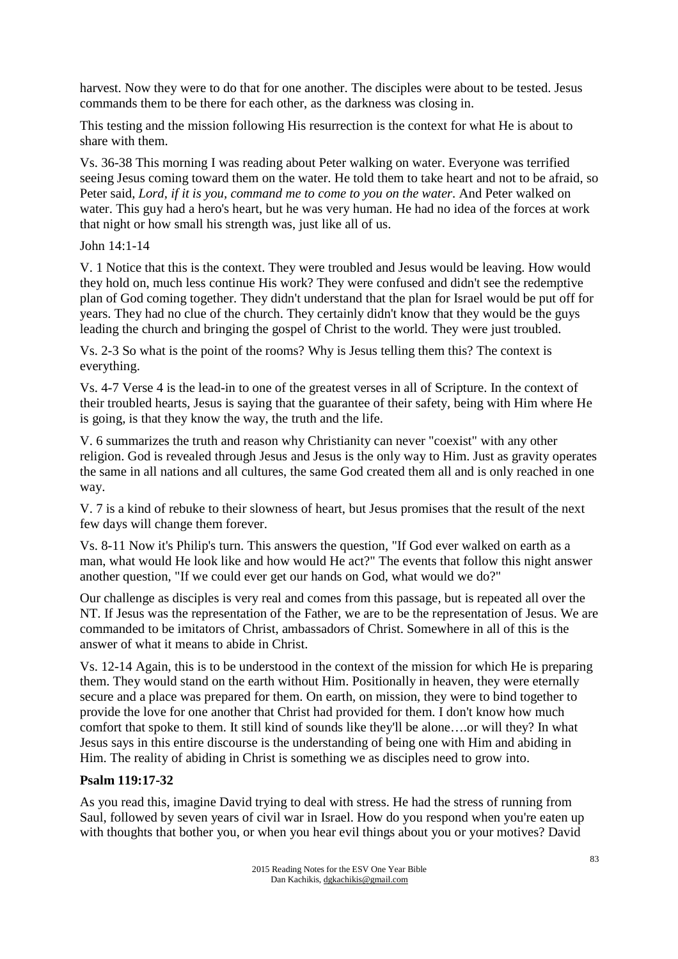harvest. Now they were to do that for one another. The disciples were about to be tested. Jesus commands them to be there for each other, as the darkness was closing in.

This testing and the mission following His resurrection is the context for what He is about to share with them.

Vs. 36-38 This morning I was reading about Peter walking on water. Everyone was terrified seeing Jesus coming toward them on the water. He told them to take heart and not to be afraid, so Peter said, *Lord, if it is you, command me to come to you on the water*. And Peter walked on water. This guy had a hero's heart, but he was very human. He had no idea of the forces at work that night or how small his strength was, just like all of us.

John 14:1-14

V. 1 Notice that this is the context. They were troubled and Jesus would be leaving. How would they hold on, much less continue His work? They were confused and didn't see the redemptive plan of God coming together. They didn't understand that the plan for Israel would be put off for years. They had no clue of the church. They certainly didn't know that they would be the guys leading the church and bringing the gospel of Christ to the world. They were just troubled.

Vs. 2-3 So what is the point of the rooms? Why is Jesus telling them this? The context is everything.

Vs. 4-7 Verse 4 is the lead-in to one of the greatest verses in all of Scripture. In the context of their troubled hearts, Jesus is saying that the guarantee of their safety, being with Him where He is going, is that they know the way, the truth and the life.

V. 6 summarizes the truth and reason why Christianity can never "coexist" with any other religion. God is revealed through Jesus and Jesus is the only way to Him. Just as gravity operates the same in all nations and all cultures, the same God created them all and is only reached in one way.

V. 7 is a kind of rebuke to their slowness of heart, but Jesus promises that the result of the next few days will change them forever.

Vs. 8-11 Now it's Philip's turn. This answers the question, "If God ever walked on earth as a man, what would He look like and how would He act?" The events that follow this night answer another question, "If we could ever get our hands on God, what would we do?"

Our challenge as disciples is very real and comes from this passage, but is repeated all over the NT. If Jesus was the representation of the Father, we are to be the representation of Jesus. We are commanded to be imitators of Christ, ambassadors of Christ. Somewhere in all of this is the answer of what it means to abide in Christ.

Vs. 12-14 Again, this is to be understood in the context of the mission for which He is preparing them. They would stand on the earth without Him. Positionally in heaven, they were eternally secure and a place was prepared for them. On earth, on mission, they were to bind together to provide the love for one another that Christ had provided for them. I don't know how much comfort that spoke to them. It still kind of sounds like they'll be alone….or will they? In what Jesus says in this entire discourse is the understanding of being one with Him and abiding in Him. The reality of abiding in Christ is something we as disciples need to grow into.

# **Psalm 119:17-32**

As you read this, imagine David trying to deal with stress. He had the stress of running from Saul, followed by seven years of civil war in Israel. How do you respond when you're eaten up with thoughts that bother you, or when you hear evil things about you or your motives? David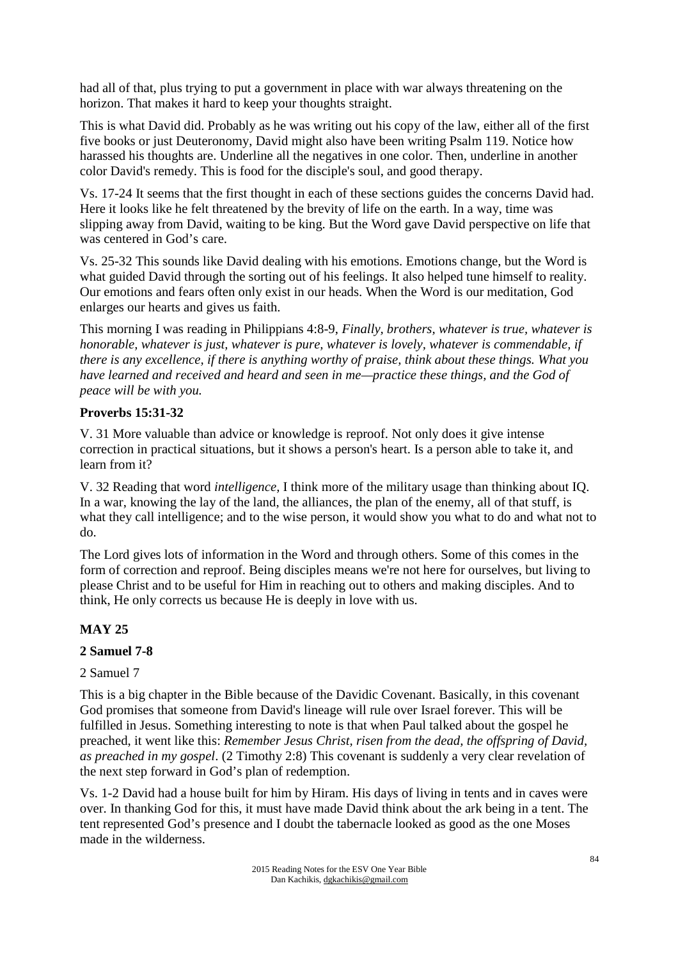had all of that, plus trying to put a government in place with war always threatening on the horizon. That makes it hard to keep your thoughts straight.

This is what David did. Probably as he was writing out his copy of the law, either all of the first five books or just Deuteronomy, David might also have been writing Psalm 119. Notice how harassed his thoughts are. Underline all the negatives in one color. Then, underline in another color David's remedy. This is food for the disciple's soul, and good therapy.

Vs. 17-24 It seems that the first thought in each of these sections guides the concerns David had. Here it looks like he felt threatened by the brevity of life on the earth. In a way, time was slipping away from David, waiting to be king. But the Word gave David perspective on life that was centered in God's care.

Vs. 25-32 This sounds like David dealing with his emotions. Emotions change, but the Word is what guided David through the sorting out of his feelings. It also helped tune himself to reality. Our emotions and fears often only exist in our heads. When the Word is our meditation, God enlarges our hearts and gives us faith.

This morning I was reading in Philippians 4:8-9, *Finally, brothers, whatever is true, whatever is honorable, whatever is just, whatever is pure, whatever is lovely, whatever is commendable, if there is any excellence, if there is anything worthy of praise, think about these things. What you have learned and received and heard and seen in me—practice these things, and the God of peace will be with you.* 

#### **Proverbs 15:31-32**

V. 31 More valuable than advice or knowledge is reproof. Not only does it give intense correction in practical situations, but it shows a person's heart. Is a person able to take it, and learn from it?

V. 32 Reading that word *intelligence,* I think more of the military usage than thinking about IQ. In a war, knowing the lay of the land, the alliances, the plan of the enemy, all of that stuff, is what they call intelligence; and to the wise person, it would show you what to do and what not to do.

The Lord gives lots of information in the Word and through others. Some of this comes in the form of correction and reproof. Being disciples means we're not here for ourselves, but living to please Christ and to be useful for Him in reaching out to others and making disciples. And to think, He only corrects us because He is deeply in love with us.

# **MAY 25**

# **2 Samuel 7-8**

# 2 Samuel 7

This is a big chapter in the Bible because of the Davidic Covenant. Basically, in this covenant God promises that someone from David's lineage will rule over Israel forever. This will be fulfilled in Jesus. Something interesting to note is that when Paul talked about the gospel he preached, it went like this: *Remember Jesus Christ, risen from the dead, the offspring of David, as preached in my gospel*. (2 Timothy 2:8) This covenant is suddenly a very clear revelation of the next step forward in God's plan of redemption.

Vs. 1-2 David had a house built for him by Hiram. His days of living in tents and in caves were over. In thanking God for this, it must have made David think about the ark being in a tent. The tent represented God's presence and I doubt the tabernacle looked as good as the one Moses made in the wilderness.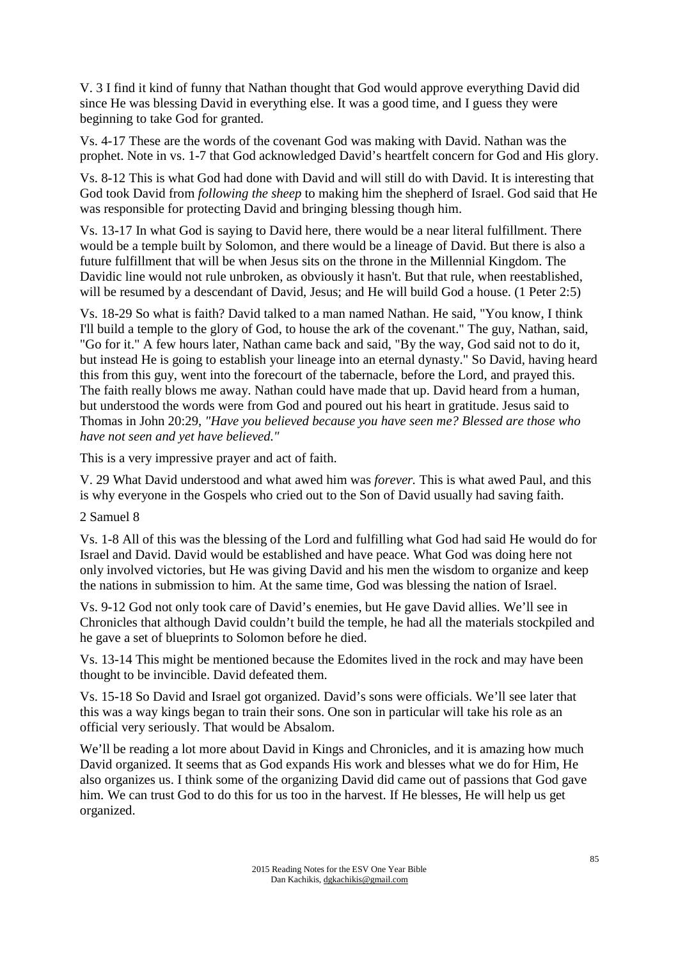V. 3 I find it kind of funny that Nathan thought that God would approve everything David did since He was blessing David in everything else. It was a good time, and I guess they were beginning to take God for granted.

Vs. 4-17 These are the words of the covenant God was making with David. Nathan was the prophet. Note in vs. 1-7 that God acknowledged David's heartfelt concern for God and His glory.

Vs. 8-12 This is what God had done with David and will still do with David. It is interesting that God took David from *following the sheep* to making him the shepherd of Israel. God said that He was responsible for protecting David and bringing blessing though him.

Vs. 13-17 In what God is saying to David here, there would be a near literal fulfillment. There would be a temple built by Solomon, and there would be a lineage of David. But there is also a future fulfillment that will be when Jesus sits on the throne in the Millennial Kingdom. The Davidic line would not rule unbroken, as obviously it hasn't. But that rule, when reestablished, will be resumed by a descendant of David, Jesus; and He will build God a house. (1 Peter 2:5)

Vs. 18-29 So what is faith? David talked to a man named Nathan. He said, "You know, I think I'll build a temple to the glory of God, to house the ark of the covenant." The guy, Nathan, said, "Go for it." A few hours later, Nathan came back and said, "By the way, God said not to do it, but instead He is going to establish your lineage into an eternal dynasty." So David, having heard this from this guy, went into the forecourt of the tabernacle, before the Lord, and prayed this. The faith really blows me away. Nathan could have made that up. David heard from a human, but understood the words were from God and poured out his heart in gratitude. Jesus said to Thomas in John 20:29, *"Have you believed because you have seen me? Blessed are those who have not seen and yet have believed."* 

This is a very impressive prayer and act of faith.

V. 29 What David understood and what awed him was *forever.* This is what awed Paul, and this is why everyone in the Gospels who cried out to the Son of David usually had saving faith.

#### 2 Samuel 8

Vs. 1-8 All of this was the blessing of the Lord and fulfilling what God had said He would do for Israel and David. David would be established and have peace. What God was doing here not only involved victories, but He was giving David and his men the wisdom to organize and keep the nations in submission to him. At the same time, God was blessing the nation of Israel.

Vs. 9-12 God not only took care of David's enemies, but He gave David allies. We'll see in Chronicles that although David couldn't build the temple, he had all the materials stockpiled and he gave a set of blueprints to Solomon before he died.

Vs. 13-14 This might be mentioned because the Edomites lived in the rock and may have been thought to be invincible. David defeated them.

Vs. 15-18 So David and Israel got organized. David's sons were officials. We'll see later that this was a way kings began to train their sons. One son in particular will take his role as an official very seriously. That would be Absalom.

We'll be reading a lot more about David in Kings and Chronicles, and it is amazing how much David organized. It seems that as God expands His work and blesses what we do for Him, He also organizes us. I think some of the organizing David did came out of passions that God gave him. We can trust God to do this for us too in the harvest. If He blesses, He will help us get organized.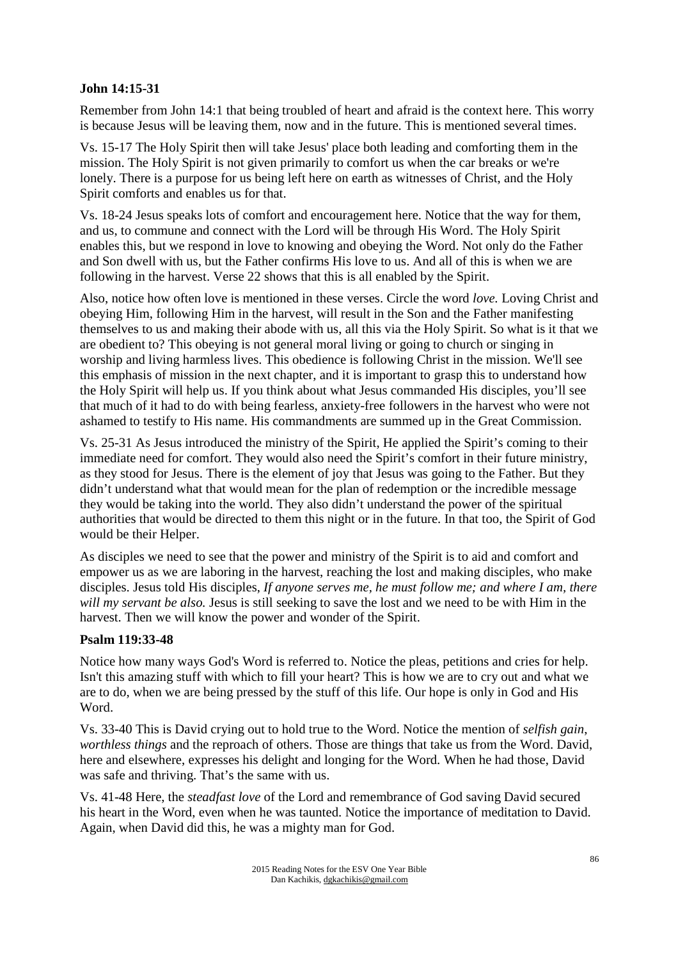#### **John 14:15-31**

Remember from John 14:1 that being troubled of heart and afraid is the context here. This worry is because Jesus will be leaving them, now and in the future. This is mentioned several times.

Vs. 15-17 The Holy Spirit then will take Jesus' place both leading and comforting them in the mission. The Holy Spirit is not given primarily to comfort us when the car breaks or we're lonely. There is a purpose for us being left here on earth as witnesses of Christ, and the Holy Spirit comforts and enables us for that.

Vs. 18-24 Jesus speaks lots of comfort and encouragement here. Notice that the way for them, and us, to commune and connect with the Lord will be through His Word. The Holy Spirit enables this, but we respond in love to knowing and obeying the Word. Not only do the Father and Son dwell with us, but the Father confirms His love to us. And all of this is when we are following in the harvest. Verse 22 shows that this is all enabled by the Spirit.

Also, notice how often love is mentioned in these verses. Circle the word *love.* Loving Christ and obeying Him, following Him in the harvest, will result in the Son and the Father manifesting themselves to us and making their abode with us, all this via the Holy Spirit. So what is it that we are obedient to? This obeying is not general moral living or going to church or singing in worship and living harmless lives. This obedience is following Christ in the mission. We'll see this emphasis of mission in the next chapter, and it is important to grasp this to understand how the Holy Spirit will help us. If you think about what Jesus commanded His disciples, you'll see that much of it had to do with being fearless, anxiety-free followers in the harvest who were not ashamed to testify to His name. His commandments are summed up in the Great Commission.

Vs. 25-31 As Jesus introduced the ministry of the Spirit, He applied the Spirit's coming to their immediate need for comfort. They would also need the Spirit's comfort in their future ministry, as they stood for Jesus. There is the element of joy that Jesus was going to the Father. But they didn't understand what that would mean for the plan of redemption or the incredible message they would be taking into the world. They also didn't understand the power of the spiritual authorities that would be directed to them this night or in the future. In that too, the Spirit of God would be their Helper.

As disciples we need to see that the power and ministry of the Spirit is to aid and comfort and empower us as we are laboring in the harvest, reaching the lost and making disciples, who make disciples. Jesus told His disciples, *If anyone serves me, he must follow me; and where I am, there will my servant be also.* Jesus is still seeking to save the lost and we need to be with Him in the harvest. Then we will know the power and wonder of the Spirit.

# **Psalm 119:33-48**

Notice how many ways God's Word is referred to. Notice the pleas, petitions and cries for help. Isn't this amazing stuff with which to fill your heart? This is how we are to cry out and what we are to do, when we are being pressed by the stuff of this life. Our hope is only in God and His Word.

Vs. 33-40 This is David crying out to hold true to the Word. Notice the mention of *selfish gain*, *worthless things* and the reproach of others. Those are things that take us from the Word. David, here and elsewhere, expresses his delight and longing for the Word. When he had those, David was safe and thriving. That's the same with us.

Vs. 41-48 Here, the *steadfast love* of the Lord and remembrance of God saving David secured his heart in the Word, even when he was taunted. Notice the importance of meditation to David. Again, when David did this, he was a mighty man for God.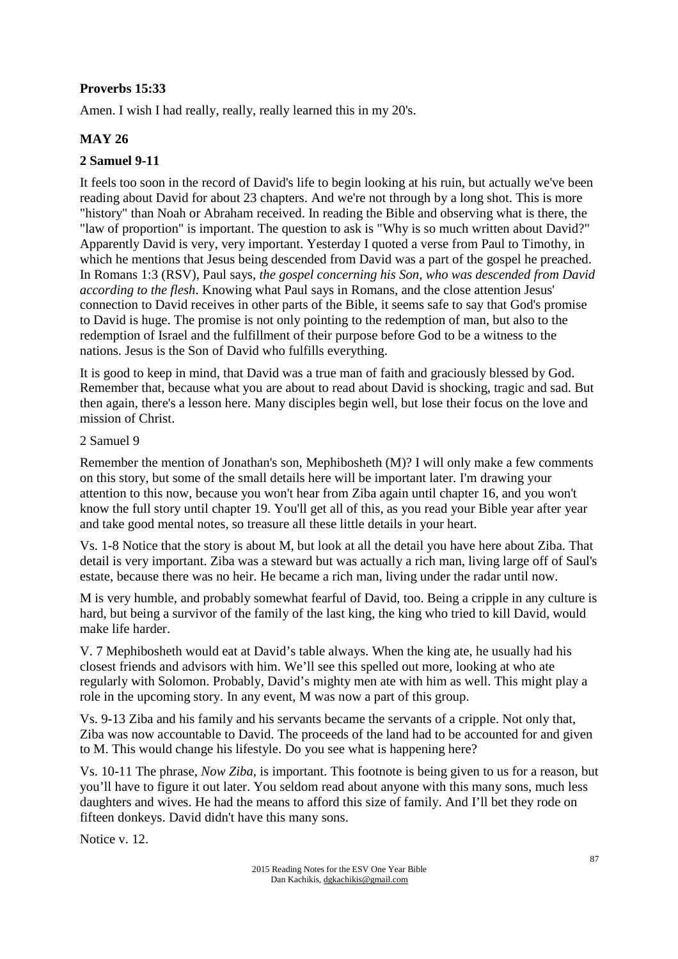# **Proverbs 15:33**

Amen. I wish I had really, really, really learned this in my 20's.

# **MAY 26**

#### **2 Samuel 9-11**

It feels too soon in the record of David's life to begin looking at his ruin, but actually we've been reading about David for about 23 chapters. And we're not through by a long shot. This is more "history" than Noah or Abraham received. In reading the Bible and observing what is there, the "law of proportion" is important. The question to ask is "Why is so much written about David?" Apparently David is very, very important. Yesterday I quoted a verse from Paul to Timothy, in which he mentions that Jesus being descended from David was a part of the gospel he preached. In Romans 1:3 (RSV), Paul says, *the gospel concerning his Son, who was descended from David according to the flesh*. Knowing what Paul says in Romans, and the close attention Jesus' connection to David receives in other parts of the Bible, it seems safe to say that God's promise to David is huge. The promise is not only pointing to the redemption of man, but also to the redemption of Israel and the fulfillment of their purpose before God to be a witness to the nations. Jesus is the Son of David who fulfills everything.

It is good to keep in mind, that David was a true man of faith and graciously blessed by God. Remember that, because what you are about to read about David is shocking, tragic and sad. But then again, there's a lesson here. Many disciples begin well, but lose their focus on the love and mission of Christ.

#### 2 Samuel 9

Remember the mention of Jonathan's son, Mephibosheth (M)? I will only make a few comments on this story, but some of the small details here will be important later. I'm drawing your attention to this now, because you won't hear from Ziba again until chapter 16, and you won't know the full story until chapter 19. You'll get all of this, as you read your Bible year after year and take good mental notes, so treasure all these little details in your heart.

Vs. 1-8 Notice that the story is about M, but look at all the detail you have here about Ziba. That detail is very important. Ziba was a steward but was actually a rich man, living large off of Saul's estate, because there was no heir. He became a rich man, living under the radar until now.

M is very humble, and probably somewhat fearful of David, too. Being a cripple in any culture is hard, but being a survivor of the family of the last king, the king who tried to kill David, would make life harder.

V. 7 Mephibosheth would eat at David's table always. When the king ate, he usually had his closest friends and advisors with him. We'll see this spelled out more, looking at who ate regularly with Solomon. Probably, David's mighty men ate with him as well. This might play a role in the upcoming story. In any event, M was now a part of this group.

Vs. 9-13 Ziba and his family and his servants became the servants of a cripple. Not only that, Ziba was now accountable to David. The proceeds of the land had to be accounted for and given to M. This would change his lifestyle. Do you see what is happening here?

Vs. 10-11 The phrase, *Now Ziba,* is important. This footnote is being given to us for a reason, but you'll have to figure it out later. You seldom read about anyone with this many sons, much less daughters and wives. He had the means to afford this size of family. And I'll bet they rode on fifteen donkeys. David didn't have this many sons.

Notice v. 12.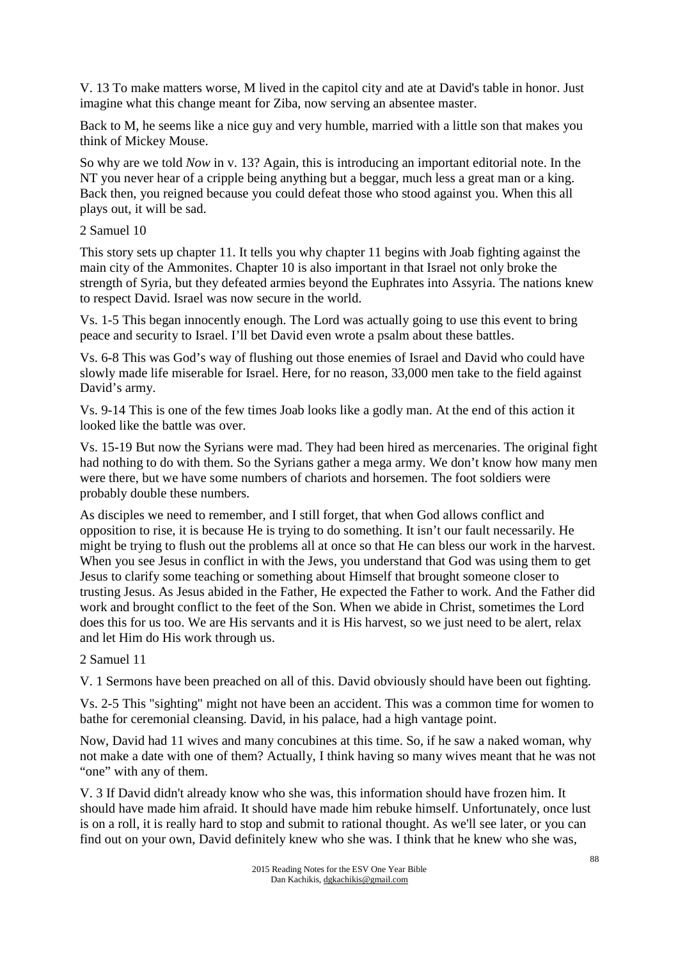V. 13 To make matters worse, M lived in the capitol city and ate at David's table in honor. Just imagine what this change meant for Ziba, now serving an absentee master.

Back to M, he seems like a nice guy and very humble, married with a little son that makes you think of Mickey Mouse.

So why are we told *Now* in v. 13? Again, this is introducing an important editorial note. In the NT you never hear of a cripple being anything but a beggar, much less a great man or a king. Back then, you reigned because you could defeat those who stood against you. When this all plays out, it will be sad.

#### 2 Samuel 10

This story sets up chapter 11. It tells you why chapter 11 begins with Joab fighting against the main city of the Ammonites. Chapter 10 is also important in that Israel not only broke the strength of Syria, but they defeated armies beyond the Euphrates into Assyria. The nations knew to respect David. Israel was now secure in the world.

Vs. 1-5 This began innocently enough. The Lord was actually going to use this event to bring peace and security to Israel. I'll bet David even wrote a psalm about these battles.

Vs. 6-8 This was God's way of flushing out those enemies of Israel and David who could have slowly made life miserable for Israel. Here, for no reason, 33,000 men take to the field against David's army.

Vs. 9-14 This is one of the few times Joab looks like a godly man. At the end of this action it looked like the battle was over.

Vs. 15-19 But now the Syrians were mad. They had been hired as mercenaries. The original fight had nothing to do with them. So the Syrians gather a mega army. We don't know how many men were there, but we have some numbers of chariots and horsemen. The foot soldiers were probably double these numbers.

As disciples we need to remember, and I still forget, that when God allows conflict and opposition to rise, it is because He is trying to do something. It isn't our fault necessarily. He might be trying to flush out the problems all at once so that He can bless our work in the harvest. When you see Jesus in conflict in with the Jews, you understand that God was using them to get Jesus to clarify some teaching or something about Himself that brought someone closer to trusting Jesus. As Jesus abided in the Father, He expected the Father to work. And the Father did work and brought conflict to the feet of the Son. When we abide in Christ, sometimes the Lord does this for us too. We are His servants and it is His harvest, so we just need to be alert, relax and let Him do His work through us.

#### 2 Samuel 11

V. 1 Sermons have been preached on all of this. David obviously should have been out fighting.

Vs. 2-5 This "sighting" might not have been an accident. This was a common time for women to bathe for ceremonial cleansing. David, in his palace, had a high vantage point.

Now, David had 11 wives and many concubines at this time. So, if he saw a naked woman, why not make a date with one of them? Actually, I think having so many wives meant that he was not "one" with any of them.

V. 3 If David didn't already know who she was, this information should have frozen him. It should have made him afraid. It should have made him rebuke himself. Unfortunately, once lust is on a roll, it is really hard to stop and submit to rational thought. As we'll see later, or you can find out on your own, David definitely knew who she was. I think that he knew who she was,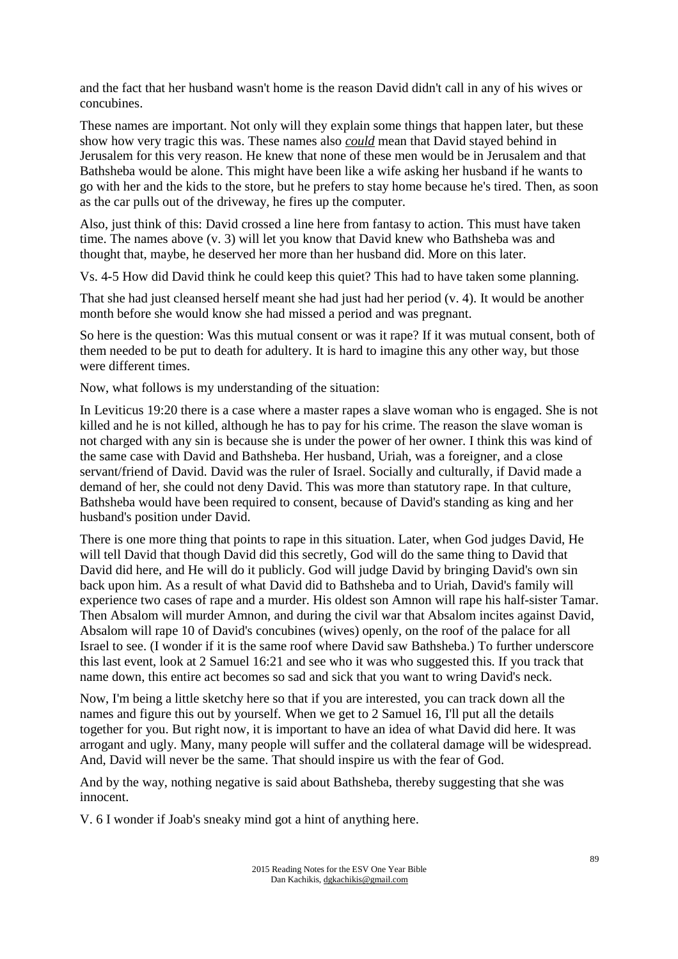and the fact that her husband wasn't home is the reason David didn't call in any of his wives or concubines.

These names are important. Not only will they explain some things that happen later, but these show how very tragic this was. These names also *could* mean that David stayed behind in Jerusalem for this very reason. He knew that none of these men would be in Jerusalem and that Bathsheba would be alone. This might have been like a wife asking her husband if he wants to go with her and the kids to the store, but he prefers to stay home because he's tired. Then, as soon as the car pulls out of the driveway, he fires up the computer.

Also, just think of this: David crossed a line here from fantasy to action. This must have taken time. The names above (v. 3) will let you know that David knew who Bathsheba was and thought that, maybe, he deserved her more than her husband did. More on this later.

Vs. 4-5 How did David think he could keep this quiet? This had to have taken some planning.

That she had just cleansed herself meant she had just had her period (v. 4). It would be another month before she would know she had missed a period and was pregnant.

So here is the question: Was this mutual consent or was it rape? If it was mutual consent, both of them needed to be put to death for adultery. It is hard to imagine this any other way, but those were different times.

Now, what follows is my understanding of the situation:

In Leviticus 19:20 there is a case where a master rapes a slave woman who is engaged. She is not killed and he is not killed, although he has to pay for his crime. The reason the slave woman is not charged with any sin is because she is under the power of her owner. I think this was kind of the same case with David and Bathsheba. Her husband, Uriah, was a foreigner, and a close servant/friend of David. David was the ruler of Israel. Socially and culturally, if David made a demand of her, she could not deny David. This was more than statutory rape. In that culture, Bathsheba would have been required to consent, because of David's standing as king and her husband's position under David.

There is one more thing that points to rape in this situation. Later, when God judges David, He will tell David that though David did this secretly, God will do the same thing to David that David did here, and He will do it publicly. God will judge David by bringing David's own sin back upon him. As a result of what David did to Bathsheba and to Uriah, David's family will experience two cases of rape and a murder. His oldest son Amnon will rape his half-sister Tamar. Then Absalom will murder Amnon, and during the civil war that Absalom incites against David, Absalom will rape 10 of David's concubines (wives) openly, on the roof of the palace for all Israel to see. (I wonder if it is the same roof where David saw Bathsheba.) To further underscore this last event, look at 2 Samuel 16:21 and see who it was who suggested this. If you track that name down, this entire act becomes so sad and sick that you want to wring David's neck.

Now, I'm being a little sketchy here so that if you are interested, you can track down all the names and figure this out by yourself. When we get to 2 Samuel 16, I'll put all the details together for you. But right now, it is important to have an idea of what David did here. It was arrogant and ugly. Many, many people will suffer and the collateral damage will be widespread. And, David will never be the same. That should inspire us with the fear of God.

And by the way, nothing negative is said about Bathsheba, thereby suggesting that she was innocent.

V. 6 I wonder if Joab's sneaky mind got a hint of anything here.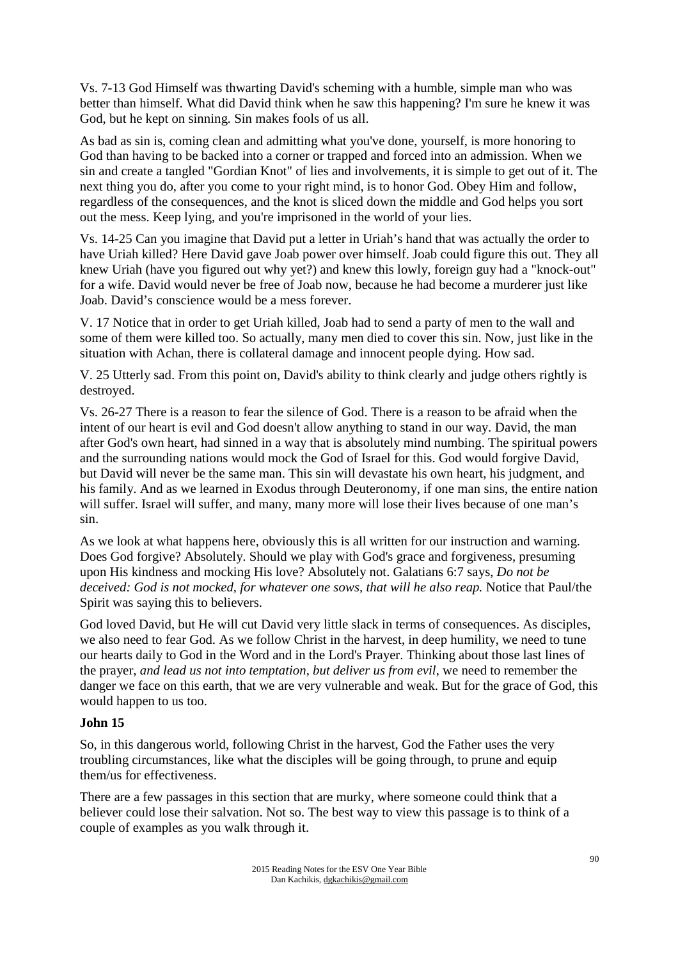Vs. 7-13 God Himself was thwarting David's scheming with a humble, simple man who was better than himself. What did David think when he saw this happening? I'm sure he knew it was God, but he kept on sinning. Sin makes fools of us all.

As bad as sin is, coming clean and admitting what you've done, yourself, is more honoring to God than having to be backed into a corner or trapped and forced into an admission. When we sin and create a tangled "Gordian Knot" of lies and involvements, it is simple to get out of it. The next thing you do, after you come to your right mind, is to honor God. Obey Him and follow, regardless of the consequences, and the knot is sliced down the middle and God helps you sort out the mess. Keep lying, and you're imprisoned in the world of your lies.

Vs. 14-25 Can you imagine that David put a letter in Uriah's hand that was actually the order to have Uriah killed? Here David gave Joab power over himself. Joab could figure this out. They all knew Uriah (have you figured out why yet?) and knew this lowly, foreign guy had a "knock-out" for a wife. David would never be free of Joab now, because he had become a murderer just like Joab. David's conscience would be a mess forever.

V. 17 Notice that in order to get Uriah killed, Joab had to send a party of men to the wall and some of them were killed too. So actually, many men died to cover this sin. Now, just like in the situation with Achan, there is collateral damage and innocent people dying. How sad.

V. 25 Utterly sad. From this point on, David's ability to think clearly and judge others rightly is destroyed.

Vs. 26-27 There is a reason to fear the silence of God. There is a reason to be afraid when the intent of our heart is evil and God doesn't allow anything to stand in our way. David, the man after God's own heart, had sinned in a way that is absolutely mind numbing. The spiritual powers and the surrounding nations would mock the God of Israel for this. God would forgive David, but David will never be the same man. This sin will devastate his own heart, his judgment, and his family. And as we learned in Exodus through Deuteronomy, if one man sins, the entire nation will suffer. Israel will suffer, and many, many more will lose their lives because of one man's sin.

As we look at what happens here, obviously this is all written for our instruction and warning. Does God forgive? Absolutely. Should we play with God's grace and forgiveness, presuming upon His kindness and mocking His love? Absolutely not. Galatians 6:7 says, *Do not be*  deceived: God is not mocked, for whatever one sows, that will he also reap. Notice that Paul/the Spirit was saying this to believers.

God loved David, but He will cut David very little slack in terms of consequences. As disciples, we also need to fear God. As we follow Christ in the harvest, in deep humility, we need to tune our hearts daily to God in the Word and in the Lord's Prayer. Thinking about those last lines of the prayer, *and lead us not into temptation, but deliver us from evil*, we need to remember the danger we face on this earth, that we are very vulnerable and weak. But for the grace of God, this would happen to us too.

#### **John 15**

So, in this dangerous world, following Christ in the harvest, God the Father uses the very troubling circumstances, like what the disciples will be going through, to prune and equip them/us for effectiveness.

There are a few passages in this section that are murky, where someone could think that a believer could lose their salvation. Not so. The best way to view this passage is to think of a couple of examples as you walk through it.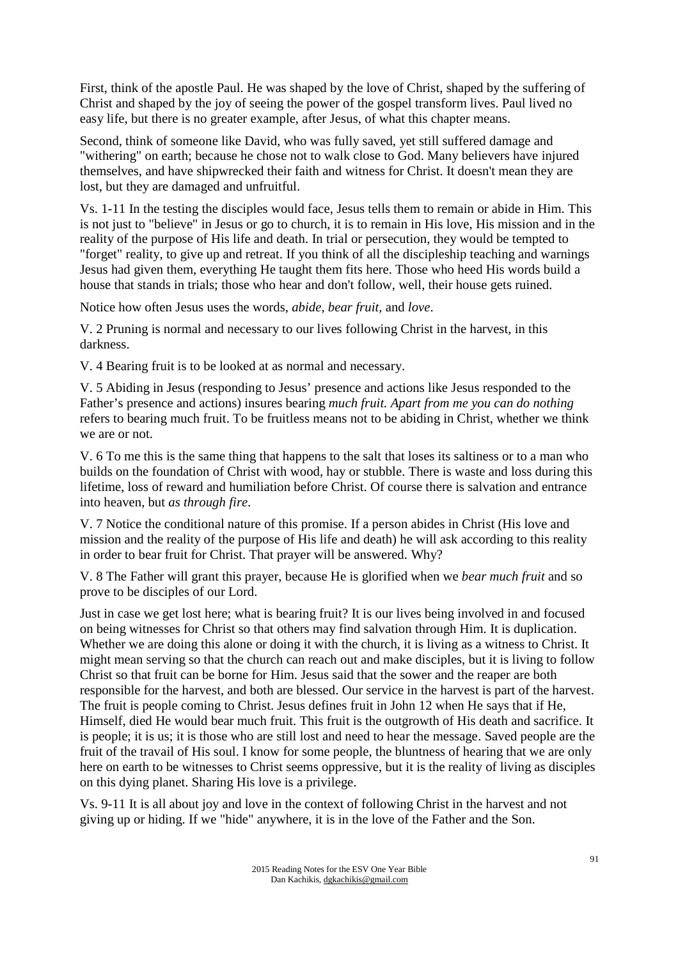First, think of the apostle Paul. He was shaped by the love of Christ, shaped by the suffering of Christ and shaped by the joy of seeing the power of the gospel transform lives. Paul lived no easy life, but there is no greater example, after Jesus, of what this chapter means.

Second, think of someone like David, who was fully saved, yet still suffered damage and "withering" on earth; because he chose not to walk close to God. Many believers have injured themselves, and have shipwrecked their faith and witness for Christ. It doesn't mean they are lost, but they are damaged and unfruitful.

Vs. 1-11 In the testing the disciples would face, Jesus tells them to remain or abide in Him. This is not just to "believe" in Jesus or go to church, it is to remain in His love, His mission and in the reality of the purpose of His life and death. In trial or persecution, they would be tempted to "forget" reality, to give up and retreat. If you think of all the discipleship teaching and warnings Jesus had given them, everything He taught them fits here. Those who heed His words build a house that stands in trials; those who hear and don't follow, well, their house gets ruined.

Notice how often Jesus uses the words, *abide, bear fruit,* and *love*.

V. 2 Pruning is normal and necessary to our lives following Christ in the harvest, in this darkness.

V. 4 Bearing fruit is to be looked at as normal and necessary.

V. 5 Abiding in Jesus (responding to Jesus' presence and actions like Jesus responded to the Father's presence and actions) insures bearing *much fruit. Apart from me you can do nothing* refers to bearing much fruit. To be fruitless means not to be abiding in Christ, whether we think we are or not.

V. 6 To me this is the same thing that happens to the salt that loses its saltiness or to a man who builds on the foundation of Christ with wood, hay or stubble. There is waste and loss during this lifetime, loss of reward and humiliation before Christ. Of course there is salvation and entrance into heaven, but *as through fire*.

V. 7 Notice the conditional nature of this promise. If a person abides in Christ (His love and mission and the reality of the purpose of His life and death) he will ask according to this reality in order to bear fruit for Christ. That prayer will be answered. Why?

V. 8 The Father will grant this prayer, because He is glorified when we *bear much fruit* and so prove to be disciples of our Lord.

Just in case we get lost here; what is bearing fruit? It is our lives being involved in and focused on being witnesses for Christ so that others may find salvation through Him. It is duplication. Whether we are doing this alone or doing it with the church, it is living as a witness to Christ. It might mean serving so that the church can reach out and make disciples, but it is living to follow Christ so that fruit can be borne for Him. Jesus said that the sower and the reaper are both responsible for the harvest, and both are blessed. Our service in the harvest is part of the harvest. The fruit is people coming to Christ. Jesus defines fruit in John 12 when He says that if He, Himself, died He would bear much fruit. This fruit is the outgrowth of His death and sacrifice. It is people; it is us; it is those who are still lost and need to hear the message. Saved people are the fruit of the travail of His soul. I know for some people, the bluntness of hearing that we are only here on earth to be witnesses to Christ seems oppressive, but it is the reality of living as disciples on this dying planet. Sharing His love is a privilege.

Vs. 9-11 It is all about joy and love in the context of following Christ in the harvest and not giving up or hiding. If we "hide" anywhere, it is in the love of the Father and the Son.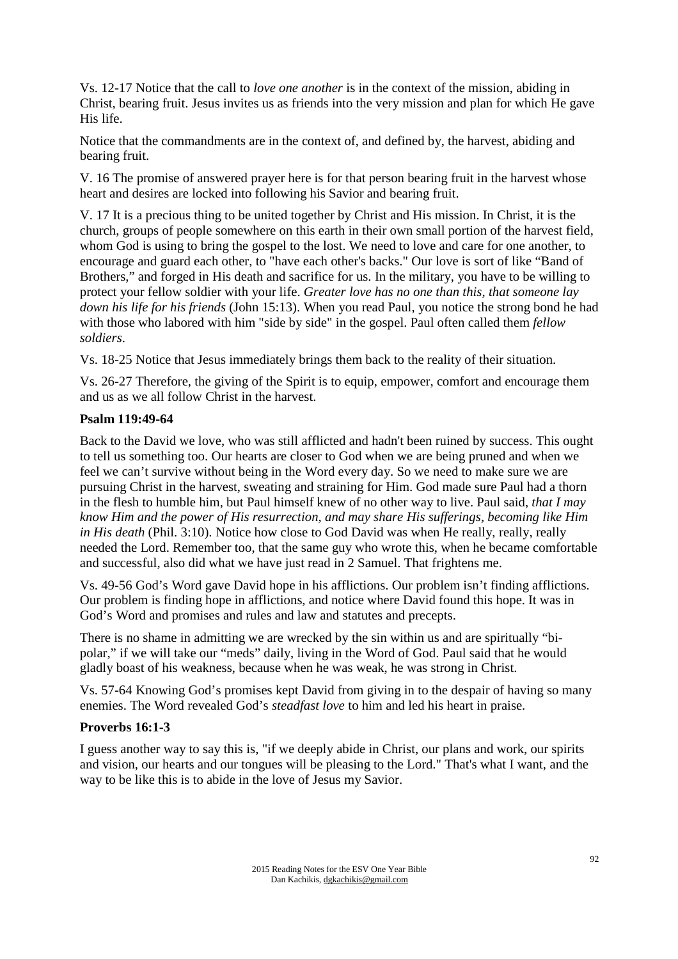Vs. 12-17 Notice that the call to *love one another* is in the context of the mission, abiding in Christ, bearing fruit. Jesus invites us as friends into the very mission and plan for which He gave His life.

Notice that the commandments are in the context of, and defined by, the harvest, abiding and bearing fruit.

V. 16 The promise of answered prayer here is for that person bearing fruit in the harvest whose heart and desires are locked into following his Savior and bearing fruit.

V. 17 It is a precious thing to be united together by Christ and His mission. In Christ, it is the church, groups of people somewhere on this earth in their own small portion of the harvest field, whom God is using to bring the gospel to the lost. We need to love and care for one another, to encourage and guard each other, to "have each other's backs." Our love is sort of like "Band of Brothers," and forged in His death and sacrifice for us. In the military, you have to be willing to protect your fellow soldier with your life. *Greater love has no one than this, that someone lay down his life for his friends* (John 15:13). When you read Paul, you notice the strong bond he had with those who labored with him "side by side" in the gospel. Paul often called them *fellow soldiers*.

Vs. 18-25 Notice that Jesus immediately brings them back to the reality of their situation.

Vs. 26-27 Therefore, the giving of the Spirit is to equip, empower, comfort and encourage them and us as we all follow Christ in the harvest.

#### **Psalm 119:49-64**

Back to the David we love, who was still afflicted and hadn't been ruined by success. This ought to tell us something too. Our hearts are closer to God when we are being pruned and when we feel we can't survive without being in the Word every day. So we need to make sure we are pursuing Christ in the harvest, sweating and straining for Him. God made sure Paul had a thorn in the flesh to humble him, but Paul himself knew of no other way to live. Paul said, *that I may know Him and the power of His resurrection, and may share His sufferings, becoming like Him in His death* (Phil. 3:10). Notice how close to God David was when He really, really, really needed the Lord. Remember too, that the same guy who wrote this, when he became comfortable and successful, also did what we have just read in 2 Samuel. That frightens me.

Vs. 49-56 God's Word gave David hope in his afflictions. Our problem isn't finding afflictions. Our problem is finding hope in afflictions, and notice where David found this hope. It was in God's Word and promises and rules and law and statutes and precepts.

There is no shame in admitting we are wrecked by the sin within us and are spiritually "bipolar," if we will take our "meds" daily, living in the Word of God. Paul said that he would gladly boast of his weakness, because when he was weak, he was strong in Christ.

Vs. 57-64 Knowing God's promises kept David from giving in to the despair of having so many enemies. The Word revealed God's *steadfast love* to him and led his heart in praise.

#### **Proverbs 16:1-3**

I guess another way to say this is, "if we deeply abide in Christ, our plans and work, our spirits and vision, our hearts and our tongues will be pleasing to the Lord." That's what I want, and the way to be like this is to abide in the love of Jesus my Savior.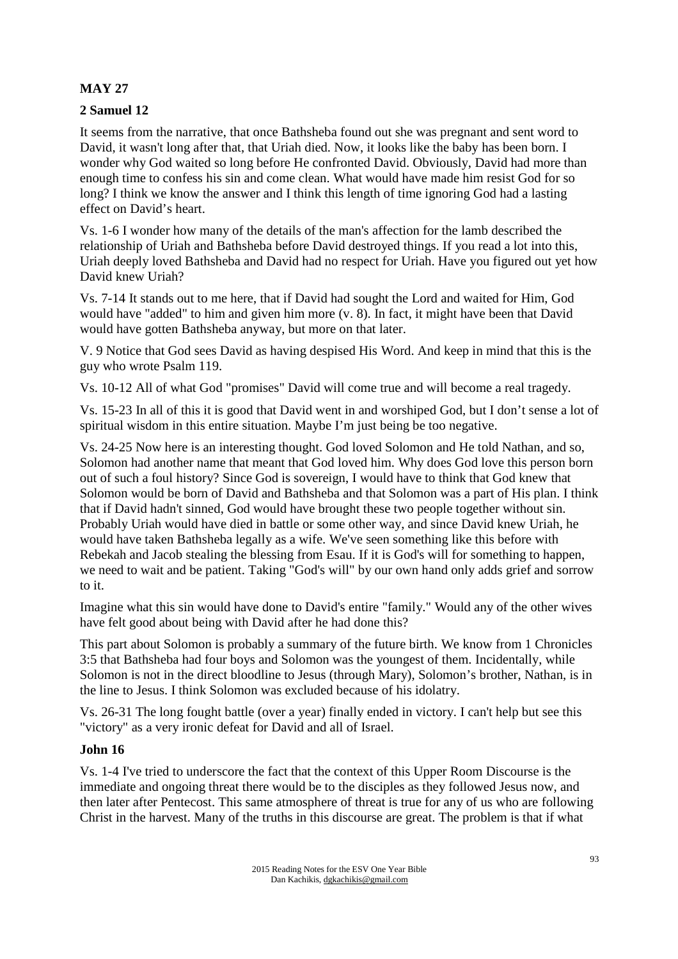# **MAY 27**

# **2 Samuel 12**

It seems from the narrative, that once Bathsheba found out she was pregnant and sent word to David, it wasn't long after that, that Uriah died. Now, it looks like the baby has been born. I wonder why God waited so long before He confronted David. Obviously, David had more than enough time to confess his sin and come clean. What would have made him resist God for so long? I think we know the answer and I think this length of time ignoring God had a lasting effect on David's heart.

Vs. 1-6 I wonder how many of the details of the man's affection for the lamb described the relationship of Uriah and Bathsheba before David destroyed things. If you read a lot into this, Uriah deeply loved Bathsheba and David had no respect for Uriah. Have you figured out yet how David knew Uriah?

Vs. 7-14 It stands out to me here, that if David had sought the Lord and waited for Him, God would have "added" to him and given him more (v. 8). In fact, it might have been that David would have gotten Bathsheba anyway, but more on that later.

V. 9 Notice that God sees David as having despised His Word. And keep in mind that this is the guy who wrote Psalm 119.

Vs. 10-12 All of what God "promises" David will come true and will become a real tragedy.

Vs. 15-23 In all of this it is good that David went in and worshiped God, but I don't sense a lot of spiritual wisdom in this entire situation. Maybe I'm just being be too negative.

Vs. 24-25 Now here is an interesting thought. God loved Solomon and He told Nathan, and so, Solomon had another name that meant that God loved him. Why does God love this person born out of such a foul history? Since God is sovereign, I would have to think that God knew that Solomon would be born of David and Bathsheba and that Solomon was a part of His plan. I think that if David hadn't sinned, God would have brought these two people together without sin. Probably Uriah would have died in battle or some other way, and since David knew Uriah, he would have taken Bathsheba legally as a wife. We've seen something like this before with Rebekah and Jacob stealing the blessing from Esau. If it is God's will for something to happen, we need to wait and be patient. Taking "God's will" by our own hand only adds grief and sorrow to it.

Imagine what this sin would have done to David's entire "family." Would any of the other wives have felt good about being with David after he had done this?

This part about Solomon is probably a summary of the future birth. We know from 1 Chronicles 3:5 that Bathsheba had four boys and Solomon was the youngest of them. Incidentally, while Solomon is not in the direct bloodline to Jesus (through Mary), Solomon's brother, Nathan, is in the line to Jesus. I think Solomon was excluded because of his idolatry.

Vs. 26-31 The long fought battle (over a year) finally ended in victory. I can't help but see this "victory" as a very ironic defeat for David and all of Israel.

# **John 16**

Vs. 1-4 I've tried to underscore the fact that the context of this Upper Room Discourse is the immediate and ongoing threat there would be to the disciples as they followed Jesus now, and then later after Pentecost. This same atmosphere of threat is true for any of us who are following Christ in the harvest. Many of the truths in this discourse are great. The problem is that if what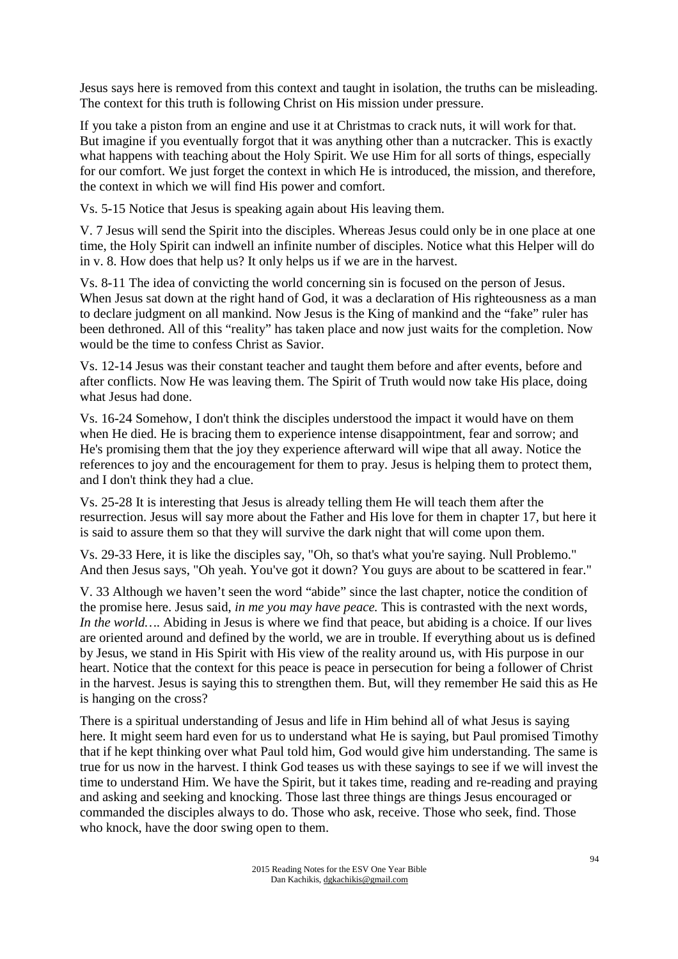Jesus says here is removed from this context and taught in isolation, the truths can be misleading. The context for this truth is following Christ on His mission under pressure.

If you take a piston from an engine and use it at Christmas to crack nuts, it will work for that. But imagine if you eventually forgot that it was anything other than a nutcracker. This is exactly what happens with teaching about the Holy Spirit. We use Him for all sorts of things, especially for our comfort. We just forget the context in which He is introduced, the mission, and therefore, the context in which we will find His power and comfort.

Vs. 5-15 Notice that Jesus is speaking again about His leaving them.

V. 7 Jesus will send the Spirit into the disciples. Whereas Jesus could only be in one place at one time, the Holy Spirit can indwell an infinite number of disciples. Notice what this Helper will do in v. 8. How does that help us? It only helps us if we are in the harvest.

Vs. 8-11 The idea of convicting the world concerning sin is focused on the person of Jesus. When Jesus sat down at the right hand of God, it was a declaration of His righteousness as a man to declare judgment on all mankind. Now Jesus is the King of mankind and the "fake" ruler has been dethroned. All of this "reality" has taken place and now just waits for the completion. Now would be the time to confess Christ as Savior.

Vs. 12-14 Jesus was their constant teacher and taught them before and after events, before and after conflicts. Now He was leaving them. The Spirit of Truth would now take His place, doing what Jesus had done.

Vs. 16-24 Somehow, I don't think the disciples understood the impact it would have on them when He died. He is bracing them to experience intense disappointment, fear and sorrow; and He's promising them that the joy they experience afterward will wipe that all away. Notice the references to joy and the encouragement for them to pray. Jesus is helping them to protect them, and I don't think they had a clue.

Vs. 25-28 It is interesting that Jesus is already telling them He will teach them after the resurrection. Jesus will say more about the Father and His love for them in chapter 17, but here it is said to assure them so that they will survive the dark night that will come upon them.

Vs. 29-33 Here, it is like the disciples say, "Oh, so that's what you're saying. Null Problemo." And then Jesus says, "Oh yeah. You've got it down? You guys are about to be scattered in fear."

V. 33 Although we haven't seen the word "abide" since the last chapter, notice the condition of the promise here. Jesus said, *in me you may have peace.* This is contrasted with the next words, *In the world*…. Abiding in Jesus is where we find that peace, but abiding is a choice. If our lives are oriented around and defined by the world, we are in trouble. If everything about us is defined by Jesus, we stand in His Spirit with His view of the reality around us, with His purpose in our heart. Notice that the context for this peace is peace in persecution for being a follower of Christ in the harvest. Jesus is saying this to strengthen them. But, will they remember He said this as He is hanging on the cross?

There is a spiritual understanding of Jesus and life in Him behind all of what Jesus is saying here. It might seem hard even for us to understand what He is saying, but Paul promised Timothy that if he kept thinking over what Paul told him, God would give him understanding. The same is true for us now in the harvest. I think God teases us with these sayings to see if we will invest the time to understand Him. We have the Spirit, but it takes time, reading and re-reading and praying and asking and seeking and knocking. Those last three things are things Jesus encouraged or commanded the disciples always to do. Those who ask, receive. Those who seek, find. Those who knock, have the door swing open to them.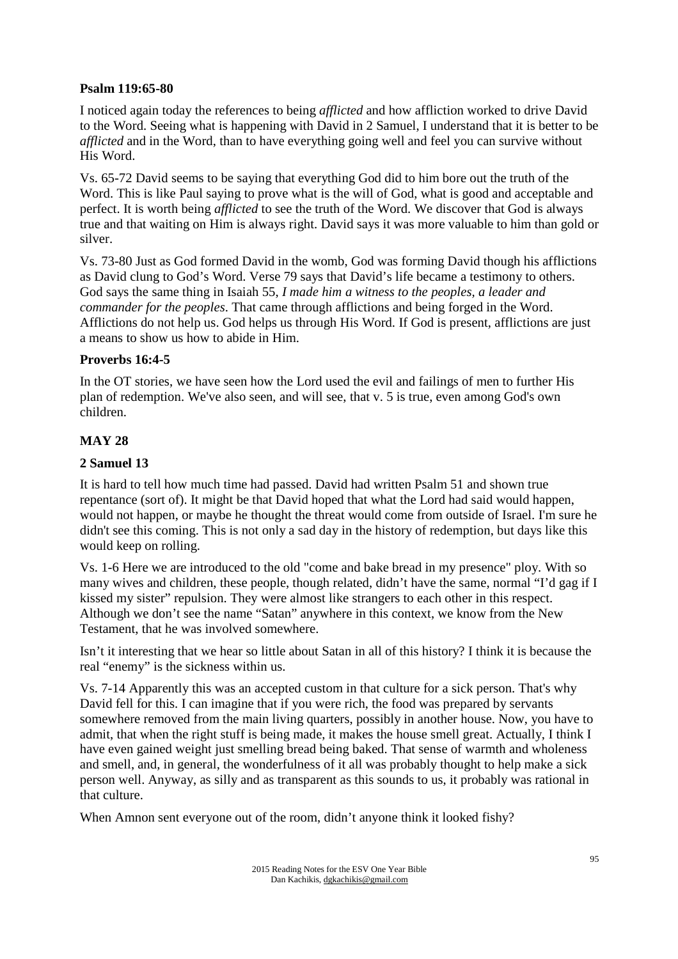#### **Psalm 119:65-80**

I noticed again today the references to being *afflicted* and how affliction worked to drive David to the Word. Seeing what is happening with David in 2 Samuel, I understand that it is better to be *afflicted* and in the Word, than to have everything going well and feel you can survive without His Word.

Vs. 65-72 David seems to be saying that everything God did to him bore out the truth of the Word. This is like Paul saying to prove what is the will of God, what is good and acceptable and perfect. It is worth being *afflicted* to see the truth of the Word. We discover that God is always true and that waiting on Him is always right. David says it was more valuable to him than gold or silver.

Vs. 73-80 Just as God formed David in the womb, God was forming David though his afflictions as David clung to God's Word. Verse 79 says that David's life became a testimony to others. God says the same thing in Isaiah 55, *I made him a witness to the peoples, a leader and commander for the peoples*. That came through afflictions and being forged in the Word. Afflictions do not help us. God helps us through His Word. If God is present, afflictions are just a means to show us how to abide in Him.

#### **Proverbs 16:4-5**

In the OT stories, we have seen how the Lord used the evil and failings of men to further His plan of redemption. We've also seen, and will see, that v. 5 is true, even among God's own children.

# **MAY 28**

#### **2 Samuel 13**

It is hard to tell how much time had passed. David had written Psalm 51 and shown true repentance (sort of). It might be that David hoped that what the Lord had said would happen, would not happen, or maybe he thought the threat would come from outside of Israel. I'm sure he didn't see this coming. This is not only a sad day in the history of redemption, but days like this would keep on rolling.

Vs. 1-6 Here we are introduced to the old "come and bake bread in my presence" ploy. With so many wives and children, these people, though related, didn't have the same, normal "I'd gag if I kissed my sister" repulsion. They were almost like strangers to each other in this respect. Although we don't see the name "Satan" anywhere in this context, we know from the New Testament, that he was involved somewhere.

Isn't it interesting that we hear so little about Satan in all of this history? I think it is because the real "enemy" is the sickness within us.

Vs. 7-14 Apparently this was an accepted custom in that culture for a sick person. That's why David fell for this. I can imagine that if you were rich, the food was prepared by servants somewhere removed from the main living quarters, possibly in another house. Now, you have to admit, that when the right stuff is being made, it makes the house smell great. Actually, I think I have even gained weight just smelling bread being baked. That sense of warmth and wholeness and smell, and, in general, the wonderfulness of it all was probably thought to help make a sick person well. Anyway, as silly and as transparent as this sounds to us, it probably was rational in that culture.

When Amnon sent everyone out of the room, didn't anyone think it looked fishy?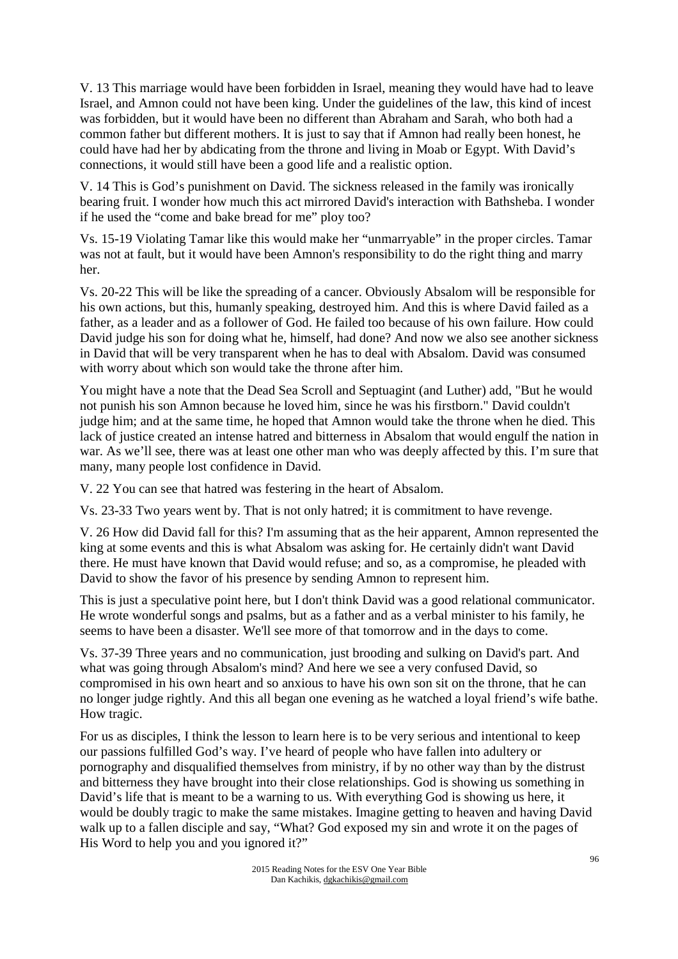V. 13 This marriage would have been forbidden in Israel, meaning they would have had to leave Israel, and Amnon could not have been king. Under the guidelines of the law, this kind of incest was forbidden, but it would have been no different than Abraham and Sarah, who both had a common father but different mothers. It is just to say that if Amnon had really been honest, he could have had her by abdicating from the throne and living in Moab or Egypt. With David's connections, it would still have been a good life and a realistic option.

V. 14 This is God's punishment on David. The sickness released in the family was ironically bearing fruit. I wonder how much this act mirrored David's interaction with Bathsheba. I wonder if he used the "come and bake bread for me" ploy too?

Vs. 15-19 Violating Tamar like this would make her "unmarryable" in the proper circles. Tamar was not at fault, but it would have been Amnon's responsibility to do the right thing and marry her.

Vs. 20-22 This will be like the spreading of a cancer. Obviously Absalom will be responsible for his own actions, but this, humanly speaking, destroyed him. And this is where David failed as a father, as a leader and as a follower of God. He failed too because of his own failure. How could David judge his son for doing what he, himself, had done? And now we also see another sickness in David that will be very transparent when he has to deal with Absalom. David was consumed with worry about which son would take the throne after him.

You might have a note that the Dead Sea Scroll and Septuagint (and Luther) add, "But he would not punish his son Amnon because he loved him, since he was his firstborn." David couldn't judge him; and at the same time, he hoped that Amnon would take the throne when he died. This lack of justice created an intense hatred and bitterness in Absalom that would engulf the nation in war. As we'll see, there was at least one other man who was deeply affected by this. I'm sure that many, many people lost confidence in David.

V. 22 You can see that hatred was festering in the heart of Absalom.

Vs. 23-33 Two years went by. That is not only hatred; it is commitment to have revenge.

V. 26 How did David fall for this? I'm assuming that as the heir apparent, Amnon represented the king at some events and this is what Absalom was asking for. He certainly didn't want David there. He must have known that David would refuse; and so, as a compromise, he pleaded with David to show the favor of his presence by sending Amnon to represent him.

This is just a speculative point here, but I don't think David was a good relational communicator. He wrote wonderful songs and psalms, but as a father and as a verbal minister to his family, he seems to have been a disaster. We'll see more of that tomorrow and in the days to come.

Vs. 37-39 Three years and no communication, just brooding and sulking on David's part. And what was going through Absalom's mind? And here we see a very confused David, so compromised in his own heart and so anxious to have his own son sit on the throne, that he can no longer judge rightly. And this all began one evening as he watched a loyal friend's wife bathe. How tragic.

For us as disciples, I think the lesson to learn here is to be very serious and intentional to keep our passions fulfilled God's way. I've heard of people who have fallen into adultery or pornography and disqualified themselves from ministry, if by no other way than by the distrust and bitterness they have brought into their close relationships. God is showing us something in David's life that is meant to be a warning to us. With everything God is showing us here, it would be doubly tragic to make the same mistakes. Imagine getting to heaven and having David walk up to a fallen disciple and say, "What? God exposed my sin and wrote it on the pages of His Word to help you and you ignored it?"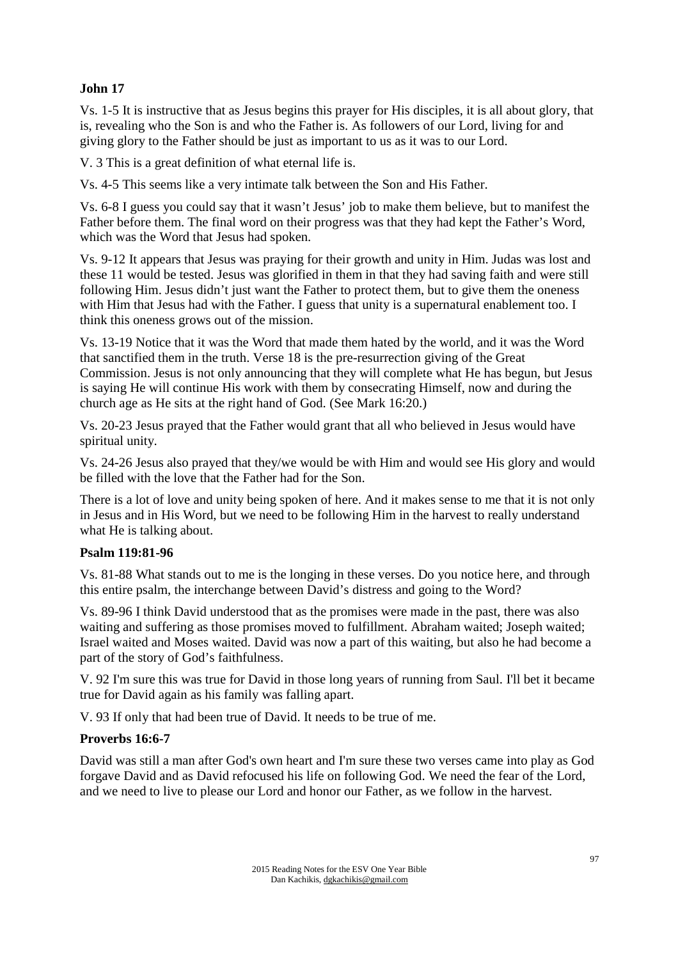# **John 17**

Vs. 1-5 It is instructive that as Jesus begins this prayer for His disciples, it is all about glory, that is, revealing who the Son is and who the Father is. As followers of our Lord, living for and giving glory to the Father should be just as important to us as it was to our Lord.

V. 3 This is a great definition of what eternal life is.

Vs. 4-5 This seems like a very intimate talk between the Son and His Father.

Vs. 6-8 I guess you could say that it wasn't Jesus' job to make them believe, but to manifest the Father before them. The final word on their progress was that they had kept the Father's Word, which was the Word that Jesus had spoken.

Vs. 9-12 It appears that Jesus was praying for their growth and unity in Him. Judas was lost and these 11 would be tested. Jesus was glorified in them in that they had saving faith and were still following Him. Jesus didn't just want the Father to protect them, but to give them the oneness with Him that Jesus had with the Father. I guess that unity is a supernatural enablement too. I think this oneness grows out of the mission.

Vs. 13-19 Notice that it was the Word that made them hated by the world, and it was the Word that sanctified them in the truth. Verse 18 is the pre-resurrection giving of the Great Commission. Jesus is not only announcing that they will complete what He has begun, but Jesus is saying He will continue His work with them by consecrating Himself, now and during the church age as He sits at the right hand of God. (See Mark 16:20.)

Vs. 20-23 Jesus prayed that the Father would grant that all who believed in Jesus would have spiritual unity.

Vs. 24-26 Jesus also prayed that they/we would be with Him and would see His glory and would be filled with the love that the Father had for the Son.

There is a lot of love and unity being spoken of here. And it makes sense to me that it is not only in Jesus and in His Word, but we need to be following Him in the harvest to really understand what He is talking about.

# **Psalm 119:81-96**

Vs. 81-88 What stands out to me is the longing in these verses. Do you notice here, and through this entire psalm, the interchange between David's distress and going to the Word?

Vs. 89-96 I think David understood that as the promises were made in the past, there was also waiting and suffering as those promises moved to fulfillment. Abraham waited; Joseph waited; Israel waited and Moses waited. David was now a part of this waiting, but also he had become a part of the story of God's faithfulness.

V. 92 I'm sure this was true for David in those long years of running from Saul. I'll bet it became true for David again as his family was falling apart.

V. 93 If only that had been true of David. It needs to be true of me.

# **Proverbs 16:6-7**

David was still a man after God's own heart and I'm sure these two verses came into play as God forgave David and as David refocused his life on following God. We need the fear of the Lord, and we need to live to please our Lord and honor our Father, as we follow in the harvest.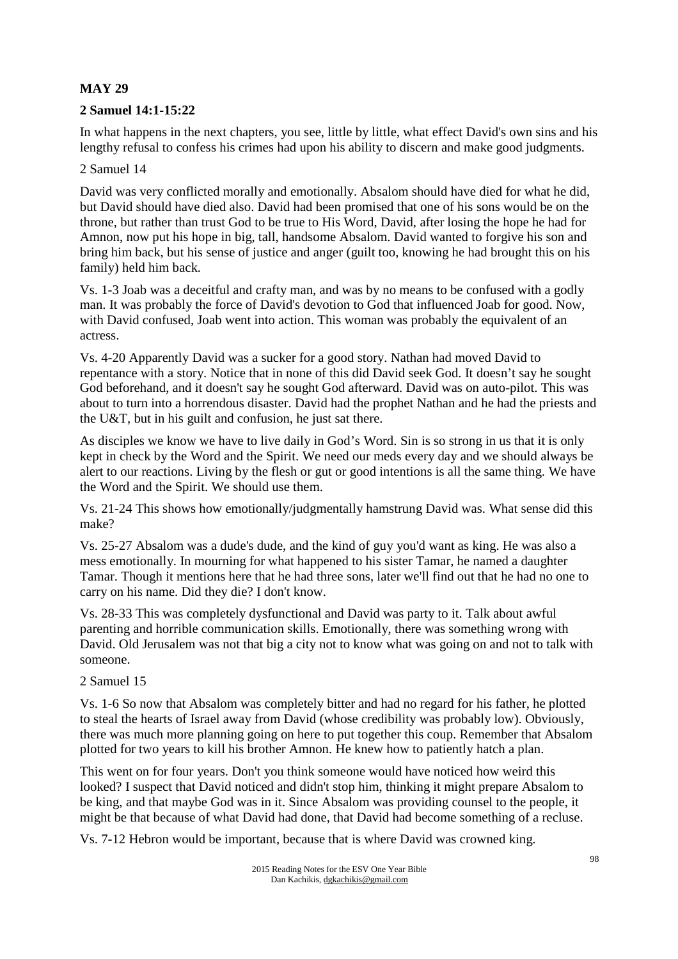# **MAY 29**

# **2 Samuel 14:1-15:22**

In what happens in the next chapters, you see, little by little, what effect David's own sins and his lengthy refusal to confess his crimes had upon his ability to discern and make good judgments.

#### 2 Samuel 14

David was very conflicted morally and emotionally. Absalom should have died for what he did, but David should have died also. David had been promised that one of his sons would be on the throne, but rather than trust God to be true to His Word, David, after losing the hope he had for Amnon, now put his hope in big, tall, handsome Absalom. David wanted to forgive his son and bring him back, but his sense of justice and anger (guilt too, knowing he had brought this on his family) held him back.

Vs. 1-3 Joab was a deceitful and crafty man, and was by no means to be confused with a godly man. It was probably the force of David's devotion to God that influenced Joab for good. Now, with David confused. Joab went into action. This woman was probably the equivalent of an actress.

Vs. 4-20 Apparently David was a sucker for a good story. Nathan had moved David to repentance with a story. Notice that in none of this did David seek God. It doesn't say he sought God beforehand, and it doesn't say he sought God afterward. David was on auto-pilot. This was about to turn into a horrendous disaster. David had the prophet Nathan and he had the priests and the U&T, but in his guilt and confusion, he just sat there.

As disciples we know we have to live daily in God's Word. Sin is so strong in us that it is only kept in check by the Word and the Spirit. We need our meds every day and we should always be alert to our reactions. Living by the flesh or gut or good intentions is all the same thing. We have the Word and the Spirit. We should use them.

Vs. 21-24 This shows how emotionally/judgmentally hamstrung David was. What sense did this make?

Vs. 25-27 Absalom was a dude's dude, and the kind of guy you'd want as king. He was also a mess emotionally. In mourning for what happened to his sister Tamar, he named a daughter Tamar. Though it mentions here that he had three sons, later we'll find out that he had no one to carry on his name. Did they die? I don't know.

Vs. 28-33 This was completely dysfunctional and David was party to it. Talk about awful parenting and horrible communication skills. Emotionally, there was something wrong with David. Old Jerusalem was not that big a city not to know what was going on and not to talk with someone.

#### 2 Samuel 15

Vs. 1-6 So now that Absalom was completely bitter and had no regard for his father, he plotted to steal the hearts of Israel away from David (whose credibility was probably low). Obviously, there was much more planning going on here to put together this coup. Remember that Absalom plotted for two years to kill his brother Amnon. He knew how to patiently hatch a plan.

This went on for four years. Don't you think someone would have noticed how weird this looked? I suspect that David noticed and didn't stop him, thinking it might prepare Absalom to be king, and that maybe God was in it. Since Absalom was providing counsel to the people, it might be that because of what David had done, that David had become something of a recluse.

Vs. 7-12 Hebron would be important, because that is where David was crowned king.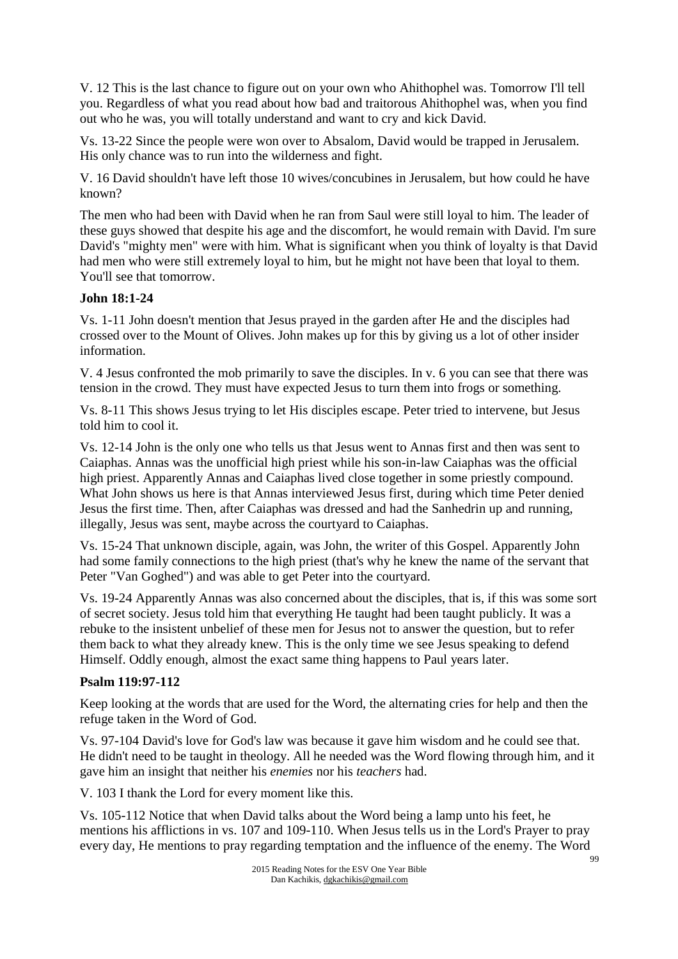V. 12 This is the last chance to figure out on your own who Ahithophel was. Tomorrow I'll tell you. Regardless of what you read about how bad and traitorous Ahithophel was, when you find out who he was, you will totally understand and want to cry and kick David.

Vs. 13-22 Since the people were won over to Absalom, David would be trapped in Jerusalem. His only chance was to run into the wilderness and fight.

V. 16 David shouldn't have left those 10 wives/concubines in Jerusalem, but how could he have known?

The men who had been with David when he ran from Saul were still loyal to him. The leader of these guys showed that despite his age and the discomfort, he would remain with David. I'm sure David's "mighty men" were with him. What is significant when you think of loyalty is that David had men who were still extremely loyal to him, but he might not have been that loyal to them. You'll see that tomorrow.

# **John 18:1-24**

Vs. 1-11 John doesn't mention that Jesus prayed in the garden after He and the disciples had crossed over to the Mount of Olives. John makes up for this by giving us a lot of other insider information.

V. 4 Jesus confronted the mob primarily to save the disciples. In v. 6 you can see that there was tension in the crowd. They must have expected Jesus to turn them into frogs or something.

Vs. 8-11 This shows Jesus trying to let His disciples escape. Peter tried to intervene, but Jesus told him to cool it.

Vs. 12-14 John is the only one who tells us that Jesus went to Annas first and then was sent to Caiaphas. Annas was the unofficial high priest while his son-in-law Caiaphas was the official high priest. Apparently Annas and Caiaphas lived close together in some priestly compound. What John shows us here is that Annas interviewed Jesus first, during which time Peter denied Jesus the first time. Then, after Caiaphas was dressed and had the Sanhedrin up and running, illegally, Jesus was sent, maybe across the courtyard to Caiaphas.

Vs. 15-24 That unknown disciple, again, was John, the writer of this Gospel. Apparently John had some family connections to the high priest (that's why he knew the name of the servant that Peter "Van Goghed") and was able to get Peter into the courtyard.

Vs. 19-24 Apparently Annas was also concerned about the disciples, that is, if this was some sort of secret society. Jesus told him that everything He taught had been taught publicly. It was a rebuke to the insistent unbelief of these men for Jesus not to answer the question, but to refer them back to what they already knew. This is the only time we see Jesus speaking to defend Himself. Oddly enough, almost the exact same thing happens to Paul years later.

# **Psalm 119:97-112**

Keep looking at the words that are used for the Word, the alternating cries for help and then the refuge taken in the Word of God.

Vs. 97-104 David's love for God's law was because it gave him wisdom and he could see that. He didn't need to be taught in theology. All he needed was the Word flowing through him, and it gave him an insight that neither his *enemies* nor his *teachers* had.

V. 103 I thank the Lord for every moment like this.

Vs. 105-112 Notice that when David talks about the Word being a lamp unto his feet, he mentions his afflictions in vs. 107 and 109-110. When Jesus tells us in the Lord's Prayer to pray every day, He mentions to pray regarding temptation and the influence of the enemy. The Word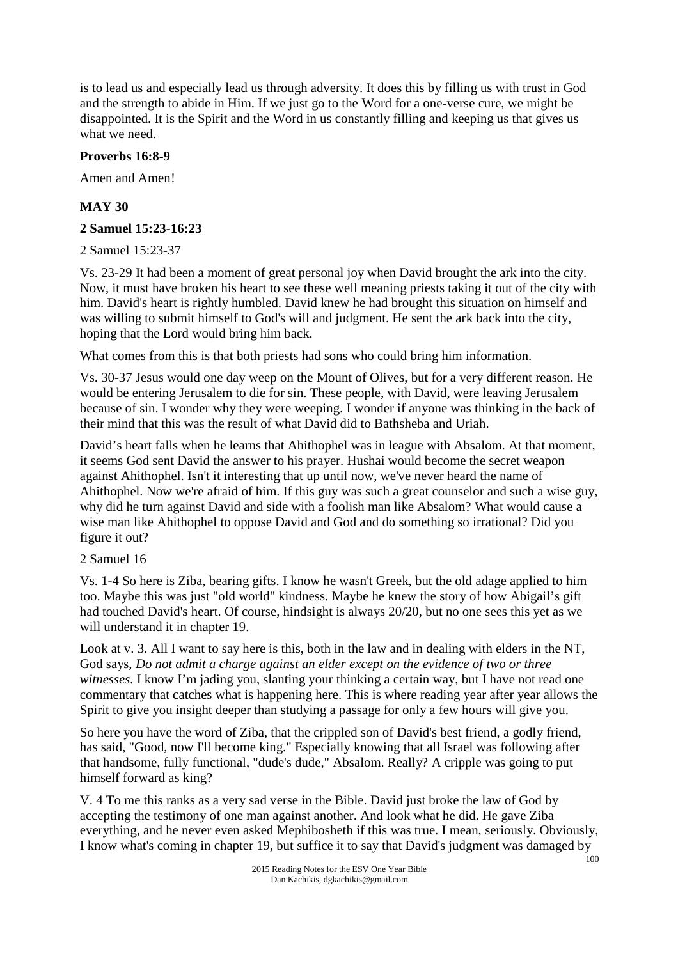is to lead us and especially lead us through adversity. It does this by filling us with trust in God and the strength to abide in Him. If we just go to the Word for a one-verse cure, we might be disappointed. It is the Spirit and the Word in us constantly filling and keeping us that gives us what we need.

#### **Proverbs 16:8-9**

Amen and Amen!

# **MAY 30**

#### **2 Samuel 15:23-16:23**

#### 2 Samuel 15:23-37

Vs. 23-29 It had been a moment of great personal joy when David brought the ark into the city. Now, it must have broken his heart to see these well meaning priests taking it out of the city with him. David's heart is rightly humbled. David knew he had brought this situation on himself and was willing to submit himself to God's will and judgment. He sent the ark back into the city, hoping that the Lord would bring him back.

What comes from this is that both priests had sons who could bring him information.

Vs. 30-37 Jesus would one day weep on the Mount of Olives, but for a very different reason. He would be entering Jerusalem to die for sin. These people, with David, were leaving Jerusalem because of sin. I wonder why they were weeping. I wonder if anyone was thinking in the back of their mind that this was the result of what David did to Bathsheba and Uriah.

David's heart falls when he learns that Ahithophel was in league with Absalom. At that moment, it seems God sent David the answer to his prayer. Hushai would become the secret weapon against Ahithophel. Isn't it interesting that up until now, we've never heard the name of Ahithophel. Now we're afraid of him. If this guy was such a great counselor and such a wise guy, why did he turn against David and side with a foolish man like Absalom? What would cause a wise man like Ahithophel to oppose David and God and do something so irrational? Did you figure it out?

#### 2 Samuel 16

Vs. 1-4 So here is Ziba, bearing gifts. I know he wasn't Greek, but the old adage applied to him too. Maybe this was just "old world" kindness. Maybe he knew the story of how Abigail's gift had touched David's heart. Of course, hindsight is always 20/20, but no one sees this yet as we will understand it in chapter 19.

Look at v. 3. All I want to say here is this, both in the law and in dealing with elders in the NT, God says, *Do not admit a charge against an elder except on the evidence of two or three witnesses.* I know I'm jading you, slanting your thinking a certain way, but I have not read one commentary that catches what is happening here. This is where reading year after year allows the Spirit to give you insight deeper than studying a passage for only a few hours will give you.

So here you have the word of Ziba, that the crippled son of David's best friend, a godly friend, has said, "Good, now I'll become king." Especially knowing that all Israel was following after that handsome, fully functional, "dude's dude," Absalom. Really? A cripple was going to put himself forward as king?

V. 4 To me this ranks as a very sad verse in the Bible. David just broke the law of God by accepting the testimony of one man against another. And look what he did. He gave Ziba everything, and he never even asked Mephibosheth if this was true. I mean, seriously. Obviously, I know what's coming in chapter 19, but suffice it to say that David's judgment was damaged by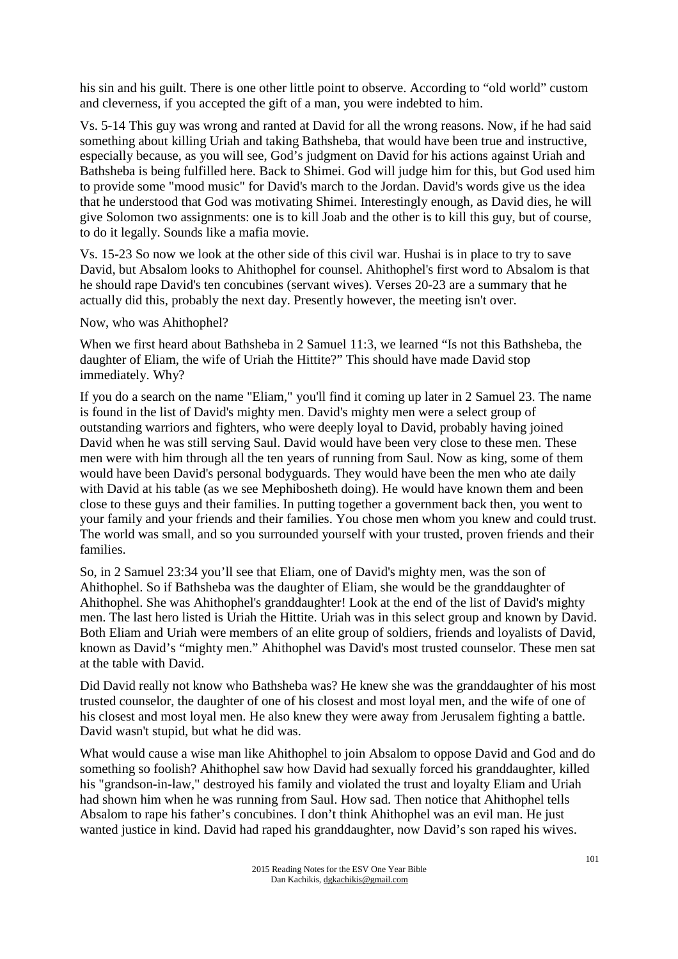his sin and his guilt. There is one other little point to observe. According to "old world" custom and cleverness, if you accepted the gift of a man, you were indebted to him.

Vs. 5-14 This guy was wrong and ranted at David for all the wrong reasons. Now, if he had said something about killing Uriah and taking Bathsheba, that would have been true and instructive, especially because, as you will see, God's judgment on David for his actions against Uriah and Bathsheba is being fulfilled here. Back to Shimei. God will judge him for this, but God used him to provide some "mood music" for David's march to the Jordan. David's words give us the idea that he understood that God was motivating Shimei. Interestingly enough, as David dies, he will give Solomon two assignments: one is to kill Joab and the other is to kill this guy, but of course, to do it legally. Sounds like a mafia movie.

Vs. 15-23 So now we look at the other side of this civil war. Hushai is in place to try to save David, but Absalom looks to Ahithophel for counsel. Ahithophel's first word to Absalom is that he should rape David's ten concubines (servant wives). Verses 20-23 are a summary that he actually did this, probably the next day. Presently however, the meeting isn't over.

Now, who was Ahithophel?

When we first heard about Bathsheba in 2 Samuel 11:3, we learned "Is not this Bathsheba, the daughter of Eliam, the wife of Uriah the Hittite?" This should have made David stop immediately. Why?

If you do a search on the name "Eliam," you'll find it coming up later in 2 Samuel 23. The name is found in the list of David's mighty men. David's mighty men were a select group of outstanding warriors and fighters, who were deeply loyal to David, probably having joined David when he was still serving Saul. David would have been very close to these men. These men were with him through all the ten years of running from Saul. Now as king, some of them would have been David's personal bodyguards. They would have been the men who ate daily with David at his table (as we see Mephibosheth doing). He would have known them and been close to these guys and their families. In putting together a government back then, you went to your family and your friends and their families. You chose men whom you knew and could trust. The world was small, and so you surrounded yourself with your trusted, proven friends and their families.

So, in 2 Samuel 23:34 you'll see that Eliam, one of David's mighty men, was the son of Ahithophel. So if Bathsheba was the daughter of Eliam, she would be the granddaughter of Ahithophel. She was Ahithophel's granddaughter! Look at the end of the list of David's mighty men. The last hero listed is Uriah the Hittite. Uriah was in this select group and known by David. Both Eliam and Uriah were members of an elite group of soldiers, friends and loyalists of David, known as David's "mighty men." Ahithophel was David's most trusted counselor. These men sat at the table with David.

Did David really not know who Bathsheba was? He knew she was the granddaughter of his most trusted counselor, the daughter of one of his closest and most loyal men, and the wife of one of his closest and most loyal men. He also knew they were away from Jerusalem fighting a battle. David wasn't stupid, but what he did was.

What would cause a wise man like Ahithophel to join Absalom to oppose David and God and do something so foolish? Ahithophel saw how David had sexually forced his granddaughter, killed his "grandson-in-law," destroyed his family and violated the trust and loyalty Eliam and Uriah had shown him when he was running from Saul. How sad. Then notice that Ahithophel tells Absalom to rape his father's concubines. I don't think Ahithophel was an evil man. He just wanted justice in kind. David had raped his granddaughter, now David's son raped his wives.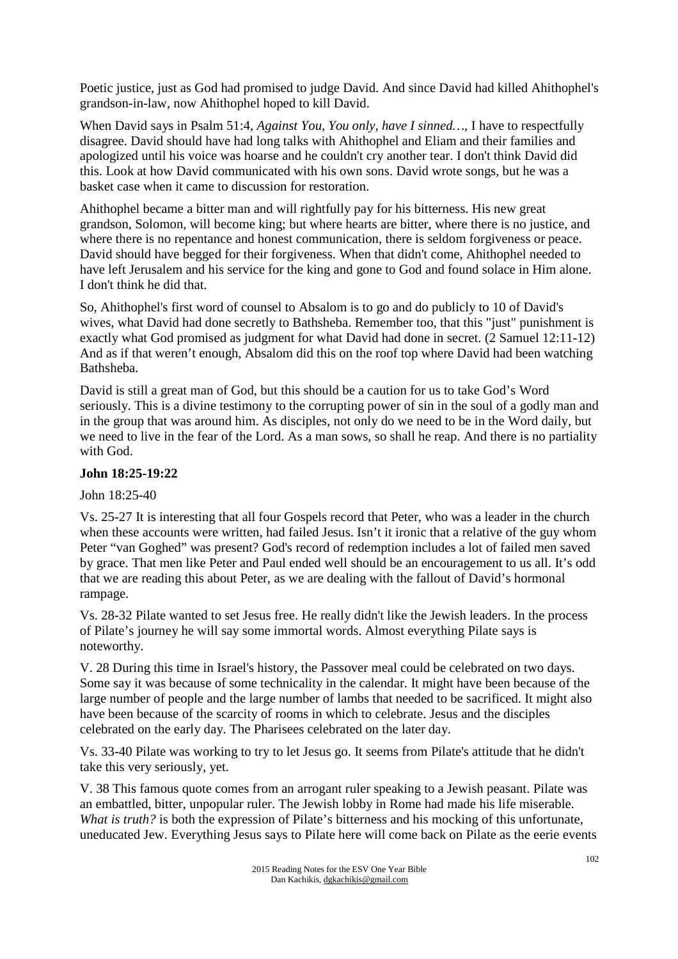Poetic justice, just as God had promised to judge David. And since David had killed Ahithophel's grandson-in-law, now Ahithophel hoped to kill David.

When David says in Psalm 51:4, *Against You, You only, have I sinned…,* I have to respectfully disagree. David should have had long talks with Ahithophel and Eliam and their families and apologized until his voice was hoarse and he couldn't cry another tear. I don't think David did this. Look at how David communicated with his own sons. David wrote songs, but he was a basket case when it came to discussion for restoration.

Ahithophel became a bitter man and will rightfully pay for his bitterness. His new great grandson, Solomon, will become king; but where hearts are bitter, where there is no justice, and where there is no repentance and honest communication, there is seldom forgiveness or peace. David should have begged for their forgiveness. When that didn't come, Ahithophel needed to have left Jerusalem and his service for the king and gone to God and found solace in Him alone. I don't think he did that.

So, Ahithophel's first word of counsel to Absalom is to go and do publicly to 10 of David's wives, what David had done secretly to Bathsheba. Remember too, that this "just" punishment is exactly what God promised as judgment for what David had done in secret. (2 Samuel 12:11-12) And as if that weren't enough, Absalom did this on the roof top where David had been watching Bathsheba.

David is still a great man of God, but this should be a caution for us to take God's Word seriously. This is a divine testimony to the corrupting power of sin in the soul of a godly man and in the group that was around him. As disciples, not only do we need to be in the Word daily, but we need to live in the fear of the Lord. As a man sows, so shall he reap. And there is no partiality with God.

#### **John 18:25-19:22**

John 18:25-40

Vs. 25-27 It is interesting that all four Gospels record that Peter, who was a leader in the church when these accounts were written, had failed Jesus. Isn't it ironic that a relative of the guy whom Peter "van Goghed" was present? God's record of redemption includes a lot of failed men saved by grace. That men like Peter and Paul ended well should be an encouragement to us all. It's odd that we are reading this about Peter, as we are dealing with the fallout of David's hormonal rampage.

Vs. 28-32 Pilate wanted to set Jesus free. He really didn't like the Jewish leaders. In the process of Pilate's journey he will say some immortal words. Almost everything Pilate says is noteworthy.

V. 28 During this time in Israel's history, the Passover meal could be celebrated on two days. Some say it was because of some technicality in the calendar. It might have been because of the large number of people and the large number of lambs that needed to be sacrificed. It might also have been because of the scarcity of rooms in which to celebrate. Jesus and the disciples celebrated on the early day. The Pharisees celebrated on the later day.

Vs. 33-40 Pilate was working to try to let Jesus go. It seems from Pilate's attitude that he didn't take this very seriously, yet.

V. 38 This famous quote comes from an arrogant ruler speaking to a Jewish peasant. Pilate was an embattled, bitter, unpopular ruler. The Jewish lobby in Rome had made his life miserable. *What is truth?* is both the expression of Pilate's bitterness and his mocking of this unfortunate, uneducated Jew. Everything Jesus says to Pilate here will come back on Pilate as the eerie events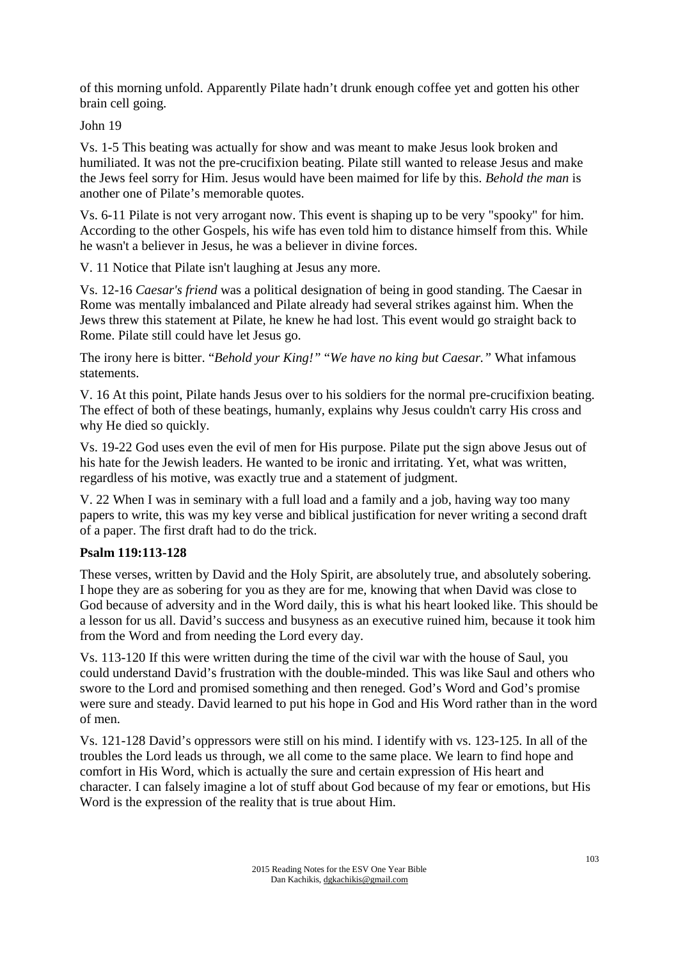of this morning unfold. Apparently Pilate hadn't drunk enough coffee yet and gotten his other brain cell going.

John 19

Vs. 1-5 This beating was actually for show and was meant to make Jesus look broken and humiliated. It was not the pre-crucifixion beating. Pilate still wanted to release Jesus and make the Jews feel sorry for Him. Jesus would have been maimed for life by this. *Behold the man* is another one of Pilate's memorable quotes.

Vs. 6-11 Pilate is not very arrogant now. This event is shaping up to be very "spooky" for him. According to the other Gospels, his wife has even told him to distance himself from this. While he wasn't a believer in Jesus, he was a believer in divine forces.

V. 11 Notice that Pilate isn't laughing at Jesus any more.

Vs. 12-16 *Caesar's friend* was a political designation of being in good standing. The Caesar in Rome was mentally imbalanced and Pilate already had several strikes against him. When the Jews threw this statement at Pilate, he knew he had lost. This event would go straight back to Rome. Pilate still could have let Jesus go.

The irony here is bitter. "*Behold your King!"* "*We have no king but Caesar."* What infamous statements.

V. 16 At this point, Pilate hands Jesus over to his soldiers for the normal pre-crucifixion beating. The effect of both of these beatings, humanly, explains why Jesus couldn't carry His cross and why He died so quickly.

Vs. 19-22 God uses even the evil of men for His purpose. Pilate put the sign above Jesus out of his hate for the Jewish leaders. He wanted to be ironic and irritating. Yet, what was written, regardless of his motive, was exactly true and a statement of judgment.

V. 22 When I was in seminary with a full load and a family and a job, having way too many papers to write, this was my key verse and biblical justification for never writing a second draft of a paper. The first draft had to do the trick.

# **Psalm 119:113-128**

These verses, written by David and the Holy Spirit, are absolutely true, and absolutely sobering. I hope they are as sobering for you as they are for me, knowing that when David was close to God because of adversity and in the Word daily, this is what his heart looked like. This should be a lesson for us all. David's success and busyness as an executive ruined him, because it took him from the Word and from needing the Lord every day.

Vs. 113-120 If this were written during the time of the civil war with the house of Saul, you could understand David's frustration with the double-minded. This was like Saul and others who swore to the Lord and promised something and then reneged. God's Word and God's promise were sure and steady. David learned to put his hope in God and His Word rather than in the word of men.

Vs. 121-128 David's oppressors were still on his mind. I identify with vs. 123-125. In all of the troubles the Lord leads us through, we all come to the same place. We learn to find hope and comfort in His Word, which is actually the sure and certain expression of His heart and character. I can falsely imagine a lot of stuff about God because of my fear or emotions, but His Word is the expression of the reality that is true about Him.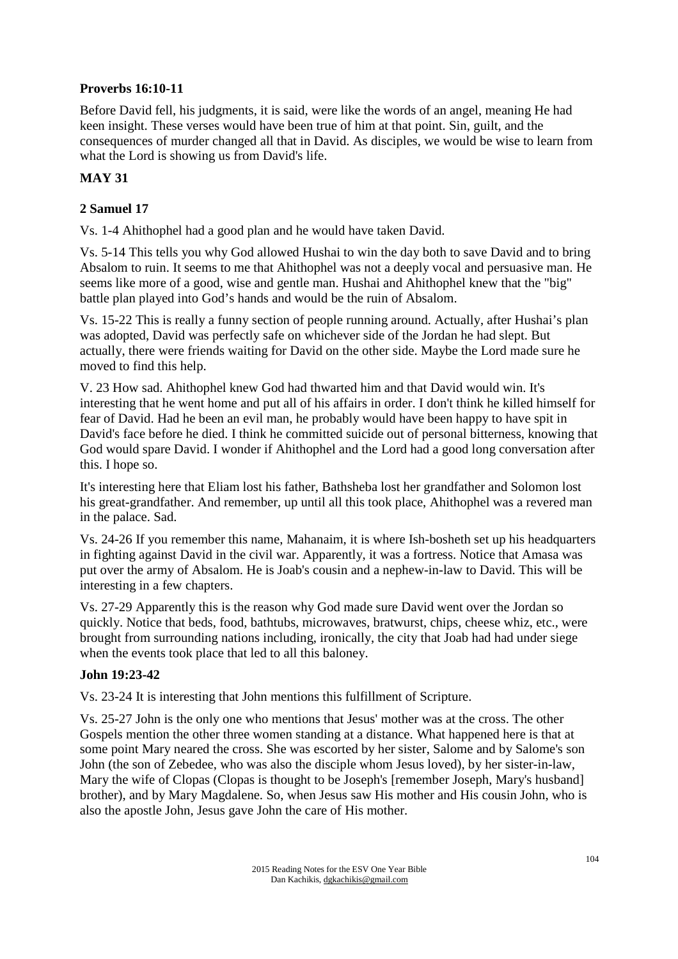# **Proverbs 16:10-11**

Before David fell, his judgments, it is said, were like the words of an angel, meaning He had keen insight. These verses would have been true of him at that point. Sin, guilt, and the consequences of murder changed all that in David. As disciples, we would be wise to learn from what the Lord is showing us from David's life.

# **MAY 31**

# **2 Samuel 17**

Vs. 1-4 Ahithophel had a good plan and he would have taken David.

Vs. 5-14 This tells you why God allowed Hushai to win the day both to save David and to bring Absalom to ruin. It seems to me that Ahithophel was not a deeply vocal and persuasive man. He seems like more of a good, wise and gentle man. Hushai and Ahithophel knew that the "big" battle plan played into God's hands and would be the ruin of Absalom.

Vs. 15-22 This is really a funny section of people running around. Actually, after Hushai's plan was adopted, David was perfectly safe on whichever side of the Jordan he had slept. But actually, there were friends waiting for David on the other side. Maybe the Lord made sure he moved to find this help.

V. 23 How sad. Ahithophel knew God had thwarted him and that David would win. It's interesting that he went home and put all of his affairs in order. I don't think he killed himself for fear of David. Had he been an evil man, he probably would have been happy to have spit in David's face before he died. I think he committed suicide out of personal bitterness, knowing that God would spare David. I wonder if Ahithophel and the Lord had a good long conversation after this. I hope so.

It's interesting here that Eliam lost his father, Bathsheba lost her grandfather and Solomon lost his great-grandfather. And remember, up until all this took place, Ahithophel was a revered man in the palace. Sad.

Vs. 24-26 If you remember this name, Mahanaim, it is where Ish-bosheth set up his headquarters in fighting against David in the civil war. Apparently, it was a fortress. Notice that Amasa was put over the army of Absalom. He is Joab's cousin and a nephew-in-law to David. This will be interesting in a few chapters.

Vs. 27-29 Apparently this is the reason why God made sure David went over the Jordan so quickly. Notice that beds, food, bathtubs, microwaves, bratwurst, chips, cheese whiz, etc., were brought from surrounding nations including, ironically, the city that Joab had had under siege when the events took place that led to all this baloney.

# **John 19:23-42**

Vs. 23-24 It is interesting that John mentions this fulfillment of Scripture.

Vs. 25-27 John is the only one who mentions that Jesus' mother was at the cross. The other Gospels mention the other three women standing at a distance. What happened here is that at some point Mary neared the cross. She was escorted by her sister, Salome and by Salome's son John (the son of Zebedee, who was also the disciple whom Jesus loved), by her sister-in-law, Mary the wife of Clopas (Clopas is thought to be Joseph's [remember Joseph, Mary's husband] brother), and by Mary Magdalene. So, when Jesus saw His mother and His cousin John, who is also the apostle John, Jesus gave John the care of His mother.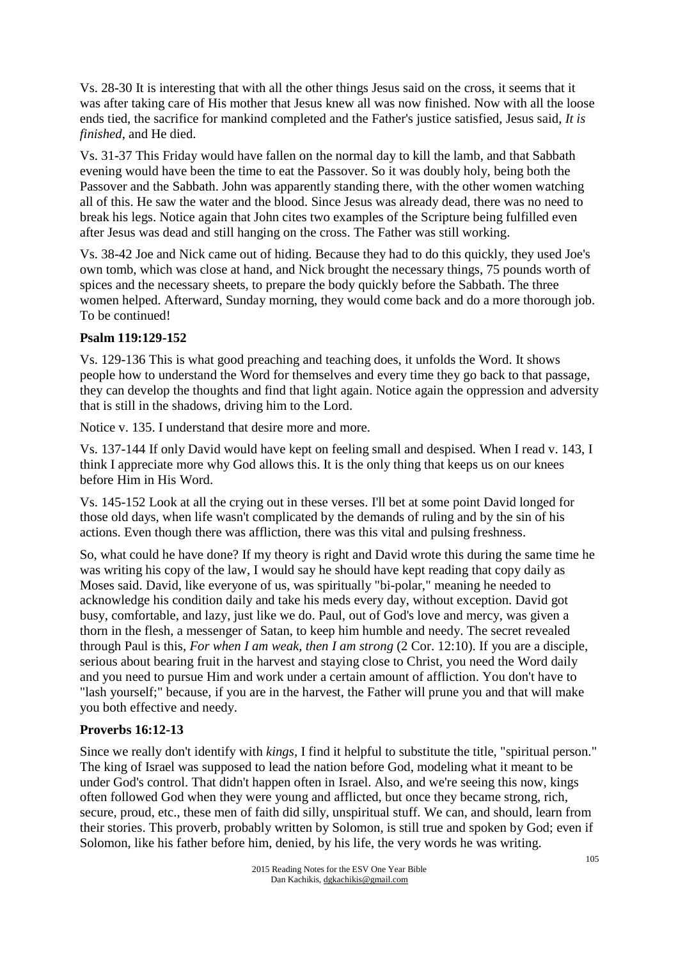Vs. 28-30 It is interesting that with all the other things Jesus said on the cross, it seems that it was after taking care of His mother that Jesus knew all was now finished. Now with all the loose ends tied, the sacrifice for mankind completed and the Father's justice satisfied, Jesus said, *It is finished*, and He died.

Vs. 31-37 This Friday would have fallen on the normal day to kill the lamb, and that Sabbath evening would have been the time to eat the Passover. So it was doubly holy, being both the Passover and the Sabbath. John was apparently standing there, with the other women watching all of this. He saw the water and the blood. Since Jesus was already dead, there was no need to break his legs. Notice again that John cites two examples of the Scripture being fulfilled even after Jesus was dead and still hanging on the cross. The Father was still working.

Vs. 38-42 Joe and Nick came out of hiding. Because they had to do this quickly, they used Joe's own tomb, which was close at hand, and Nick brought the necessary things, 75 pounds worth of spices and the necessary sheets, to prepare the body quickly before the Sabbath. The three women helped. Afterward, Sunday morning, they would come back and do a more thorough job. To be continued!

#### **Psalm 119:129-152**

Vs. 129-136 This is what good preaching and teaching does, it unfolds the Word. It shows people how to understand the Word for themselves and every time they go back to that passage, they can develop the thoughts and find that light again. Notice again the oppression and adversity that is still in the shadows, driving him to the Lord.

Notice v. 135. I understand that desire more and more.

Vs. 137-144 If only David would have kept on feeling small and despised. When I read v. 143, I think I appreciate more why God allows this. It is the only thing that keeps us on our knees before Him in His Word.

Vs. 145-152 Look at all the crying out in these verses. I'll bet at some point David longed for those old days, when life wasn't complicated by the demands of ruling and by the sin of his actions. Even though there was affliction, there was this vital and pulsing freshness.

So, what could he have done? If my theory is right and David wrote this during the same time he was writing his copy of the law, I would say he should have kept reading that copy daily as Moses said. David, like everyone of us, was spiritually "bi-polar," meaning he needed to acknowledge his condition daily and take his meds every day, without exception. David got busy, comfortable, and lazy, just like we do. Paul, out of God's love and mercy, was given a thorn in the flesh, a messenger of Satan, to keep him humble and needy. The secret revealed through Paul is this, *For when I am weak, then I am strong* (2 Cor. 12:10). If you are a disciple, serious about bearing fruit in the harvest and staying close to Christ, you need the Word daily and you need to pursue Him and work under a certain amount of affliction. You don't have to "lash yourself;" because, if you are in the harvest, the Father will prune you and that will make you both effective and needy.

# **Proverbs 16:12-13**

Since we really don't identify with *kings,* I find it helpful to substitute the title, "spiritual person." The king of Israel was supposed to lead the nation before God, modeling what it meant to be under God's control. That didn't happen often in Israel. Also, and we're seeing this now, kings often followed God when they were young and afflicted, but once they became strong, rich, secure, proud, etc., these men of faith did silly, unspiritual stuff. We can, and should, learn from their stories. This proverb, probably written by Solomon, is still true and spoken by God; even if Solomon, like his father before him, denied, by his life, the very words he was writing.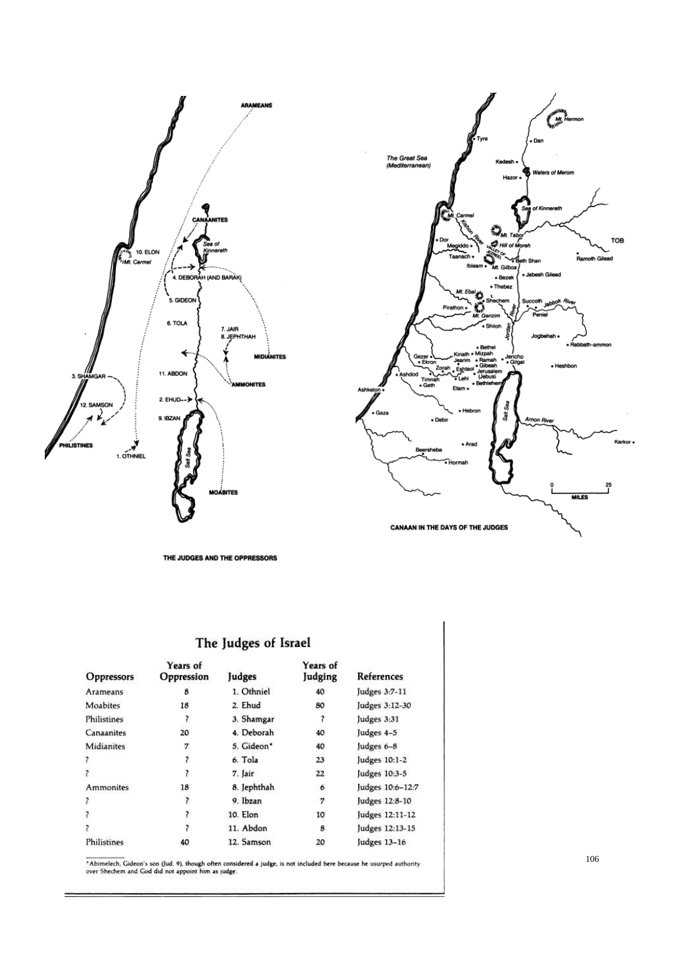



THE JUDGES AND THE OPPRESSORS

# The Judges of Israel

| Oppressors  | Years of<br>Oppression | Judges      | Years of<br>Judging | References       |
|-------------|------------------------|-------------|---------------------|------------------|
| Arameans    | 8                      | 1. Othniel  | 40                  | Judges 3:7-11    |
| Moabites    | 18                     | 2. Ehud     | 80                  | Judges 3:12-30   |
| Philistines |                        | 3. Shamgar  |                     | Judges 3:31      |
| Canaanites  | 20                     | 4. Deborah  | 40                  | Judges 4-5       |
| Midianites  |                        | 5. Gideon*  | 40                  | Judges 6-8       |
| 7           |                        | 6. Tola     | 23                  | Judges 10:1-2    |
|             | ?                      | 7. Jair     | 22                  | Judges 10:3-5    |
| Ammonites   | 18                     | 8. Jephthah | 6                   | Judges 10:6-12:7 |
| 7           |                        | 9. Ibzan    | 7                   | Judges 12:8-10   |
|             |                        | 10. Elon    | 10                  | Judges 12:11-12  |
|             |                        | 11. Abdon   | 8                   | Judges 12:13-15  |
| Philistines | 40                     | 12. Samson  | 20                  | Judges 13-16     |

2015 Reading Notes for the ESV One Year Bible Assembly the Estate Property of the ESV One Year Bibles of the ESV One Year Bibles of the ESV One Year Bibles of the ESV One Year Bibles of the ESV One Year Bibles of the ESV O